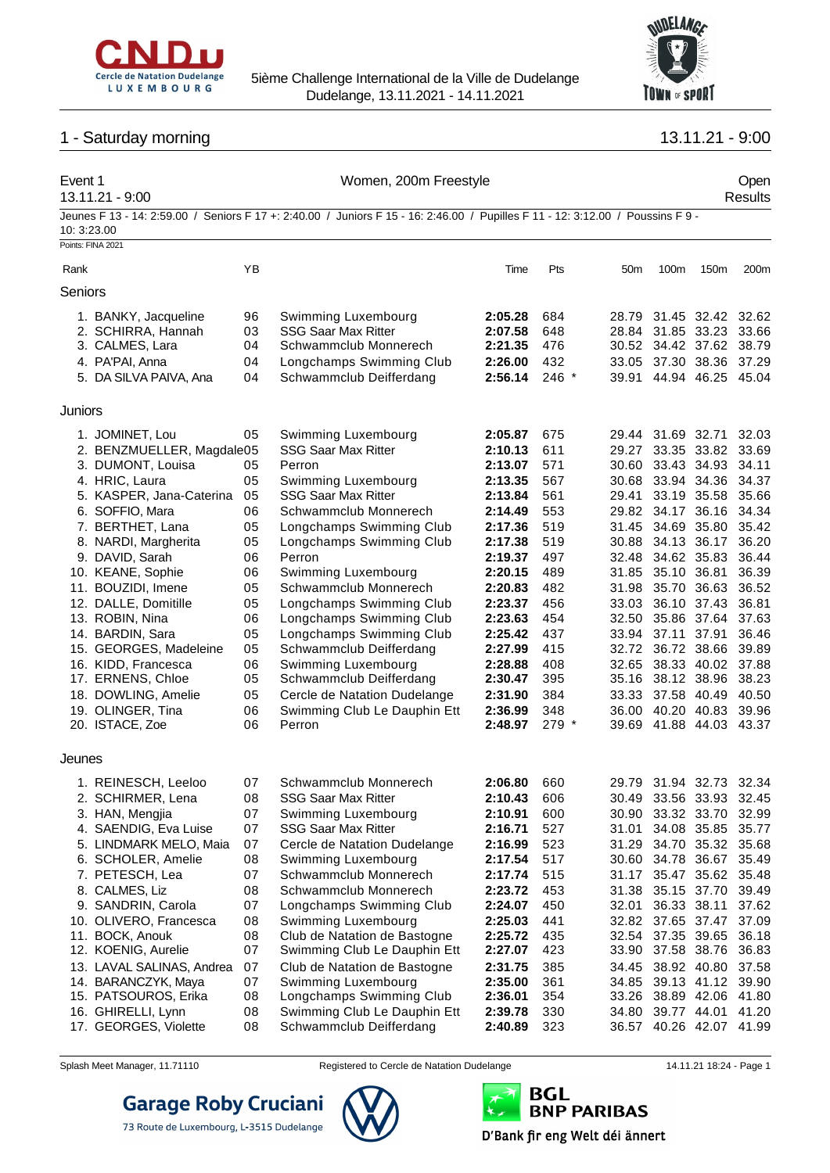



## 1 - Saturday morning 13.11.21 - 9:00

#### Event 1 Women, 200m Freestyle Open 13.11.21 - 9:00 Results Jeunes F 13 - 14: 2:59.00 / Seniors F 17 +: 2:40.00 / Juniors F 15 - 16: 2:46.00 / Pupilles F 11 - 12: 3:12.00 / Poussins F 9 - 10: 3:23.00 Points: FINA 2021 Rank YB Time Pts 50m 100m 150m 200m Seniors 1. BANKY, Jacqueline 96 Swimming Luxembourg **2:05.28** 684 28.79 31.45 32.42 32.62 2. SCHIRRA, Hannah 03 SSG Saar Max Ritter **2:07.58** 648 28.84 31.85 33.23 33.66 3. CALMES, Lara 04 Schwammclub Monnerech **2:21.35** 476 30.52 34.42 37.62 38.79 4. PA'PAI, Anna 04 Longchamps Swimming Club **2:26.00** 432 33.05 37.30 38.36 37.29 5. DA SILVA PAIVA, Ana 04 Schwammclub Deifferdang **2:56.14** 246 \* 39.91 44.94 46.25 45.04 **Juniors** 1. JOMINET, Lou 05 Swimming Luxembourg **2:05.87** 675 29.44 31.69 32.71 32.03 2. BENZMUELLER, Magdalena05 SSG Saar Max Ritter **2:10.13** 611 29.27 33.35 33.82 33.69 3. DUMONT, Louisa 05 Perron **2:13.07** 571 30.60 33.43 34.93 34.11 4. HRIC, Laura 05 Swimming Luxembourg **2:13.35** 567 30.68 33.94 34.36 34.37 5. KASPER, Jana-Caterina 05 SSG Saar Max Ritter **2:13.84** 561 29.41 33.19 35.58 35.66 6. SOFFIO, Mara 06 Schwammclub Monnerech **2:14.49** 553 29.82 34.17 36.16 34.34 7. BERTHET, Lana 05 Longchamps Swimming Club **2:17.36** 519 31.45 34.69 35.80 35.42 8. NARDI, Margherita 05 Longchamps Swimming Club **2:17.38** 519 30.88 34.13 36.17 36.20 9. DAVID, Sarah 06 Perron **2:19.37** 497 32.48 34.62 35.83 36.44 10. KEANE, Sophie 06 Swimming Luxembourg **2:20.15** 489 31.85 35.10 36.81 36.39 11. BOUZIDI, Imene 05 Schwammclub Monnerech **2:20.83** 482 31.98 35.70 36.63 36.52 12. DALLE, Domitille 05 Longchamps Swimming Club **2:23.37** 456 33.03 36.10 37.43 36.81 13. ROBIN, Nina 06 Longchamps Swimming Club **2:23.63** 454 32.50 35.86 37.64 37.63 14. BARDIN, Sara 05 Longchamps Swimming Club **2:25.42** 437 33.94 37.11 37.91 36.46 15. GEORGES, Madeleine 05 Schwammclub Deifferdang **2:27.99** 415 32.72 36.72 38.66 39.89 16. KIDD, Francesca 06 Swimming Luxembourg **2:28.88** 408 32.65 38.33 40.02 37.88 17. ERNENS, Chloe 05 Schwammclub Deifferdang **2:30.47** 395 35.16 38.12 38.96 38.23 18. DOWLING, Amelie 05 Cercle de Natation Dudelange **2:31.90** 384 33.33 37.58 40.49 40.50 19. OLINGER, Tina 06 Swimming Club Le Dauphin Ett **2:36.99** 348 36.00 40.20 40.83 39.96 20. ISTACE, Zoe 06 Perron **2:48.97** 279 \* 39.69 41.88 44.03 43.37 Jeunes 1. REINESCH, Leeloo 07 Schwammclub Monnerech **2:06.80** 660 29.79 31.94 32.73 32.34 2. SCHIRMER, Lena 08 SSG Saar Max Ritter **2:10.43** 606 30.49 33.56 33.93 32.45 3. HAN, Mengjia 07 Swimming Luxembourg **2:10.91** 600 30.90 33.32 33.70 32.99 4. SAENDIG, Eva Luise 07 SSG Saar Max Ritter **2:16.71** 527 31.01 34.08 35.85 35.77 5. LINDMARK MELO, Maia 07 Cercle de Natation Dudelange **2:16.99** 523 31.29 34.70 35.32 35.68 6. SCHOLER, Amelie 08 Swimming Luxembourg **2:17.54** 517 30.60 34.78 36.67 35.49 7. PETESCH, Lea 07 Schwammclub Monnerech **2:17.74** 515 31.17 35.47 35.62 35.48 8. CALMES, Liz 08 Schwammclub Monnerech **2:23.72** 453 31.38 35.15 37.70 39.49 9. SANDRIN, Carola 07 Longchamps Swimming Club **2:24.07** 450 32.01 36.33 38.11 37.62 10. OLIVERO, Francesca 08 Swimming Luxembourg **2:25.03** 441 32.82 37.65 37.47 37.09 11. BOCK, Anouk 08 Club de Natation de Bastogne **2:25.72** 435 32.54 37.35 39.65 36.18 12. KOENIG, Aurelie 07 Swimming Club Le Dauphin Ett **2:27.07** 423 33.90 37.58 38.76 36.83 13. LAVAL SALINAS, Andrea 07 Club de Natation de Bastogne **2:31.75** 385 34.45 38.92 40.80 37.58 14. BARANCZYK, Maya 07 Swimming Luxembourg **2:35.00** 361 34.85 39.13 41.12 39.90 15. PATSOUROS, Erika 08 Longchamps Swimming Club **2:36.01** 354 33.26 38.89 42.06 41.80 16. GHIRELLI, Lynn 08 Swimming Club Le Dauphin Ett **2:39.78** 330 34.80 39.77 44.01 41.20 17. GEORGES, Violette 08 Schwammclub Deifferdang **2:40.89** 323 36.57 40.26 42.07 41.99



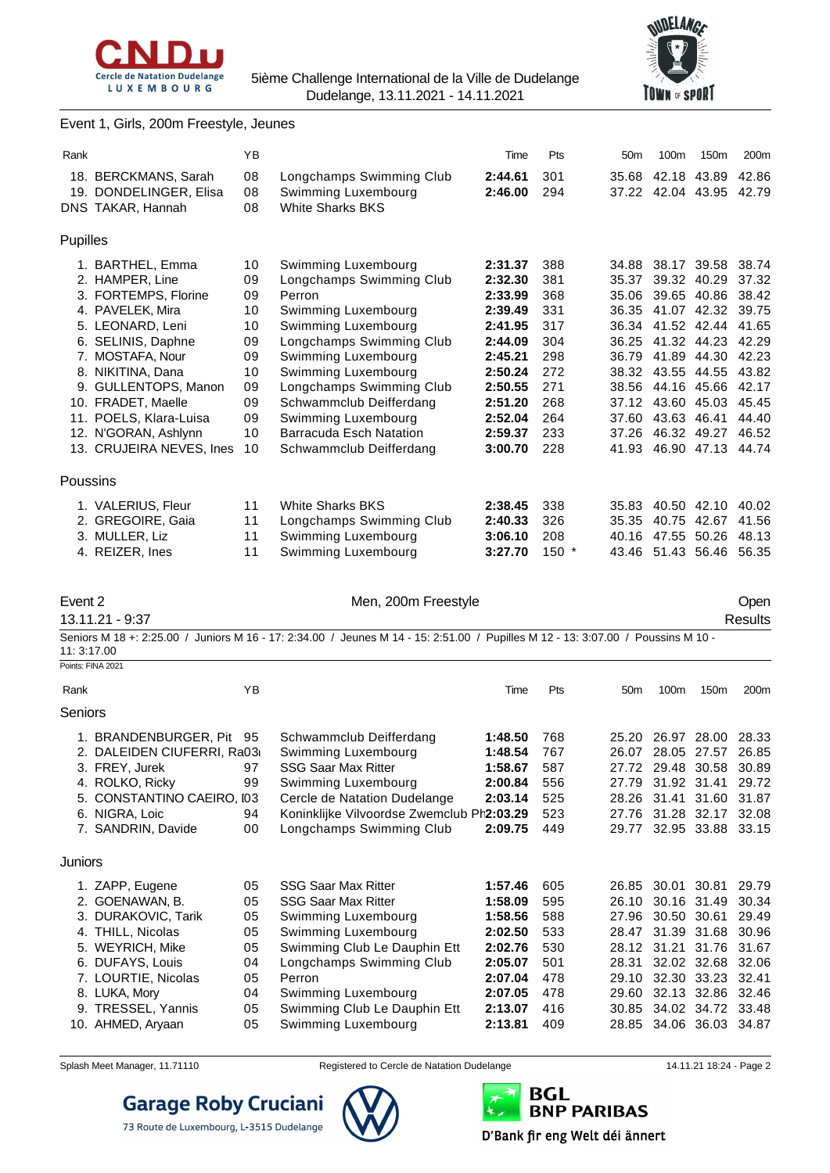



### Event 1, Girls, 200m Freestyle, Jeunes

| Rank                                    | YB       |                                                                                                                                  | Time               | Pts        | 50 <sub>m</sub> | 100m              | 150m                                               | 200m           |
|-----------------------------------------|----------|----------------------------------------------------------------------------------------------------------------------------------|--------------------|------------|-----------------|-------------------|----------------------------------------------------|----------------|
| 18. BERCKMANS, Sarah                    | 08       | Longchamps Swimming Club                                                                                                         | 2:44.61            | 301        | 35.68           |                   | 42.18 43.89                                        | 42.86          |
| 19. DONDELINGER, Elisa                  | 08       | Swimming Luxembourg                                                                                                              | 2:46.00            | 294        |                 |                   | 37.22 42.04 43.95 42.79                            |                |
| DNS TAKAR, Hannah                       | 08       | <b>White Sharks BKS</b>                                                                                                          |                    |            |                 |                   |                                                    |                |
| Pupilles                                |          |                                                                                                                                  |                    |            |                 |                   |                                                    |                |
|                                         |          |                                                                                                                                  |                    |            |                 |                   |                                                    |                |
| 1. BARTHEL, Emma                        | 10       | Swimming Luxembourg<br>Longchamps Swimming Club                                                                                  | 2:31.37            | 388        |                 | 35.37 39.32 40.29 | 34.88 38.17 39.58 38.74                            | 37.32          |
| 2. HAMPER, Line<br>3. FORTEMPS, Florine | 09<br>09 | Perron                                                                                                                           | 2:32.30<br>2:33.99 | 381<br>368 |                 |                   | 35.06 39.65 40.86                                  | 38.42          |
| 4. PAVELEK, Mira                        | 10       | Swimming Luxembourg                                                                                                              | 2:39.49            | 331        |                 |                   | 36.35 41.07 42.32 39.75                            |                |
| 5. LEONARD, Leni                        | 10       | Swimming Luxembourg                                                                                                              | 2:41.95            | 317        |                 |                   | 36.34 41.52 42.44 41.65                            |                |
| 6. SELINIS, Daphne                      | 09       | Longchamps Swimming Club                                                                                                         | 2:44.09            | 304        |                 | 36.25 41.32 44.23 |                                                    | 42.29          |
| 7. MOSTAFA, Nour                        | 09       | Swimming Luxembourg                                                                                                              | 2:45.21            | 298        |                 |                   | 36.79 41.89 44.30 42.23                            |                |
| 8. NIKITINA, Dana                       | 10       | Swimming Luxembourg                                                                                                              | 2:50.24            | 272        |                 |                   | 38.32 43.55 44.55                                  | 43.82          |
| 9. GULLENTOPS, Manon                    | 09       | Longchamps Swimming Club                                                                                                         | 2:50.55            | 271        |                 |                   | 38.56 44.16 45.66                                  | 42.17          |
| 10. FRADET, Maelle                      | 09       | Schwammclub Deifferdang                                                                                                          | 2:51.20            | 268        |                 |                   | 37.12 43.60 45.03                                  | 45.45          |
| 11. POELS, Klara-Luisa                  | 09       | Swimming Luxembourg                                                                                                              | 2:52.04            | 264        |                 | 37.60 43.63 46.41 |                                                    | 44.40          |
| 12. N'GORAN, Ashlynn                    | 10       | <b>Barracuda Esch Natation</b>                                                                                                   | 2:59.37            | 233        |                 |                   | 37.26 46.32 49.27 46.52                            |                |
| 13. CRUJEIRA NEVES, Ines                | 10       | Schwammclub Deifferdang                                                                                                          | 3:00.70            | 228        |                 |                   | 41.93 46.90 47.13 44.74                            |                |
| Poussins                                |          |                                                                                                                                  |                    |            |                 |                   |                                                    |                |
| 1. VALERIUS, Fleur                      | 11       | <b>White Sharks BKS</b>                                                                                                          | 2:38.45            | 338        |                 |                   | 35.83 40.50 42.10                                  | 40.02          |
| 2. GREGOIRE, Gaia                       | 11       | Longchamps Swimming Club                                                                                                         | 2:40.33            | 326        |                 |                   | 35.35 40.75 42.67                                  | 41.56          |
| 3. MULLER, Liz                          | 11       | Swimming Luxembourg                                                                                                              | 3:06.10            | 208        |                 |                   | 40.16 47.55 50.26 48.13                            |                |
| 4. REIZER, Ines                         | 11       | Swimming Luxembourg                                                                                                              | 3:27.70            | $150*$     |                 |                   | 43.46 51.43 56.46 56.35                            |                |
|                                         |          |                                                                                                                                  |                    |            |                 |                   |                                                    |                |
| Event 2                                 |          | Men, 200m Freestyle                                                                                                              |                    |            |                 |                   |                                                    | Open           |
| 13.11.21 - 9:37                         |          |                                                                                                                                  |                    |            |                 |                   |                                                    | <b>Results</b> |
|                                         |          | Seniors M 18 +: 2:25.00 / Juniors M 16 - 17: 2:34.00 / Jeunes M 14 - 15: 2:51.00 / Pupilles M 12 - 13: 3:07.00 / Poussins M 10 - |                    |            |                 |                   |                                                    |                |
| 11:3:17.00                              |          |                                                                                                                                  |                    |            |                 |                   |                                                    |                |
| Points: FINA 2021                       |          |                                                                                                                                  |                    |            |                 |                   |                                                    |                |
| Rank                                    | YB       |                                                                                                                                  | Time               | Pts        | 50 <sub>m</sub> | 100m              | 150m                                               | 200m           |
| Seniors                                 |          |                                                                                                                                  |                    |            |                 |                   |                                                    |                |
| 1. BRANDENBURGER, Pit 95                |          | Schwammclub Deifferdang                                                                                                          | 1:48.50            | 768        |                 |                   | 25.20 26.97 28.00 28.33                            |                |
| 2. DALEIDEN CIUFERRI, Ra03              |          | Swimming Luxembourg                                                                                                              | 1:48.54            | 767        |                 |                   | 26.07 28.05 27.57 26.85                            |                |
| 3. FREY, Jurek                          | 97       | <b>SSG Saar Max Ritter</b>                                                                                                       | 1:58.67            | 587        |                 |                   | 27.72 29.48 30.58 30.89                            |                |
| 4. ROLKO, Ricky                         | 99       | Swimming Luxembourg                                                                                                              | 2:00.84            | 556        |                 |                   | 27.79 31.92 31.41                                  | 29.72          |
| 5. CONSTANTINO CAEIRO, I03              |          | Cercle de Natation Dudelange                                                                                                     | 2:03.14            | 525        |                 |                   | 28.26 31.41 31.60 31.87                            |                |
| 6. NIGRA, Loic                          | 94       | Koninklijke Vilvoordse Zwemclub Ph2:03.29                                                                                        |                    | 523        |                 |                   | 27.76 31.28 32.17 32.08                            |                |
| 7. SANDRIN, Davide                      | 00       | Longchamps Swimming Club                                                                                                         | 2:09.75            | 449        |                 |                   | 29.77 32.95 33.88 33.15                            |                |
| Juniors                                 |          |                                                                                                                                  |                    |            |                 |                   |                                                    |                |
|                                         |          | <b>SSG Saar Max Ritter</b>                                                                                                       |                    |            |                 |                   |                                                    |                |
| 1. ZAPP, Eugene<br>2. GOENAWAN, B.      | 05<br>05 | <b>SSG Saar Max Ritter</b>                                                                                                       | 1:57.46<br>1:58.09 | 605<br>595 |                 | 26.10 30.16 31.49 | 26.85 30.01 30.81                                  | 29.79<br>30.34 |
| 3. DURAKOVIC, Tarik                     | 05       | Swimming Luxembourg                                                                                                              | 1:58.56            | 588        |                 |                   | 27.96 30.50 30.61                                  | 29.49          |
| 4. THILL, Nicolas                       | 05       | Swimming Luxembourg                                                                                                              | 2:02.50            | 533        |                 |                   | 28.47 31.39 31.68                                  | 30.96          |
| 5. WEYRICH, Mike                        | 05       | Swimming Club Le Dauphin Ett                                                                                                     | 2:02.76            | 530        |                 |                   | 28.12 31.21 31.76 31.67                            |                |
| 6. DUFAYS, Louis                        | 04       | Longchamps Swimming Club                                                                                                         | 2:05.07            | 501        |                 |                   | 28.31 32.02 32.68 32.06                            |                |
| 7. LOURTIE, Nicolas                     | 05       | Perron                                                                                                                           | 2:07.04            | 478        |                 |                   | 29.10 32.30 33.23 32.41                            |                |
| 8. LUKA, Mory                           | 04       | Swimming Luxembourg                                                                                                              | 2:07.05            | 478        |                 |                   | 29.60 32.13 32.86 32.46                            |                |
| 9. TRESSEL, Yannis                      |          |                                                                                                                                  |                    |            |                 |                   |                                                    |                |
| 10. AHMED, Aryaan                       | 05<br>05 | Swimming Club Le Dauphin Ett<br>Swimming Luxembourg                                                                              | 2:13.07<br>2:13.81 | 416        |                 |                   | 30.85 34.02 34.72 33.48<br>28.85 34.06 36.03 34.87 |                |



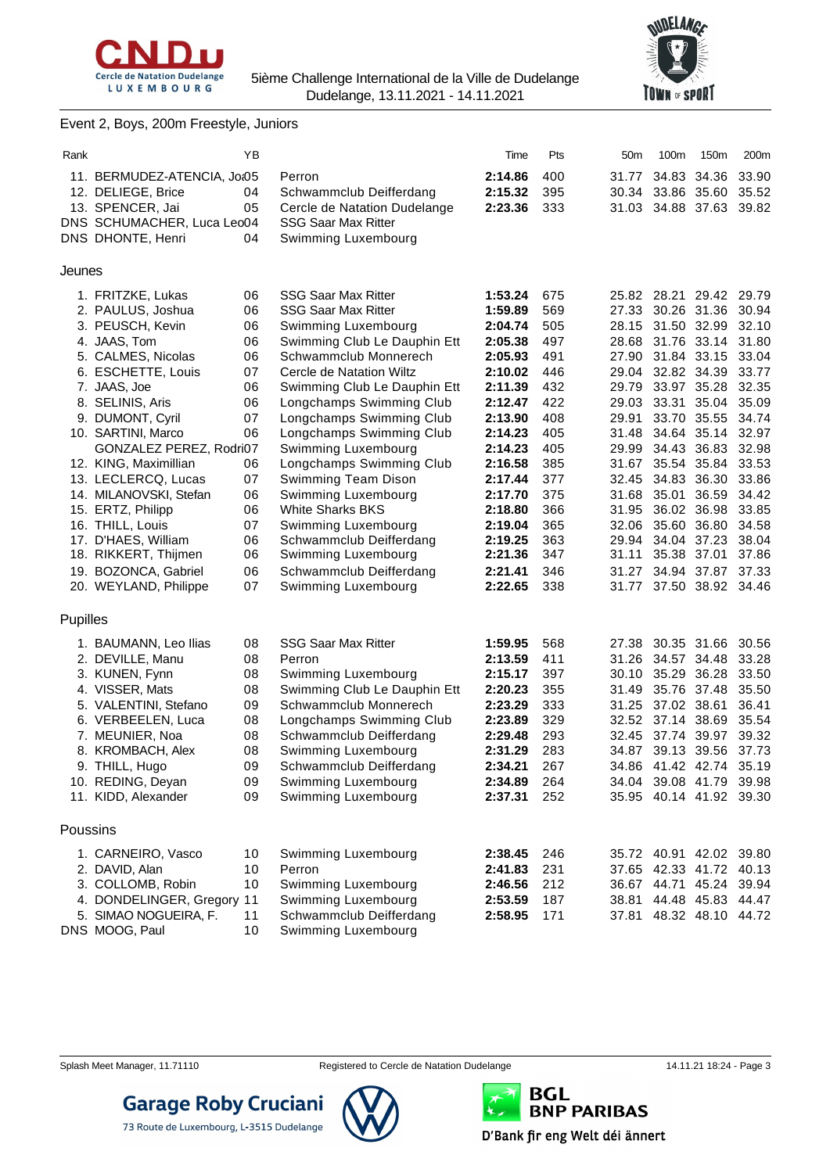



### Event 2, Boys, 200m Freestyle, Juniors

| Rank     |                             | ΥB |                              | Time    | Pts | 50 <sub>m</sub> | 100m                    | 150m        | 200m  |
|----------|-----------------------------|----|------------------------------|---------|-----|-----------------|-------------------------|-------------|-------|
|          | 11. BERMUDEZ-ATENCIA, Jo:05 |    | Perron                       | 2:14.86 | 400 |                 | 31.77 34.83 34.36       |             | 33.90 |
|          | 12. DELIEGE, Brice          | 04 | Schwammclub Deifferdang      | 2:15.32 | 395 |                 | 30.34 33.86 35.60       |             | 35.52 |
|          | 13. SPENCER, Jai            | 05 | Cercle de Natation Dudelange | 2:23.36 | 333 |                 | 31.03 34.88 37.63       |             | 39.82 |
|          | DNS SCHUMACHER, Luca Leo04  |    | <b>SSG Saar Max Ritter</b>   |         |     |                 |                         |             |       |
|          | DNS DHONTE, Henri           | 04 | Swimming Luxembourg          |         |     |                 |                         |             |       |
|          |                             |    |                              |         |     |                 |                         |             |       |
| Jeunes   |                             |    |                              |         |     |                 |                         |             |       |
|          | 1. FRITZKE, Lukas           | 06 | <b>SSG Saar Max Ritter</b>   | 1:53.24 | 675 |                 | 25.82 28.21 29.42 29.79 |             |       |
|          | 2. PAULUS, Joshua           | 06 | <b>SSG Saar Max Ritter</b>   | 1:59.89 | 569 |                 | 27.33 30.26 31.36       |             | 30.94 |
|          | 3. PEUSCH, Kevin            | 06 | Swimming Luxembourg          | 2:04.74 | 505 |                 | 28.15 31.50 32.99       |             | 32.10 |
|          | 4. JAAS, Tom                | 06 | Swimming Club Le Dauphin Ett | 2:05.38 | 497 |                 | 28.68 31.76 33.14       |             | 31.80 |
|          | 5. CALMES, Nicolas          | 06 | Schwammclub Monnerech        | 2:05.93 | 491 |                 | 27.90 31.84 33.15       |             | 33.04 |
|          | 6. ESCHETTE, Louis          | 07 | Cercle de Natation Wiltz     | 2:10.02 | 446 |                 | 29.04 32.82 34.39       |             | 33.77 |
|          | 7. JAAS, Joe                | 06 | Swimming Club Le Dauphin Ett | 2:11.39 | 432 | 29.79           | 33.97 35.28             |             | 32.35 |
|          | 8. SELINIS, Aris            | 06 | Longchamps Swimming Club     | 2:12.47 | 422 |                 | 29.03 33.31 35.04       |             | 35.09 |
|          | 9. DUMONT, Cyril            | 07 | Longchamps Swimming Club     | 2:13.90 | 408 | 29.91           |                         | 33.70 35.55 | 34.74 |
|          | 10. SARTINI, Marco          | 06 | Longchamps Swimming Club     | 2:14.23 | 405 | 31.48           |                         | 34.64 35.14 | 32.97 |
|          | GONZALEZ PEREZ, Rodri07     |    | Swimming Luxembourg          | 2:14.23 | 405 |                 | 29.99 34.43 36.83       |             | 32.98 |
|          | 12. KING, Maximillian       | 06 | Longchamps Swimming Club     | 2:16.58 | 385 |                 | 31.67 35.54 35.84       |             | 33.53 |
|          | 13. LECLERCQ, Lucas         | 07 | Swimming Team Dison          | 2:17.44 | 377 | 32.45           | 34.83 36.30             |             | 33.86 |
|          | 14. MILANOVSKI, Stefan      | 06 | Swimming Luxembourg          | 2:17.70 | 375 |                 | 31.68 35.01 36.59       |             | 34.42 |
|          | 15. ERTZ, Philipp           | 06 | <b>White Sharks BKS</b>      | 2:18.80 | 366 | 31.95           | 36.02 36.98             |             | 33.85 |
|          | 16. THILL, Louis            | 07 | Swimming Luxembourg          | 2:19.04 | 365 |                 | 32.06 35.60 36.80       |             | 34.58 |
|          | 17. D'HAES, William         | 06 | Schwammclub Deifferdang      | 2:19.25 | 363 |                 | 29.94 34.04 37.23       |             | 38.04 |
|          | 18. RIKKERT, Thijmen        | 06 | Swimming Luxembourg          | 2:21.36 | 347 | 31.11           | 35.38 37.01             |             | 37.86 |
|          | 19. BOZONCA, Gabriel        | 06 | Schwammclub Deifferdang      | 2:21.41 | 346 | 31.27           |                         | 34.94 37.87 | 37.33 |
|          | 20. WEYLAND, Philippe       | 07 | Swimming Luxembourg          | 2:22.65 | 338 |                 | 31.77 37.50 38.92 34.46 |             |       |
|          |                             |    |                              |         |     |                 |                         |             |       |
| Pupilles |                             |    |                              |         |     |                 |                         |             |       |
|          | 1. BAUMANN, Leo Ilias       | 08 | <b>SSG Saar Max Ritter</b>   | 1:59.95 | 568 | 27.38           | 30.35 31.66             |             | 30.56 |
|          | 2. DEVILLE, Manu            | 08 | Perron                       | 2:13.59 | 411 |                 | 31.26 34.57 34.48       |             | 33.28 |
|          | 3. KUNEN, Fynn              | 08 | Swimming Luxembourg          | 2:15.17 | 397 |                 | 30.10 35.29 36.28       |             | 33.50 |
|          | 4. VISSER, Mats             | 08 | Swimming Club Le Dauphin Ett | 2:20.23 | 355 | 31.49           | 35.76 37.48             |             | 35.50 |
|          | 5. VALENTINI, Stefano       | 09 | Schwammclub Monnerech        | 2:23.29 | 333 |                 | 31.25 37.02 38.61       |             | 36.41 |
|          | 6. VERBEELEN, Luca          | 08 | Longchamps Swimming Club     | 2:23.89 | 329 |                 | 32.52 37.14 38.69       |             | 35.54 |
|          | 7. MEUNIER, Noa             | 08 | Schwammclub Deifferdang      | 2:29.48 | 293 |                 | 32.45 37.74 39.97       |             | 39.32 |
|          | 8. KROMBACH, Alex           | 08 | Swimming Luxembourg          | 2:31.29 | 283 |                 | 34.87 39.13 39.56 37.73 |             |       |
|          | 9. THILL, Hugo              | 09 | Schwammclub Deifferdang      | 2:34.21 | 267 |                 | 34.86 41.42 42.74 35.19 |             |       |
|          | 10. REDING, Deyan           | 09 | Swimming Luxembourg          | 2:34.89 | 264 |                 | 34.04 39.08 41.79 39.98 |             |       |
|          | 11. KIDD, Alexander         | 09 | Swimming Luxembourg          | 2:37.31 | 252 |                 | 35.95 40.14 41.92 39.30 |             |       |
| Poussins |                             |    |                              |         |     |                 |                         |             |       |
|          | 1. CARNEIRO, Vasco          | 10 | Swimming Luxembourg          | 2:38.45 | 246 |                 | 35.72 40.91 42.02 39.80 |             |       |
|          | 2. DAVID, Alan              | 10 | Perron                       | 2:41.83 | 231 |                 | 37.65 42.33 41.72 40.13 |             |       |
|          | 3. COLLOMB, Robin           | 10 | Swimming Luxembourg          | 2:46.56 | 212 |                 | 36.67 44.71 45.24 39.94 |             |       |
|          | 4. DONDELINGER, Gregory     | 11 | Swimming Luxembourg          | 2:53.59 | 187 |                 | 38.81 44.48 45.83 44.47 |             |       |
|          | 5. SIMAO NOGUEIRA, F.       | 11 | Schwammclub Deifferdang      | 2:58.95 | 171 |                 | 37.81 48.32 48.10 44.72 |             |       |
|          | DNS MOOG, Paul              | 10 | Swimming Luxembourg          |         |     |                 |                         |             |       |
|          |                             |    |                              |         |     |                 |                         |             |       |





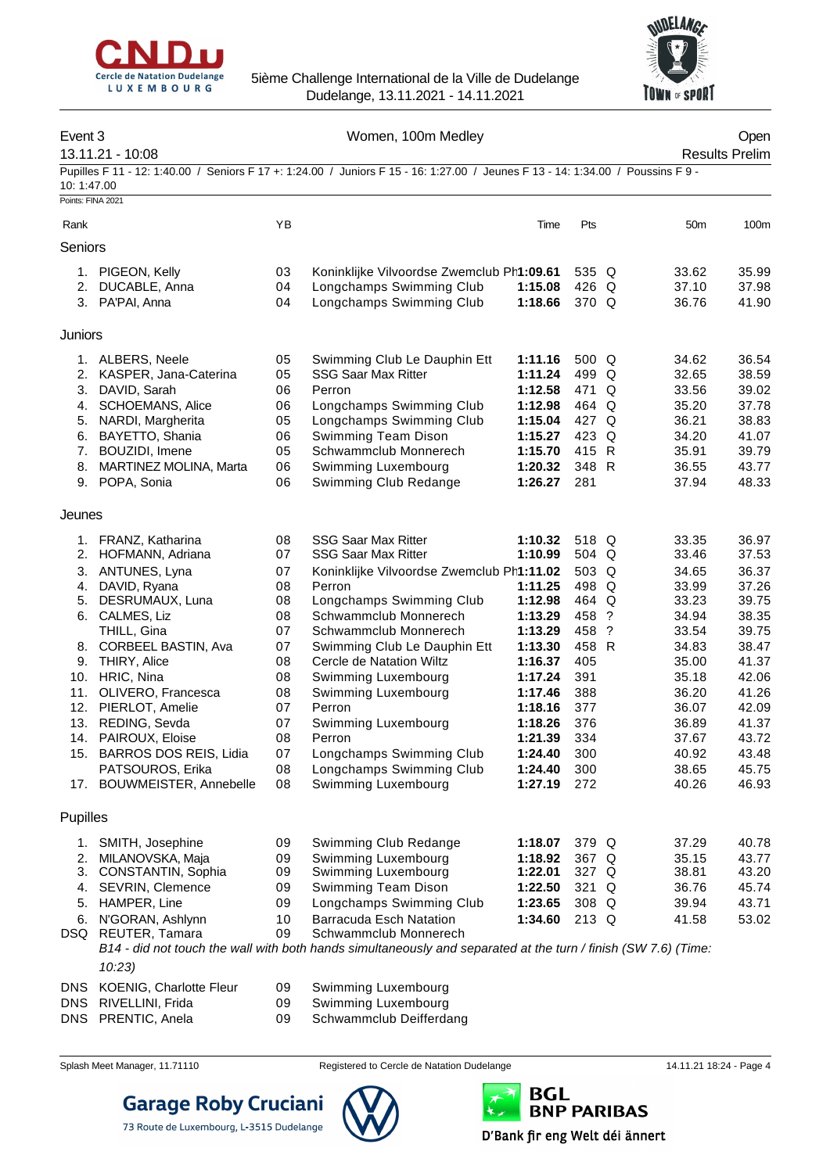



| Event 3                         |                                       |          | Women, 100m Medley                                                                                                              |                    |                |                 | Open                  |
|---------------------------------|---------------------------------------|----------|---------------------------------------------------------------------------------------------------------------------------------|--------------------|----------------|-----------------|-----------------------|
|                                 | 13.11.21 - 10:08                      |          |                                                                                                                                 |                    |                |                 | <b>Results Prelim</b> |
| 10:1:47.00<br>Points: FINA 2021 |                                       |          | Pupilles F 11 - 12: 1:40.00 / Seniors F 17 +: 1:24.00 / Juniors F 15 - 16: 1:27.00 / Jeunes F 13 - 14: 1:34.00 / Poussins F 9 - |                    |                |                 |                       |
|                                 |                                       |          |                                                                                                                                 |                    |                |                 |                       |
| Rank                            |                                       | YB       |                                                                                                                                 | Time               | Pts            | 50 <sub>m</sub> | 100m                  |
| Seniors                         |                                       |          |                                                                                                                                 |                    |                |                 |                       |
|                                 | 1. PIGEON, Kelly                      | 03       | Koninklijke Vilvoordse Zwemclub Ph1:09.61                                                                                       |                    | 535 Q          | 33.62           | 35.99                 |
| 2.                              | DUCABLE, Anna                         | 04       | Longchamps Swimming Club                                                                                                        | 1:15.08            | 426 Q          | 37.10           | 37.98                 |
|                                 | 3. PA'PAI, Anna                       | 04       | Longchamps Swimming Club                                                                                                        | 1:18.66            | 370 Q          | 36.76           | 41.90                 |
| Juniors                         |                                       |          |                                                                                                                                 |                    |                |                 |                       |
|                                 | 1. ALBERS, Neele                      | 05       | Swimming Club Le Dauphin Ett                                                                                                    | 1:11.16            | 500 Q          | 34.62           | 36.54                 |
|                                 | 2. KASPER, Jana-Caterina              | 05       | <b>SSG Saar Max Ritter</b>                                                                                                      | 1:11.24            | 499 Q          | 32.65           | 38.59                 |
| 3.                              | DAVID, Sarah                          | 06       | Perron                                                                                                                          | 1:12.58            | 471 Q          | 33.56           | 39.02                 |
| 4.                              | <b>SCHOEMANS, Alice</b>               | 06       | Longchamps Swimming Club                                                                                                        | 1:12.98            | 464 Q          | 35.20           | 37.78                 |
| 5.                              | NARDI, Margherita                     | 05       | Longchamps Swimming Club                                                                                                        | 1:15.04            | 427 Q          | 36.21           | 38.83                 |
| 6.                              | BAYETTO, Shania                       | 06       | Swimming Team Dison                                                                                                             | 1:15.27            | 423 Q          | 34.20           | 41.07                 |
|                                 | 7. BOUZIDI, Imene                     | 05       | Schwammclub Monnerech                                                                                                           | 1:15.70            | 415 R          | 35.91           | 39.79                 |
| 8.                              | MARTINEZ MOLINA, Marta                | 06       | Swimming Luxembourg                                                                                                             | 1:20.32            | 348 R          | 36.55           | 43.77                 |
|                                 | 9. POPA, Sonia                        | 06       | Swimming Club Redange                                                                                                           | 1:26.27            | 281            | 37.94           | 48.33                 |
| Jeunes                          |                                       |          |                                                                                                                                 |                    |                |                 |                       |
|                                 | 1. FRANZ, Katharina                   | 08       | <b>SSG Saar Max Ritter</b>                                                                                                      | 1:10.32            | 518 Q          | 33.35           | 36.97                 |
|                                 | 2. HOFMANN, Adriana                   | 07       | <b>SSG Saar Max Ritter</b>                                                                                                      | 1:10.99            | 504 Q          | 33.46           | 37.53                 |
| 3.                              | ANTUNES, Lyna                         | 07       | Koninklijke Vilvoordse Zwemclub Ph1:11.02                                                                                       |                    | 503 Q          | 34.65           | 36.37                 |
| 4.                              | DAVID, Ryana                          | 08       | Perron                                                                                                                          | 1:11.25            | 498 Q          | 33.99           | 37.26                 |
| 5.                              | DESRUMAUX, Luna                       | 08       | Longchamps Swimming Club                                                                                                        | 1:12.98            | 464 Q          | 33.23           | 39.75                 |
| 6.                              | CALMES, Liz                           | 08<br>07 | Schwammclub Monnerech<br>Schwammclub Monnerech                                                                                  | 1:13.29<br>1:13.29 | 458 ?<br>458 ? | 34.94<br>33.54  | 38.35<br>39.75        |
|                                 | THILL, Gina<br>8. CORBEEL BASTIN, Ava | 07       | Swimming Club Le Dauphin Ett                                                                                                    | 1:13.30            | 458 R          | 34.83           | 38.47                 |
| 9.                              | <b>THIRY, Alice</b>                   | 08       | Cercle de Natation Wiltz                                                                                                        | 1:16.37            | 405            | 35.00           | 41.37                 |
|                                 | 10. HRIC, Nina                        | 08       | Swimming Luxembourg                                                                                                             | 1:17.24            | 391            | 35.18           | 42.06                 |
|                                 | 11. OLIVERO, Francesca                | 08       | Swimming Luxembourg                                                                                                             | 1:17.46            | 388            | 36.20           | 41.26                 |
|                                 | 12. PIERLOT, Amelie                   | 07       | Perron                                                                                                                          | 1:18.16            | 377            | 36.07           | 42.09                 |
|                                 | 13. REDING, Sevda                     | 07       | Swimming Luxembourg                                                                                                             | 1:18.26            | 376            | 36.89           | 41.37                 |
|                                 | 14. PAIROUX, Eloise                   | 08       | Perron                                                                                                                          | 1:21.39            | 334            | 37.67           | 43.72                 |
|                                 | 15. BARROS DOS REIS, Lidia            | 07       | Longchamps Swimming Club                                                                                                        | 1:24.40            | 300            | 40.92           | 43.48                 |
|                                 | PATSOUROS, Erika                      | 08       | Longchamps Swimming Club                                                                                                        | 1:24.40            | 300            | 38.65           | 45.75                 |
| 17.                             | BOUWMEISTER, Annebelle                | 08       | Swimming Luxembourg                                                                                                             | 1:27.19            | 272            | 40.26           | 46.93                 |
| Pupilles                        |                                       |          |                                                                                                                                 |                    |                |                 |                       |
| 1.                              | SMITH, Josephine                      | 09       | Swimming Club Redange                                                                                                           | 1:18.07            | 379 Q          | 37.29           | 40.78                 |
| 2.                              | MILANOVSKA, Maja                      | 09       | Swimming Luxembourg                                                                                                             | 1:18.92            | 367 Q          | 35.15           | 43.77                 |
| 3.                              | CONSTANTIN, Sophia                    | 09       | Swimming Luxembourg                                                                                                             | 1:22.01            | 327 Q          | 38.81           | 43.20                 |
| 4.                              | SEVRIN, Clemence                      | 09       | Swimming Team Dison                                                                                                             | 1:22.50            | 321 Q          | 36.76           | 45.74                 |
| 5.                              | HAMPER, Line                          | 09       | Longchamps Swimming Club                                                                                                        | 1:23.65            | 308 Q          | 39.94           | 43.71                 |
| 6.                              | N'GORAN, Ashlynn                      | 10       | Barracuda Esch Natation                                                                                                         | 1:34.60            | $213$ Q        | 41.58           | 53.02                 |
| DSQ                             | REUTER, Tamara                        | 09       | Schwammclub Monnerech                                                                                                           |                    |                |                 |                       |
|                                 |                                       |          | B14 - did not touch the wall with both hands simultaneously and separated at the turn / finish (SW 7.6) (Time:                  |                    |                |                 |                       |

*10:23)* DNS KOENIG, Charlotte Fleur 09 Swimming Luxembourg<br>
DNS RIVELLINI, Frida 09 Swimming Luxembourg

DNS RIVELLINI, Frida **09** Swimming Luxembourg<br>
DNS PRENTIC, Anela 09 Schwammclub Deifferda

09 Schwammclub Deifferdang



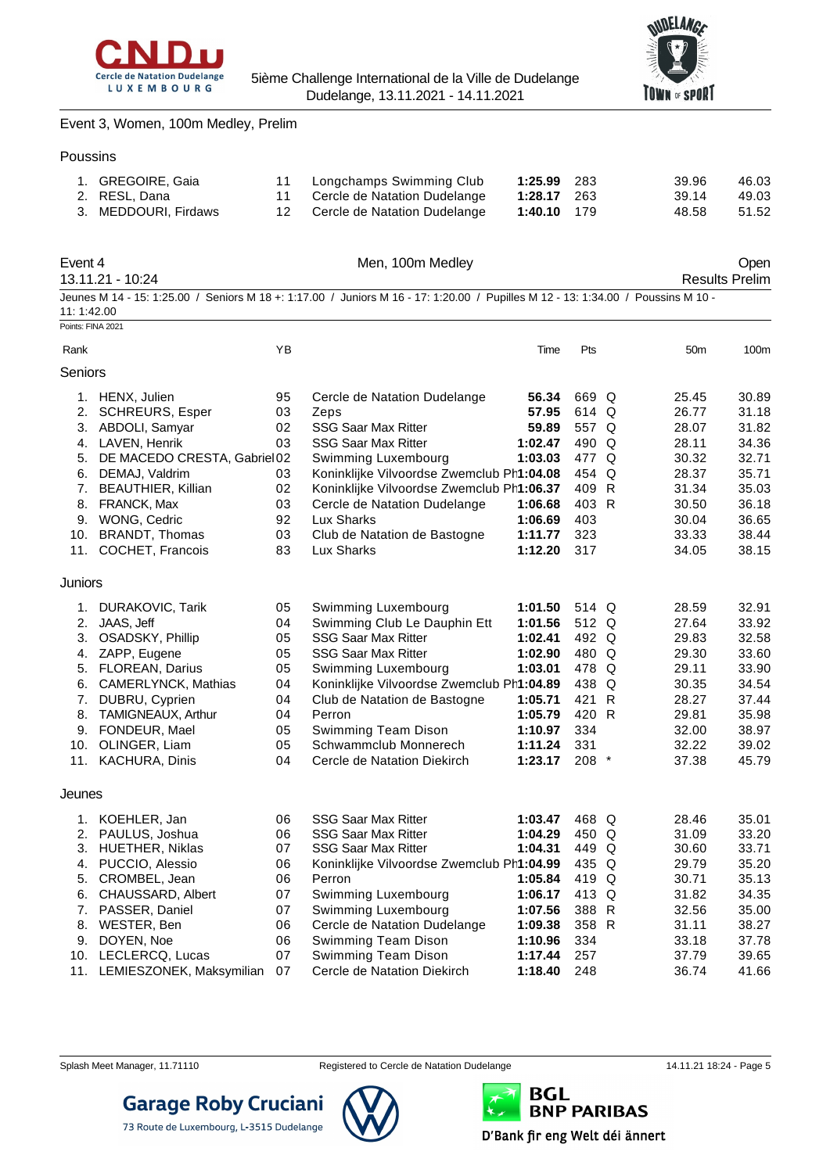



Event 3, Women, 100m Medley, Prelim

#### Poussins

| 1. GREGOIRE, Gaia    | 11 Longchamps Swimming Club     | 1:25.99 283        | 39.96 | 46.03 |
|----------------------|---------------------------------|--------------------|-------|-------|
| 2. RESL, Dana        | 11 Cercle de Natation Dudelange | <b>1:28.17</b> 263 | 39.14 | 49.03 |
| 3. MEDDOURI, Firdaws | 12 Cercle de Natation Dudelange | 1:40.10 179        | 48.58 | 51.52 |

| Event 4    | 13.11.21 - 10:24            |    | Men, 100m Medley                                                                                                                 |         |         |                 | Open<br><b>Results Prelim</b> |
|------------|-----------------------------|----|----------------------------------------------------------------------------------------------------------------------------------|---------|---------|-----------------|-------------------------------|
| 11:1:42.00 |                             |    | Jeunes M 14 - 15: 1:25.00 / Seniors M 18 +: 1:17.00 / Juniors M 16 - 17: 1:20.00 / Pupilles M 12 - 13: 1:34.00 / Poussins M 10 - |         |         |                 |                               |
|            | Points: FINA 2021           |    |                                                                                                                                  |         |         |                 |                               |
| Rank       |                             | ΥB |                                                                                                                                  | Time    | Pts     | 50 <sub>m</sub> | 100m                          |
| Seniors    |                             |    |                                                                                                                                  |         |         |                 |                               |
|            | 1. HENX, Julien             | 95 | Cercle de Natation Dudelange                                                                                                     | 56.34   | 669 Q   | 25.45           | 30.89                         |
| 2.         | <b>SCHREURS, Esper</b>      | 03 | Zeps                                                                                                                             | 57.95   | 614 Q   | 26.77           | 31.18                         |
|            | 3. ABDOLI, Samyar           | 02 | <b>SSG Saar Max Ritter</b>                                                                                                       | 59.89   | 557 Q   | 28.07           | 31.82                         |
|            | 4. LAVEN, Henrik            | 03 | <b>SSG Saar Max Ritter</b>                                                                                                       | 1:02.47 | 490 Q   | 28.11           | 34.36                         |
| 5.         | DE MACEDO CRESTA, Gabriel02 |    | Swimming Luxembourg                                                                                                              | 1:03.03 | 477 Q   | 30.32           | 32.71                         |
| 6.         | DEMAJ, Valdrim              | 03 | Koninklijke Vilvoordse Zwemclub Ph1:04.08                                                                                        |         | 454 Q   | 28.37           | 35.71                         |
| 7.         | <b>BEAUTHIER, Killian</b>   | 02 | Koninklijke Vilvoordse Zwemclub Ph1:06.37                                                                                        |         | 409 R   | 31.34           | 35.03                         |
| 8.         | FRANCK, Max                 | 03 | Cercle de Natation Dudelange                                                                                                     | 1:06.68 | 403 R   | 30.50           | 36.18                         |
| 9.         | WONG, Cedric                | 92 | Lux Sharks                                                                                                                       | 1:06.69 | 403     | 30.04           | 36.65                         |
| 10.        | <b>BRANDT, Thomas</b>       | 03 | Club de Natation de Bastogne                                                                                                     | 1:11.77 | 323     | 33.33           | 38.44                         |
|            | 11. COCHET, Francois        | 83 | Lux Sharks                                                                                                                       | 1:12.20 | 317     | 34.05           | 38.15                         |
| Juniors    |                             |    |                                                                                                                                  |         |         |                 |                               |
| 1.         | DURAKOVIC, Tarik            | 05 | Swimming Luxembourg                                                                                                              | 1:01.50 | 514 Q   | 28.59           | 32.91                         |
| 2.         | JAAS, Jeff                  | 04 | Swimming Club Le Dauphin Ett                                                                                                     | 1:01.56 | 512 Q   | 27.64           | 33.92                         |
|            | 3. OSADSKY, Phillip         | 05 | <b>SSG Saar Max Ritter</b>                                                                                                       | 1:02.41 | 492 Q   | 29.83           | 32.58                         |
|            | 4. ZAPP, Eugene             | 05 | <b>SSG Saar Max Ritter</b>                                                                                                       | 1:02.90 | 480 Q   | 29.30           | 33.60                         |
|            | 5. FLOREAN, Darius          | 05 | Swimming Luxembourg                                                                                                              | 1:03.01 | 478 Q   | 29.11           | 33.90                         |
|            | 6. CAMERLYNCK, Mathias      | 04 | Koninklijke Vilvoordse Zwemclub Ph1:04.89                                                                                        |         | 438 Q   | 30.35           | 34.54                         |
| 7.         | DUBRU, Cyprien              | 04 | Club de Natation de Bastogne                                                                                                     | 1:05.71 | 421 R   | 28.27           | 37.44                         |
| 8.         | TAMIGNEAUX, Arthur          | 04 | Perron                                                                                                                           | 1:05.79 | 420 R   | 29.81           | 35.98                         |
| 9.         | FONDEUR, Mael               | 05 | Swimming Team Dison                                                                                                              | 1:10.97 | 334     | 32.00           | 38.97                         |
|            | 10. OLINGER, Liam           | 05 | Schwammclub Monnerech                                                                                                            | 1:11.24 | 331     | 32.22           | 39.02                         |
|            | 11. KACHURA, Dinis          | 04 | Cercle de Natation Diekirch                                                                                                      | 1:23.17 | $208$ * | 37.38           | 45.79                         |
| Jeunes     |                             |    |                                                                                                                                  |         |         |                 |                               |
|            | 1. KOEHLER, Jan             | 06 | <b>SSG Saar Max Ritter</b>                                                                                                       | 1:03.47 | 468 Q   | 28.46           | 35.01                         |
| 2.         | PAULUS, Joshua              | 06 | <b>SSG Saar Max Ritter</b>                                                                                                       | 1:04.29 | 450 Q   | 31.09           | 33.20                         |
|            | 3. HUETHER, Niklas          | 07 | <b>SSG Saar Max Ritter</b>                                                                                                       | 1:04.31 | 449 Q   | 30.60           | 33.71                         |
| 4.         | PUCCIO, Alessio             | 06 | Koninklijke Vilvoordse Zwemclub Ph1:04.99                                                                                        |         | 435 Q   | 29.79           | 35.20                         |
| 5.         | CROMBEL, Jean               | 06 | Perron                                                                                                                           | 1:05.84 | 419 Q   | 30.71           | 35.13                         |
|            | 6. CHAUSSARD, Albert        | 07 | Swimming Luxembourg                                                                                                              | 1:06.17 | 413 Q   | 31.82           | 34.35                         |
| 7.         | PASSER, Daniel              | 07 | Swimming Luxembourg                                                                                                              | 1:07.56 | 388 R   | 32.56           | 35.00                         |
| 8.         | WESTER, Ben                 | 06 | Cercle de Natation Dudelange                                                                                                     | 1:09.38 | 358 R   | 31.11           | 38.27                         |
| 9.         | DOYEN, Noe                  | 06 | Swimming Team Dison                                                                                                              | 1:10.96 | 334     | 33.18           | 37.78                         |

- 10. LECLERCQ, Lucas 07 Swimming Team Dison **1:17.44** 257 37.79 39.65
- 11. LEMIESZONEK, Maksymilian 07





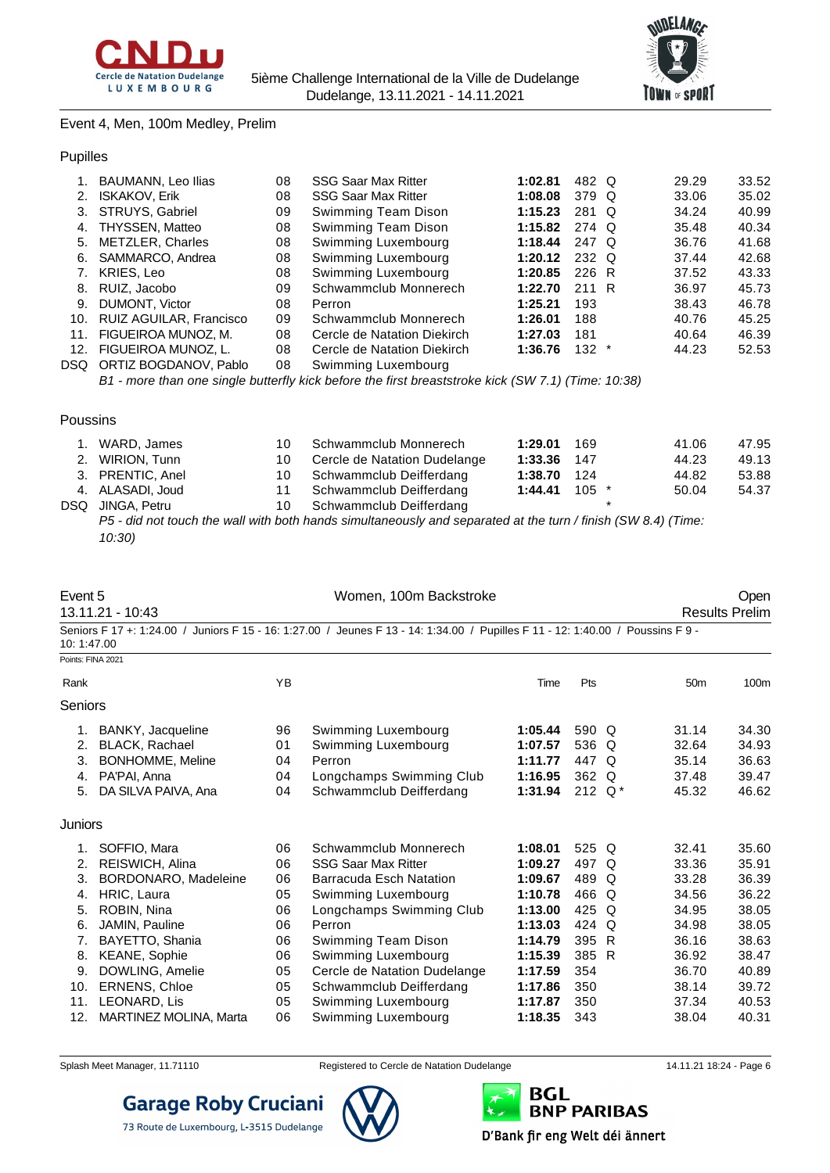



#### Event 4, Men, 100m Medley, Prelim

#### Pupilles

|      | BAUMANN, Leo Ilias      | 08 | <b>SSG Saar Max Ritter</b>  | 1:02.81 | 482 Q            | 29.29 | 33.52 |
|------|-------------------------|----|-----------------------------|---------|------------------|-------|-------|
|      | <b>ISKAKOV, Erik</b>    | 08 | <b>SSG Saar Max Ritter</b>  | 1:08.08 | 379 Q            | 33.06 | 35.02 |
| 3.   | STRUYS, Gabriel         | 09 | Swimming Team Dison         | 1:15.23 | 281 Q            | 34.24 | 40.99 |
| 4.   | THYSSEN, Matteo         | 08 | Swimming Team Dison         | 1:15.82 | 274 Q            | 35.48 | 40.34 |
| 5.   | METZLER, Charles        | 08 | Swimming Luxembourg         | 1:18.44 | 247 Q            | 36.76 | 41.68 |
| 6.   | SAMMARCO, Andrea        | 08 | Swimming Luxembourg         | 1:20.12 | 232 Q            | 37.44 | 42.68 |
|      | KRIES, Leo              | 08 | Swimming Luxembourg         | 1:20.85 | 226 R            | 37.52 | 43.33 |
| 8.   | RUIZ, Jacobo            | 09 | Schwammclub Monnerech       | 1:22.70 | 211 R            | 36.97 | 45.73 |
| 9.   | DUMONT, Victor          | 08 | Perron                      | 1:25.21 | 193              | 38.43 | 46.78 |
| 10.  | RUIZ AGUILAR, Francisco | 09 | Schwammclub Monnerech       | 1:26.01 | 188              | 40.76 | 45.25 |
| 11.  | FIGUEIROA MUNOZ, M.     | 08 | Cercle de Natation Diekirch | 1:27.03 | 181              | 40.64 | 46.39 |
| 12.  | FIGUEIROA MUNOZ. L.     | 08 | Cercle de Natation Diekirch | 1:36.76 | 132 <sub>1</sub> | 44.23 | 52.53 |
| DSQ. | ORTIZ BOGDANOV. Pablo   | 08 | Swimming Luxembourg         |         |                  |       |       |
|      |                         |    |                             |         |                  |       |       |

*B1 - more than one single butterfly kick before the first breaststroke kick (SW 7.1) (Time: 10:38)*

Poussins

| 1. WARD, James   |    | 10 Schwammclub Monnerech                                                                                                       | 1:29.01 169       | 41.06 | 47.95 |
|------------------|----|--------------------------------------------------------------------------------------------------------------------------------|-------------------|-------|-------|
| 2. WIRION, Tunn  | 10 | Cercle de Natation Dudelange                                                                                                   | 1:33.36 147       | 44.23 | 49.13 |
| 3. PRENTIC, Anel |    | 10 Schwammclub Deifferdang                                                                                                     | 1:38.70 124       | 44.82 | 53.88 |
| 4. ALASADI, Joud |    | 11 Schwammclub Deifferdang                                                                                                     | $1:44.41$ 105 $*$ | 50.04 | 54.37 |
| DSQ JINGA, Petru |    | 10 Schwammclub Deifferdang                                                                                                     |                   |       |       |
|                  |    | DE - - Belge - Lieben der son Hoofde beide begin der stenden einer der eine eine dem anderen Litteraturgen (ODILO 4) (There is |                   |       |       |

*P5 - did not touch the wall with both hands simultaneously and separated at the turn / finish (SW 8.4) (Time: 10:30)*

|            | Event 5<br>13.11.21 - 10:43   |    | Women, 100m Backstroke                                                                                                          |         |           | Open<br><b>Results Prelim</b> |       |  |  |  |
|------------|-------------------------------|----|---------------------------------------------------------------------------------------------------------------------------------|---------|-----------|-------------------------------|-------|--|--|--|
| 10:1:47.00 |                               |    | Seniors F 17 +: 1:24.00 / Juniors F 15 - 16: 1:27.00 / Jeunes F 13 - 14: 1:34.00 / Pupilles F 11 - 12: 1:40.00 / Poussins F 9 - |         |           |                               |       |  |  |  |
|            | Points: FINA 2021             |    |                                                                                                                                 |         |           |                               |       |  |  |  |
| Rank       |                               | YB |                                                                                                                                 | Time    | Pts       | 50 <sub>m</sub>               | 100m  |  |  |  |
| Seniors    |                               |    |                                                                                                                                 |         |           |                               |       |  |  |  |
| 1.         | BANKY, Jacqueline             | 96 | Swimming Luxembourg                                                                                                             | 1:05.44 | 590 Q     | 31.14                         | 34.30 |  |  |  |
| 2.         | <b>BLACK, Rachael</b>         | 01 | Swimming Luxembourg                                                                                                             | 1:07.57 | 536 Q     | 32.64                         | 34.93 |  |  |  |
| 3.         | BONHOMME, Meline              | 04 | Perron                                                                                                                          | 1:11.77 | 447 Q     | 35.14                         | 36.63 |  |  |  |
| 4.         | PA'PAI, Anna                  | 04 | Longchamps Swimming Club                                                                                                        | 1:16.95 | 362 Q     | 37.48                         | 39.47 |  |  |  |
| 5.         | DA SILVA PAIVA, Ana           | 04 | Schwammclub Deifferdang                                                                                                         | 1:31.94 | 212 $Q^*$ | 45.32                         | 46.62 |  |  |  |
| Juniors    |                               |    |                                                                                                                                 |         |           |                               |       |  |  |  |
|            | SOFFIO, Mara                  | 06 | Schwammclub Monnerech                                                                                                           | 1:08.01 | 525 Q     | 32.41                         | 35.60 |  |  |  |
| 2.         | REISWICH, Alina               | 06 | <b>SSG Saar Max Ritter</b>                                                                                                      | 1:09.27 | 497 Q     | 33.36                         | 35.91 |  |  |  |
| 3.         | BORDONARO, Madeleine          | 06 | <b>Barracuda Esch Natation</b>                                                                                                  | 1:09.67 | 489 Q     | 33.28                         | 36.39 |  |  |  |
| 4.         | HRIC, Laura                   | 05 | Swimming Luxembourg                                                                                                             | 1:10.78 | 466 Q     | 34.56                         | 36.22 |  |  |  |
| 5.         | ROBIN, Nina                   | 06 | Longchamps Swimming Club                                                                                                        | 1:13.00 | 425 Q     | 34.95                         | 38.05 |  |  |  |
| 6.         | JAMIN, Pauline                | 06 | Perron                                                                                                                          | 1:13.03 | 424 Q     | 34.98                         | 38.05 |  |  |  |
| 7.         | BAYETTO, Shania               | 06 | Swimming Team Dison                                                                                                             | 1:14.79 | 395 R     | 36.16                         | 38.63 |  |  |  |
| 8.         | <b>KEANE, Sophie</b>          | 06 | Swimming Luxembourg                                                                                                             | 1:15.39 | 385 R     | 36.92                         | 38.47 |  |  |  |
| 9.         | DOWLING, Amelie               | 05 | Cercle de Natation Dudelange                                                                                                    | 1:17.59 | 354       | 36.70                         | 40.89 |  |  |  |
| 10.        | ERNENS, Chloe                 | 05 | Schwammclub Deifferdang                                                                                                         | 1:17.86 | 350       | 38.14                         | 39.72 |  |  |  |
| 11.        | LEONARD, Lis                  | 05 | Swimming Luxembourg                                                                                                             | 1:17.87 | 350       | 37.34                         | 40.53 |  |  |  |
| 12.        | <b>MARTINEZ MOLINA, Marta</b> | 06 | Swimming Luxembourg                                                                                                             | 1:18.35 | 343       | 38.04                         | 40.31 |  |  |  |



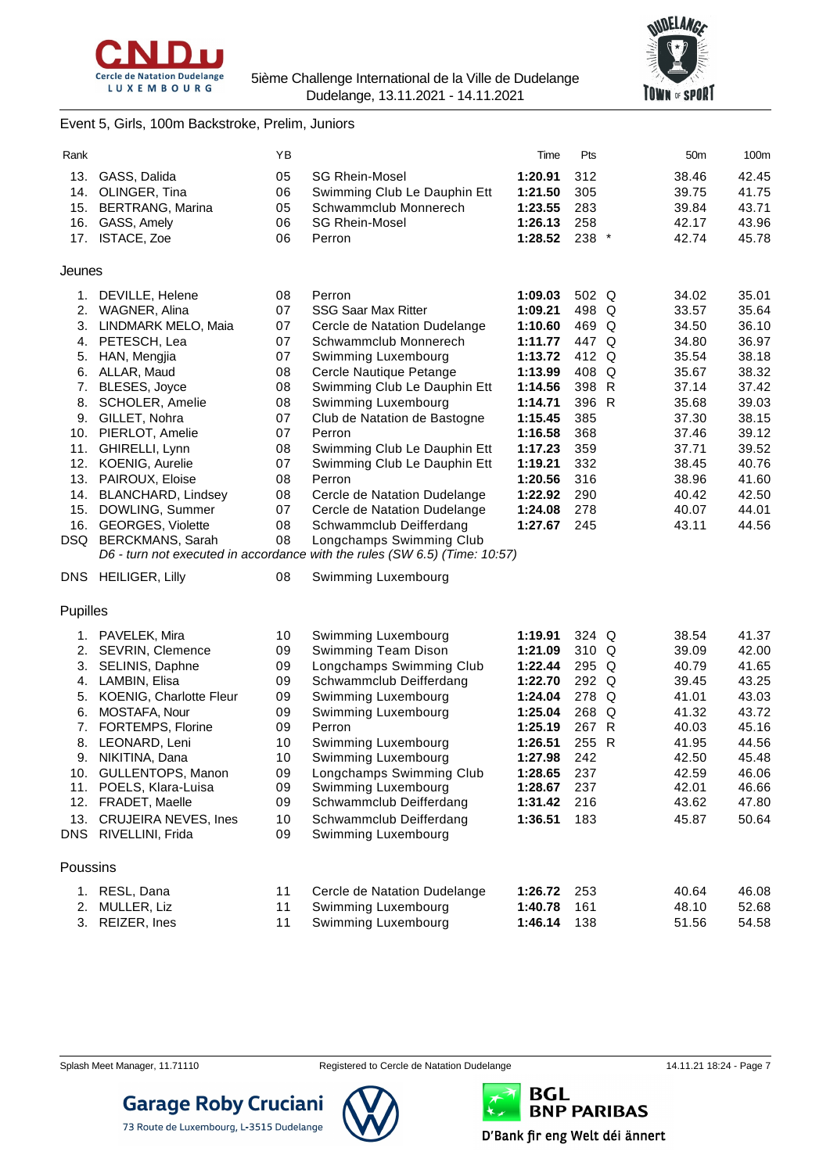



Event 5, Girls, 100m Backstroke, Prelim, Juniors

| Rank     |                             | ΥB |                                                                                                        | Time    | Pts     | 50 <sub>m</sub> | 100m  |
|----------|-----------------------------|----|--------------------------------------------------------------------------------------------------------|---------|---------|-----------------|-------|
| 13.      | GASS, Dalida                | 05 | <b>SG Rhein-Mosel</b>                                                                                  | 1:20.91 | 312     | 38.46           | 42.45 |
| 14.      | OLINGER, Tina               | 06 | Swimming Club Le Dauphin Ett                                                                           | 1:21.50 | 305     | 39.75           | 41.75 |
| 15.      | <b>BERTRANG, Marina</b>     | 05 | Schwammclub Monnerech                                                                                  | 1:23.55 | 283     | 39.84           | 43.71 |
| 16.      | GASS, Amely                 | 06 | <b>SG Rhein-Mosel</b>                                                                                  | 1:26.13 | 258     | 42.17           | 43.96 |
|          | 17. ISTACE, Zoe             | 06 | Perron                                                                                                 | 1:28.52 | 238 *   | 42.74           | 45.78 |
|          |                             |    |                                                                                                        |         |         |                 |       |
| Jeunes   |                             |    |                                                                                                        |         |         |                 |       |
| 1.       | DEVILLE, Helene             | 08 | Perron                                                                                                 | 1:09.03 | 502 Q   | 34.02           | 35.01 |
| 2.       | WAGNER, Alina               | 07 | <b>SSG Saar Max Ritter</b>                                                                             | 1:09.21 | 498 Q   | 33.57           | 35.64 |
| 3.       | LINDMARK MELO, Maia         | 07 | Cercle de Natation Dudelange                                                                           | 1:10.60 | 469 Q   | 34.50           | 36.10 |
|          | 4. PETESCH, Lea             | 07 | Schwammclub Monnerech                                                                                  | 1:11.77 | 447 Q   | 34.80           | 36.97 |
| 5.       | HAN, Mengjia                | 07 | Swimming Luxembourg                                                                                    | 1:13.72 | 412 Q   | 35.54           | 38.18 |
|          | 6. ALLAR, Maud              | 08 | Cercle Nautique Petange                                                                                | 1:13.99 | 408 Q   | 35.67           | 38.32 |
| 7.       | BLESES, Joyce               | 08 | Swimming Club Le Dauphin Ett                                                                           | 1:14.56 | 398 R   | 37.14           | 37.42 |
| 8.       | <b>SCHOLER, Amelie</b>      | 08 | Swimming Luxembourg                                                                                    | 1:14.71 | 396 R   | 35.68           | 39.03 |
| 9.       | GILLET, Nohra               | 07 | Club de Natation de Bastogne                                                                           | 1:15.45 | 385     | 37.30           | 38.15 |
|          | 10. PIERLOT, Amelie         | 07 | Perron                                                                                                 | 1:16.58 | 368     | 37.46           | 39.12 |
| 11.      | GHIRELLI, Lynn              | 08 | Swimming Club Le Dauphin Ett                                                                           | 1:17.23 | 359     | 37.71           | 39.52 |
|          | 12. KOENIG, Aurelie         | 07 | Swimming Club Le Dauphin Ett                                                                           | 1:19.21 | 332     | 38.45           | 40.76 |
|          | 13. PAIROUX, Eloise         | 08 | Perron                                                                                                 | 1:20.56 | 316     | 38.96           | 41.60 |
|          | 14. BLANCHARD, Lindsey      | 08 | Cercle de Natation Dudelange                                                                           | 1:22.92 | 290     | 40.42           | 42.50 |
| 15.      | DOWLING, Summer             | 07 | Cercle de Natation Dudelange                                                                           | 1:24.08 | 278     | 40.07           | 44.01 |
| 16.      | <b>GEORGES, Violette</b>    | 08 | Schwammclub Deifferdang                                                                                | 1:27.67 | 245     | 43.11           | 44.56 |
|          | DSQ BERCKMANS, Sarah        | 08 | Longchamps Swimming Club<br>D6 - turn not executed in accordance with the rules (SW 6.5) (Time: 10:57) |         |         |                 |       |
|          |                             |    |                                                                                                        |         |         |                 |       |
|          | DNS HEILIGER, Lilly         | 08 | Swimming Luxembourg                                                                                    |         |         |                 |       |
| Pupilles |                             |    |                                                                                                        |         |         |                 |       |
|          | 1. PAVELEK, Mira            | 10 | Swimming Luxembourg                                                                                    | 1:19.91 | $324$ Q | 38.54           | 41.37 |
| 2.       | SEVRIN, Clemence            | 09 | Swimming Team Dison                                                                                    | 1:21.09 | 310 Q   | 39.09           | 42.00 |
| 3.       | SELINIS, Daphne             | 09 | Longchamps Swimming Club                                                                               | 1:22.44 | 295 Q   | 40.79           | 41.65 |
| 4.       | LAMBIN, Elisa               | 09 | Schwammclub Deifferdang                                                                                | 1:22.70 | 292 Q   | 39.45           | 43.25 |
| 5.       | KOENIG, Charlotte Fleur     | 09 | Swimming Luxembourg                                                                                    | 1:24.04 | 278 Q   | 41.01           | 43.03 |
| 6.       | MOSTAFA, Nour               | 09 | Swimming Luxembourg                                                                                    | 1:25.04 | 268 Q   | 41.32           | 43.72 |
| 7.       | FORTEMPS, Florine           | 09 | Perron                                                                                                 | 1:25.19 | 267 R   | 40.03           | 45.16 |
| 8.       | LEONARD, Leni               | 10 | Swimming Luxembourg                                                                                    | 1:26.51 | 255 R   | 41.95           | 44.56 |
| 9.       | NIKITINA, Dana              | 10 | Swimming Luxembourg                                                                                    | 1:27.98 | 242     | 42.50           | 45.48 |
|          | 10. GULLENTOPS, Manon       | 09 | Longchamps Swimming Club                                                                               | 1:28.65 | 237     | 42.59           | 46.06 |
|          | 11. POELS, Klara-Luisa      | 09 | Swimming Luxembourg                                                                                    | 1:28.67 | 237     | 42.01           | 46.66 |
|          | 12. FRADET, Maelle          | 09 | Schwammclub Deifferdang                                                                                | 1:31.42 | 216     | 43.62           | 47.80 |
| 13.      | <b>CRUJEIRA NEVES, Ines</b> | 10 | Schwammclub Deifferdang                                                                                | 1:36.51 | 183     | 45.87           | 50.64 |
|          | DNS RIVELLINI, Frida        | 09 | Swimming Luxembourg                                                                                    |         |         |                 |       |
| Poussins |                             |    |                                                                                                        |         |         |                 |       |
|          | 1. RESL, Dana               | 11 | Cercle de Natation Dudelange                                                                           | 1:26.72 | 253     | 40.64           | 46.08 |
| 2.       | MULLER, Liz                 | 11 | Swimming Luxembourg                                                                                    | 1:40.78 | 161     | 48.10           | 52.68 |
|          | 3. REIZER, Ines             | 11 | Swimming Luxembourg                                                                                    | 1:46.14 | 138     | 51.56           | 54.58 |



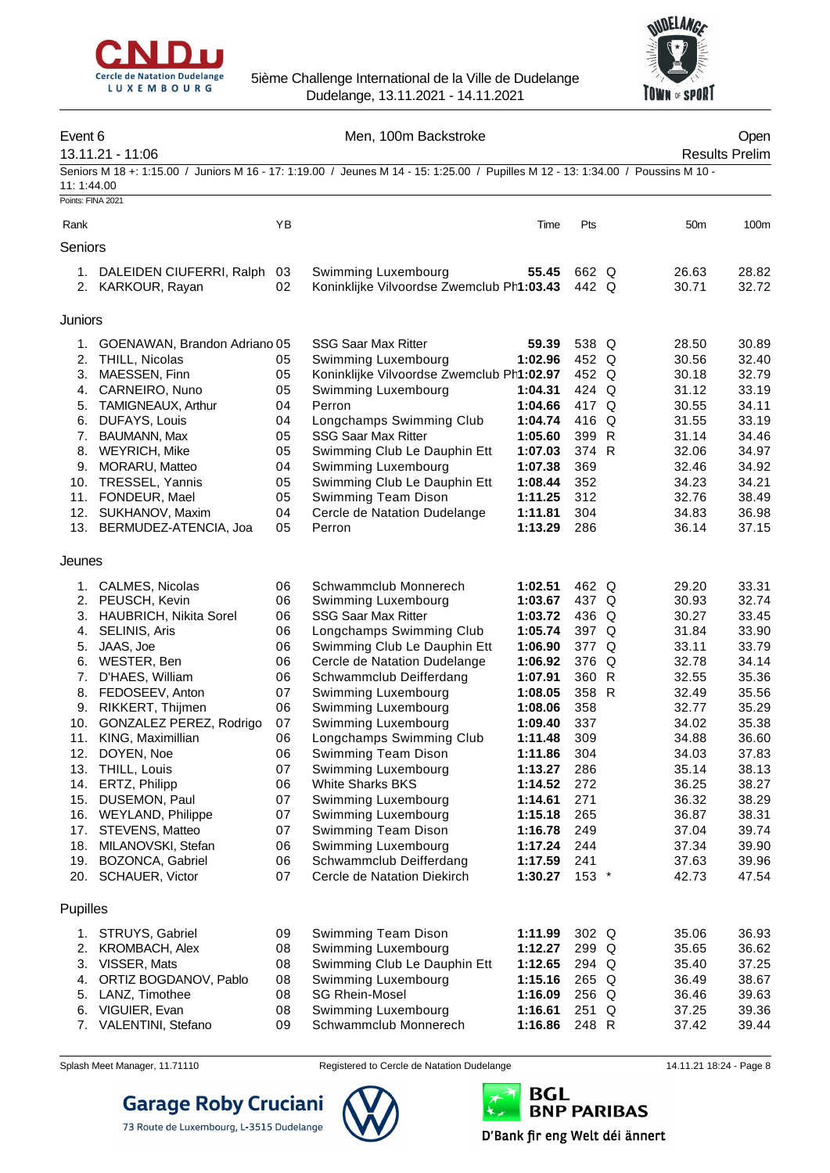



| Event 6                         | 13.11.21 - 11:06                                 |          | Men, 100m Backstroke                                                                                                             |                    |                |                 | Open<br><b>Results Prelim</b> |
|---------------------------------|--------------------------------------------------|----------|----------------------------------------------------------------------------------------------------------------------------------|--------------------|----------------|-----------------|-------------------------------|
| 11:1:44.00<br>Points: FINA 2021 |                                                  |          | Seniors M 18 +: 1:15.00 / Juniors M 16 - 17: 1:19.00 / Jeunes M 14 - 15: 1:25.00 / Pupilles M 12 - 13: 1:34.00 / Poussins M 10 - |                    |                |                 |                               |
|                                 |                                                  |          |                                                                                                                                  |                    |                |                 |                               |
| Rank                            |                                                  | YB       |                                                                                                                                  | Time               | Pts            | 50 <sub>m</sub> | 100m                          |
| Seniors                         |                                                  |          |                                                                                                                                  |                    |                |                 |                               |
|                                 | 1. DALEIDEN CIUFERRI, Ralph<br>2. KARKOUR, Rayan | 03<br>02 | Swimming Luxembourg<br>Koninklijke Vilvoordse Zwemclub Ph1:03.43                                                                 | 55.45              | 662 Q<br>442 Q | 26.63<br>30.71  | 28.82<br>32.72                |
| Juniors                         |                                                  |          |                                                                                                                                  |                    |                |                 |                               |
| 1.                              | GOENAWAN, Brandon Adriano 05                     |          | <b>SSG Saar Max Ritter</b>                                                                                                       | 59.39              | 538 Q          | 28.50           | 30.89                         |
| 2.                              | THILL, Nicolas                                   | 05       | Swimming Luxembourg                                                                                                              | 1:02.96            | 452 Q          | 30.56           | 32.40                         |
| 3.                              | MAESSEN, Finn                                    | 05       | Koninklijke Vilvoordse Zwemclub Ph1:02.97                                                                                        |                    | 452 Q          | 30.18           | 32.79                         |
| 4.                              | CARNEIRO, Nuno                                   | 05       | Swimming Luxembourg                                                                                                              | 1:04.31            | 424 Q          | 31.12           | 33.19                         |
| 5.                              | TAMIGNEAUX, Arthur                               | 04       | Perron                                                                                                                           | 1:04.66            | 417 Q          | 30.55           | 34.11                         |
| 6.                              | DUFAYS, Louis                                    | 04       | Longchamps Swimming Club                                                                                                         | 1:04.74            | 416 Q          | 31.55           | 33.19                         |
| 7.                              | BAUMANN, Max                                     | 05       | <b>SSG Saar Max Ritter</b>                                                                                                       | 1:05.60            | 399 R          | 31.14           | 34.46                         |
| 8.                              | <b>WEYRICH, Mike</b>                             | 05       | Swimming Club Le Dauphin Ett                                                                                                     | 1:07.03            | 374 R          | 32.06           | 34.97                         |
| 9.                              | MORARU, Matteo                                   | 04       | Swimming Luxembourg                                                                                                              | 1:07.38            | 369            | 32.46           | 34.92                         |
| 10.                             | TRESSEL, Yannis                                  | 05       | Swimming Club Le Dauphin Ett                                                                                                     | 1:08.44            | 352            | 34.23           | 34.21                         |
|                                 | 11. FONDEUR, Mael                                | 05       | Swimming Team Dison                                                                                                              | 1:11.25            | 312            | 32.76           | 38.49                         |
|                                 | 12. SUKHANOV, Maxim<br>13. BERMUDEZ-ATENCIA, Joa | 04<br>05 | Cercle de Natation Dudelange<br>Perron                                                                                           | 1:11.81<br>1:13.29 | 304<br>286     | 34.83<br>36.14  | 36.98<br>37.15                |
| Jeunes                          |                                                  |          |                                                                                                                                  |                    |                |                 |                               |
|                                 | 1. CALMES, Nicolas                               | 06       | Schwammclub Monnerech                                                                                                            | 1:02.51            | 462 Q          | 29.20           | 33.31                         |
|                                 | 2. PEUSCH, Kevin                                 | 06       | Swimming Luxembourg                                                                                                              | 1:03.67            | 437 Q          | 30.93           | 32.74                         |
| 3.                              | <b>HAUBRICH, Nikita Sorel</b>                    | 06       | <b>SSG Saar Max Ritter</b>                                                                                                       | 1:03.72            | 436 Q          | 30.27           | 33.45                         |
| 4.                              | SELINIS, Aris                                    | 06       | Longchamps Swimming Club                                                                                                         | 1:05.74            | 397 Q          | 31.84           | 33.90                         |
| 5.                              | JAAS, Joe                                        | 06       | Swimming Club Le Dauphin Ett                                                                                                     | 1:06.90            | 377 Q          | 33.11           | 33.79                         |
| 6.                              | WESTER, Ben                                      | 06       | Cercle de Natation Dudelange                                                                                                     | 1:06.92            | 376 Q          | 32.78           | 34.14                         |
| 7.                              | D'HAES, William                                  | 06       | Schwammclub Deifferdang                                                                                                          | 1:07.91            | 360 R          | 32.55           | 35.36                         |
| 8.                              | FEDOSEEV, Anton                                  | 07       | Swimming Luxembourg                                                                                                              | 1:08.05            | 358 R          | 32.49           | 35.56                         |
| 9.                              | RIKKERT, Thijmen                                 | 06       | Swimming Luxembourg                                                                                                              | 1:08.06            | 358            | 32.77           | 35.29                         |
| 10.                             | GONZALEZ PEREZ, Rodrigo                          | 07       | Swimming Luxembourg                                                                                                              | 1:09.40            | 337            | 34.02           | 35.38                         |
| 11.                             | KING, Maximillian<br>12. DOYEN, Noe              | 06       | Longchamps Swimming Club<br>Swimming Team Dison                                                                                  | 1:11.48            | 309            | 34.88<br>34.03  | 36.60<br>37.83                |
|                                 | 13. THILL, Louis                                 | 06<br>07 | Swimming Luxembourg                                                                                                              | 1:11.86<br>1:13.27 | 304<br>286     | 35.14           | 38.13                         |
|                                 | 14. ERTZ, Philipp                                | 06       | <b>White Sharks BKS</b>                                                                                                          | 1:14.52            | 272            | 36.25           | 38.27                         |
|                                 | 15. DUSEMON, Paul                                | 07       | Swimming Luxembourg                                                                                                              | 1:14.61            | 271            | 36.32           | 38.29                         |
|                                 | 16. WEYLAND, Philippe                            | 07       | Swimming Luxembourg                                                                                                              | 1:15.18            | 265            | 36.87           | 38.31                         |
| 17.                             | STEVENS, Matteo                                  | 07       | Swimming Team Dison                                                                                                              | 1:16.78            | 249            | 37.04           | 39.74                         |
| 18.                             | MILANOVSKI, Stefan                               | 06       | Swimming Luxembourg                                                                                                              | 1:17.24            | 244            | 37.34           | 39.90                         |
|                                 | 19. BOZONCA, Gabriel                             | 06       | Schwammclub Deifferdang                                                                                                          | 1:17.59            | 241            | 37.63           | 39.96                         |
|                                 | 20. SCHAUER, Victor                              | 07       | Cercle de Natation Diekirch                                                                                                      | 1:30.27            | 153 *          | 42.73           | 47.54                         |
| Pupilles                        |                                                  |          |                                                                                                                                  |                    |                |                 |                               |
|                                 | 1. STRUYS, Gabriel                               | 09       | Swimming Team Dison                                                                                                              | 1:11.99            | 302 Q          | 35.06           | 36.93                         |
| 2.                              | <b>KROMBACH, Alex</b>                            | 08       | Swimming Luxembourg                                                                                                              | 1:12.27            | 299 Q          | 35.65           | 36.62                         |
|                                 | 3. VISSER, Mats                                  | 08       | Swimming Club Le Dauphin Ett                                                                                                     | 1:12.65            | 294 Q          | 35.40           | 37.25                         |
| 4.                              | ORTIZ BOGDANOV, Pablo                            | 08       | Swimming Luxembourg                                                                                                              | 1:15.16            | 265 Q          | 36.49           | 38.67                         |
| 5.                              | LANZ, Timothee                                   | 08       | <b>SG Rhein-Mosel</b>                                                                                                            | 1:16.09            | 256 Q          | 36.46           | 39.63                         |
| 6.                              | VIGUIER, Evan                                    | 08       | Swimming Luxembourg                                                                                                              | 1:16.61            | 251 Q          | 37.25           | 39.36                         |
|                                 | 7. VALENTINI, Stefano                            | 09       | Schwammclub Monnerech                                                                                                            | 1:16.86            | 248 R          | 37.42           | 39.44                         |



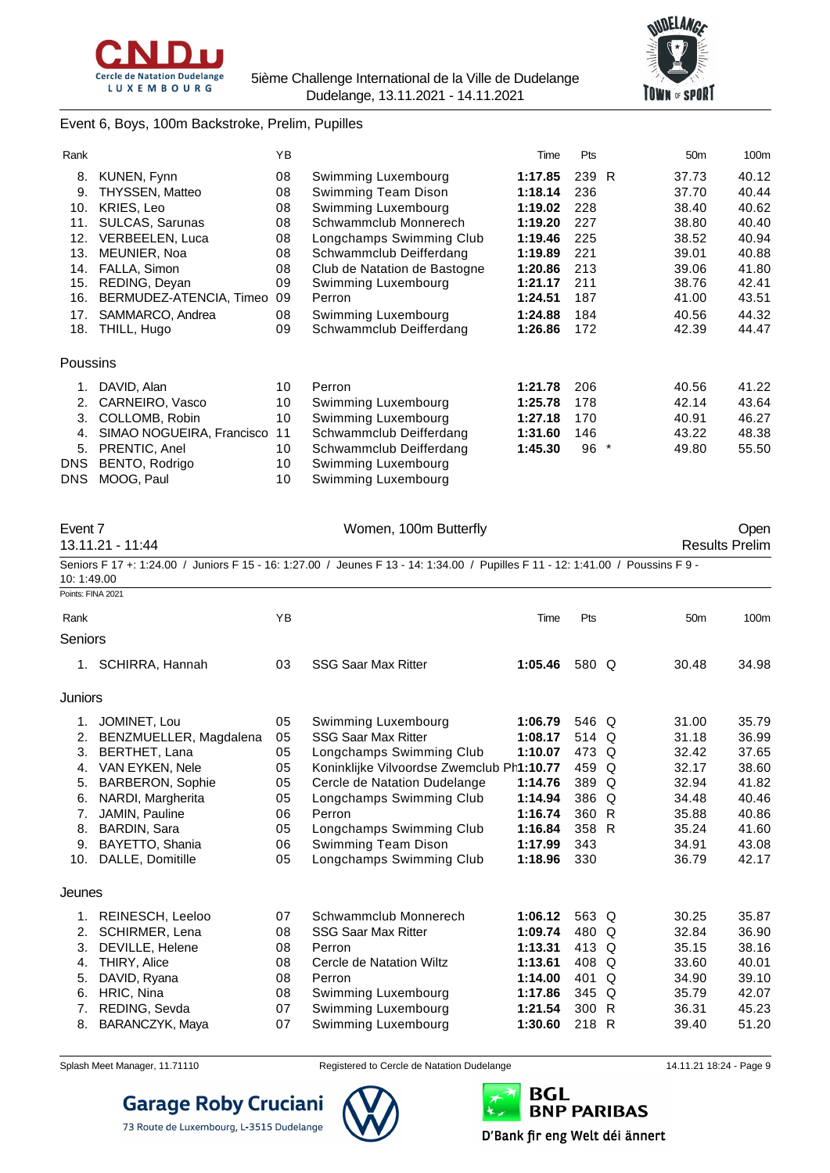



#### Event 6, Boys, 100m Backstroke, Prelim, Pupilles

| Rank       |                           | YB |                              | Time    | Pts   |                          | 50 <sub>m</sub> | 100m  |
|------------|---------------------------|----|------------------------------|---------|-------|--------------------------|-----------------|-------|
| 8.         | KUNEN, Fynn               | 08 | Swimming Luxembourg          | 1:17.85 | 239 R |                          | 37.73           | 40.12 |
| 9.         | THYSSEN, Matteo           | 08 | Swimming Team Dison          | 1:18.14 | 236   |                          | 37.70           | 40.44 |
| 10.        | <b>KRIES, Leo</b>         | 08 | Swimming Luxembourg          | 1:19.02 | 228   |                          | 38.40           | 40.62 |
| 11.        | SULCAS, Sarunas           | 08 | Schwammclub Monnerech        | 1:19.20 | 227   |                          | 38.80           | 40.40 |
| 12.        | VERBEELEN, Luca           | 08 | Longchamps Swimming Club     | 1:19.46 | 225   |                          | 38.52           | 40.94 |
| 13.        | MEUNIER, Noa              | 08 | Schwammclub Deifferdang      | 1:19.89 | 221   |                          | 39.01           | 40.88 |
| 14.        | FALLA, Simon              | 08 | Club de Natation de Bastogne | 1:20.86 | 213   |                          | 39.06           | 41.80 |
| 15.        | REDING, Deyan             | 09 | Swimming Luxembourg          | 1:21.17 | 211   |                          | 38.76           | 42.41 |
| 16.        | BERMUDEZ-ATENCIA, Timeo   | 09 | Perron                       | 1:24.51 | 187   |                          | 41.00           | 43.51 |
| 17.        | SAMMARCO, Andrea          | 08 | Swimming Luxembourg          | 1:24.88 | 184   |                          | 40.56           | 44.32 |
| 18.        | THILL, Hugo               | 09 | Schwammclub Deifferdang      | 1:26.86 | 172   |                          | 42.39           | 44.47 |
| Poussins   |                           |    |                              |         |       |                          |                 |       |
| 1.         | DAVID, Alan               | 10 | Perron                       | 1:21.78 | 206   |                          | 40.56           | 41.22 |
| 2.         | CARNEIRO, Vasco           | 10 | Swimming Luxembourg          | 1:25.78 | 178   |                          | 42.14           | 43.64 |
| 3.         | COLLOMB, Robin            | 10 | Swimming Luxembourg          | 1:27.18 | 170   |                          | 40.91           | 46.27 |
| 4.         | SIMAO NOGUEIRA, Francisco | 11 | Schwammclub Deifferdang      | 1:31.60 | 146   |                          | 43.22           | 48.38 |
| 5.         | PRENTIC, Anel             | 10 | Schwammclub Deifferdang      | 1:45.30 | 96    | $\overline{\phantom{a}}$ | 49.80           | 55.50 |
| <b>DNS</b> | BENTO, Rodrigo            | 10 | Swimming Luxembourg          |         |       |                          |                 |       |
| <b>DNS</b> | MOOG, Paul                | 10 | Swimming Luxembourg          |         |       |                          |                 |       |

| Event 7           |                         |    | Women, 100m Butterfly                                                                                                           |         |       |   |                 | Open                  |
|-------------------|-------------------------|----|---------------------------------------------------------------------------------------------------------------------------------|---------|-------|---|-----------------|-----------------------|
|                   | 13.11.21 - 11:44        |    |                                                                                                                                 |         |       |   |                 | <b>Results Prelim</b> |
| 10:1:49.00        |                         |    | Seniors F 17 +: 1:24.00 / Juniors F 15 - 16: 1:27.00 / Jeunes F 13 - 14: 1:34.00 / Pupilles F 11 - 12: 1:41.00 / Poussins F 9 - |         |       |   |                 |                       |
| Points: FINA 2021 |                         |    |                                                                                                                                 |         |       |   |                 |                       |
| Rank              |                         | YB |                                                                                                                                 | Time    | Pts   |   | 50 <sub>m</sub> | 100m                  |
| Seniors           |                         |    |                                                                                                                                 |         |       |   |                 |                       |
| 1.                | SCHIRRA, Hannah         | 03 | <b>SSG Saar Max Ritter</b>                                                                                                      | 1:05.46 | 580 Q |   | 30.48           | 34.98                 |
| Juniors           |                         |    |                                                                                                                                 |         |       |   |                 |                       |
| 1.                | JOMINET, Lou            | 05 | Swimming Luxembourg                                                                                                             | 1:06.79 | 546 Q |   | 31.00           | 35.79                 |
| 2.                | BENZMUELLER, Magdalena  | 05 | <b>SSG Saar Max Ritter</b>                                                                                                      | 1:08.17 | 514 Q |   | 31.18           | 36.99                 |
| 3.                | BERTHET, Lana           | 05 | Longchamps Swimming Club                                                                                                        | 1:10.07 | 473 Q |   | 32.42           | 37.65                 |
| 4.                | VAN EYKEN, Nele         | 05 | Koninklijke Vilvoordse Zwemclub Ph1:10.77                                                                                       |         | 459 Q |   | 32.17           | 38.60                 |
| 5.                | <b>BARBERON, Sophie</b> | 05 | Cercle de Natation Dudelange                                                                                                    | 1:14.76 | 389 Q |   | 32.94           | 41.82                 |
| 6.                | NARDI, Margherita       | 05 | Longchamps Swimming Club                                                                                                        | 1:14.94 | 386 Q |   | 34.48           | 40.46                 |
| 7.                | JAMIN, Pauline          | 06 | Perron                                                                                                                          | 1:16.74 | 360 R |   | 35.88           | 40.86                 |
| 8.                | <b>BARDIN, Sara</b>     | 05 | Longchamps Swimming Club                                                                                                        | 1:16.84 | 358 R |   | 35.24           | 41.60                 |
| 9.                | BAYETTO, Shania         | 06 | Swimming Team Dison                                                                                                             | 1:17.99 | 343   |   | 34.91           | 43.08                 |
| 10.               | DALLE, Domitille        | 05 | Longchamps Swimming Club                                                                                                        | 1:18.96 | 330   |   | 36.79           | 42.17                 |
| Jeunes            |                         |    |                                                                                                                                 |         |       |   |                 |                       |
| 1.                | REINESCH, Leeloo        | 07 | Schwammclub Monnerech                                                                                                           | 1:06.12 | 563 Q |   | 30.25           | 35.87                 |
| 2.                | <b>SCHIRMER, Lena</b>   | 08 | <b>SSG Saar Max Ritter</b>                                                                                                      | 1:09.74 | 480 Q |   | 32.84           | 36.90                 |
| 3.                | DEVILLE, Helene         | 08 | Perron                                                                                                                          | 1:13.31 | 413 Q |   | 35.15           | 38.16                 |
| 4.                | <b>THIRY, Alice</b>     | 08 | Cercle de Natation Wiltz                                                                                                        | 1:13.61 | 408 Q |   | 33.60           | 40.01                 |
| 5.                | DAVID, Ryana            | 08 | Perron                                                                                                                          | 1:14.00 | 401   | Q | 34.90           | 39.10                 |
| 6.                | HRIC, Nina              | 08 | Swimming Luxembourg                                                                                                             | 1:17.86 | 345 Q |   | 35.79           | 42.07                 |
| 7.                | REDING, Sevda           | 07 | Swimming Luxembourg                                                                                                             | 1:21.54 | 300 R |   | 36.31           | 45.23                 |
| 8.                | BARANCZYK, Maya         | 07 | Swimming Luxembourg                                                                                                             | 1:30.60 | 218 R |   | 39.40           | 51.20                 |



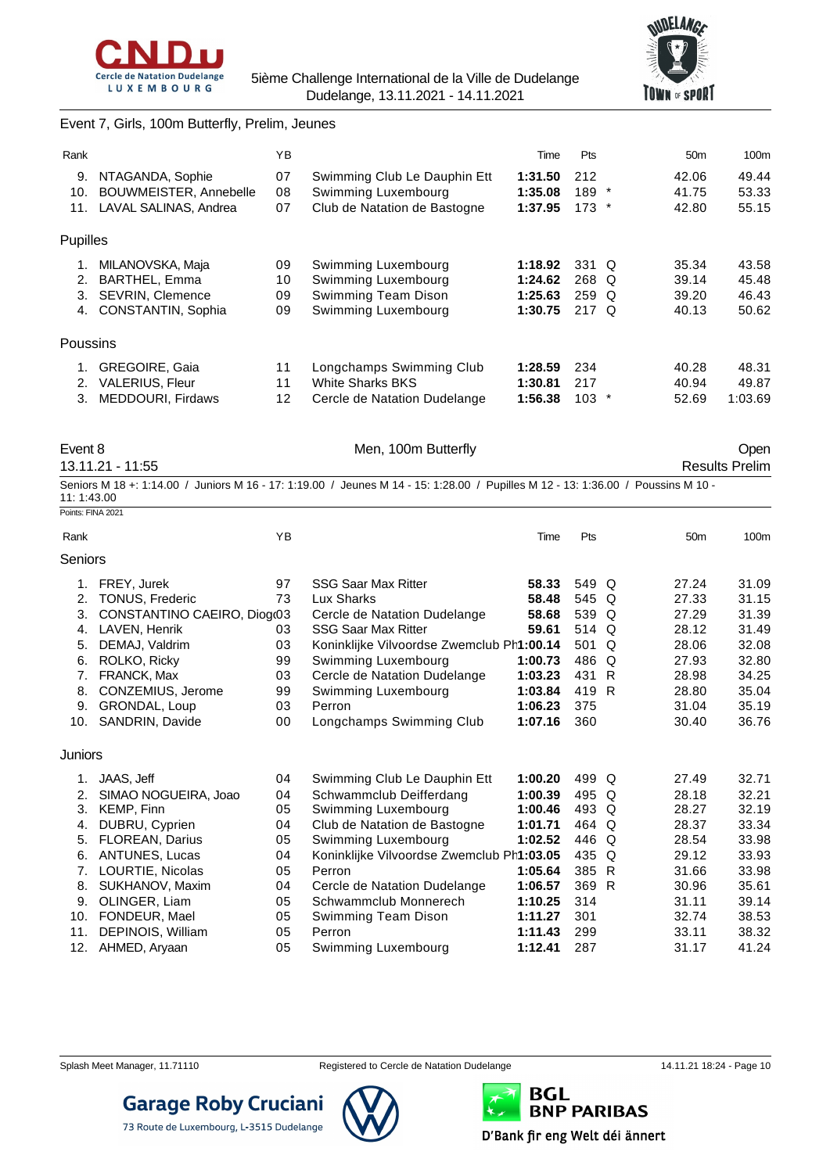



#### Event 7, Girls, 100m Butterfly, Prelim, Jeunes

| Rank     |                               | YB              |                              | Time    | Pts     | 50 <sub>m</sub> | 100m    |
|----------|-------------------------------|-----------------|------------------------------|---------|---------|-----------------|---------|
| 9.       | NTAGANDA, Sophie              | 07              | Swimming Club Le Dauphin Ett | 1:31.50 | 212     | 42.06           | 49.44   |
| 10.      | <b>BOUWMEISTER, Annebelle</b> | 08              | Swimming Luxembourg          | 1:35.08 | $189$ * | 41.75           | 53.33   |
| 11.      | LAVAL SALINAS, Andrea         | 07              | Club de Natation de Bastogne | 1:37.95 | $173$ * | 42.80           | 55.15   |
| Pupilles |                               |                 |                              |         |         |                 |         |
| 1.       | MILANOVSKA, Maja              | 09              | Swimming Luxembourg          | 1:18.92 | 331 Q   | 35.34           | 43.58   |
| 2.       | <b>BARTHEL, Emma</b>          | 10              | Swimming Luxembourg          | 1:24.62 | 268 Q   | 39.14           | 45.48   |
| 3.       | <b>SEVRIN, Clemence</b>       | 09              | Swimming Team Dison          | 1:25.63 | 259 Q   | 39.20           | 46.43   |
| 4.       | <b>CONSTANTIN, Sophia</b>     | 09              | Swimming Luxembourg          | 1:30.75 | 217 $Q$ | 40.13           | 50.62   |
| Poussins |                               |                 |                              |         |         |                 |         |
| 1.       | <b>GREGOIRE, Gaia</b>         | 11              | Longchamps Swimming Club     | 1:28.59 | 234     | 40.28           | 48.31   |
| 2.       | <b>VALERIUS, Fleur</b>        | 11              | <b>White Sharks BKS</b>      | 1:30.81 | 217     | 40.94           | 49.87   |
| 3.       | <b>MEDDOURI.</b> Firdaws      | 12 <sup>2</sup> | Cercle de Natation Dudelange | 1:56.38 | $103$ * | 52.69           | 1:03.69 |
|          |                               |                 |                              |         |         |                 |         |

| Event 8           |                                                                                                                                  | Men, 100m Butterfly |     |                 | Open |
|-------------------|----------------------------------------------------------------------------------------------------------------------------------|---------------------|-----|-----------------|------|
| 13.11.21 - 11:55  |                                                                                                                                  |                     |     |                 |      |
| 11: 1:43.00       | Seniors M 18 +: 1:14.00 / Juniors M 16 - 17: 1:19.00 / Jeunes M 14 - 15: 1:28.00 / Pupilles M 12 - 13: 1:36.00 / Poussins M 10 - |                     |     |                 |      |
| Points: FINA 2021 |                                                                                                                                  |                     |     |                 |      |
| Rank              | ΥB                                                                                                                               | Time                | Pts | 50 <sub>m</sub> | 100m |

| Seniors |                             |    |                                           |         |                     |              |       |
|---------|-----------------------------|----|-------------------------------------------|---------|---------------------|--------------|-------|
|         |                             |    |                                           |         |                     |              |       |
| 1.      | FREY, Jurek                 | 97 | <b>SSG Saar Max Ritter</b>                | 58.33   | 549 Q               | 27.24        | 31.09 |
|         | 2. TONUS, Frederic          | 73 | Lux Sharks                                | 58.48   | 545 Q               | 27.33        | 31.15 |
| 3.      | CONSTANTINO CAEIRO, Diogr03 |    | Cercle de Natation Dudelange              | 58.68   | 539 Q               | 27.29        | 31.39 |
| 4.      | LAVEN, Henrik               | 03 | <b>SSG Saar Max Ritter</b>                | 59.61   | 514 Q               | 28.12        | 31.49 |
| 5.      | DEMAJ, Valdrim              | 03 | Koninklijke Vilvoordse Zwemclub Ph1:00.14 |         | 501 Q               | 28.06        | 32.08 |
| 6.      | ROLKO, Ricky                | 99 | Swimming Luxembourg                       | 1:00.73 | 486 Q               | 27.93        | 32.80 |
| 7.      | FRANCK, Max                 | 03 | Cercle de Natation Dudelange              | 1:03.23 | 431 R               | 28.98        | 34.25 |
| 8.      | CONZEMIUS, Jerome           | 99 | Swimming Luxembourg                       | 1:03.84 | 419 R               | 28.80        | 35.04 |
| 9.      | GRONDAL, Loup               | 03 | Perron                                    | 1:06.23 | 375                 | 31.04        | 35.19 |
| 10.     | SANDRIN, Davide             | 00 | Longchamps Swimming Club                  | 1:07.16 | 360                 | 30.40        | 36.76 |
| Juniors |                             |    |                                           |         |                     |              |       |
| 1.      | JAAS, Jeff                  | 04 | Swimming Club Le Dauphin Ett              | 1:00.20 | 499 Q               | 27.49        | 32.71 |
| 2.      | SIMAO NOGUEIRA, Joao        | 04 | Schwammclub Deifferdang                   | 1:00.39 | 495 Q               | 28.18        | 32.21 |
| 3.      | KEMP, Finn                  | 05 | Swimming Luxembourg                       | 1:00.46 | 493 Q               | 28.27        | 32.19 |
| 4.      | DUBRU, Cyprien              | 04 | Club de Natation de Bastogne              | 1:01.71 | 464 Q               | 28.37        | 33.34 |
| E.      | ELODEAN Dorius              | ∩ҕ | Swimming Luvambourg                       | 1・0つ よつ | $\Delta$ AAC $\cap$ | <b>OQ EA</b> | ם מפ  |

|                       |     |                                                 |                 | 1:02.52 446 Q | 28.54 | 33.98 |
|-----------------------|-----|-------------------------------------------------|-----------------|---------------|-------|-------|
| 6. ANTUNES, Lucas     | 04  | Koninklijke Vilvoordse Zwemclub Ph1:03.05 435 Q |                 |               | 29.12 | 33.93 |
| 7. LOURTIE, Nicolas   | 05  | Perron                                          | $1:05.64$ 385 R |               | 31.66 | 33.98 |
| 8. SUKHANOV, Maxim    |     | 04 Cercle de Natation Dudelange                 | $1:06.57$ 369 R |               | 30.96 | 35.61 |
| 9. OLINGER, Liam      | 05. | Schwammclub Monnerech                           | $1:10.25$ 314   |               | 31.11 | 39.14 |
| 10. FONDEUR, Mael     |     | 05 Swimming Team Dison                          | 1:11.27 301     |               | 32.74 | 38.53 |
| 11. DEPINOIS, William | 05  | Perron                                          | 1:11.43 299     |               | 33.11 | 38.32 |
| 12. AHMED, Aryaan     |     | 05 Swimming Luxembourg                          | $1:12.41$ 287   |               | 31.17 | 41.24 |





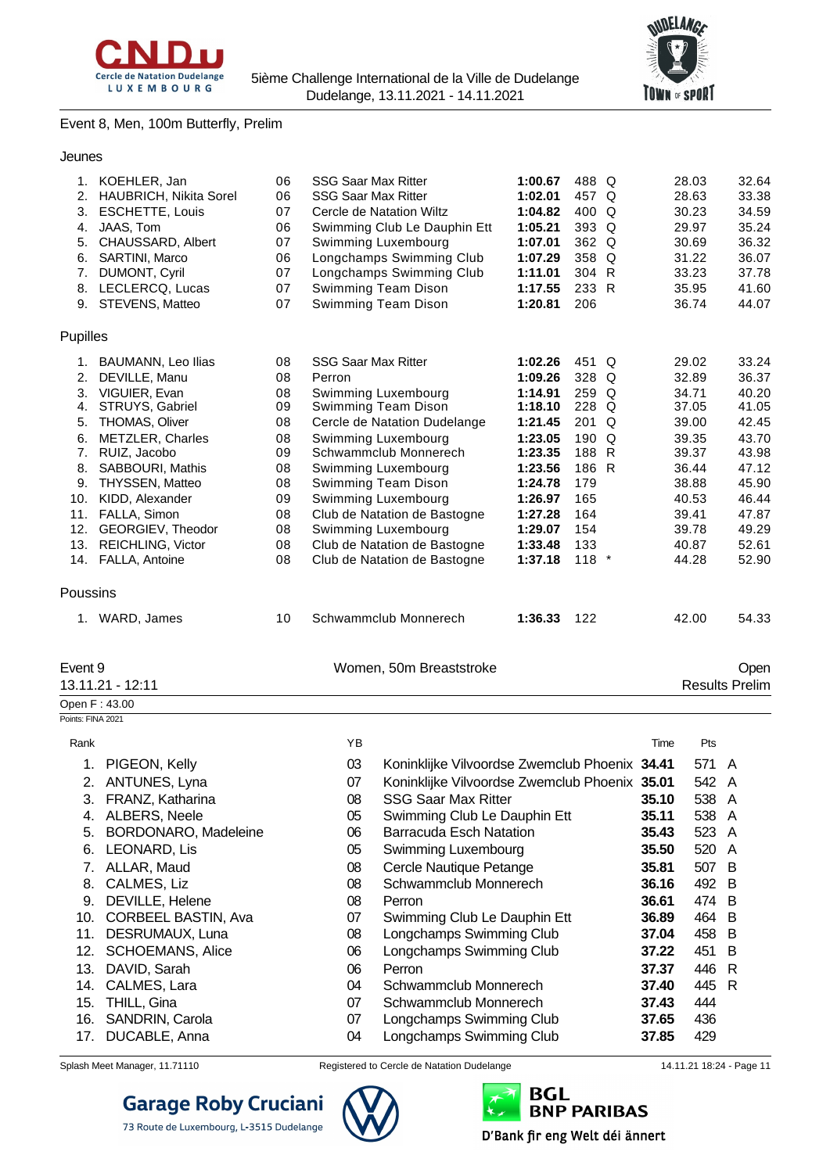



### Event 8, Men, 100m Butterfly, Prelim

| 1.       | KOEHLER, Jan              | 06 | <b>SSG Saar Max Ritter</b>   | 1:00.67 | 488 Q   |          | 28.03                 | 32.64 |
|----------|---------------------------|----|------------------------------|---------|---------|----------|-----------------------|-------|
| 2.       | HAUBRICH, Nikita Sorel    | 06 | <b>SSG Saar Max Ritter</b>   | 1:02.01 | 457 Q   |          | 28.63                 | 33.38 |
| 3.       | <b>ESCHETTE, Louis</b>    | 07 | Cercle de Natation Wiltz     | 1:04.82 | 400     | Q        | 30.23                 | 34.59 |
| 4.       | JAAS, Tom                 | 06 | Swimming Club Le Dauphin Ett | 1:05.21 | 393 Q   |          | 29.97                 | 35.24 |
| 5.       | CHAUSSARD, Albert         | 07 | Swimming Luxembourg          | 1:07.01 | 362 Q   |          | 30.69                 | 36.32 |
| 6.       | SARTINI, Marco            | 06 | Longchamps Swimming Club     | 1:07.29 | 358     | Q        | 31.22                 | 36.07 |
| 7.       | DUMONT, Cyril             | 07 | Longchamps Swimming Club     | 1:11.01 | 304     | R.       | 33.23                 | 37.78 |
| 8.       | LECLERCQ, Lucas           | 07 | Swimming Team Dison          | 1:17.55 | 233 R   |          | 35.95                 | 41.60 |
| 9.       | STEVENS, Matteo           | 07 | Swimming Team Dison          | 1:20.81 | 206     |          | 36.74                 | 44.07 |
| Pupilles |                           |    |                              |         |         |          |                       |       |
| 1.       | <b>BAUMANN, Leo Ilias</b> | 08 | <b>SSG Saar Max Ritter</b>   | 1:02.26 | 451 Q   |          | 29.02                 | 33.24 |
| 2.       | DEVILLE, Manu             | 08 | Perron                       | 1:09.26 | 328     | Q        | 32.89                 | 36.37 |
| 3.       | VIGUIER, Evan             | 08 | Swimming Luxembourg          | 1:14.91 | 259 Q   |          | 34.71                 | 40.20 |
| 4.       | STRUYS, Gabriel           | 09 | Swimming Team Dison          | 1:18.10 | 228 Q   |          | 37.05                 | 41.05 |
| 5.       | THOMAS, Oliver            | 08 | Cercle de Natation Dudelange | 1:21.45 | 201 Q   |          | 39.00                 | 42.45 |
| 6.       | <b>METZLER, Charles</b>   | 08 | Swimming Luxembourg          | 1:23.05 | 190     | $\Omega$ | 39.35                 | 43.70 |
| 7.       | RUIZ, Jacobo              | 09 | Schwammclub Monnerech        | 1:23.35 | 188     | R        | 39.37                 | 43.98 |
| 8.       | <b>SABBOURI, Mathis</b>   | 08 | Swimming Luxembourg          | 1:23.56 | 186 R   |          | 36.44                 | 47.12 |
| 9.       | <b>THYSSEN, Matteo</b>    | 08 | Swimming Team Dison          | 1:24.78 | 179     |          | 38.88                 | 45.90 |
| 10.      | KIDD, Alexander           | 09 | Swimming Luxembourg          | 1:26.97 | 165     |          | 40.53                 | 46.44 |
| 11.      | FALLA, Simon              | 08 | Club de Natation de Bastogne | 1:27.28 | 164     |          | 39.41                 | 47.87 |
| 12.      | GEORGIEV, Theodor         | 08 | Swimming Luxembourg          | 1:29.07 | 154     |          | 39.78                 | 49.29 |
| 13.      | <b>REICHLING, Victor</b>  | 08 | Club de Natation de Bastogne | 1:33.48 | 133     |          | 40.87                 | 52.61 |
| 14.      | FALLA, Antoine            | 08 | Club de Natation de Bastogne | 1:37.18 | $118$ * |          | 44.28                 | 52.90 |
| Poussins |                           |    |                              |         |         |          |                       |       |
|          | 1. WARD, James            | 10 | Schwammclub Monnerech        | 1:36.33 | 122     |          | 42.00                 | 54.33 |
| Event 9  |                           |    | Women, 50m Breaststroke      |         |         |          |                       | Open  |
|          | 13.11.21 - 12:11          |    |                              |         |         |          | <b>Results Prelim</b> |       |
|          | Open F: 43.00             |    |                              |         |         |          |                       |       |

Points: FINA 2021

| Rank |                             | ΥB |                                               | Time  | Pts   |     |
|------|-----------------------------|----|-----------------------------------------------|-------|-------|-----|
| 1.   | PIGEON, Kelly               | 03 | Koninklijke Vilvoordse Zwemclub Phoenix 34.41 |       | 571 A |     |
| 2.   | ANTUNES, Lyna               | 07 | Koninklijke Vilvoordse Zwemclub Phoenix 35.01 |       | 542 A |     |
| 3.   | FRANZ, Katharina            | 08 | <b>SSG Saar Max Ritter</b>                    | 35.10 | 538 A |     |
| 4.   | ALBERS, Neele               | 05 | Swimming Club Le Dauphin Ett                  | 35.11 | 538 A |     |
| 5.   | <b>BORDONARO, Madeleine</b> | 06 | <b>Barracuda Esch Natation</b>                | 35.43 | 523 A |     |
| 6.   | LEONARD, Lis                | 05 | Swimming Luxembourg                           | 35.50 | 520 A |     |
| 7.   | ALLAR, Maud                 | 08 | Cercle Nautique Petange                       | 35.81 | 507 B |     |
| 8.   | CALMES, Liz                 | 08 | Schwammclub Monnerech                         | 36.16 | 492 B |     |
| 9.   | DEVILLE, Helene             | 08 | Perron                                        | 36.61 | 474 B |     |
| 10.  | <b>CORBEEL BASTIN, Ava</b>  | 07 | Swimming Club Le Dauphin Ett                  | 36.89 | 464 B |     |
| 11.  | DESRUMAUX, Luna             | 08 | Longchamps Swimming Club                      | 37.04 | 458 B |     |
| 12.  | <b>SCHOEMANS, Alice</b>     | 06 | Longchamps Swimming Club                      | 37.22 | 451   | - B |
| 13.  | DAVID, Sarah                | 06 | Perron                                        | 37.37 | 446   | R   |
| 14.  | CALMES, Lara                | 04 | Schwammclub Monnerech                         | 37.40 | 445 R |     |
| 15.  | THILL, Gina                 | 07 | Schwammclub Monnerech                         | 37.43 | 444   |     |
| 16.  | SANDRIN, Carola             | 07 | Longchamps Swimming Club                      | 37.65 | 436   |     |
| 17.  | DUCABLE, Anna               | 04 | Longchamps Swimming Club                      | 37.85 | 429   |     |

73 Route de Luxembourg, L-3515 Dudelange



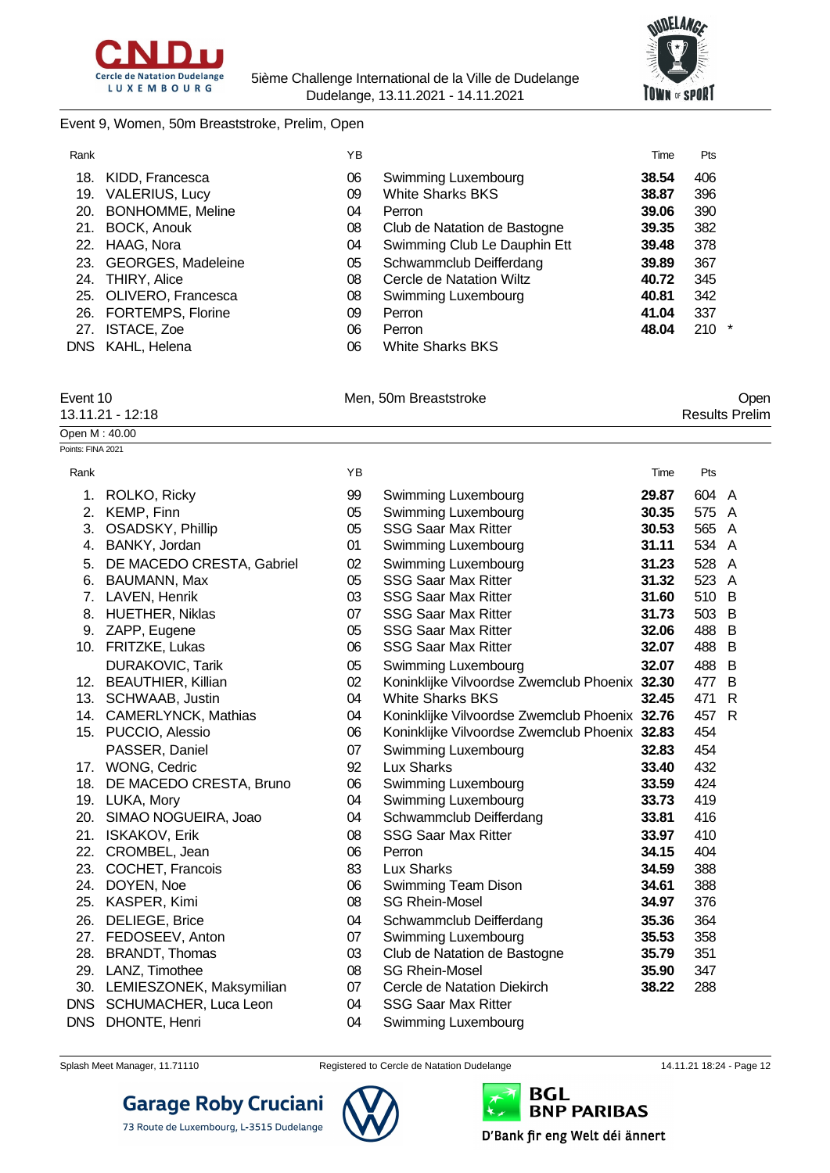



#### Event 9, Women, 50m Breaststroke, Prelim, Open

| Rank |                         | ΥB |                              | Time  | <b>Pts</b> |
|------|-------------------------|----|------------------------------|-------|------------|
| 18.  | KIDD, Francesca         | 06 | Swimming Luxembourg          | 38.54 | 406        |
| 19.  | <b>VALERIUS, Lucy</b>   | 09 | <b>White Sharks BKS</b>      | 38.87 | 396        |
| 20.  | <b>BONHOMME, Meline</b> | 04 | Perron                       | 39.06 | 390        |
| 21.  | BOCK, Anouk             | 08 | Club de Natation de Bastogne | 39.35 | 382        |
|      | 22. HAAG, Nora          | 04 | Swimming Club Le Dauphin Ett | 39.48 | 378        |
|      | 23. GEORGES, Madeleine  | 05 | Schwammclub Deifferdang      | 39.89 | 367        |
|      | 24. THIRY, Alice        | 08 | Cercle de Natation Wiltz     | 40.72 | 345        |
|      | 25. OLIVERO, Francesca  | 08 | Swimming Luxembourg          | 40.81 | 342        |
|      | 26. FORTEMPS, Florine   | 09 | Perron                       | 41.04 | 337        |
|      | 27. ISTACE, Zoe         | 06 | Perron                       | 48.04 | $210 *$    |
|      | DNS KAHL, Helena        | 06 | <b>White Sharks BKS</b>      |       |            |

| Event 10         | Men, 50m Breaststroke | Open                  |
|------------------|-----------------------|-----------------------|
| 13.11.21 - 12:18 |                       | <b>Results Prelim</b> |
| Open M : 40.00   |                       |                       |

| Points: FINA 2021 |                              |    |                                               |       |       |              |
|-------------------|------------------------------|----|-----------------------------------------------|-------|-------|--------------|
| Rank              |                              | YB |                                               | Time  | Pts   |              |
| 1.                | ROLKO, Ricky                 | 99 | Swimming Luxembourg                           | 29.87 | 604 A |              |
| 2.                | KEMP, Finn                   | 05 | Swimming Luxembourg                           | 30.35 | 575 A |              |
| 3.                | OSADSKY, Phillip             | 05 | <b>SSG Saar Max Ritter</b>                    | 30.53 | 565 A |              |
|                   | 4. BANKY, Jordan             | 01 | Swimming Luxembourg                           | 31.11 | 534 A |              |
| 5.                | DE MACEDO CRESTA, Gabriel    | 02 | Swimming Luxembourg                           | 31.23 | 528   | A            |
| 6.                | <b>BAUMANN, Max</b>          | 05 | <b>SSG Saar Max Ritter</b>                    | 31.32 | 523 A |              |
|                   | 7. LAVEN, Henrik             | 03 | <b>SSG Saar Max Ritter</b>                    | 31.60 | 510 B |              |
|                   | 8. HUETHER, Niklas           | 07 | <b>SSG Saar Max Ritter</b>                    | 31.73 | 503 B |              |
|                   | 9. ZAPP, Eugene              | 05 | <b>SSG Saar Max Ritter</b>                    | 32.06 | 488   | -B           |
|                   | 10. FRITZKE, Lukas           | 06 | <b>SSG Saar Max Ritter</b>                    | 32.07 | 488   | B            |
|                   | <b>DURAKOVIC, Tarik</b>      | 05 | Swimming Luxembourg                           | 32.07 | 488   | B            |
|                   | 12. BEAUTHIER, Killian       | 02 | Koninklijke Vilvoordse Zwemclub Phoenix 32.30 |       | 477   | B            |
|                   | 13. SCHWAAB, Justin          | 04 | <b>White Sharks BKS</b>                       | 32.45 | 471   | $\mathsf{R}$ |
|                   | 14. CAMERLYNCK, Mathias      | 04 | Koninklijke Vilvoordse Zwemclub Phoenix 32.76 |       | 457   | $\mathsf{R}$ |
|                   | 15. PUCCIO, Alessio          | 06 | Koninklijke Vilvoordse Zwemclub Phoenix 32.83 |       | 454   |              |
|                   | PASSER, Daniel               | 07 | Swimming Luxembourg                           | 32.83 | 454   |              |
|                   | 17. WONG, Cedric             | 92 | <b>Lux Sharks</b>                             | 33.40 | 432   |              |
|                   | 18. DE MACEDO CRESTA, Bruno  | 06 | Swimming Luxembourg                           | 33.59 | 424   |              |
|                   | 19. LUKA, Mory               | 04 | Swimming Luxembourg                           | 33.73 | 419   |              |
|                   | 20. SIMAO NOGUEIRA, Joao     | 04 | Schwammclub Deifferdang                       | 33.81 | 416   |              |
| 21.               | <b>ISKAKOV, Erik</b>         | 08 | <b>SSG Saar Max Ritter</b>                    | 33.97 | 410   |              |
| 22.               | CROMBEL, Jean                | 06 | Perron                                        | 34.15 | 404   |              |
| 23.               | COCHET, Francois             | 83 | Lux Sharks                                    | 34.59 | 388   |              |
|                   | 24. DOYEN, Noe               | 06 | Swimming Team Dison                           | 34.61 | 388   |              |
|                   | 25. KASPER, Kimi             | 08 | <b>SG Rhein-Mosel</b>                         | 34.97 | 376   |              |
|                   | 26. DELIEGE, Brice           | 04 | Schwammclub Deifferdang                       | 35.36 | 364   |              |
| 27.               | FEDOSEEV, Anton              | 07 | Swimming Luxembourg                           | 35.53 | 358   |              |
| 28.               | <b>BRANDT, Thomas</b>        | 03 | Club de Natation de Bastogne                  | 35.79 | 351   |              |
|                   | 29. LANZ, Timothee           | 08 | <b>SG Rhein-Mosel</b>                         | 35.90 | 347   |              |
|                   | 30. LEMIESZONEK, Maksymilian | 07 | Cercle de Natation Diekirch                   | 38.22 | 288   |              |
|                   | DNS SCHUMACHER, Luca Leon    | 04 | <b>SSG Saar Max Ritter</b>                    |       |       |              |
| <b>DNS</b>        | DHONTE, Henri                | 04 | Swimming Luxembourg                           |       |       |              |

**Garage Roby Cruciani** 

73 Route de Luxembourg, L-3515 Dudelange



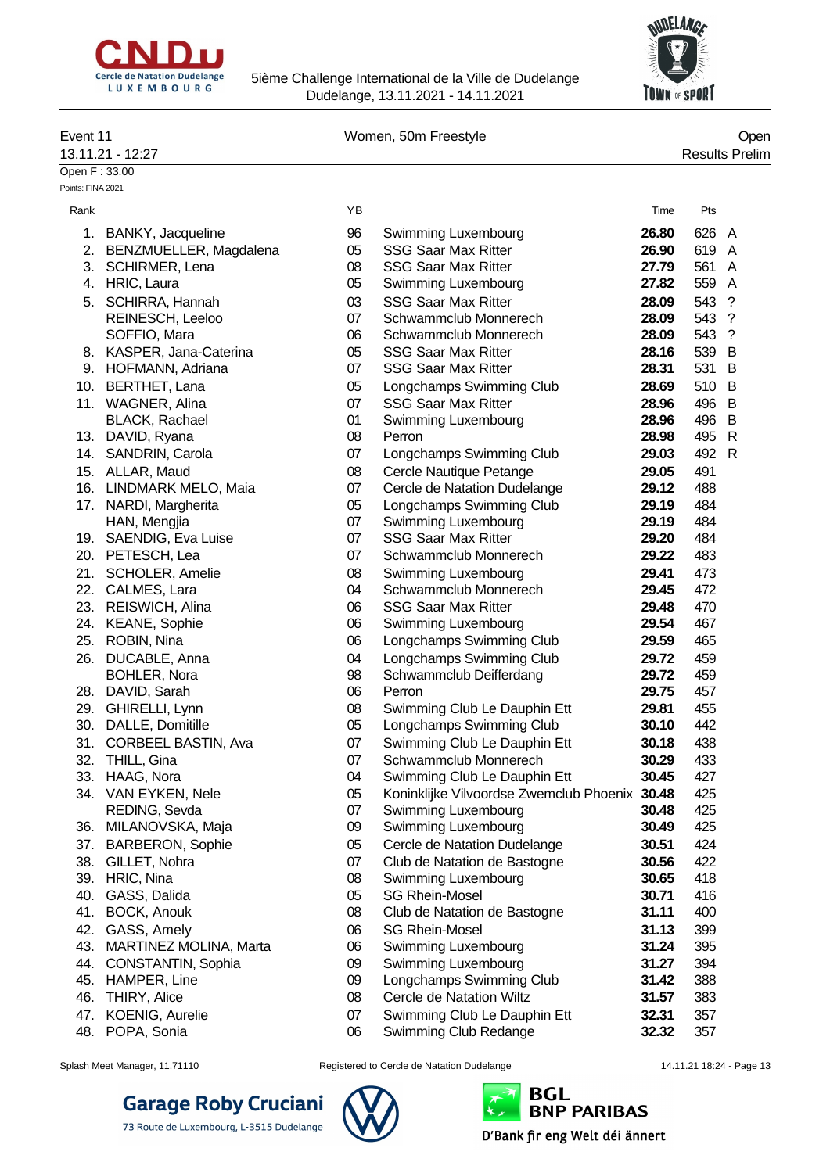



| Event 11          |                                            |          | Women, 50m Freestyle                                     |                |            | Open                  |
|-------------------|--------------------------------------------|----------|----------------------------------------------------------|----------------|------------|-----------------------|
|                   | 13.11.21 - 12:27                           |          |                                                          |                |            | <b>Results Prelim</b> |
| Open F: 33.00     |                                            |          |                                                          |                |            |                       |
| Points: FINA 2021 |                                            |          |                                                          |                |            |                       |
| Rank              |                                            | YB       |                                                          | Time           | Pts        |                       |
| 1.                | BANKY, Jacqueline                          | 96       | Swimming Luxembourg                                      | 26.80          | 626        | A                     |
|                   | 2. BENZMUELLER, Magdalena                  | 05       | <b>SSG Saar Max Ritter</b>                               | 26.90          | 619        | A                     |
|                   | 3. SCHIRMER, Lena                          | 08       | <b>SSG Saar Max Ritter</b>                               | 27.79          | 561        | A                     |
|                   | 4. HRIC, Laura                             | 05       | Swimming Luxembourg                                      | 27.82          | 559        | $\overline{A}$        |
| 5.                | SCHIRRA, Hannah                            | 03       | <b>SSG Saar Max Ritter</b>                               | 28.09          | 543        | $\cdot$               |
|                   | REINESCH, Leeloo                           | 07       | Schwammclub Monnerech                                    | 28.09          | 543        | $\cdot$               |
|                   | SOFFIO, Mara                               | 06       | Schwammclub Monnerech                                    | 28.09          | 543        | $\gamma$              |
|                   | 8. KASPER, Jana-Caterina                   | 05       | <b>SSG Saar Max Ritter</b>                               | 28.16          | 539 B      |                       |
|                   | 9. HOFMANN, Adriana                        | 07       | <b>SSG Saar Max Ritter</b>                               | 28.31          | 531        | B                     |
| 10.               | BERTHET, Lana                              | 05       | Longchamps Swimming Club                                 | 28.69          | 510 B      |                       |
|                   | 11. WAGNER, Alina                          | 07       | <b>SSG Saar Max Ritter</b>                               | 28.96          | 496 B      |                       |
|                   | <b>BLACK, Rachael</b>                      | 01       | Swimming Luxembourg                                      | 28.96          | 496 B      |                       |
|                   | 13. DAVID, Ryana                           | 08       | Perron                                                   | 28.98          | 495 R      |                       |
|                   | 14. SANDRIN, Carola                        | 07       | Longchamps Swimming Club                                 | 29.03          | 492 R      |                       |
|                   | 15. ALLAR, Maud                            | 08       | Cercle Nautique Petange                                  | 29.05          | 491        |                       |
|                   | 16. LINDMARK MELO, Maia                    | 07       | Cercle de Natation Dudelange                             | 29.12          | 488        |                       |
|                   | 17. NARDI, Margherita                      | 05       | Longchamps Swimming Club                                 | 29.19          | 484        |                       |
|                   | HAN, Mengjia                               | 07       | Swimming Luxembourg                                      | 29.19          | 484        |                       |
|                   | 19. SAENDIG, Eva Luise                     | 07       | <b>SSG Saar Max Ritter</b>                               | 29.20          | 484        |                       |
|                   | 20. PETESCH, Lea                           | 07       | Schwammclub Monnerech                                    | 29.22          | 483        |                       |
|                   | 21. SCHOLER, Amelie                        | 08       | Swimming Luxembourg                                      | 29.41          | 473        |                       |
|                   | 22. CALMES, Lara                           | 04       | Schwammclub Monnerech                                    | 29.45          | 472        |                       |
|                   | 23. REISWICH, Alina                        | 06       | <b>SSG Saar Max Ritter</b>                               | 29.48          | 470        |                       |
|                   | 24. KEANE, Sophie                          | 06       | Swimming Luxembourg                                      | 29.54          | 467        |                       |
|                   | 25. ROBIN, Nina                            | 06       | Longchamps Swimming Club                                 | 29.59          | 465        |                       |
|                   |                                            |          |                                                          |                |            |                       |
|                   | 26. DUCABLE, Anna                          | 04       | Longchamps Swimming Club                                 | 29.72          | 459        |                       |
|                   | <b>BOHLER, Nora</b>                        | 98<br>06 | Schwammclub Deifferdang                                  | 29.72          | 459        |                       |
|                   | 28. DAVID, Sarah                           | 08       | Perron                                                   | 29.75          | 457<br>455 |                       |
|                   | 29. GHIRELLI, Lynn<br>30. DALLE, Domitille | 05       | Swimming Club Le Dauphin Ett<br>Longchamps Swimming Club | 29.81<br>30.10 | 442        |                       |
|                   |                                            |          |                                                          |                |            |                       |
|                   | 31. CORBEEL BASTIN, Ava                    | 07       | Swimming Club Le Dauphin Ett                             | 30.18          | 438        |                       |
|                   | 32. THILL, Gina                            | 07       | Schwammclub Monnerech                                    | 30.29          | 433        |                       |
|                   | 33. HAAG, Nora                             | 04       | Swimming Club Le Dauphin Ett                             | 30.45          | 427        |                       |
|                   | 34. VAN EYKEN, Nele                        | 05<br>07 | Koninklijke Vilvoordse Zwemclub Phoenix 30.48            |                | 425<br>425 |                       |
|                   | REDING, Sevda<br>36. MILANOVSKA, Maja      | 09       | Swimming Luxembourg<br>Swimming Luxembourg               | 30.48          |            |                       |
|                   |                                            |          |                                                          | 30.49          | 425        |                       |
| 37.               | <b>BARBERON, Sophie</b>                    | 05       | Cercle de Natation Dudelange                             | 30.51          | 424        |                       |
| 38.               | GILLET, Nohra                              | 07       | Club de Natation de Bastogne                             | 30.56          | 422        |                       |
|                   | 39. HRIC, Nina                             | 08       | Swimming Luxembourg                                      | 30.65          | 418        |                       |
| 40.               | GASS, Dalida                               | 05       | <b>SG Rhein-Mosel</b>                                    | 30.71          | 416        |                       |
| 41.               | BOCK, Anouk                                | 08       | Club de Natation de Bastogne                             | 31.11          | 400        |                       |
|                   | 42. GASS, Amely                            | 06       | <b>SG Rhein-Mosel</b>                                    | 31.13          | 399        |                       |
|                   | 43. MARTINEZ MOLINA, Marta                 | 06       | Swimming Luxembourg                                      | 31.24          | 395        |                       |
| 44.               | CONSTANTIN, Sophia                         | 09       | Swimming Luxembourg                                      | 31.27          | 394        |                       |
| 45.               | HAMPER, Line                               | 09       | Longchamps Swimming Club                                 | 31.42          | 388        |                       |
| 46.               | THIRY, Alice                               | 08       | Cercle de Natation Wiltz                                 | 31.57          | 383        |                       |
|                   | 47. KOENIG, Aurelie                        | 07       | Swimming Club Le Dauphin Ett                             | 32.31          | 357        |                       |
|                   | 48. POPA, Sonia                            | 06       | Swimming Club Redange                                    | 32.32          | 357        |                       |

**Garage Roby Cruciani** 

73 Route de Luxembourg, L-3515 Dudelange

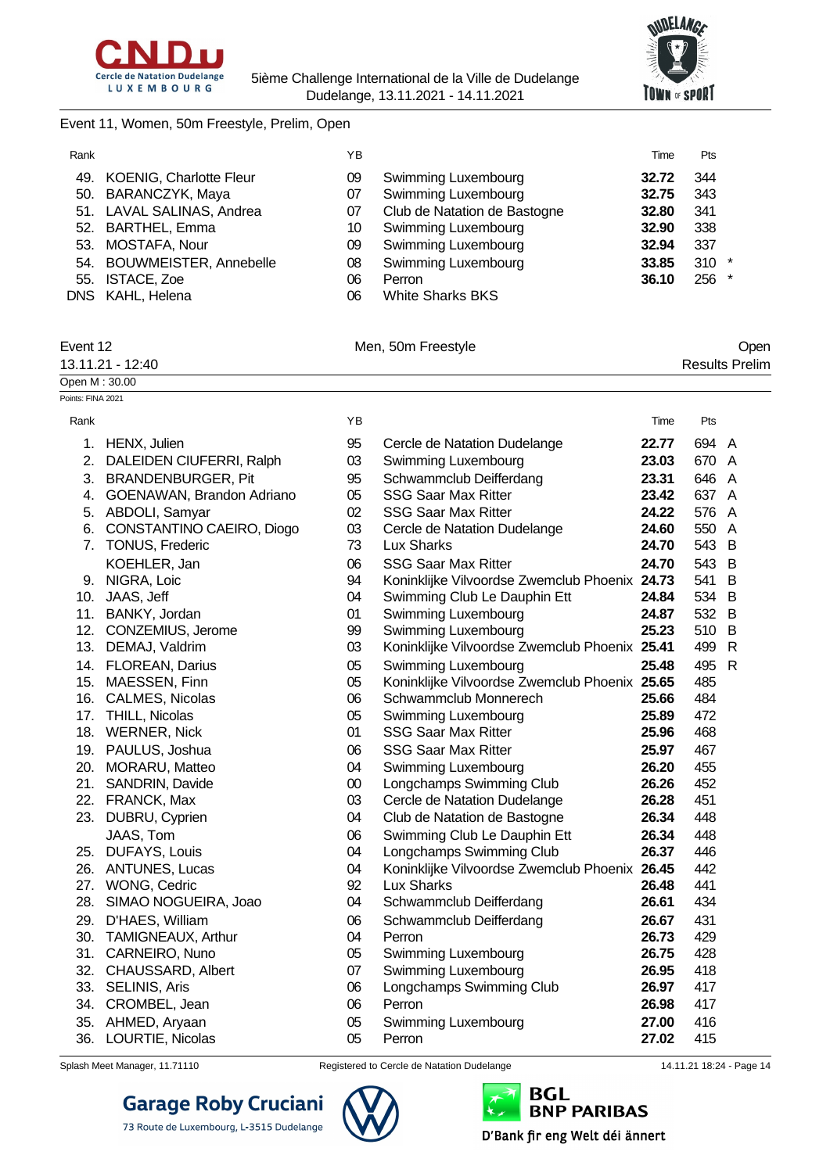



#### Event 11, Women, 50m Freestyle, Prelim, Open

| Rank |                             | ΥB |                              | Time  | Pts     |
|------|-----------------------------|----|------------------------------|-------|---------|
|      | 49. KOENIG, Charlotte Fleur | 09 | Swimming Luxembourg          | 32.72 | 344     |
|      | 50. BARANCZYK, Maya         | 07 | <b>Swimming Luxembourg</b>   | 32.75 | 343     |
|      | 51. LAVAL SALINAS, Andrea   | 07 | Club de Natation de Bastogne | 32.80 | 341     |
|      | 52. BARTHEL, Emma           | 10 | Swimming Luxembourg          | 32.90 | 338     |
|      | 53. MOSTAFA, Nour           | 09 | Swimming Luxembourg          | 32.94 | 337     |
|      | 54. BOUWMEISTER, Annebelle  | 08 | <b>Swimming Luxembourg</b>   | 33.85 | $310 *$ |
|      | 55. ISTACE, Zoe             | 06 | Perron                       | 36.10 | 256 *   |
|      | DNS KAHL, Helena            | 06 | <b>White Sharks BKS</b>      |       |         |

Points: FINA 2021

| Event 12         | Men, 50m Freestyle | <b>Open</b>           |
|------------------|--------------------|-----------------------|
| 13.11.21 - 12:40 |                    | <b>Results Prelim</b> |
| Open M: 30.00    |                    |                       |

| Rank |                              | YB     |                                               | Time  | Pts   |   |
|------|------------------------------|--------|-----------------------------------------------|-------|-------|---|
|      | 1. HENX, Julien              | 95     | Cercle de Natation Dudelange                  | 22.77 | 694 A |   |
| 2.   | DALEIDEN CIUFERRI, Ralph     | 03     | Swimming Luxembourg                           | 23.03 | 670 A |   |
| 3.   | <b>BRANDENBURGER, Pit</b>    | 95     | Schwammclub Deifferdang                       | 23.31 | 646 A |   |
| 4.   | GOENAWAN, Brandon Adriano    | 05     | <b>SSG Saar Max Ritter</b>                    | 23.42 | 637 A |   |
|      | 5. ABDOLI, Samyar            | 02     | <b>SSG Saar Max Ritter</b>                    | 24.22 | 576 A |   |
|      | 6. CONSTANTINO CAEIRO, Diogo | 03     | Cercle de Natation Dudelange                  | 24.60 | 550 A |   |
|      | 7. TONUS, Frederic           | 73     | Lux Sharks                                    | 24.70 | 543 B |   |
|      | KOEHLER, Jan                 | 06     | <b>SSG Saar Max Ritter</b>                    | 24.70 | 543   | B |
|      | 9. NIGRA, Loic               | 94     | Koninklijke Vilvoordse Zwemclub Phoenix 24.73 |       | 541   | B |
|      | 10. JAAS, Jeff               | 04     | Swimming Club Le Dauphin Ett                  | 24.84 | 534   | B |
|      | 11. BANKY, Jordan            | 01     | Swimming Luxembourg                           | 24.87 | 532 B |   |
|      | 12. CONZEMIUS, Jerome        | 99     | Swimming Luxembourg                           | 25.23 | 510   | B |
|      | 13. DEMAJ, Valdrim           | 03     | Koninklijke Vilvoordse Zwemclub Phoenix 25.41 |       | 499 R |   |
|      | 14. FLOREAN, Darius          | 05     | Swimming Luxembourg                           | 25.48 | 495 R |   |
|      | 15. MAESSEN, Finn            | 05     | Koninklijke Vilvoordse Zwemclub Phoenix 25.65 |       | 485   |   |
|      | 16. CALMES, Nicolas          | 06     | Schwammclub Monnerech                         | 25.66 | 484   |   |
|      | 17. THILL, Nicolas           | 05     | Swimming Luxembourg                           | 25.89 | 472   |   |
|      | 18. WERNER, Nick             | 01     | <b>SSG Saar Max Ritter</b>                    | 25.96 | 468   |   |
|      | 19. PAULUS, Joshua           | 06     | <b>SSG Saar Max Ritter</b>                    | 25.97 | 467   |   |
|      | 20. MORARU, Matteo           | 04     | Swimming Luxembourg                           | 26.20 | 455   |   |
|      | 21. SANDRIN, Davide          | $00\,$ | Longchamps Swimming Club                      | 26.26 | 452   |   |
|      | 22. FRANCK, Max              | 03     | Cercle de Natation Dudelange                  | 26.28 | 451   |   |
|      | 23. DUBRU, Cyprien           | 04     | Club de Natation de Bastogne                  | 26.34 | 448   |   |
|      | JAAS, Tom                    | 06     | Swimming Club Le Dauphin Ett                  | 26.34 | 448   |   |
|      | 25. DUFAYS, Louis            | 04     | Longchamps Swimming Club                      | 26.37 | 446   |   |
|      | 26. ANTUNES, Lucas           | 04     | Koninklijke Vilvoordse Zwemclub Phoenix 26.45 |       | 442   |   |
|      | 27. WONG, Cedric             | 92     | <b>Lux Sharks</b>                             | 26.48 | 441   |   |
|      | 28. SIMAO NOGUEIRA, Joao     | 04     | Schwammclub Deifferdang                       | 26.61 | 434   |   |
|      | 29. D'HAES, William          | 06     | Schwammclub Deifferdang                       | 26.67 | 431   |   |
|      | 30. TAMIGNEAUX, Arthur       | 04     | Perron                                        | 26.73 | 429   |   |
|      | 31. CARNEIRO, Nuno           | 05     | Swimming Luxembourg                           | 26.75 | 428   |   |
|      | 32. CHAUSSARD, Albert        | 07     | Swimming Luxembourg                           | 26.95 | 418   |   |
|      | 33. SELINIS, Aris            | 06     | Longchamps Swimming Club                      | 26.97 | 417   |   |
|      | 34. CROMBEL, Jean            | 06     | Perron                                        | 26.98 | 417   |   |
|      | 35. AHMED, Aryaan            | 05     | Swimming Luxembourg                           | 27.00 | 416   |   |
| 36.  | LOURTIE, Nicolas             | 05     | Perron                                        | 27.02 | 415   |   |

73 Route de Luxembourg, L-3515 Dudelange



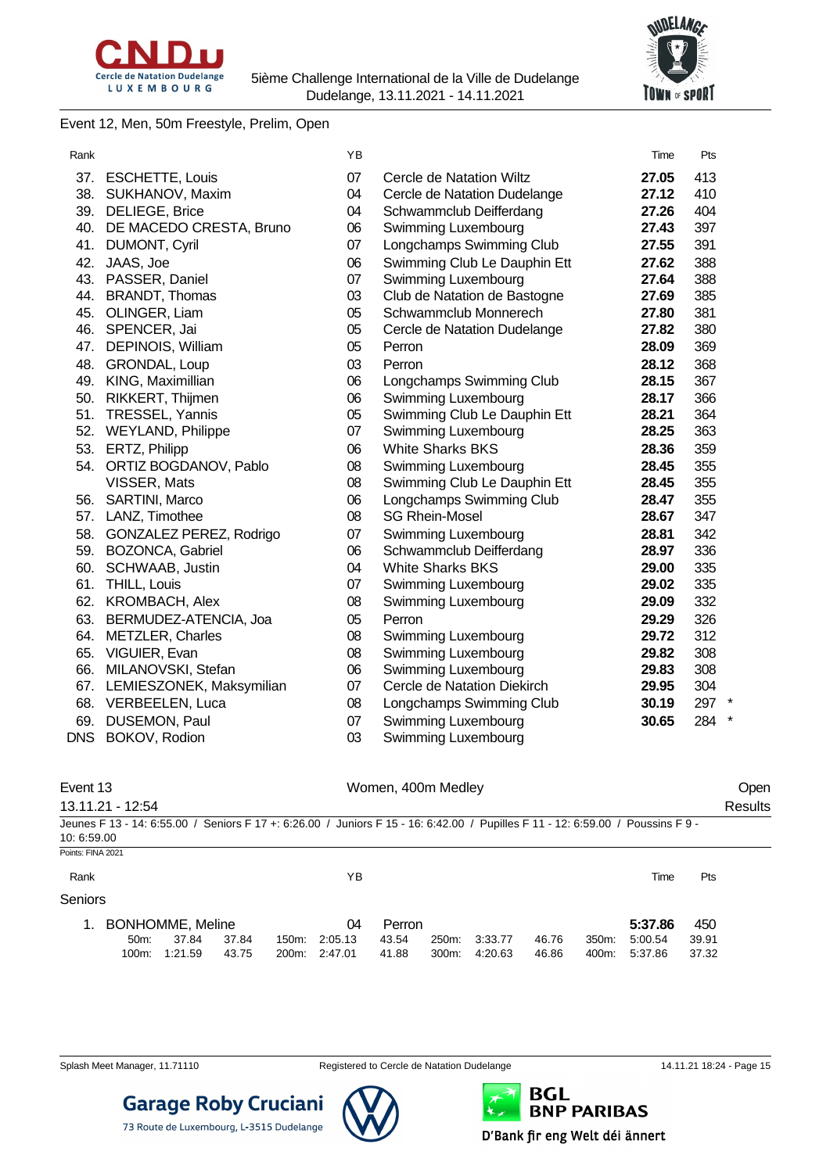



#### Event 12, Men, 50m Freestyle, Prelim, Open

| Rank       |                              | YB |                              | Time  | Pts   |
|------------|------------------------------|----|------------------------------|-------|-------|
|            | 37. ESCHETTE, Louis          | 07 | Cercle de Natation Wiltz     | 27.05 | 413   |
|            | 38. SUKHANOV, Maxim          | 04 | Cercle de Natation Dudelange | 27.12 | 410   |
|            | 39. DELIEGE, Brice           | 04 | Schwammclub Deifferdang      | 27.26 | 404   |
| 40.        | DE MACEDO CRESTA, Bruno      | 06 | Swimming Luxembourg          | 27.43 | 397   |
| 41.        | DUMONT, Cyril                | 07 | Longchamps Swimming Club     | 27.55 | 391   |
| 42.        | JAAS, Joe                    | 06 | Swimming Club Le Dauphin Ett | 27.62 | 388   |
| 43.        | PASSER, Daniel               | 07 | Swimming Luxembourg          | 27.64 | 388   |
| 44.        | <b>BRANDT, Thomas</b>        | 03 | Club de Natation de Bastogne | 27.69 | 385   |
|            | 45. OLINGER, Liam            | 05 | Schwammclub Monnerech        | 27.80 | 381   |
|            | 46. SPENCER, Jai             | 05 | Cercle de Natation Dudelange | 27.82 | 380   |
|            | 47. DEPINOIS, William        | 05 | Perron                       | 28.09 | 369   |
| 48.        | GRONDAL, Loup                | 03 | Perron                       | 28.12 | 368   |
| 49.        | KING, Maximillian            | 06 | Longchamps Swimming Club     | 28.15 | 367   |
| 50.        | RIKKERT, Thijmen             | 06 | Swimming Luxembourg          | 28.17 | 366   |
|            | 51. TRESSEL, Yannis          | 05 | Swimming Club Le Dauphin Ett | 28.21 | 364   |
|            | 52. WEYLAND, Philippe        | 07 | Swimming Luxembourg          | 28.25 | 363   |
|            | 53. ERTZ, Philipp            | 06 | <b>White Sharks BKS</b>      | 28.36 | 359   |
|            | 54. ORTIZ BOGDANOV, Pablo    | 08 | Swimming Luxembourg          | 28.45 | 355   |
|            | VISSER, Mats                 | 08 | Swimming Club Le Dauphin Ett | 28.45 | 355   |
|            | 56. SARTINI, Marco           | 06 | Longchamps Swimming Club     | 28.47 | 355   |
| 57.        | LANZ, Timothee               | 08 | <b>SG Rhein-Mosel</b>        | 28.67 | 347   |
| 58.        | GONZALEZ PEREZ, Rodrigo      | 07 | Swimming Luxembourg          | 28.81 | 342   |
| 59.        | <b>BOZONCA, Gabriel</b>      | 06 | Schwammclub Deifferdang      | 28.97 | 336   |
| 60.        | SCHWAAB, Justin              | 04 | <b>White Sharks BKS</b>      | 29.00 | 335   |
|            | 61. THILL, Louis             | 07 | Swimming Luxembourg          | 29.02 | 335   |
|            | 62. KROMBACH, Alex           | 08 | Swimming Luxembourg          | 29.09 | 332   |
| 63.        | BERMUDEZ-ATENCIA, Joa        | 05 | Perron                       | 29.29 | 326   |
| 64.        | <b>METZLER, Charles</b>      | 08 | Swimming Luxembourg          | 29.72 | 312   |
| 65.        | VIGUIER, Evan                | 08 | Swimming Luxembourg          | 29.82 | 308   |
| 66.        | MILANOVSKI, Stefan           | 06 | Swimming Luxembourg          | 29.83 | 308   |
|            | 67. LEMIESZONEK, Maksymilian | 07 | Cercle de Natation Diekirch  | 29.95 | 304   |
|            | 68. VERBEELEN, Luca          | 08 | Longchamps Swimming Club     | 30.19 | 297 * |
| 69.        | DUSEMON, Paul                | 07 | Swimming Luxembourg          | 30.65 | 284   |
| <b>DNS</b> | BOKOV, Rodion                | 03 | Swimming Luxembourg          |       |       |

| Event 13          |                  |                  |       |                    |         | Women, 400m Medley |       |         |       |                  |                                                                                                                                 |       | Open    |
|-------------------|------------------|------------------|-------|--------------------|---------|--------------------|-------|---------|-------|------------------|---------------------------------------------------------------------------------------------------------------------------------|-------|---------|
|                   | 13.11.21 - 12:54 |                  |       |                    |         |                    |       |         |       |                  | Jeunes F 13 - 14: 6:55.00 / Seniors F 17 +: 6:26.00 / Juniors F 15 - 16: 6:42.00 / Pupilles F 11 - 12: 6:59.00 / Poussins F 9 - |       | Results |
| 10: 6:59.00       |                  |                  |       |                    |         |                    |       |         |       |                  |                                                                                                                                 |       |         |
| Points: FINA 2021 |                  |                  |       |                    |         |                    |       |         |       |                  |                                                                                                                                 |       |         |
| Rank              |                  |                  |       |                    | ΥB      |                    |       |         |       |                  | Time                                                                                                                            | Pts   |         |
| Seniors           |                  |                  |       |                    |         |                    |       |         |       |                  |                                                                                                                                 |       |         |
| 1.                |                  | BONHOMME, Meline |       |                    | 04      | Perron             |       |         |       |                  | 5:37.86                                                                                                                         | 450   |         |
|                   | 50m              | 37.84            | 37.84 | 150m:              | 2:05.13 | 43.54              | 250m: | 3:33.77 | 46.76 | 350 <sub>m</sub> | 5:00.54                                                                                                                         | 39.91 |         |
|                   | 100m:            | 1:21.59          | 43.75 | 200 <sub>m</sub> : | 2:47.01 | 41.88              | 300m: | 4:20.63 | 46.86 | 400m:            | 5:37.86                                                                                                                         | 37.32 |         |

**Garage Roby Cruciani** 

73 Route de Luxembourg, L-3515 Dudelange

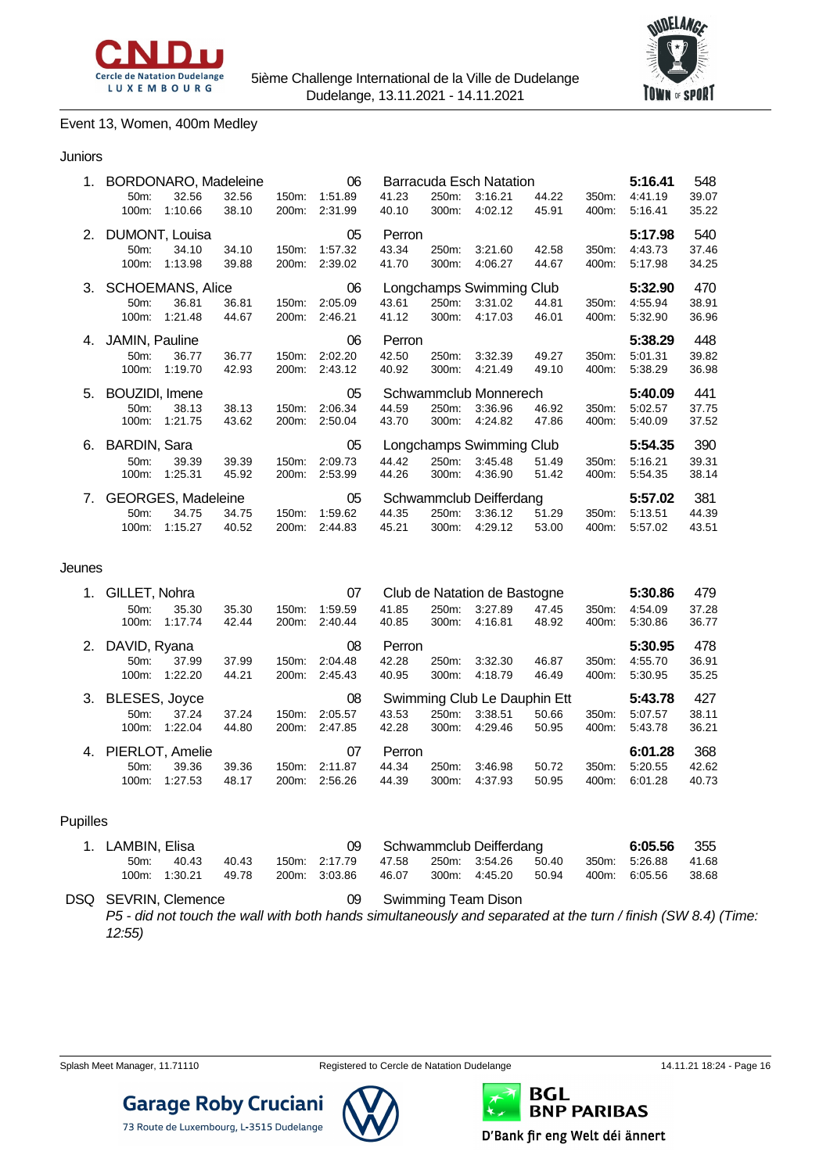



#### Event 13, Women, 400m Medley

#### Juniors

| 1. | BORDONARO, Madeleine<br>06 |                    |       |       |         |        | Barracuda Esch Natation |                          |       |       | 5:16.41 | 548   |
|----|----------------------------|--------------------|-------|-------|---------|--------|-------------------------|--------------------------|-------|-------|---------|-------|
|    | $50m$ :                    | 32.56              | 32.56 | 150m: | 1:51.89 | 41.23  | 250m:                   | 3:16.21                  | 44.22 | 350m: | 4:41.19 | 39.07 |
|    | 100m:                      | 1:10.66            | 38.10 | 200m: | 2:31.99 | 40.10  | 300m:                   | 4:02.12                  | 45.91 | 400m: | 5:16.41 | 35.22 |
| 2. |                            | DUMONT, Louisa     |       |       | 05      | Perron |                         |                          |       |       | 5:17.98 | 540   |
|    | $50m$ :                    | 34.10              | 34.10 | 150m: | 1:57.32 | 43.34  | 250m:                   | 3:21.60                  | 42.58 | 350m: | 4:43.73 | 37.46 |
|    | 100m:                      | 1:13.98            | 39.88 | 200m: | 2:39.02 | 41.70  | 300m:                   | 4:06.27                  | 44.67 | 400m: | 5:17.98 | 34.25 |
|    | 3. SCHOEMANS, Alice        |                    |       |       | 06      |        |                         | Longchamps Swimming Club |       |       | 5:32.90 | 470   |
|    | 50m:                       | 36.81              | 36.81 | 150m: | 2:05.09 | 43.61  | 250m:                   | 3:31.02                  | 44.81 | 350m: | 4:55.94 | 38.91 |
|    | 100m:                      | 1:21.48            | 44.67 | 200m: | 2:46.21 | 41.12  | 300m:                   | 4:17.03                  | 46.01 | 400m: | 5:32.90 | 36.96 |
|    | 4. JAMIN, Pauline          |                    |       |       | 06      | Perron |                         |                          |       |       | 5:38.29 | 448   |
|    | 50m:                       | 36.77              | 36.77 | 150m: | 2:02.20 | 42.50  | 250m:                   | 3:32.39                  | 49.27 | 350m: | 5:01.31 | 39.82 |
|    | 100m:                      | 1:19.70            | 42.93 | 200m: | 2:43.12 | 40.92  | 300m:                   | 4:21.49                  | 49.10 | 400m: | 5:38.29 | 36.98 |
| 5. | BOUZIDI, Imene             |                    |       |       | 05      |        |                         | Schwammclub Monnerech    |       |       | 5:40.09 | 441   |
|    | $50m$ :                    | 38.13              | 38.13 | 150m: | 2:06.34 | 44.59  | 250m:                   | 3:36.96                  | 46.92 | 350m: | 5:02.57 | 37.75 |
|    | 100m:                      | 1:21.75            | 43.62 | 200m: | 2:50.04 | 43.70  | 300m:                   | 4:24.82                  | 47.86 | 400m: | 5:40.09 | 37.52 |
| 6. | <b>BARDIN, Sara</b>        |                    |       |       | 05      |        |                         | Longchamps Swimming Club |       |       | 5:54.35 | 390   |
|    | 50m:                       | 39.39              | 39.39 | 150m: | 2:09.73 | 44.42  | 250m:                   | 3:45.48                  | 51.49 | 350m: | 5:16.21 | 39.31 |
|    | 100m:                      | 1:25.31            | 45.92 | 200m: | 2:53.99 | 44.26  | 300m:                   | 4:36.90                  | 51.42 | 400m: | 5.54.35 | 38.14 |
| 7. |                            | GEORGES, Madeleine |       |       | 05      |        |                         | Schwammclub Deifferdang  |       |       | 5:57.02 | 381   |
|    | $50m$ :                    | 34.75              | 34.75 | 150m: | 1:59.62 | 44.35  | 250m:                   | 3:36.12                  | 51.29 | 350m: | 5:13.51 | 44.39 |
|    | 100m:                      | 1:15.27            | 40.52 | 200m: | 2:44.83 | 45.21  | 300m:                   | 4:29.12                  | 53.00 | 400m: | 5:57.02 | 43.51 |

#### Jeunes

| 1. | GILLET, Nohra        |                  |                |                    | 07                 |                |                | Club de Natation de Bastogne |                |                | 5:30.86            | 479            |
|----|----------------------|------------------|----------------|--------------------|--------------------|----------------|----------------|------------------------------|----------------|----------------|--------------------|----------------|
|    | 50m:<br>$100m$ :     | 35.30<br>1:17.74 | 35.30<br>42.44 | $150m$ :<br>200m:  | 1:59.59<br>2:40.44 | 41.85<br>40.85 | 250m:<br>300m: | 3:27.89<br>4:16.81           | 47.45<br>48.92 | 350m:<br>400m: | 4:54.09<br>5:30.86 | 37.28<br>36.77 |
|    | 2. DAVID, Ryana      |                  |                |                    | 08                 | Perron         |                |                              |                |                | 5:30.95            | 478            |
|    | $50m$ :              | 37.99            | 37.99          | 150m:              | 2:04.48            | 42.28          | 250m:          | 3:32.30                      | 46.87          | 350m:          | 4:55.70            | 36.91          |
|    | $100m$ :             | 1:22.20          | 44.21          | 200m:              | 2:45.43            | 40.95          | 300m:          | 4:18.79                      | 46.49          | 400m:          | 5:30.95            | 35.25          |
| 3. | <b>BLESES, Joyce</b> |                  |                |                    | 08                 |                |                | Swimming Club Le Dauphin Ett |                |                | 5:43.78            | 427            |
|    | 50m:                 | 37.24            | 37.24          | $150m$ :           | 2:05.57            | 43.53          | 250m:          | 3:38.51                      | 50.66          | 350m:          | 5:07.57            | 38.11          |
|    | $100m$ :             | 1:22.04          | 44.80          | 200 <sub>m</sub> : | 2:47.85            | 42.28          | $300m$ :       | 4:29.46                      | 50.95          | 400m:          | 5:43.78            | 36.21          |
|    | 4. PIERLOT, Amelie   |                  |                |                    | 07                 | Perron         |                |                              |                |                | 6:01.28            | 368            |
|    | $50m$ :              | 39.36            | 39.36          | 150m:              | 2:11.87            | 44.34          | 250m:          | 3:46.98                      | 50.72          | 350m:          | 5:20.55            | 42.62          |
|    | $100m$ :             | 1:27.53          | 48.17          | $200m$ :           | 2:56.26            | 44.39          | 300m:          | 4:37.93                      | 50.95          | 400m:          | 6:01.28            | 40.73          |

#### Pupilles

| 1. LAMBIN. Elisa |               |       |               |       | Schwammclub Deifferdang      |       | <b>6:05.56</b> 355  |       |
|------------------|---------------|-------|---------------|-------|------------------------------|-------|---------------------|-------|
| $50m$ :          | 40.43         | 40.43 | 150m: 2:17.79 |       | 47.58  250m:  3:54.26  50.40 |       | 350m: 5:26.88 41.68 |       |
|                  | 100m: 1:30.21 | 49.78 | 200m: 3:03.86 | 46.07 | 300m: 4:45.20                | 50.94 | 400m: 6:05.56       | 38.68 |

DSQ SEVRIN, Clemence 09 Swimming Team Dison *P5 - did not touch the wall with both hands simultaneously and separated at the turn / finish (SW 8.4) (Time: 12:55)*



**Garage Roby Cruciani** 

73 Route de Luxembourg, L-3515 Dudelange

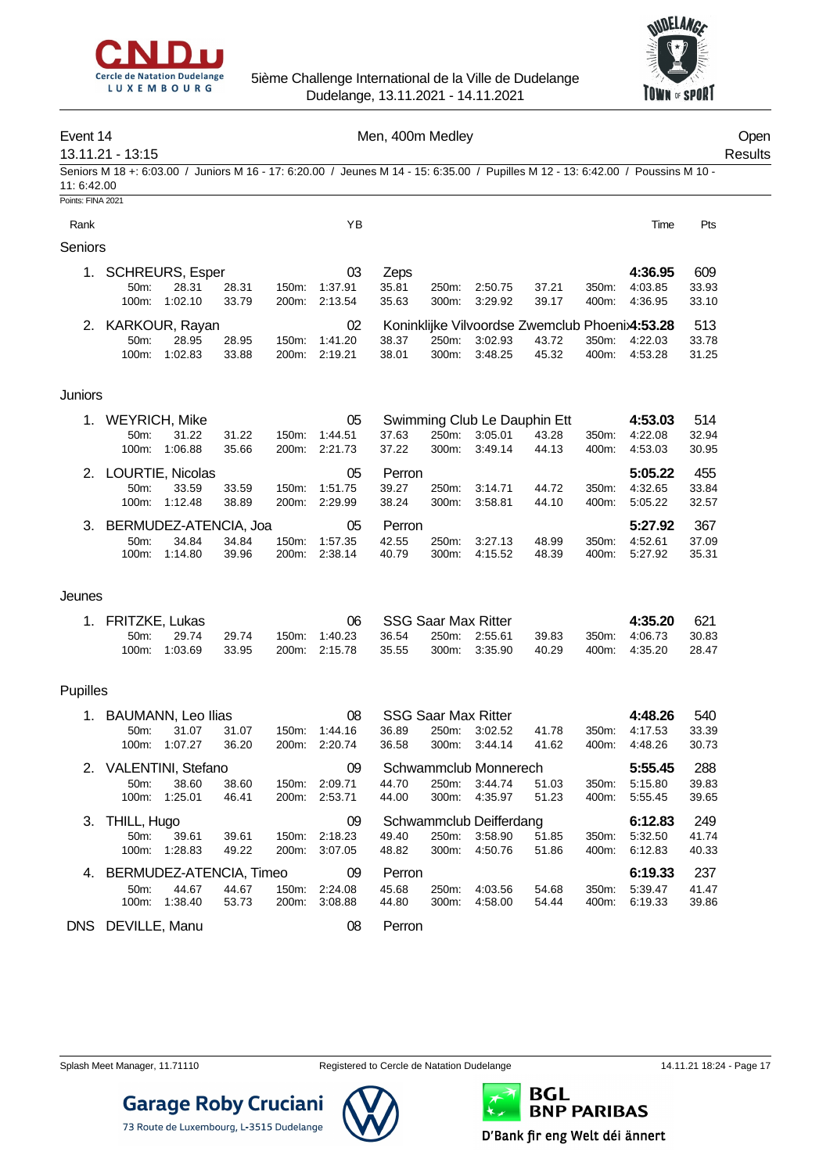



#### Event 14 Communication of the Men, 400m Medley Communication of the Open

13.11.21 - 13:15 Results Seniors M 18 +: 6:03.00 / Juniors M 16 - 17: 6:20.00 / Jeunes M 14 - 15: 6:35.00 / Pupilles M 12 - 13: 6:42.00 / Poussins M 10 - 11: 6:42.00

#### Points: FINA 2021

| Rank           |                        |         |       |                    | YΒ      |       |          |                                                |       |       | Time    | Pts   |
|----------------|------------------------|---------|-------|--------------------|---------|-------|----------|------------------------------------------------|-------|-------|---------|-------|
| <b>Seniors</b> |                        |         |       |                    |         |       |          |                                                |       |       |         |       |
| 1.             | <b>SCHREURS, Esper</b> |         |       |                    | 03      | Zeps  |          |                                                |       |       | 4:36.95 | 609   |
|                | $50m$ :                | 28.31   | 28.31 | 150m:              | 1:37.91 | 35.81 | 250m:    | 2:50.75                                        | 37.21 | 350m: | 4:03.85 | 33.93 |
|                | $100m$ :               | 1:02.10 | 33.79 | 200m:              | 2:13.54 | 35.63 | $300m$ : | 3:29.92                                        | 39.17 | 400m: | 4:36.95 | 33.10 |
|                | 2. KARKOUR, Rayan      |         |       |                    | 02      |       |          | Koninklijke Vilvoordse Zwemclub Phoenix4:53.28 |       |       |         | 513   |
|                | 50 <sub>m</sub> :      | 28.95   | 28.95 | 150m:              | 1:41.20 | 38.37 | $250m$ : | 3:02.93                                        | 43.72 | 350m: | 4:22.03 | 33.78 |
|                | 100m:                  | 1:02.83 | 33.88 | 200 <sub>m</sub> : | 2:19.21 | 38.01 | 300m:    | 3:48.25                                        | 45.32 | 400m: | 4:53.28 | 31.25 |

#### **Juniors**

| $1_{-}$ | <b>WEYRICH, Mike</b>     |         |       |                    | 05      | Swimming Club Le Dauphin Ett |          |         |       |       | 4:53.03 | 514   |
|---------|--------------------------|---------|-------|--------------------|---------|------------------------------|----------|---------|-------|-------|---------|-------|
|         | $50m$ :                  | 31.22   | 31.22 | 150m:              | 1:44.51 | 37.63                        | 250m:    | 3:05.01 | 43.28 | 350m: | 4:22.08 | 32.94 |
|         | $100m$ :                 | 1:06.88 | 35.66 | 200m:              | 2:21.73 | 37.22                        | $300m$ : | 3:49.14 | 44.13 | 400m: | 4:53.03 | 30.95 |
|         | 2. LOURTIE, Nicolas      |         |       |                    | 05      | Perron                       |          |         |       |       | 5:05.22 | 455   |
|         | 50m                      | 33.59   | 33.59 | 150m:              | 1:51.75 | 39.27                        | 250m:    | 3:14.71 | 44.72 | 350m: | 4:32.65 | 33.84 |
|         | $100m$ :                 | 1:12.48 | 38.89 | 200m:              | 2:29.99 | 38.24                        | 300m:    | 3:58.81 | 44.10 | 400m: | 5:05.22 | 32.57 |
|         | 3. BERMUDEZ-ATENCIA, Joa |         |       |                    | 05      | <b>Perron</b>                |          |         |       |       | 5:27.92 | 367   |
|         | 50m                      | 34.84   | 34.84 | 150m:              | 1:57.35 | 42.55                        | 250m:    | 3:27.13 | 48.99 | 350m. | 4:52.61 | 37.09 |
|         | $100m$ :                 | 1:14.80 | 39.96 | 200 <sub>m</sub> : | 2:38.14 | 40.79                        | 300m:    | 4:15.52 | 48.39 | 400m: | 5:27.92 | 35.31 |

#### Jeunes

| 1. FRITZKE Lukas |               |       |               |       | SSG Saar Max Ritter |               |       | 4:35.20       | 621   |
|------------------|---------------|-------|---------------|-------|---------------------|---------------|-------|---------------|-------|
| $50m$ :          | 29.74         | 29.74 | 150m: 1:40.23 | 36.54 | 250m. 2:55.61       |               | 39.83 | 350m: 4:06.73 | 30.83 |
|                  | 100m: 1:03.69 | 33.95 | 200m: 2:15.78 | 35.55 |                     | 300m: 3:35.90 | 40.29 | 400m: 4:35.20 | 28.47 |

#### Pupilles

|    | <b>BAUMANN, Leo Ilias</b> |         |       |                    | 08      |        | <b>SSG Saar Max Ritter</b> |                         |       |       | 4:48.26 | 540   |
|----|---------------------------|---------|-------|--------------------|---------|--------|----------------------------|-------------------------|-------|-------|---------|-------|
|    | $50m$ :                   | 31.07   | 31.07 | 150m:              | 1:44.16 | 36.89  | 250m:                      | 3:02.52                 | 41.78 | 350m: | 4:17.53 | 33.39 |
|    | $100m$ :                  | 1:07.27 | 36.20 | 200m:              | 2:20.74 | 36.58  | 300m:                      | 3:44.14                 | 41.62 | 400m: | 4:48.26 | 30.73 |
|    | 2. VALENTINI, Stefano     |         |       |                    | 09      |        |                            | Schwammclub Monnerech   |       |       | 5:55.45 | 288   |
|    | 50 <sub>m</sub> :         | 38.60   | 38.60 | 150m:              | 2:09.71 | 44.70  | 250m:                      | 3:44.74                 | 51.03 | 350m: | 5:15.80 | 39.83 |
|    | $100m$ :                  | 1:25.01 | 46.41 | 200m:              | 2:53.71 | 44.00  | $300m$ :                   | 4:35.97                 | 51.23 | 400m: | 5:55.45 | 39.65 |
|    | 3. THILL, Hugo            |         |       |                    | 09      |        |                            | Schwammclub Deifferdang |       |       | 6:12.83 | 249   |
|    | 50 <sub>m</sub> :         | 39.61   | 39.61 | 150m:              | 2:18.23 | 49.40  | 250m:                      | 3:58.90                 | 51.85 | 350m. | 5:32.50 | 41.74 |
|    | $100m$ :                  | 1:28.83 | 49.22 | 200m:              | 3:07.05 | 48.82  | $300m$ :                   | 4:50.76                 | 51.86 | 400m. | 6:12.83 | 40.33 |
| 4. | BERMUDEZ-ATENCIA, Timeo   |         |       |                    | 09      | Perron |                            |                         |       |       | 6:19.33 | 237   |
|    | 50 <sub>m</sub> :         | 44.67   | 44.67 | 150m:              | 2:24.08 | 45.68  | 250m:                      | 4:03.56                 | 54.68 | 350m. | 5:39.47 | 41.47 |
|    | $100m$ :                  | 1:38.40 | 53.73 | 200 <sub>m</sub> : | 3:08.88 | 44.80  | 300m:                      | 4:58.00                 | 54.44 | 400m: | 6:19.33 | 39.86 |
|    | DNS DEVILLE, Manu         |         |       |                    | 08      | Perron |                            |                         |       |       |         |       |

**Garage Roby Cruciani** 

73 Route de Luxembourg, L-3515 Dudelange



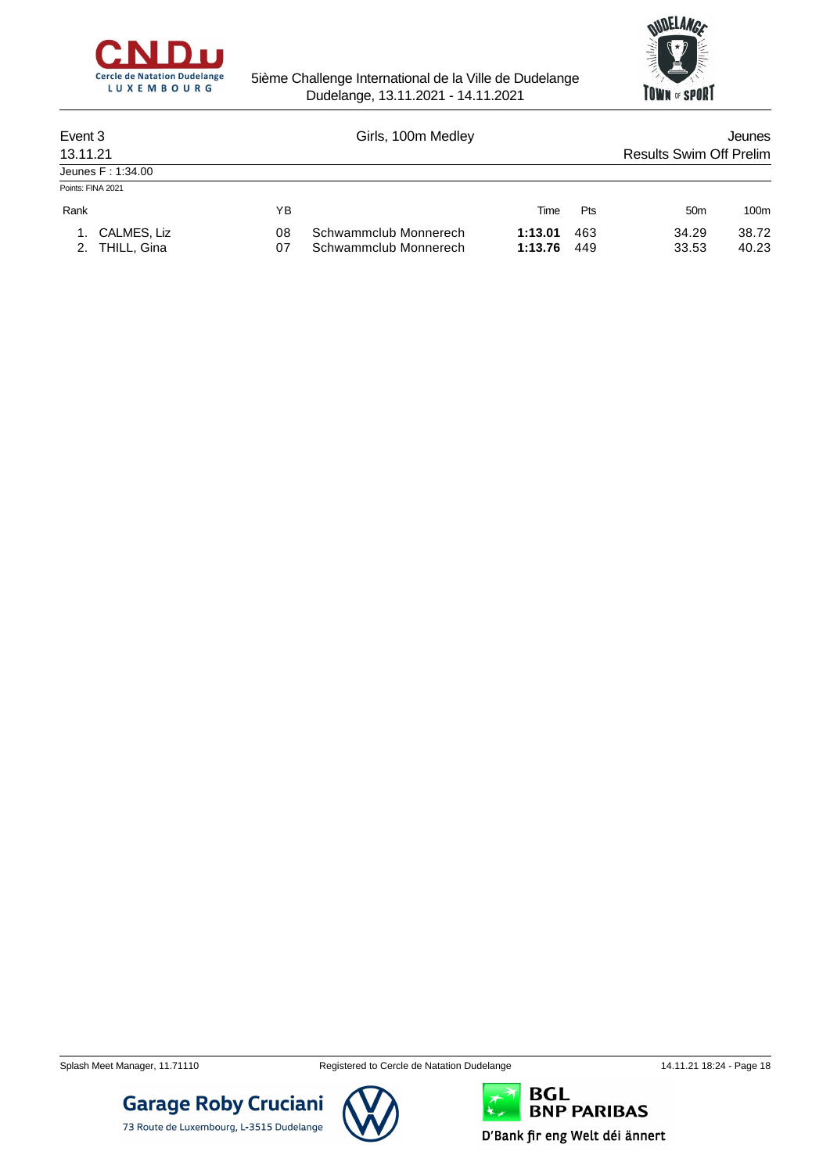



| Event 3           |                                  |          | Girls, 100m Medley                             | Jeunes             |            |                                |                |
|-------------------|----------------------------------|----------|------------------------------------------------|--------------------|------------|--------------------------------|----------------|
| 13.11.21          |                                  |          |                                                |                    |            | <b>Results Swim Off Prelim</b> |                |
|                   | Jeunes F: 1:34.00                |          |                                                |                    |            |                                |                |
| Points: FINA 2021 |                                  |          |                                                |                    |            |                                |                |
| Rank              |                                  | ΥB       |                                                | Time               | <b>Pts</b> | 50 <sub>m</sub>                | 100m           |
|                   | 1. CALMES, Liz<br>2. THILL, Gina | 08<br>07 | Schwammclub Monnerech<br>Schwammclub Monnerech | 1:13.01<br>1:13.76 | 463<br>449 | 34.29<br>33.53                 | 38.72<br>40.23 |

**Garage Roby Cruciani** 

73 Route de Luxembourg, L-3515 Dudelange

Splash Meet Manager, 11.71110 **Registered to Cercle de Natation Dudelange** 14.11.21 18:24 - Page 18



**BGL<br>BNP PARIBAS**  $\star$ D'Bank fir eng Welt déi ännert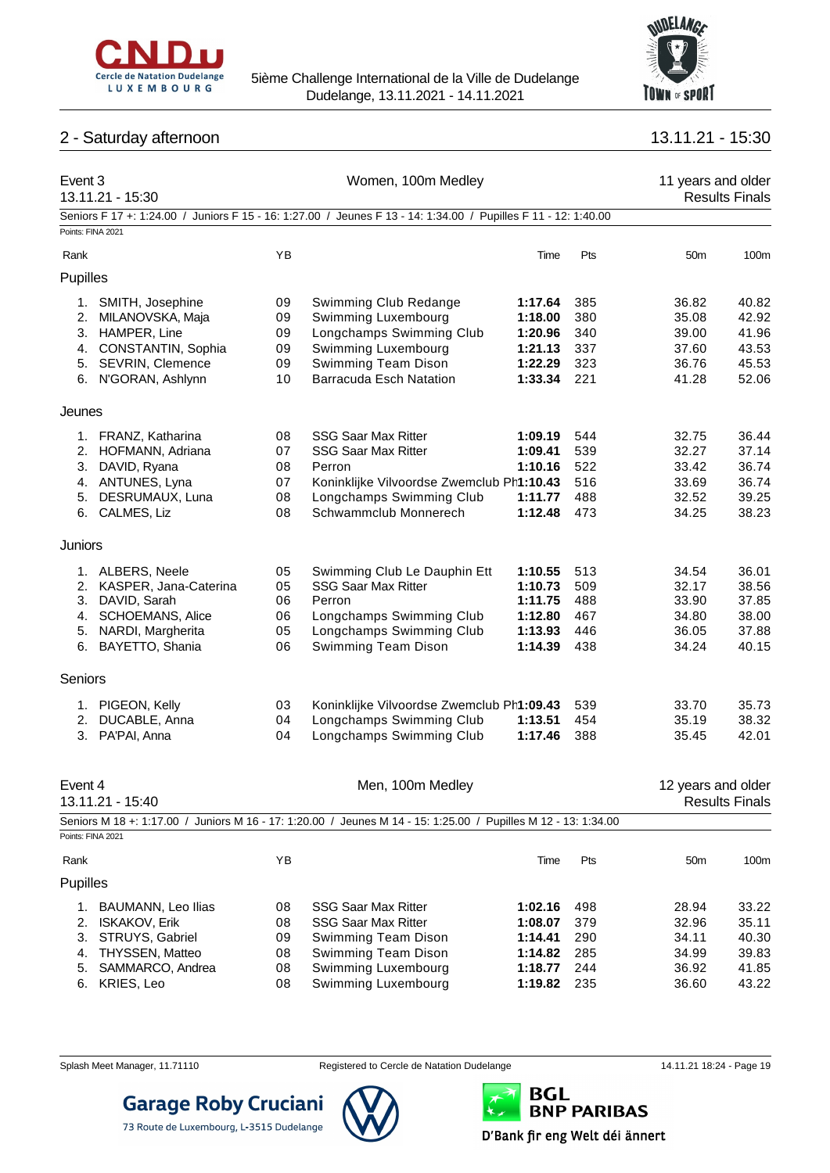

## 2 - Saturday afternoon 13.11.21 - 15:30



| Event 3  | 13.11.21 - 15:30                                  |          | Women, 100m Medley                                                                                             | 11 years and older<br><b>Results Finals</b> |            |                    |                       |
|----------|---------------------------------------------------|----------|----------------------------------------------------------------------------------------------------------------|---------------------------------------------|------------|--------------------|-----------------------|
|          |                                                   |          | Seniors F 17 +: 1:24.00 / Juniors F 15 - 16: 1:27.00 / Jeunes F 13 - 14: 1:34.00 / Pupilles F 11 - 12: 1:40.00 |                                             |            |                    |                       |
|          | Points: FINA 2021                                 |          |                                                                                                                |                                             |            |                    |                       |
| Rank     |                                                   | YB       |                                                                                                                | Time                                        | Pts        | 50 <sub>m</sub>    | 100m                  |
| Pupilles |                                                   |          |                                                                                                                |                                             |            |                    |                       |
|          | 1. SMITH, Josephine                               | 09       | Swimming Club Redange                                                                                          | 1:17.64                                     | 385        | 36.82              | 40.82                 |
|          | 2. MILANOVSKA, Maja                               | 09       | Swimming Luxembourg                                                                                            | 1:18.00                                     | 380        | 35.08              | 42.92                 |
|          | 3. HAMPER, Line                                   | 09       | Longchamps Swimming Club                                                                                       | 1:20.96                                     | 340        | 39.00              | 41.96                 |
| 4.       | CONSTANTIN, Sophia                                | 09       | Swimming Luxembourg                                                                                            | 1:21.13                                     | 337        | 37.60              | 43.53                 |
|          | 5. SEVRIN, Clemence                               | 09       | Swimming Team Dison                                                                                            | 1:22.29                                     | 323        | 36.76              | 45.53                 |
|          | 6. N'GORAN, Ashlynn                               | 10       | <b>Barracuda Esch Natation</b>                                                                                 | 1:33.34                                     | 221        | 41.28              | 52.06                 |
| Jeunes   |                                                   |          |                                                                                                                |                                             |            |                    |                       |
|          | 1. FRANZ, Katharina                               | 08       | <b>SSG Saar Max Ritter</b>                                                                                     | 1:09.19                                     | 544        | 32.75              | 36.44                 |
|          | 2. HOFMANN, Adriana                               | 07       | <b>SSG Saar Max Ritter</b>                                                                                     | 1:09.41                                     | 539        | 32.27              | 37.14                 |
| 3.       | DAVID, Ryana                                      | 08       | Perron                                                                                                         | 1:10.16                                     | 522        | 33.42              | 36.74                 |
|          | 4. ANTUNES, Lyna                                  | 07       | Koninklijke Vilvoordse Zwemclub Ph1:10.43                                                                      |                                             | 516        | 33.69              | 36.74                 |
| 5.       | DESRUMAUX, Luna                                   | 08       | Longchamps Swimming Club                                                                                       | 1:11.77                                     | 488        | 32.52              | 39.25                 |
|          | 6. CALMES, Liz                                    | 08       | Schwammclub Monnerech                                                                                          | 1:12.48                                     | 473        | 34.25              | 38.23                 |
| Juniors  |                                                   |          |                                                                                                                |                                             |            |                    |                       |
|          | 1. ALBERS, Neele                                  | 05       | Swimming Club Le Dauphin Ett                                                                                   | 1:10.55                                     | 513        | 34.54              | 36.01                 |
| 2.       | KASPER, Jana-Caterina                             | 05       | <b>SSG Saar Max Ritter</b>                                                                                     | 1:10.73                                     | 509        | 32.17              | 38.56                 |
| 3.       | DAVID, Sarah                                      | 06       | Perron                                                                                                         | 1:11.75                                     | 488        | 33.90              | 37.85                 |
| 4.       | <b>SCHOEMANS, Alice</b>                           | 06       | Longchamps Swimming Club                                                                                       | 1:12.80                                     | 467        | 34.80              | 38.00                 |
|          | 5. NARDI, Margherita                              | 05       | Longchamps Swimming Club                                                                                       | 1:13.93                                     | 446        | 36.05              | 37.88                 |
|          | 6. BAYETTO, Shania                                | 06       | Swimming Team Dison                                                                                            | 1:14.39                                     | 438        | 34.24              | 40.15                 |
| Seniors  |                                                   |          |                                                                                                                |                                             |            |                    |                       |
|          | 1. PIGEON, Kelly                                  | 03       | Koninklijke Vilvoordse Zwemclub Ph1:09.43                                                                      |                                             | 539        | 33.70              | 35.73                 |
| 2.       | DUCABLE, Anna                                     | 04       | Longchamps Swimming Club                                                                                       | 1:13.51                                     | 454        | 35.19              | 38.32                 |
|          | 3. PA'PAI, Anna                                   | 04       | Longchamps Swimming Club                                                                                       | 1:17.46                                     | 388        | 35.45              | 42.01                 |
| Event 4  |                                                   |          | Men, 100m Medley                                                                                               |                                             |            | 12 years and older |                       |
|          | 13.11.21 - 15:40                                  |          |                                                                                                                |                                             |            |                    | <b>Results Finals</b> |
|          | Points: FINA 2021                                 |          | Seniors M 18 +: 1:17.00 / Juniors M 16 - 17: 1:20.00 / Jeunes M 14 - 15: 1:25.00 / Pupilles M 12 - 13: 1:34.00 |                                             |            |                    |                       |
| Rank     |                                                   | YB       |                                                                                                                | Time                                        | Pts        | 50 <sub>m</sub>    | 100m                  |
| Pupilles |                                                   |          |                                                                                                                |                                             |            |                    |                       |
|          |                                                   |          |                                                                                                                |                                             |            |                    |                       |
| 1.<br>2. | <b>BAUMANN, Leo Ilias</b><br><b>ISKAKOV, Erik</b> | 08<br>08 | <b>SSG Saar Max Ritter</b><br><b>SSG Saar Max Ritter</b>                                                       | 1:02.16<br>1:08.07                          | 498<br>379 | 28.94<br>32.96     | 33.22<br>35.11        |
| 3.       | STRUYS, Gabriel                                   | 09       | Swimming Team Dison                                                                                            | 1:14.41                                     | 290        | 34.11              | 40.30                 |
| 4.       | THYSSEN, Matteo                                   | 08       | Swimming Team Dison                                                                                            | 1:14.82                                     | 285        | 34.99              | 39.83                 |
| 5.       | SAMMARCO, Andrea                                  | 08       | Swimming Luxembourg                                                                                            | 1:18.77                                     | 244        | 36.92              | 41.85                 |
| 6.       | KRIES, Leo                                        | 08       | Swimming Luxembourg                                                                                            | 1:19.82                                     | 235        | 36.60              | 43.22                 |

73 Route de Luxembourg, L-3515 Dudelange



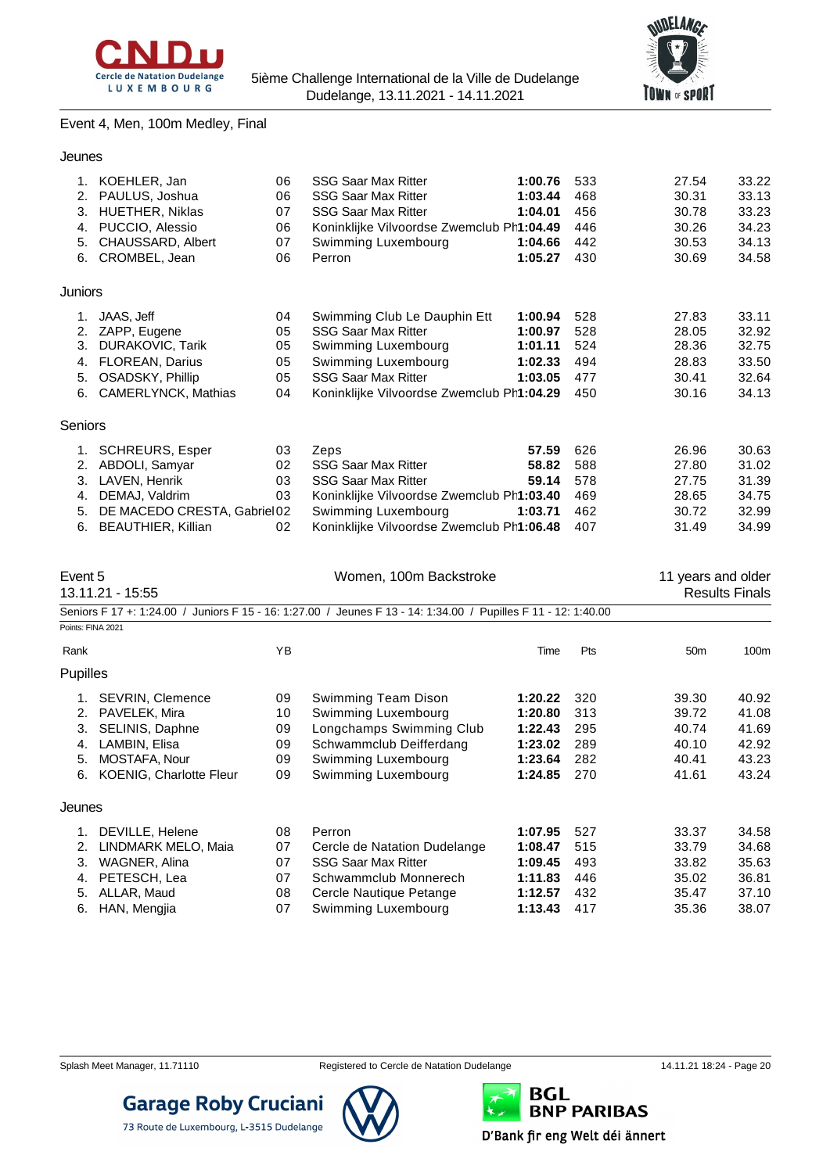



### Event 4, Men, 100m Medley, Final

| Jeunes         |                                                                                                                                           |                                  |                                                                                                                                                                                     |                                                                |                                        |                                                    |                                                    |
|----------------|-------------------------------------------------------------------------------------------------------------------------------------------|----------------------------------|-------------------------------------------------------------------------------------------------------------------------------------------------------------------------------------|----------------------------------------------------------------|----------------------------------------|----------------------------------------------------|----------------------------------------------------|
| 3.             | 1. KOEHLER, Jan<br>2. PAULUS, Joshua<br><b>HUETHER, Niklas</b>                                                                            | 06<br>06<br>07                   | <b>SSG Saar Max Ritter</b><br><b>SSG Saar Max Ritter</b><br><b>SSG Saar Max Ritter</b>                                                                                              | 1:00.76<br>1:03.44<br>1:04.01                                  | 533<br>468<br>456                      | 27.54<br>30.31<br>30.78                            | 33.22<br>33.13<br>33.23                            |
| 4.<br>5.       | PUCCIO, Alessio<br>CHAUSSARD, Albert<br>6. CROMBEL, Jean                                                                                  | 06<br>07<br>06                   | Koninklijke Vilvoordse Zwemclub Ph1:04.49<br>Swimming Luxembourg<br>Perron                                                                                                          | 1:04.66<br>1:05.27                                             | 446<br>442<br>430                      | 30.26<br>30.53<br>30.69                            | 34.23<br>34.13<br>34.58                            |
| Juniors        |                                                                                                                                           |                                  |                                                                                                                                                                                     |                                                                |                                        |                                                    |                                                    |
| 3.<br>4.<br>5. | 1. JAAS, Jeff<br>2. ZAPP, Eugene<br>DURAKOVIC, Tarik<br><b>FLOREAN, Darius</b><br>OSADSKY, Phillip<br>6. CAMERLYNCK, Mathias              | 04<br>05<br>05<br>05<br>05<br>04 | Swimming Club Le Dauphin Ett<br><b>SSG Saar Max Ritter</b><br>Swimming Luxembourg<br>Swimming Luxembourg<br><b>SSG Saar Max Ritter</b><br>Koninklijke Vilvoordse Zwemclub Ph1:04.29 | 1:00.94<br>1:00.97<br>1:01.11<br>1:02.33<br>1:03.05            | 528<br>528<br>524<br>494<br>477<br>450 | 27.83<br>28.05<br>28.36<br>28.83<br>30.41<br>30.16 | 33.11<br>32.92<br>32.75<br>33.50<br>32.64<br>34.13 |
| Seniors        |                                                                                                                                           |                                  |                                                                                                                                                                                     |                                                                |                                        |                                                    |                                                    |
| 3.<br>5.<br>6. | 1. SCHREURS, Esper<br>2. ABDOLI, Samyar<br>LAVEN, Henrik<br>4. DEMAJ, Valdrim<br>DE MACEDO CRESTA, Gabriel02<br><b>BEAUTHIER, Killian</b> | 03<br>02<br>03<br>03<br>02       | Zeps<br><b>SSG Saar Max Ritter</b><br><b>SSG Saar Max Ritter</b><br>Koninklijke Vilvoordse Zwemclub Ph1:03.40<br>Swimming Luxembourg<br>Koninklijke Vilvoordse Zwemclub Ph1:06.48   | 57.59<br>58.82<br>59.14<br>1:03.71                             | 626<br>588<br>578<br>469<br>462<br>407 | 26.96<br>27.80<br>27.75<br>28.65<br>30.72<br>31.49 | 30.63<br>31.02<br>31.39<br>34.75<br>32.99<br>34.99 |
|                |                                                                                                                                           |                                  |                                                                                                                                                                                     |                                                                |                                        |                                                    |                                                    |
| Event 5        | 13.11.21 - 15:55                                                                                                                          |                                  | Women, 100m Backstroke                                                                                                                                                              |                                                                |                                        | 11 years and older                                 | <b>Results Finals</b>                              |
|                | Points: FINA 2021                                                                                                                         |                                  | Seniors F 17 +: 1:24.00 / Juniors F 15 - 16: 1:27.00 / Jeunes F 13 - 14: 1:34.00 / Pupilles F 11 - 12: 1:40.00                                                                      |                                                                |                                        |                                                    |                                                    |
| Rank           |                                                                                                                                           | YB                               |                                                                                                                                                                                     | Time                                                           | Pts                                    | 50 <sub>m</sub>                                    | 100m                                               |
| Pupilles       |                                                                                                                                           |                                  |                                                                                                                                                                                     |                                                                |                                        |                                                    |                                                    |
| 3.<br>4.       | 1. SEVRIN, Clemence<br>2. PAVELEK, Mira<br>SELINIS, Daphne<br>LAMBIN, Elisa<br>5. MOSTAFA, Nour<br>6. KOENIG, Charlotte Fleur             | 09<br>10<br>09<br>09<br>09<br>09 | Swimming Team Dison<br>Swimming Luxembourg<br>Longchamps Swimming Club<br>Schwammclub Deifferdang<br>Swimming Luxembourg<br>Swimming Luxembourg                                     | 1:20.22<br>1:20.80<br>1:22.43<br>1:23.02<br>1:23.64<br>1:24.85 | 320<br>313<br>295<br>289<br>282<br>270 | 39.30<br>39.72<br>40.74<br>40.10<br>40.41<br>41.61 | 40.92<br>41.08<br>41.69<br>42.92<br>43.23<br>43.24 |
| Jeunes         |                                                                                                                                           |                                  |                                                                                                                                                                                     |                                                                |                                        |                                                    |                                                    |



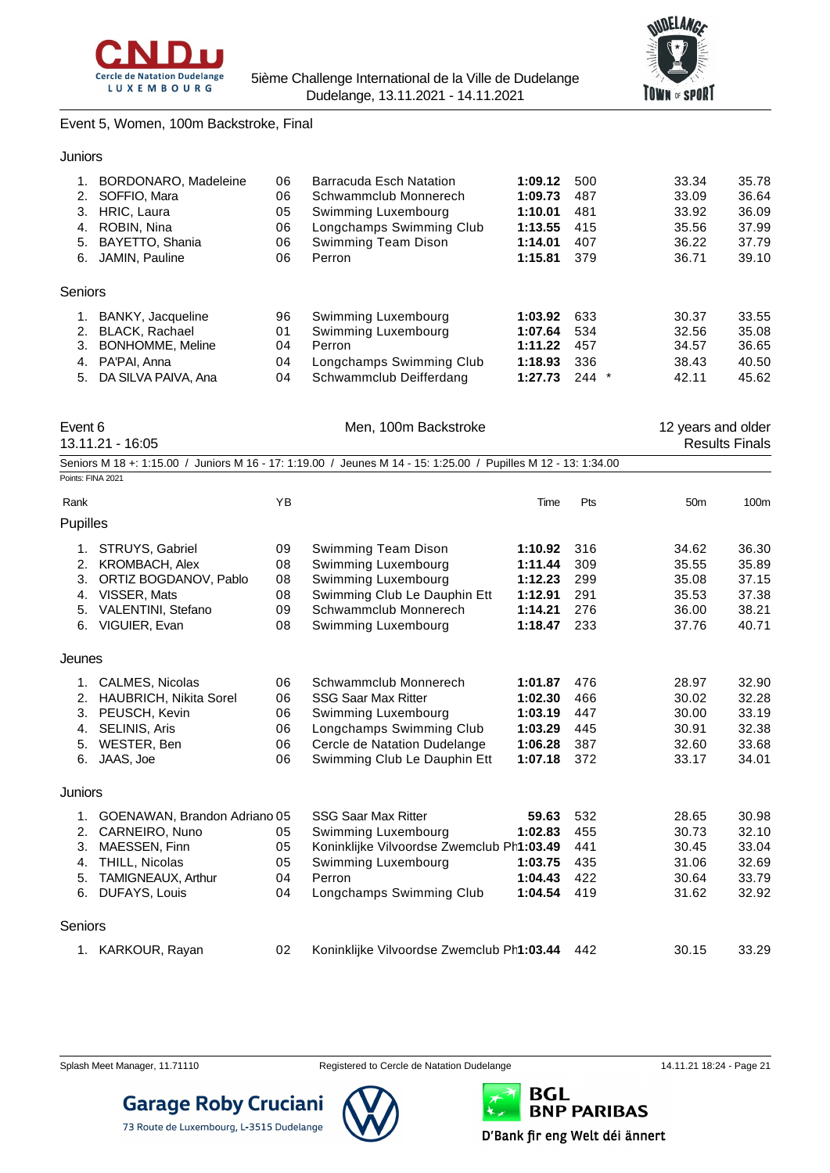



Event 5, Women, 100m Backstroke, Final

| Juniors                                                                                                                                                   |                                  |                                                                                                                                                                        |                                                                |                                        |                                                    |                                                    |
|-----------------------------------------------------------------------------------------------------------------------------------------------------------|----------------------------------|------------------------------------------------------------------------------------------------------------------------------------------------------------------------|----------------------------------------------------------------|----------------------------------------|----------------------------------------------------|----------------------------------------------------|
| <b>BORDONARO, Madeleine</b><br>1.<br>2.<br>SOFFIO, Mara<br>3.<br>HRIC, Laura<br>ROBIN, Nina<br>4.<br>BAYETTO, Shania<br>5.<br>JAMIN, Pauline<br>6.        | 06<br>06<br>05<br>06<br>06<br>06 | <b>Barracuda Esch Natation</b><br>Schwammclub Monnerech<br>Swimming Luxembourg<br>Longchamps Swimming Club<br>Swimming Team Dison<br>Perron                            | 1:09.12<br>1:09.73<br>1:10.01<br>1:13.55<br>1:14.01<br>1:15.81 | 500<br>487<br>481<br>415<br>407<br>379 | 33.34<br>33.09<br>33.92<br>35.56<br>36.22<br>36.71 | 35.78<br>36.64<br>36.09<br>37.99<br>37.79<br>39.10 |
| <b>Seniors</b>                                                                                                                                            |                                  |                                                                                                                                                                        |                                                                |                                        |                                                    |                                                    |
| BANKY, Jacqueline<br>1.<br>2.<br><b>BLACK, Rachael</b><br>3.<br>BONHOMME, Meline<br>4.<br>PA'PAI, Anna<br>5.<br>DA SILVA PAIVA, Ana                       | 96<br>01<br>04<br>04<br>04       | Swimming Luxembourg<br>Swimming Luxembourg<br>Perron<br>Longchamps Swimming Club<br>Schwammclub Deifferdang                                                            | 1:03.92<br>1:07.64<br>1:11.22<br>1:18.93<br>1:27.73            | 633<br>534<br>457<br>336<br>$244$ *    | 30.37<br>32.56<br>34.57<br>38.43<br>42.11          | 33.55<br>35.08<br>36.65<br>40.50<br>45.62          |
| Event 6<br>13.11.21 - 16:05                                                                                                                               |                                  | Men, 100m Backstroke                                                                                                                                                   |                                                                |                                        | 12 years and older                                 | <b>Results Finals</b>                              |
|                                                                                                                                                           |                                  | Seniors M 18 +: 1:15.00 / Juniors M 16 - 17: 1:19.00 / Jeunes M 14 - 15: 1:25.00 / Pupilles M 12 - 13: 1:34.00                                                         |                                                                |                                        |                                                    |                                                    |
| Points: FINA 2021<br>Rank                                                                                                                                 | YB                               |                                                                                                                                                                        | Time                                                           | Pts                                    | 50 <sub>m</sub>                                    | 100m                                               |
| Pupilles                                                                                                                                                  |                                  |                                                                                                                                                                        |                                                                |                                        |                                                    |                                                    |
| 1. STRUYS, Gabriel<br>2.<br><b>KROMBACH, Alex</b><br>3.<br>ORTIZ BOGDANOV, Pablo<br>4.<br>VISSER, Mats<br>VALENTINI, Stefano<br>5.<br>VIGUIER, Evan<br>6. | 09<br>08<br>08<br>08<br>09<br>08 | Swimming Team Dison<br>Swimming Luxembourg<br>Swimming Luxembourg<br>Swimming Club Le Dauphin Ett<br>Schwammclub Monnerech<br>Swimming Luxembourg                      | 1:10.92<br>1:11.44<br>1:12.23<br>1:12.91<br>1:14.21<br>1:18.47 | 316<br>309<br>299<br>291<br>276<br>233 | 34.62<br>35.55<br>35.08<br>35.53<br>36.00<br>37.76 | 36.30<br>35.89<br>37.15<br>37.38<br>38.21<br>40.71 |
| Jeunes                                                                                                                                                    |                                  |                                                                                                                                                                        |                                                                |                                        |                                                    |                                                    |
| 1. CALMES, Nicolas<br>2. HAUBRICH, Nikita Sorel<br>3.<br>PEUSCH, Kevin<br>4.<br>SELINIS, Aris<br>WESTER, Ben<br>5.<br>JAAS, Joe<br>6.                     | 06<br>06<br>06<br>06<br>06<br>06 | Schwammclub Monnerech<br><b>SSG Saar Max Ritter</b><br>Swimming Luxembourg<br>Longchamps Swimming Club<br>Cercle de Natation Dudelange<br>Swimming Club Le Dauphin Ett | 1:01.87<br>1:02.30<br>1:03.19<br>1:03.29<br>1:06.28<br>1:07.18 | 476<br>466<br>447<br>445<br>387<br>372 | 28.97<br>30.02<br>30.00<br>30.91<br>32.60<br>33.17 | 32.90<br>32.28<br>33.19<br>32.38<br>33.68<br>34.01 |
| Juniors                                                                                                                                                   |                                  |                                                                                                                                                                        |                                                                |                                        |                                                    |                                                    |
| 1. GOENAWAN, Brandon Adriano 05<br>2.<br>CARNEIRO, Nuno<br>3.<br>MAESSEN, Finn<br>THILL, Nicolas<br>4.<br>TAMIGNEAUX, Arthur<br>5.<br>DUFAYS, Louis<br>6. | 05<br>05<br>05<br>04<br>04       | <b>SSG Saar Max Ritter</b><br>Swimming Luxembourg<br>Koninklijke Vilvoordse Zwemclub Ph1:03.49<br>Swimming Luxembourg<br>Perron<br>Longchamps Swimming Club            | 59.63<br>1:02.83<br>1:03.75<br>1:04.43<br>1:04.54              | 532<br>455<br>441<br>435<br>422<br>419 | 28.65<br>30.73<br>30.45<br>31.06<br>30.64<br>31.62 | 30.98<br>32.10<br>33.04<br>32.69<br>33.79<br>32.92 |
| Seniors                                                                                                                                                   |                                  |                                                                                                                                                                        |                                                                |                                        |                                                    |                                                    |
| 1. KARKOUR, Rayan                                                                                                                                         | 02                               | Koninklijke Vilvoordse Zwemclub Ph1:03.44                                                                                                                              |                                                                | 442                                    | 30.15                                              | 33.29                                              |

73 Route de Luxembourg, L-3515 Dudelange



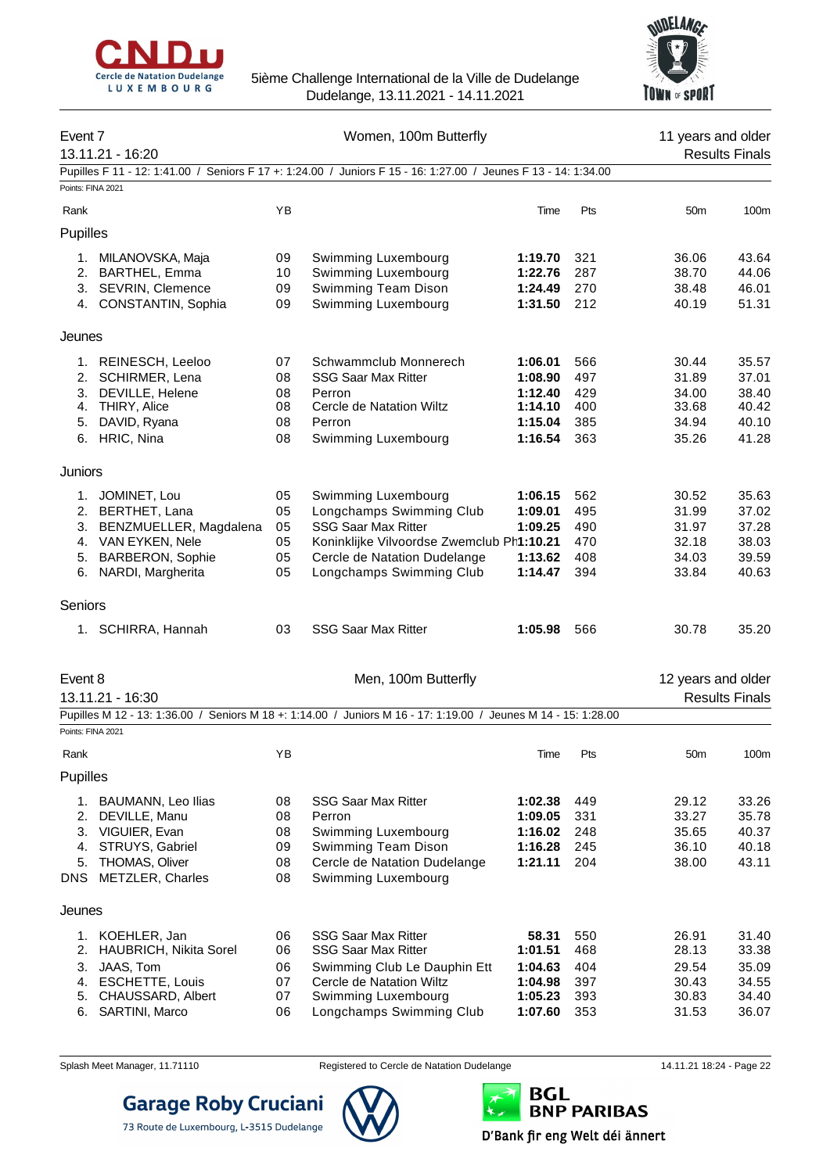



| Event 7    | 13.11.21 - 16:20        |    | Women, 100m Butterfly                                                                                          | 11 years and older<br><b>Results Finals</b> |     |                    |                       |
|------------|-------------------------|----|----------------------------------------------------------------------------------------------------------------|---------------------------------------------|-----|--------------------|-----------------------|
|            |                         |    | Pupilles F 11 - 12: 1:41.00 / Seniors F 17 +: 1:24.00 / Juniors F 15 - 16: 1:27.00 / Jeunes F 13 - 14: 1:34.00 |                                             |     |                    |                       |
|            | Points: FINA 2021       |    |                                                                                                                |                                             |     |                    |                       |
| Rank       |                         | YB |                                                                                                                | Time                                        | Pts | 50 <sub>m</sub>    | 100m                  |
| Pupilles   |                         |    |                                                                                                                |                                             |     |                    |                       |
| 1.         | MILANOVSKA, Maja        | 09 | Swimming Luxembourg                                                                                            | 1:19.70                                     | 321 | 36.06              | 43.64                 |
|            | 2. BARTHEL, Emma        | 10 | Swimming Luxembourg                                                                                            | 1:22.76                                     | 287 | 38.70              | 44.06                 |
|            | 3. SEVRIN, Clemence     | 09 | Swimming Team Dison                                                                                            | 1:24.49                                     | 270 | 38.48              | 46.01                 |
|            | 4. CONSTANTIN, Sophia   | 09 | Swimming Luxembourg                                                                                            | 1:31.50                                     | 212 | 40.19              | 51.31                 |
| Jeunes     |                         |    |                                                                                                                |                                             |     |                    |                       |
| 1.         | REINESCH, Leeloo        | 07 | Schwammclub Monnerech                                                                                          | 1:06.01                                     | 566 | 30.44              | 35.57                 |
| 2.         | SCHIRMER, Lena          | 08 | <b>SSG Saar Max Ritter</b>                                                                                     | 1:08.90                                     | 497 | 31.89              | 37.01                 |
| 3.         | DEVILLE, Helene         | 08 | Perron                                                                                                         | 1:12.40                                     | 429 | 34.00              | 38.40                 |
|            | 4. THIRY, Alice         | 08 | Cercle de Natation Wiltz                                                                                       | 1:14.10                                     | 400 | 33.68              | 40.42                 |
| 5.         | DAVID, Ryana            | 08 | Perron                                                                                                         | 1:15.04                                     | 385 | 34.94              | 40.10                 |
| 6.         | HRIC, Nina              | 08 | Swimming Luxembourg                                                                                            | 1:16.54                                     | 363 | 35.26              | 41.28                 |
| Juniors    |                         |    |                                                                                                                |                                             |     |                    |                       |
| 1.         | JOMINET, Lou            | 05 | Swimming Luxembourg                                                                                            | 1:06.15                                     | 562 | 30.52              | 35.63                 |
| 2.         | BERTHET, Lana           | 05 | Longchamps Swimming Club                                                                                       | 1:09.01                                     | 495 | 31.99              | 37.02                 |
| 3.         | BENZMUELLER, Magdalena  | 05 | <b>SSG Saar Max Ritter</b>                                                                                     | 1:09.25                                     | 490 | 31.97              | 37.28                 |
|            | 4. VAN EYKEN, Nele      | 05 | Koninklijke Vilvoordse Zwemclub Ph1:10.21                                                                      |                                             | 470 | 32.18              | 38.03                 |
| 5.         | <b>BARBERON, Sophie</b> | 05 | Cercle de Natation Dudelange                                                                                   | 1:13.62                                     | 408 | 34.03              | 39.59                 |
| 6.         | NARDI, Margherita       | 05 | Longchamps Swimming Club                                                                                       | 1:14.47                                     | 394 | 33.84              | 40.63                 |
| Seniors    |                         |    |                                                                                                                |                                             |     |                    |                       |
|            | 1. SCHIRRA, Hannah      | 03 | <b>SSG Saar Max Ritter</b>                                                                                     | 1:05.98                                     | 566 | 30.78              | 35.20                 |
| Event 8    |                         |    | Men, 100m Butterfly                                                                                            |                                             |     | 12 years and older |                       |
|            | 13.11.21 - 16:30        |    |                                                                                                                |                                             |     |                    | <b>Results Finals</b> |
|            |                         |    | Pupilles M 12 - 13: 1:36.00 / Seniors M 18 +: 1:14.00 / Juniors M 16 - 17: 1:19.00 / Jeunes M 14 - 15: 1:28.00 |                                             |     |                    |                       |
|            | Points: FINA 2021       |    |                                                                                                                |                                             |     |                    |                       |
| Rank       |                         | ΥB |                                                                                                                | Time                                        | Pts | 50 <sub>m</sub>    | 100m                  |
| Pupilles   |                         |    |                                                                                                                |                                             |     |                    |                       |
| 1.         | BAUMANN, Leo Ilias      | 08 | <b>SSG Saar Max Ritter</b>                                                                                     | 1:02.38                                     | 449 | 29.12              | 33.26                 |
| 2.         | DEVILLE, Manu           | 08 | Perron                                                                                                         | 1:09.05                                     | 331 | 33.27              | 35.78                 |
| 3.         | VIGUIER, Evan           | 08 | Swimming Luxembourg                                                                                            | 1:16.02                                     | 248 | 35.65              | 40.37                 |
| 4.         | STRUYS, Gabriel         | 09 | Swimming Team Dison                                                                                            | 1:16.28                                     | 245 | 36.10              | 40.18                 |
| 5.         | THOMAS, Oliver          | 08 | Cercle de Natation Dudelange                                                                                   | 1:21.11                                     | 204 | 38.00              | 43.11                 |
| <b>DNS</b> | METZLER, Charles        | 08 | Swimming Luxembourg                                                                                            |                                             |     |                    |                       |
| Jeunes     |                         |    |                                                                                                                |                                             |     |                    |                       |
| 1.         | KOEHLER, Jan            | 06 | <b>SSG Saar Max Ritter</b>                                                                                     | 58.31                                       | 550 | 26.91              | 31.40                 |
| 2.         | HAUBRICH, Nikita Sorel  | 06 | <b>SSG Saar Max Ritter</b>                                                                                     | 1:01.51                                     | 468 | 28.13              | 33.38                 |
| 3.         | JAAS, Tom               | 06 | Swimming Club Le Dauphin Ett                                                                                   | 1:04.63                                     | 404 | 29.54              | 35.09                 |
| 4.         | <b>ESCHETTE, Louis</b>  | 07 | Cercle de Natation Wiltz                                                                                       | 1:04.98                                     | 397 | 30.43              | 34.55                 |
| 5.         | CHAUSSARD, Albert       | 07 | Swimming Luxembourg                                                                                            | 1:05.23                                     | 393 | 30.83              | 34.40                 |
| 6.         | SARTINI, Marco          | 06 | Longchamps Swimming Club                                                                                       | 1:07.60                                     | 353 | 31.53              | 36.07                 |



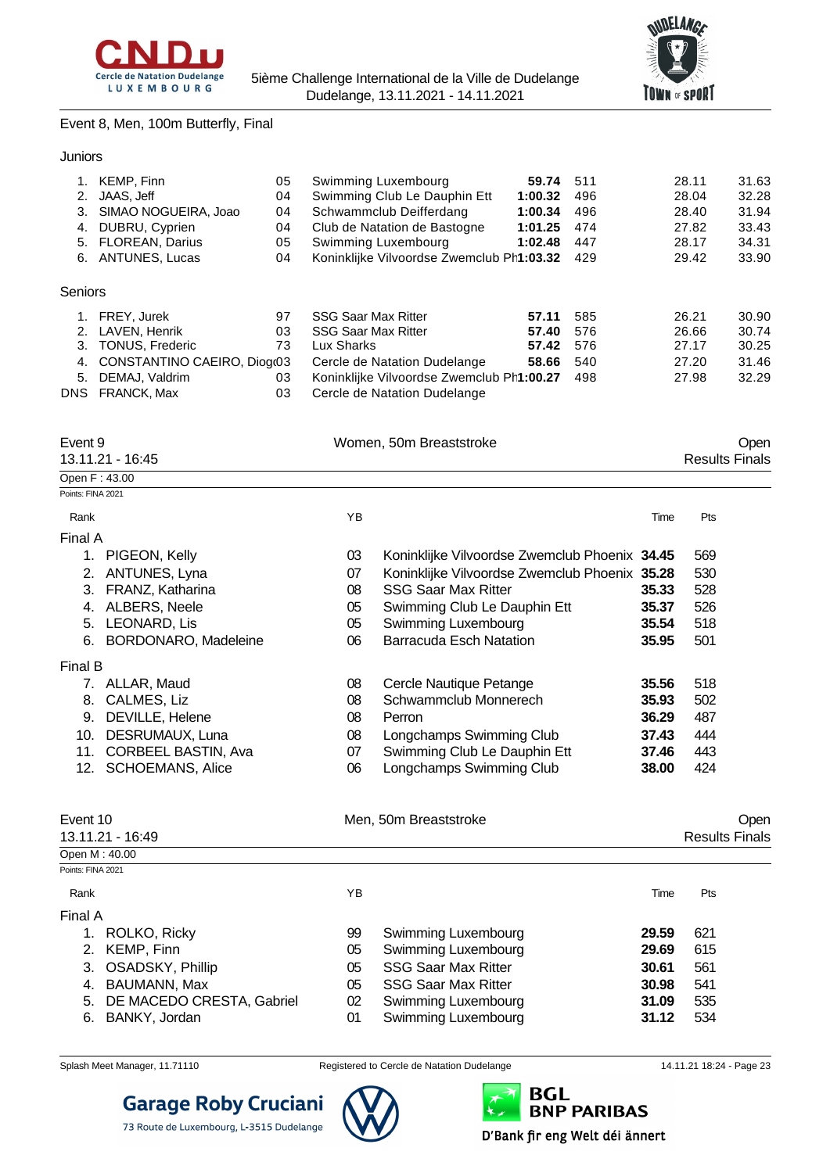



Event 8, Men, 100m Butterfly, Final

| Juniors |
|---------|

| 2.<br>3.<br>4.    | 1. KEMP, Finn<br>JAAS, Jeff<br>SIMAO NOGUEIRA, Joao<br>DUBRU, Cyprien<br>5. FLOREAN, Darius<br>6. ANTUNES, Lucas                       | 05<br>04<br>04<br>04<br>05<br>04 |                                                                        | Swimming Luxembourg<br>Swimming Club Le Dauphin Ett<br>Schwammclub Deifferdang<br>Club de Natation de Bastogne<br>Swimming Luxembourg<br>Koninklijke Vilvoordse Zwemclub Ph1:03.32 | 59.74<br>1:00.32<br>1:00.34<br>1:01.25<br>1:02.48 | 511<br>496<br>496<br>474<br>447<br>429 |       | 28.11<br>28.04<br>28.40<br>27.82<br>28.17<br>29.42 | 31.63<br>32.28<br>31.94<br>33.43<br>34.31<br>33.90 |
|-------------------|----------------------------------------------------------------------------------------------------------------------------------------|----------------------------------|------------------------------------------------------------------------|------------------------------------------------------------------------------------------------------------------------------------------------------------------------------------|---------------------------------------------------|----------------------------------------|-------|----------------------------------------------------|----------------------------------------------------|
| Seniors           |                                                                                                                                        |                                  |                                                                        |                                                                                                                                                                                    |                                                   |                                        |       |                                                    |                                                    |
| 3.                | 1. FREY, Jurek<br>2. LAVEN, Henrik<br><b>TONUS, Frederic</b><br>4. CONSTANTINO CAEIRO, Diog(03<br>5. DEMAJ, Valdrim<br>DNS FRANCK, Max | 97<br>03<br>73<br>03<br>03       | <b>SSG Saar Max Ritter</b><br><b>SSG Saar Max Ritter</b><br>Lux Sharks | Cercle de Natation Dudelange<br>Koninklijke Vilvoordse Zwemclub Ph1:00.27<br>Cercle de Natation Dudelange                                                                          | 57.11<br>57.40<br>57.42<br>58.66                  | 585<br>576<br>576<br>540<br>498        |       | 26.21<br>26.66<br>27.17<br>27.20<br>27.98          | 30.90<br>30.74<br>30.25<br>31.46<br>32.29          |
| Event 9           | 13.11.21 - 16:45                                                                                                                       |                                  |                                                                        | Women, 50m Breaststroke                                                                                                                                                            |                                                   |                                        |       | <b>Results Finals</b>                              | Open                                               |
|                   | Open F: 43.00                                                                                                                          |                                  |                                                                        |                                                                                                                                                                                    |                                                   |                                        |       |                                                    |                                                    |
| Points: FINA 2021 |                                                                                                                                        |                                  |                                                                        |                                                                                                                                                                                    |                                                   |                                        |       |                                                    |                                                    |
| Rank              |                                                                                                                                        |                                  | YB                                                                     |                                                                                                                                                                                    |                                                   |                                        | Time  | Pts                                                |                                                    |
| Final A           |                                                                                                                                        |                                  |                                                                        |                                                                                                                                                                                    |                                                   |                                        |       |                                                    |                                                    |
|                   | 1. PIGEON, Kelly                                                                                                                       |                                  | 03                                                                     | Koninklijke Vilvoordse Zwemclub Phoenix 34.45                                                                                                                                      |                                                   |                                        |       | 569                                                |                                                    |
|                   | 2. ANTUNES, Lyna                                                                                                                       |                                  | 07                                                                     | Koninklijke Vilvoordse Zwemclub Phoenix 35.28                                                                                                                                      |                                                   |                                        |       | 530                                                |                                                    |
| 3.                | FRANZ, Katharina                                                                                                                       |                                  | 08                                                                     | <b>SSG Saar Max Ritter</b>                                                                                                                                                         |                                                   |                                        | 35.33 | 528                                                |                                                    |
|                   | 4. ALBERS, Neele                                                                                                                       |                                  | 05                                                                     | Swimming Club Le Dauphin Ett                                                                                                                                                       |                                                   |                                        | 35.37 | 526                                                |                                                    |
|                   | 5. LEONARD, Lis                                                                                                                        |                                  | 05                                                                     | Swimming Luxembourg                                                                                                                                                                |                                                   |                                        | 35.54 | 518                                                |                                                    |
| 6.                | <b>BORDONARO, Madeleine</b>                                                                                                            |                                  | 06                                                                     | <b>Barracuda Esch Natation</b>                                                                                                                                                     |                                                   |                                        | 35.95 | 501                                                |                                                    |
| Final B           |                                                                                                                                        |                                  |                                                                        |                                                                                                                                                                                    |                                                   |                                        |       |                                                    |                                                    |
|                   | 7. ALLAR, Maud                                                                                                                         |                                  | 08                                                                     | Cercle Nautique Petange                                                                                                                                                            |                                                   |                                        | 35.56 | 518                                                |                                                    |
| 8.                | CALMES, Liz                                                                                                                            |                                  | 08                                                                     | Schwammclub Monnerech                                                                                                                                                              |                                                   |                                        | 35.93 | 502                                                |                                                    |
| 9.                | DEVILLE, Helene                                                                                                                        |                                  | 08                                                                     | Perron                                                                                                                                                                             |                                                   |                                        | 36.29 | 487                                                |                                                    |
| 10.               | DESRUMAUX, Luna                                                                                                                        |                                  | 08                                                                     | Longchamps Swimming Club                                                                                                                                                           |                                                   |                                        | 37.43 | 444                                                |                                                    |
| 11.               | <b>CORBEEL BASTIN, Ava</b>                                                                                                             |                                  | 07                                                                     | Swimming Club Le Dauphin Ett                                                                                                                                                       |                                                   |                                        | 37.46 | 443                                                |                                                    |
|                   | 12. SCHOEMANS, Alice                                                                                                                   |                                  | 06                                                                     | Longchamps Swimming Club                                                                                                                                                           |                                                   |                                        | 38.00 | 424                                                |                                                    |
| Event 10          |                                                                                                                                        |                                  |                                                                        | Men, 50m Breaststroke                                                                                                                                                              |                                                   |                                        |       |                                                    | Open                                               |
|                   | 13.11.21 - 16:49                                                                                                                       |                                  |                                                                        |                                                                                                                                                                                    |                                                   |                                        |       | <b>Results Finals</b>                              |                                                    |
| Points: FINA 2021 | Open M: 40.00                                                                                                                          |                                  |                                                                        |                                                                                                                                                                                    |                                                   |                                        |       |                                                    |                                                    |
| Rank              |                                                                                                                                        |                                  | ΥB                                                                     |                                                                                                                                                                                    |                                                   |                                        | Time  | Pts                                                |                                                    |
| Final A           |                                                                                                                                        |                                  |                                                                        |                                                                                                                                                                                    |                                                   |                                        |       |                                                    |                                                    |
| 1.                | ROLKO, Ricky                                                                                                                           |                                  | 99                                                                     | Swimming Luxembourg                                                                                                                                                                |                                                   |                                        | 29.59 | 621                                                |                                                    |
| 2.                | KEMP, Finn                                                                                                                             |                                  | 05                                                                     | Swimming Luxembourg                                                                                                                                                                |                                                   |                                        | 29.69 | 615                                                |                                                    |
| 3.                | OSADSKY, Phillip                                                                                                                       |                                  | 05                                                                     | <b>SSG Saar Max Ritter</b>                                                                                                                                                         |                                                   |                                        | 30.61 | 561                                                |                                                    |
| 4.                | BAUMANN, Max                                                                                                                           |                                  | 05                                                                     | <b>SSG Saar Max Ritter</b>                                                                                                                                                         |                                                   |                                        | 30.98 | 541                                                |                                                    |
| 5.                | DE MACEDO CRESTA, Gabriel                                                                                                              |                                  | 02                                                                     | Swimming Luxembourg                                                                                                                                                                |                                                   |                                        | 31.09 | 535                                                |                                                    |
| 6.                | BANKY, Jordan                                                                                                                          |                                  | 01                                                                     | Swimming Luxembourg                                                                                                                                                                |                                                   |                                        | 31.12 | 534                                                |                                                    |

**Garage Roby Cruciani** 

73 Route de Luxembourg, L-3515 Dudelange



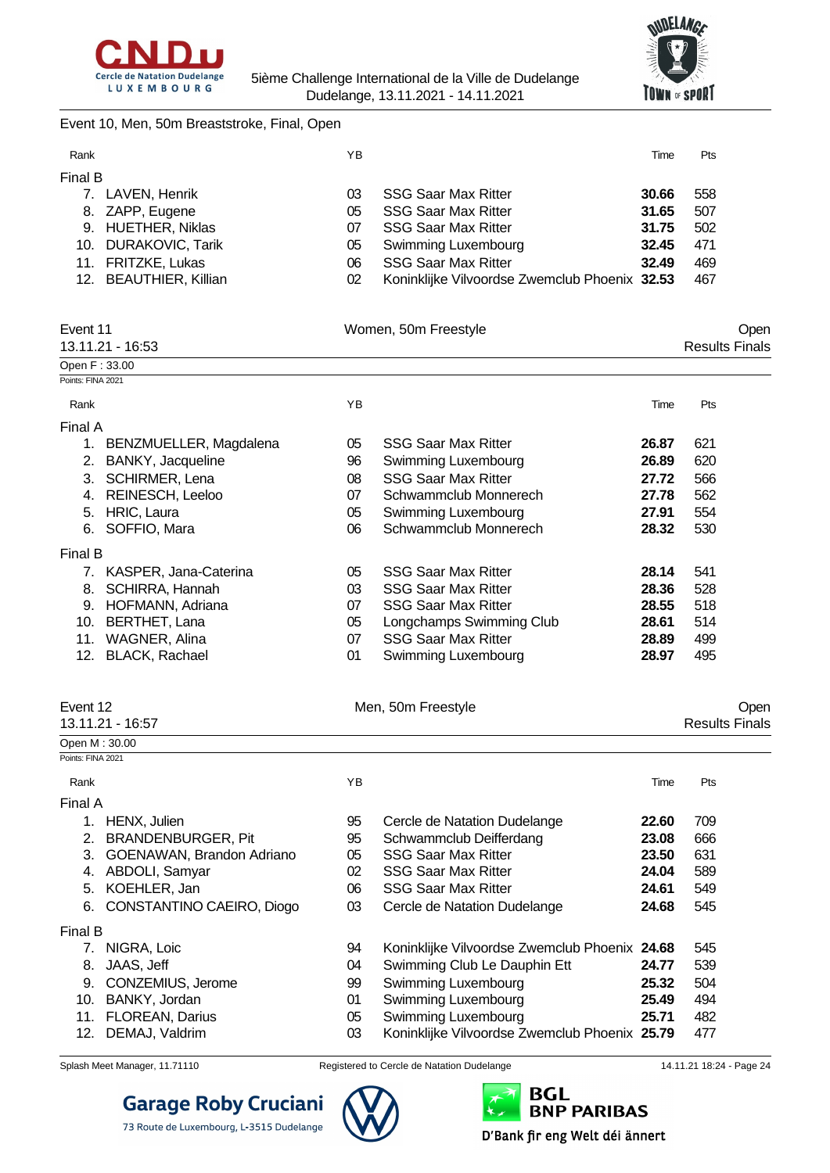



#### Event 10, Men, 50m Breaststroke, Final, Open

| Rank    |                        | ΥB |                                               | Time  | <b>Pts</b> |
|---------|------------------------|----|-----------------------------------------------|-------|------------|
| Final B |                        |    |                                               |       |            |
|         | 7. LAVEN, Henrik       | 03 | <b>SSG Saar Max Ritter</b>                    | 30.66 | 558        |
|         | 8. ZAPP, Eugene        | 05 | <b>SSG Saar Max Ritter</b>                    | 31.65 | 507        |
|         | 9. HUETHER, Niklas     | 07 | <b>SSG Saar Max Ritter</b>                    | 31.75 | 502        |
|         | 10. DURAKOVIC, Tarik   | 05 | Swimming Luxembourg                           | 32.45 | 471        |
|         | 11. FRITZKE, Lukas     | 06 | <b>SSG Saar Max Ritter</b>                    | 32.49 | 469        |
|         | 12. BEAUTHIER, Killian | 02 | Koninklijke Vilvoordse Zwemclub Phoenix 32.53 |       | 467        |

| Event 11<br>13.11.21 - 16:53 |                        |    | Women, 50m Freestyle       |       |     |  |  |
|------------------------------|------------------------|----|----------------------------|-------|-----|--|--|
| Open F: 33.00                |                        |    |                            |       |     |  |  |
| Points: FINA 2021            |                        |    |                            |       |     |  |  |
| Rank                         |                        | ΥB |                            | Time  | Pts |  |  |
| Final A                      |                        |    |                            |       |     |  |  |
| 1.                           | BENZMUELLER, Magdalena | 05 | <b>SSG Saar Max Ritter</b> | 26.87 | 621 |  |  |
| 2.                           | BANKY, Jacqueline      | 96 | Swimming Luxembourg        | 26.89 | 620 |  |  |
| 3.                           | SCHIRMER, Lena         | 08 | <b>SSG Saar Max Ritter</b> | 27.72 | 566 |  |  |
| 4.                           | REINESCH, Leeloo       | 07 | Schwammclub Monnerech      | 27.78 | 562 |  |  |
| 5.                           | HRIC, Laura            | 05 | Swimming Luxembourg        | 27.91 | 554 |  |  |
| 6.                           | SOFFIO, Mara           | 06 | Schwammclub Monnerech      | 28.32 | 530 |  |  |
| Final B                      |                        |    |                            |       |     |  |  |
| 7.                           | KASPER, Jana-Caterina  | 05 | <b>SSG Saar Max Ritter</b> | 28.14 | 541 |  |  |
| 8.                           | <b>SCHIRRA, Hannah</b> | 03 | <b>SSG Saar Max Ritter</b> | 28.36 | 528 |  |  |
| 9.                           | HOFMANN, Adriana       | 07 | <b>SSG Saar Max Ritter</b> | 28.55 | 518 |  |  |
| 10.                          | BERTHET, Lana          | 05 | Longchamps Swimming Club   | 28.61 | 514 |  |  |
| 11.                          | WAGNER, Alina          | 07 | <b>SSG Saar Max Ritter</b> | 28.89 | 499 |  |  |
| 12.                          | <b>BLACK, Rachael</b>  | 01 | Swimming Luxembourg        | 28.97 | 495 |  |  |

| Event 12          |                           | Men, 50m Freestyle | Open                                          |       |                       |
|-------------------|---------------------------|--------------------|-----------------------------------------------|-------|-----------------------|
|                   | 13.11.21 - 16:57          |                    |                                               |       | <b>Results Finals</b> |
| Open M: 30.00     |                           |                    |                                               |       |                       |
| Points: FINA 2021 |                           |                    |                                               |       |                       |
| Rank              |                           | YB                 |                                               | Time  | Pts                   |
| Final A           |                           |                    |                                               |       |                       |
| 1.                | HENX, Julien              | 95                 | Cercle de Natation Dudelange                  | 22.60 | 709                   |
| 2.                | BRANDENBURGER, Pit        | 95                 | Schwammclub Deifferdang                       | 23.08 | 666                   |
| 3.                | GOENAWAN, Brandon Adriano | 05                 | <b>SSG Saar Max Ritter</b>                    | 23.50 | 631                   |
| 4.                | ABDOLI, Samyar            | 02                 | <b>SSG Saar Max Ritter</b>                    | 24.04 | 589                   |
| 5.                | KOEHLER, Jan              | 06                 | <b>SSG Saar Max Ritter</b>                    | 24.61 | 549                   |
| 6.                | CONSTANTINO CAEIRO, Diogo | 03                 | Cercle de Natation Dudelange                  | 24.68 | 545                   |
| Final B           |                           |                    |                                               |       |                       |
|                   | NIGRA, Loic               | 94                 | Koninklijke Vilvoordse Zwemclub Phoenix 24.68 |       | 545                   |
| 8.                | JAAS, Jeff                | 04                 | Swimming Club Le Dauphin Ett                  | 24.77 | 539                   |
| 9.                | CONZEMIUS, Jerome         | 99                 | Swimming Luxembourg                           | 25.32 | 504                   |
| 10.               | BANKY, Jordan             | 01                 | Swimming Luxembourg                           | 25.49 | 494                   |
| 11.               | <b>FLOREAN, Darius</b>    | 05                 | Swimming Luxembourg                           | 25.71 | 482                   |
| 12.               | DEMAJ, Valdrim            | 03                 | Koninklijke Vilvoordse Zwemclub Phoenix 25.79 |       | 477                   |

**Garage Roby Cruciani** 

73 Route de Luxembourg, L-3515 Dudelange



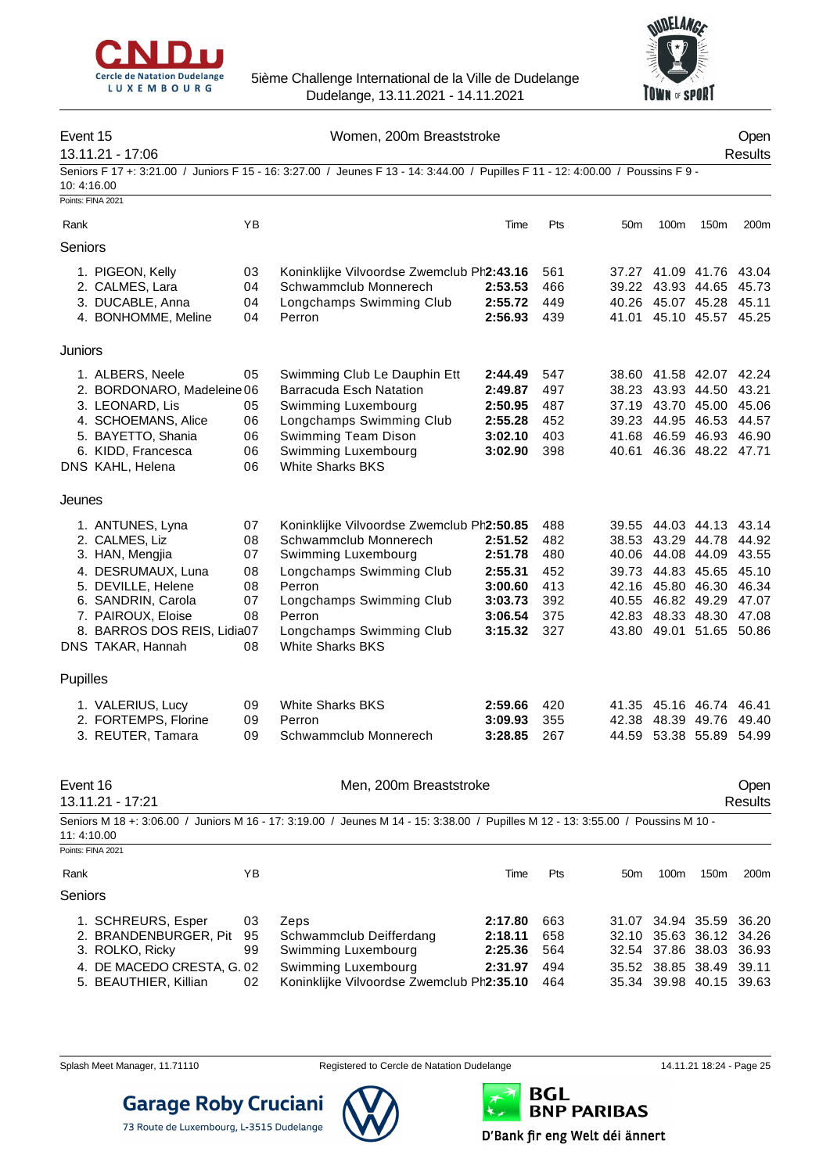



| Event 15 | 13.11.21 - 17:06                                    |          | Women, 200m Breaststroke                                                                                                         |                    |            |                 |                                              |      | Open<br>Results  |
|----------|-----------------------------------------------------|----------|----------------------------------------------------------------------------------------------------------------------------------|--------------------|------------|-----------------|----------------------------------------------|------|------------------|
|          | 10:4:16.00<br>Points: FINA 2021                     |          | Seniors F 17 +: 3:21.00 / Juniors F 15 - 16: 3:27.00 / Jeunes F 13 - 14: 3:44.00 / Pupilles F 11 - 12: 4:00.00 / Poussins F 9 -  |                    |            |                 |                                              |      |                  |
| Rank     |                                                     | YB       |                                                                                                                                  | Time               | Pts        | 50m             | 100m                                         | 150m | 200 <sub>m</sub> |
| Seniors  |                                                     |          |                                                                                                                                  |                    |            |                 |                                              |      |                  |
|          |                                                     |          |                                                                                                                                  |                    |            |                 |                                              |      |                  |
|          | 1. PIGEON, Kelly                                    | 03       | Koninklijke Vilvoordse Zwemclub Ph2:43.16                                                                                        |                    | 561        |                 | 37.27 41.09 41.76 43.04                      |      |                  |
|          | 2. CALMES, Lara                                     | 04       | Schwammclub Monnerech                                                                                                            | 2:53.53            | 466        |                 | 39.22 43.93 44.65                            |      | 45.73            |
|          | 3. DUCABLE, Anna<br>4. BONHOMME, Meline             | 04<br>04 | Longchamps Swimming Club<br>Perron                                                                                               | 2:55.72<br>2:56.93 | 449<br>439 |                 | 40.26 45.07 45.28<br>41.01 45.10 45.57 45.25 |      | 45.11            |
|          |                                                     |          |                                                                                                                                  |                    |            |                 |                                              |      |                  |
| Juniors  |                                                     |          |                                                                                                                                  |                    |            |                 |                                              |      |                  |
|          | 1. ALBERS, Neele                                    | 05       | Swimming Club Le Dauphin Ett                                                                                                     | 2:44.49            | 547        |                 | 38.60 41.58 42.07 42.24                      |      |                  |
|          | 2. BORDONARO, Madeleine 06                          |          | <b>Barracuda Esch Natation</b>                                                                                                   | 2:49.87            | 497        |                 | 38.23 43.93 44.50 43.21                      |      |                  |
|          | 3. LEONARD, Lis                                     | 05       | Swimming Luxembourg                                                                                                              | 2:50.95            | 487        |                 | 37.19 43.70 45.00                            |      | 45.06            |
|          | 4. SCHOEMANS, Alice                                 | 06       | Longchamps Swimming Club                                                                                                         | 2:55.28            | 452        |                 | 39.23 44.95 46.53                            |      | 44.57            |
|          | 5. BAYETTO, Shania                                  | 06       | Swimming Team Dison                                                                                                              | 3:02.10            | 403        |                 | 41.68 46.59 46.93                            |      | 46.90            |
|          | 6. KIDD, Francesca<br>DNS KAHL, Helena              | 06<br>06 | Swimming Luxembourg<br><b>White Sharks BKS</b>                                                                                   | 3:02.90            | 398        |                 | 40.61 46.36 48.22 47.71                      |      |                  |
| Jeunes   |                                                     |          |                                                                                                                                  |                    |            |                 |                                              |      |                  |
|          | 1. ANTUNES, Lyna                                    | 07       | Koninklijke Vilvoordse Zwemclub Ph2:50.85                                                                                        |                    | 488        |                 | 39.55 44.03 44.13 43.14                      |      |                  |
|          | 2. CALMES, Liz                                      | 08       | Schwammclub Monnerech                                                                                                            | 2:51.52            | 482        |                 | 38.53 43.29 44.78                            |      | 44.92            |
|          | 3. HAN, Mengjia                                     | 07       | Swimming Luxembourg                                                                                                              | 2:51.78            | 480        |                 | 40.06 44.08 44.09                            |      | 43.55            |
|          | 4. DESRUMAUX, Luna                                  | 08       | Longchamps Swimming Club                                                                                                         | 2:55.31            | 452        |                 | 39.73 44.83 45.65                            |      | 45.10            |
|          | 5. DEVILLE, Helene                                  | 08       | Perron                                                                                                                           | 3:00.60            | 413        |                 | 42.16 45.80 46.30                            |      | 46.34            |
|          | 6. SANDRIN, Carola                                  | 07       | Longchamps Swimming Club                                                                                                         | 3:03.73            | 392        |                 | 40.55 46.82 49.29                            |      | 47.07            |
|          | 7. PAIROUX, Eloise                                  | 08       | Perron                                                                                                                           | 3:06.54            | 375        |                 | 42.83 48.33 48.30 47.08                      |      |                  |
|          | 8. BARROS DOS REIS, Lidia07<br>DNS TAKAR, Hannah    | 08       | Longchamps Swimming Club<br><b>White Sharks BKS</b>                                                                              | 3:15.32            | 327        |                 | 43.80 49.01 51.65 50.86                      |      |                  |
| Pupilles |                                                     |          |                                                                                                                                  |                    |            |                 |                                              |      |                  |
|          | 1. VALERIUS, Lucy                                   | 09       | <b>White Sharks BKS</b>                                                                                                          | 2:59.66            | 420        |                 | 41.35 45.16 46.74 46.41                      |      |                  |
|          | 2. FORTEMPS, Florine                                | 09       | Perron                                                                                                                           | 3:09.93            | 355        |                 | 42.38 48.39 49.76 49.40                      |      |                  |
|          | 3. REUTER, Tamara                                   | 09       | Schwammclub Monnerech                                                                                                            | 3:28.85            | 267        |                 | 44.59 53.38 55.89                            |      | 54.99            |
| Event 16 |                                                     |          | Men, 200m Breaststroke                                                                                                           |                    |            |                 |                                              |      | Open             |
|          | 13.11.21 - 17:21                                    |          |                                                                                                                                  |                    |            |                 |                                              |      | <b>Results</b>   |
|          | 11:4:10.00                                          |          | Seniors M 18 +: 3:06.00 / Juniors M 16 - 17: 3:19.00 / Jeunes M 14 - 15: 3:38.00 / Pupilles M 12 - 13: 3:55.00 / Poussins M 10 - |                    |            |                 |                                              |      |                  |
|          | Points: FINA 2021                                   |          |                                                                                                                                  |                    |            |                 |                                              |      |                  |
| Rank     |                                                     | ΥB       |                                                                                                                                  | Time               | Pts        | 50 <sub>m</sub> | 100m                                         | 150m | 200 <sub>m</sub> |
| Seniors  |                                                     |          |                                                                                                                                  |                    |            |                 |                                              |      |                  |
|          | 1. SCHREURS, Esper                                  | 03       | Zeps                                                                                                                             | 2:17.80            | 663        |                 | 31.07 34.94 35.59                            |      | 36.20            |
|          | 2. BRANDENBURGER, Pit                               | 95       | Schwammclub Deifferdang                                                                                                          | 2:18.11            | 658        | 32.10           | 35.63 36.12                                  |      | 34.26            |
|          | 3. ROLKO, Ricky                                     | 99       | Swimming Luxembourg                                                                                                              | 2:25.36            | 564        |                 | 32.54 37.86 38.03                            |      | 36.93            |
|          | 4. DE MACEDO CRESTA, G. 02<br>5. BEAUTHIER, Killian | 02       | Swimming Luxembourg<br>Koninklijke Vilvoordse Zwemclub Ph2:35.10                                                                 | 2:31.97            | 494<br>464 |                 | 35.52 38.85 38.49<br>35.34 39.98 40.15 39.63 |      | 39.11            |



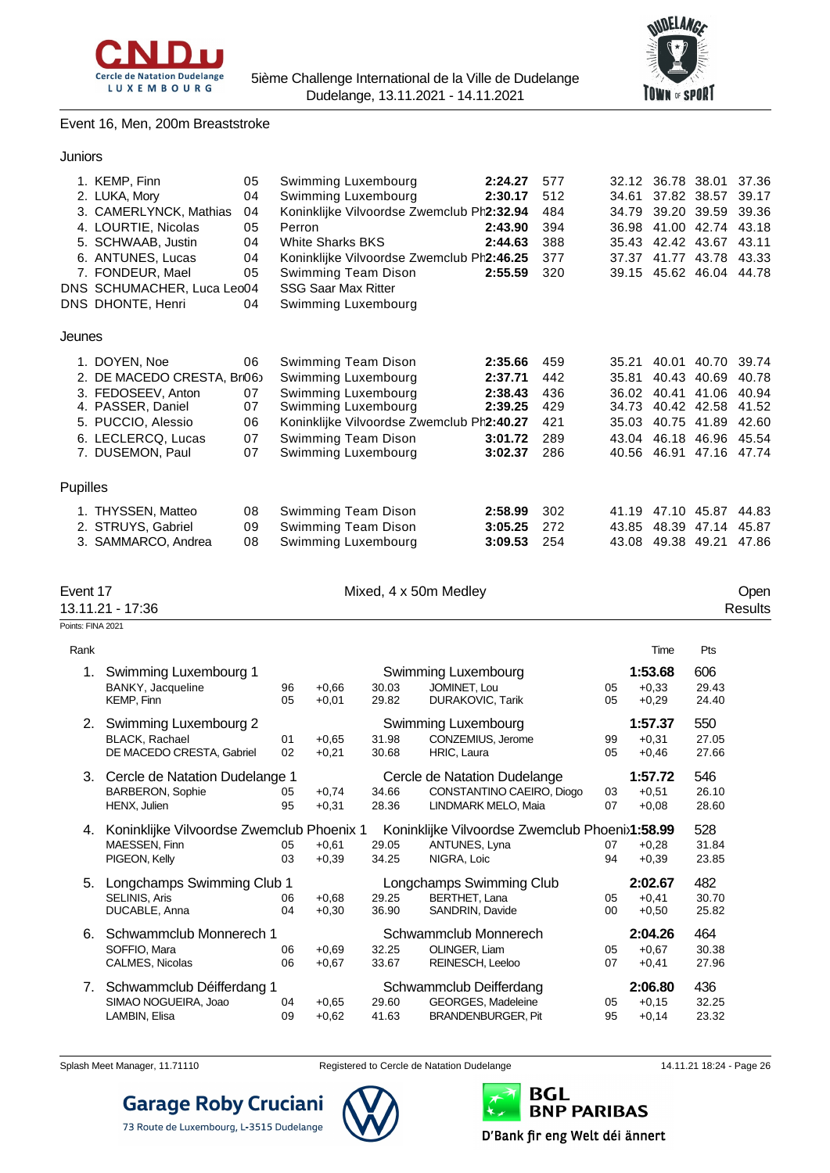



#### Event 16, Men, 200m Breaststroke

| Juniors |  |
|---------|--|
|         |  |

|          | 1. KEMP, Finn              | 05 | Swimming Luxembourg                       | 2:24.27 | 577 | 32.12 | 36.78 38.01       |                         | 37.36 |
|----------|----------------------------|----|-------------------------------------------|---------|-----|-------|-------------------|-------------------------|-------|
|          | 2. LUKA, Mory              | 04 | Swimming Luxembourg                       | 2:30.17 | 512 | 34.61 | 37.82 38.57       |                         | 39.17 |
|          | 3. CAMERLYNCK, Mathias     | 04 | Koninklijke Vilvoordse Zwemclub Ph2:32.94 |         | 484 | 34.79 | 39.20 39.59       |                         | 39.36 |
|          | 4. LOURTIE, Nicolas        | 05 | Perron                                    | 2:43.90 | 394 | 36.98 | 41.00             | 42.74                   | 43.18 |
|          | 5. SCHWAAB, Justin         | 04 | <b>White Sharks BKS</b>                   | 2:44.63 | 388 | 35.43 | 42.42 43.67       |                         | 43.11 |
|          | 6. ANTUNES, Lucas          | 04 | Koninklijke Vilvoordse Zwemclub Ph2:46.25 |         | 377 | 37.37 | 41.77             | 43.78                   | 43.33 |
|          | 7. FONDEUR, Mael           | 05 | Swimming Team Dison                       | 2:55.59 | 320 |       |                   | 39.15 45.62 46.04       | 44.78 |
|          | DNS SCHUMACHER, Luca Leo04 |    | <b>SSG Saar Max Ritter</b>                |         |     |       |                   |                         |       |
|          | DNS DHONTE, Henri          | 04 | Swimming Luxembourg                       |         |     |       |                   |                         |       |
| Jeunes   |                            |    |                                           |         |     |       |                   |                         |       |
|          | 1. DOYEN, Noe              | 06 | Swimming Team Dison                       | 2:35.66 | 459 | 35.21 | 40.01             | 40.70                   | 39.74 |
|          | 2. DE MACEDO CRESTA, Br06  |    | Swimming Luxembourg                       | 2:37.71 | 442 | 35.81 | 40.43             | 40.69                   | 40.78 |
|          | 3. FEDOSEEV, Anton         | 07 | Swimming Luxembourg                       | 2:38.43 | 436 |       | 36.02 40.41 41.06 |                         | 40.94 |
|          | 4. PASSER, Daniel          | 07 | Swimming Luxembourg                       | 2:39.25 | 429 | 34.73 | 40.42 42.58       |                         | 41.52 |
|          | 5. PUCCIO, Alessio         | 06 | Koninklijke Vilvoordse Zwemclub Ph2:40.27 |         | 421 | 35.03 | 40.75 41.89       |                         | 42.60 |
|          | 6. LECLERCQ, Lucas         | 07 | Swimming Team Dison                       | 3:01.72 | 289 | 43.04 |                   | 46.18 46.96             | 45.54 |
|          | 7. DUSEMON, Paul           | 07 | Swimming Luxembourg                       | 3:02.37 | 286 |       |                   | 40.56 46.91 47.16 47.74 |       |
| Pupilles |                            |    |                                           |         |     |       |                   |                         |       |
|          | 1. THYSSEN, Matteo         | 08 | Swimming Team Dison                       | 2:58.99 | 302 | 41.19 | 47.10 45.87       |                         | 44.83 |
|          | 2. STRUYS, Gabriel         | 09 | Swimming Team Dison                       | 3:05.25 | 272 | 43.85 | 48.39             | 47.14                   | 45.87 |
|          | 3. SAMMARCO, Andrea        | 08 | Swimming Luxembourg                       | 3:09.53 | 254 | 43.08 | 49.38 49.21       |                         | 47.86 |

| Event 1 |  |
|---------|--|
|         |  |

Mixed, 4 x 50m Medley Open Consults Consults and the Unit of the Unit of the Unit of the Open Consults Consults

13.11.21 - 17:36 Points: FINA 2021

| Rank |                                                                             |          |                    |                |                                                                                  |              | Time                          | Pts                   |
|------|-----------------------------------------------------------------------------|----------|--------------------|----------------|----------------------------------------------------------------------------------|--------------|-------------------------------|-----------------------|
| 1.   | Swimming Luxembourg 1<br>BANKY, Jacqueline<br><b>KEMP, Finn</b>             | 96<br>05 | $+0.66$<br>$+0.01$ | 30.03<br>29.82 | Swimming Luxembourg<br>JOMINET, Lou<br><b>DURAKOVIC, Tarik</b>                   | 05<br>05     | 1:53.68<br>$+0.33$<br>$+0,29$ | 606<br>29.43<br>24.40 |
| 2.   | Swimming Luxembourg 2<br><b>BLACK, Rachael</b><br>DE MACEDO CRESTA, Gabriel | 01<br>02 | $+0.65$<br>$+0.21$ | 31.98<br>30.68 | Swimming Luxembourg<br>CONZEMIUS, Jerome<br><b>HRIC.</b> Laura                   | 99<br>05     | 1:57.37<br>$+0.31$<br>$+0.46$ | 550<br>27.05<br>27.66 |
| 3.   | Cercle de Natation Dudelange 1<br><b>BARBERON, Sophie</b><br>HENX, Julien   | 05<br>95 | $+0.74$<br>$+0.31$ | 34.66<br>28.36 | Cercle de Natation Dudelange<br>CONSTANTINO CAEIRO, Diogo<br>LINDMARK MELO, Maia | 03<br>07     | 1:57.72<br>$+0.51$<br>$+0.08$ | 546<br>26.10<br>28.60 |
| 4.   | Koninklijke Vilvoordse Zwemclub Phoenix 1<br>MAESSEN, Finn<br>PIGEON, Kelly | 05<br>03 | $+0.61$<br>$+0.39$ | 29.05<br>34.25 | Koninklijke Vilvoordse Zwemclub Phoenix1:58.99<br>ANTUNES, Lyna<br>NIGRA, Loic   | 07<br>94     | $+0.28$<br>$+0.39$            | 528<br>31.84<br>23.85 |
| 5.   | Longchamps Swimming Club 1<br><b>SELINIS, Aris</b><br>DUCABLE, Anna         | 06<br>04 | $+0.68$<br>$+0.30$ | 29.25<br>36.90 | Longchamps Swimming Club<br>BERTHET, Lana<br>SANDRIN, Davide                     | 05<br>$00\,$ | 2:02.67<br>$+0.41$<br>$+0,50$ | 482<br>30.70<br>25.82 |
| 6.   | Schwammclub Monnerech 1<br>SOFFIO, Mara<br>CALMES, Nicolas                  | 06<br>06 | $+0.69$<br>$+0.67$ | 32.25<br>33.67 | Schwammclub Monnerech<br>OLINGER, Liam<br>REINESCH, Leeloo                       | 05<br>07     | 2:04.26<br>$+0.67$<br>$+0,41$ | 464<br>30.38<br>27.96 |
| 7.   | Schwammclub Déifferdang 1<br>SIMAO NOGUEIRA, Joao<br>LAMBIN, Elisa          | 04<br>09 | $+0.65$<br>$+0.62$ | 29.60<br>41.63 | Schwammclub Deifferdang<br>GEORGES, Madeleine<br><b>BRANDENBURGER, Pit</b>       | 05<br>95     | 2:06.80<br>$+0.15$<br>$+0,14$ | 436<br>32.25<br>23.32 |



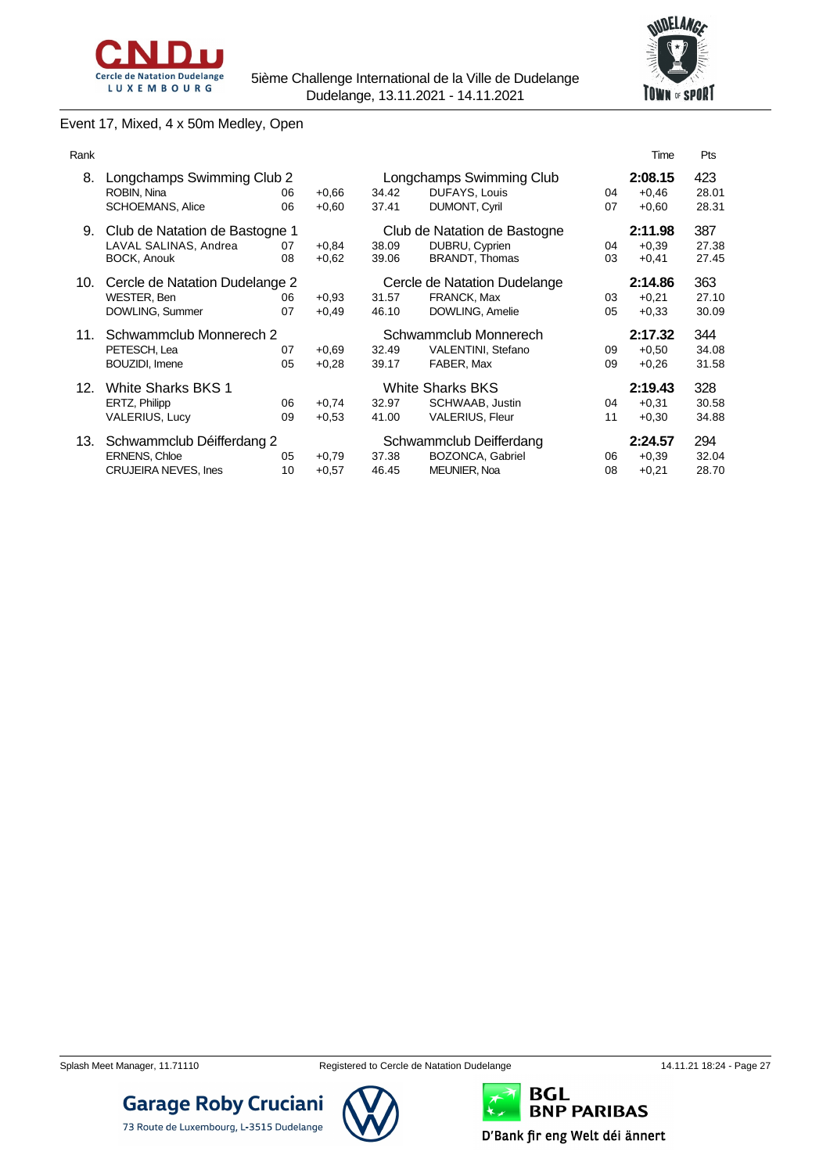



### Event 17, Mixed, 4 x 50m Medley, Open

| Rank |                                                                                  |          |                    |                |                                                                         |          | Time                          | <b>Pts</b>            |
|------|----------------------------------------------------------------------------------|----------|--------------------|----------------|-------------------------------------------------------------------------|----------|-------------------------------|-----------------------|
| 8.   | Longchamps Swimming Club 2<br>ROBIN, Nina<br><b>SCHOEMANS, Alice</b>             | 06<br>06 | $+0.66$<br>$+0.60$ | 34.42<br>37.41 | Longchamps Swimming Club<br>DUFAYS, Louis<br><b>DUMONT, Cyril</b>       | 04<br>07 | 2:08.15<br>$+0,46$<br>$+0.60$ | 423<br>28.01<br>28.31 |
| 9.   | Club de Natation de Bastogne 1<br>LAVAL SALINAS, Andrea<br>BOCK, Anouk           | 07<br>08 | $+0.84$<br>$+0.62$ | 38.09<br>39.06 | Club de Natation de Bastogne<br>DUBRU, Cyprien<br><b>BRANDT, Thomas</b> | 04<br>03 | 2:11.98<br>$+0.39$<br>$+0,41$ | 387<br>27.38<br>27.45 |
| 10.  | Cercle de Natation Dudelange 2<br>WESTER, Ben<br>DOWLING, Summer                 | 06<br>07 | $+0.93$<br>$+0.49$ | 31.57<br>46.10 | Cercle de Natation Dudelange<br><b>FRANCK, Max</b><br>DOWLING, Amelie   | 03<br>05 | 2:14.86<br>$+0.21$<br>$+0.33$ | 363<br>27.10<br>30.09 |
| 11.  | Schwammclub Monnerech 2<br>PETESCH, Lea<br>BOUZIDI, Imene                        | 07<br>05 | $+0.69$<br>$+0.28$ | 32.49<br>39.17 | Schwammclub Monnerech<br>VALENTINI, Stefano<br>FABER, Max               | 09<br>09 | 2:17.32<br>$+0.50$<br>$+0.26$ | 344<br>34.08<br>31.58 |
| 12.  | White Sharks BKS 1<br>ERTZ, Philipp<br>VALERIUS, Lucy                            | 06<br>09 | $+0.74$<br>$+0.53$ | 32.97<br>41.00 | <b>White Sharks BKS</b><br>SCHWAAB, Justin<br><b>VALERIUS, Fleur</b>    | 04<br>11 | 2:19.43<br>$+0.31$<br>$+0,30$ | 328<br>30.58<br>34.88 |
| 13.  | Schwammclub Déifferdang 2<br><b>ERNENS, Chloe</b><br><b>CRUJEIRA NEVES, Ines</b> | 05<br>10 | $+0.79$<br>$+0.57$ | 37.38<br>46.45 | Schwammclub Deifferdang<br>BOZONCA, Gabriel<br>MEUNIER, Noa             | 06<br>08 | 2:24.57<br>$+0.39$<br>$+0,21$ | 294<br>32.04<br>28.70 |

**Garage Roby Cruciani** 

73 Route de Luxembourg, L-3515 Dudelange

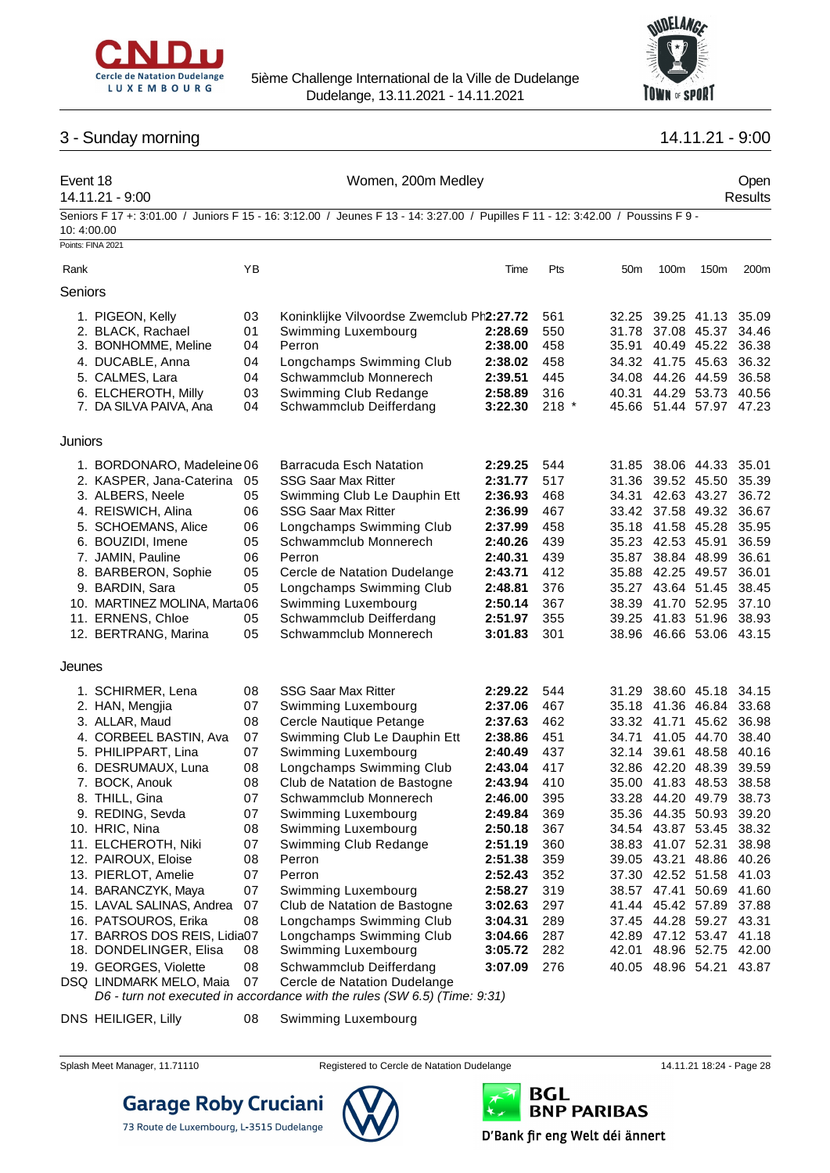

Event 18 Communication of the U.S. Communication of the U.S. Communication of the U.S. Communication of the U.S. Communication of the U.S. Communication of the U.S. Communication of the U.S. Communication of the U.S. Commu



## 3 - Sunday morning 14.11.21 - 9:00

### 14.11.21 - 9:00 Results Seniors F 17 +: 3:01.00 / Juniors F 15 - 16: 3:12.00 / Jeunes F 13 - 14: 3:27.00 / Pupilles F 11 - 12: 3:42.00 / Poussins F 9 - 10: 4:00.00 Points: FINA 2021 Rank YB Time Pts 50m 100m 150m 200m Seniors 1. PIGEON, Kelly 03 Koninklijke Vilvoordse Zwemclub Phoenix **2:27.72** 561 32.25 39.25 41.13 35.09 2. BLACK, Rachael 01 Swimming Luxembourg **2:28.69** 550 31.78 37.08 45.37 34.46 **2:38.00** 458 35.91 40.49 45.22 36.38 4. DUCABLE, Anna 04 Longchamps Swimming Club **2:38.02** 458 34.32 41.75 45.63 36.32 5. CALMES, Lara 04 Schwammclub Monnerech **2:39.51** 445 34.08 44.26 44.59 36.58 6. ELCHEROTH, Milly 03 Swimming Club Redange **2:58.89** 316 40.31 44.29 53.73 40.56 7. DA SILVA PAIVA, Ana 04 Schwammclub Deifferdang **3:22.30** 218 \* 45.66 51.44 57.97 47.23 Juniors 1. BORDONARO, Madeleine06 Barracuda Esch Natation **2:29.25** 544 31.85 38.06 44.33 35.01 2. KASPER, Jana-Caterina 05 SSG Saar Max Ritter **2:31.77** 517 31.36 39.52 45.50 35.39 3. ALBERS, Neele 05 Swimming Club Le Dauphin Ett **2:36.93** 468 34.31 42.63 43.27 36.72 4. REISWICH, Alina 06 SSG Saar Max Ritter **2:36.99** 467 33.42 37.58 49.32 36.67 5. SCHOEMANS, Alice 06 Longchamps Swimming Club **2:37.99** 458 35.18 41.58 45.28 35.95 6. BOUZIDI, Imene 05 Schwammclub Monnerech **2:40.26** 439 35.23 42.53 45.91 36.59 7. JAMIN, Pauline 06 Perron **2:40.31** 439 35.87 38.84 48.99 36.61 8. BARBERON, Sophie 05 Cercle de Natation Dudelange **2:43.71** 412 35.88 42.25 49.57 36.01 9. BARDIN, Sara 05 Longchamps Swimming Club **2:48.81** 376 35.27 43.64 51.45 38.45 10. MARTINEZ MOLINA, Marta06 Swimming Luxembourg **2:50.14** 367 38.39 41.70 52.95 37.10 11. ERNENS, Chloe 05 Schwammclub Deifferdang **2:51.97** 355 39.25 41.83 51.96 38.93 12. BERTRANG, Marina 05 Schwammclub Monnerech **3:01.83** 301 38.96 46.66 53.06 43.15 Jeunes 1. SCHIRMER, Lena 08 SSG Saar Max Ritter **2:29.22** 544 31.29 38.60 45.18 34.15 2. HAN, Mengjia 07 Swimming Luxembourg **2:37.06** 467 35.18 41.36 46.84 33.68 3. ALLAR, Maud 08 Cercle Nautique Petange **2:37.63** 462 33.32 41.71 45.62 36.98 4. CORBEEL BASTIN, Ava 07 Swimming Club Le Dauphin Ett **2:38.86** 451 34.71 41.05 44.70 38.40 5. PHILIPPART, Lina 07 Swimming Luxembourg **2:40.49** 437 32.14 39.61 48.58 40.16 6. DESRUMAUX, Luna 08 Longchamps Swimming Club **2:43.04** 417 32.86 42.20 48.39 39.59 7. BOCK, Anouk 08 Club de Natation de Bastogne **2:43.94** 410 35.00 41.83 48.53 38.58 8. THILL, Gina 07 Schwammclub Monnerech **2:46.00** 395 33.28 44.20 49.79 38.73 9. REDING, Sevda 07 Swimming Luxembourg **2:49.84** 369 35.36 44.35 50.93 39.20 10. HRIC, Nina 08 Swimming Luxembourg **2:50.18** 367 34.54 43.87 53.45 38.32 11. ELCHEROTH, Niki 07 Swimming Club Redange **2:51.19** 360 38.83 41.07 52.31 38.98 12. PAIROUX, Eloise 08 Perron **2:51.38** 359 39.05 43.21 48.86 40.26 13. PIERLOT, Amelie 07 Perron **2:52.43** 352 37.30 42.52 51.58 41.03 14. BARANCZYK, Maya 07 Swimming Luxembourg **2:58.27** 319 38.57 47.41 50.69 41.60 15. LAVAL SALINAS, Andrea 07 Club de Natation de Bastogne **3:02.63** 297 41.44 45.42 57.89 37.88 16. PATSOUROS, Erika 08 Longchamps Swimming Club **3:04.31** 289 37.45 44.28 59.27 43.31 17. BARROS DOS REIS, Lidia07 Longchamps Swimming Club **3:04.66** 287 42.89 47.12 53.47 41.18 18. DONDELINGER, Elisa 08 Swimming Luxembourg **3:05.72** 282 42.01 48.96 52.75 42.00 19. GEORGES, Violette 08 Schwammclub Deifferdang **3:07.09** 276 40.05 48.96 54.21 43.87 DSQ LINDMARK MELO, Maia 07 Cercle de Natation Dudelange

*D6 - turn not executed in accordance with the rules (SW 6.5) (Time: 9:31)*

DNS HEILIGER, Lilly 08 Swimming Luxembourg

**Garage Roby Cruciani** 



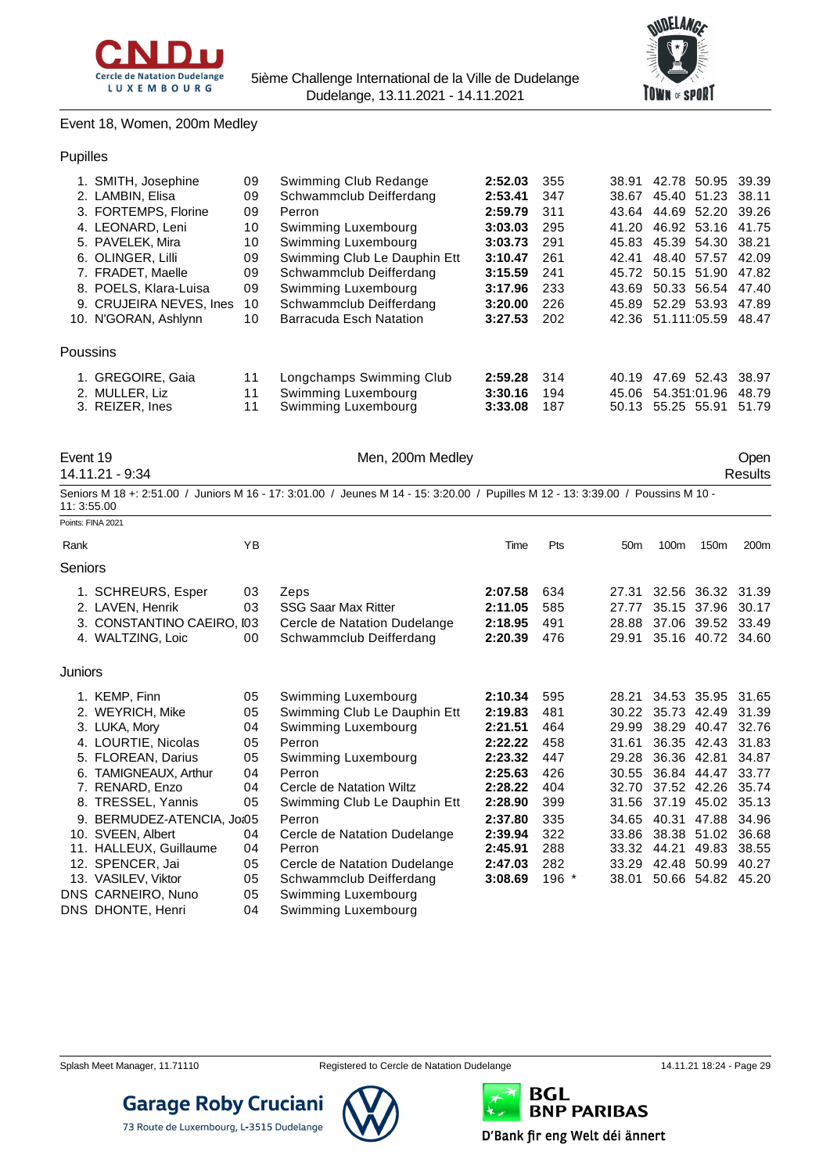



#### Event 18, Women, 200m Medley

|  | 1. SMITH, Josephine     | 09 | Swimming Club Redange        | 2:52.03 | 355 | 38.91 | 42.78 50.95 39.39        |       |
|--|-------------------------|----|------------------------------|---------|-----|-------|--------------------------|-------|
|  | 2. LAMBIN, Elisa        | 09 | Schwammclub Deifferdang      | 2:53.41 | 347 | 38.67 | 45.40 51.23 38.11        |       |
|  | 3. FORTEMPS, Florine    | 09 | Perron                       | 2:59.79 | 311 | 43.64 | 44.69 52.20 39.26        |       |
|  | 4. LEONARD, Leni        | 10 | Swimming Luxembourg          | 3:03.03 | 295 | 41.20 | 46.92 53.16 41.75        |       |
|  | 5. PAVELEK, Mira        | 10 | Swimming Luxembourg          | 3:03.73 | 291 | 45.83 | 45.39 54.30 38.21        |       |
|  | 6. OLINGER, Lilli       | 09 | Swimming Club Le Dauphin Ett | 3:10.47 | 261 | 42.41 | 48.40 57.57              | 42.09 |
|  | 7. FRADET, Maelle       | 09 | Schwammclub Deifferdang      | 3:15.59 | 241 |       | 45.72 50.15 51.90        | 47.82 |
|  | 8. POELS, Klara-Luisa   | 09 | Swimming Luxembourg          | 3:17.96 | 233 | 43.69 | 50.33 56.54              | 47.40 |
|  | 9. CRUJEIRA NEVES, Ines | 10 | Schwammclub Deifferdang      | 3:20.00 | 226 |       | 45.89 52.29 53.93        | 47.89 |
|  | 10. N'GORAN, Ashlynn    | 10 | Barracuda Esch Natation      | 3:27.53 | 202 |       | 42.36 51.111:05.59 48.47 |       |
|  | Poussins                |    |                              |         |     |       |                          |       |
|  | <b>GREGOIRE, Gaia</b>   | 11 | Longchamps Swimming Club     | 2:59.28 | 314 | 40.19 | 47.69 52.43              | 38.97 |
|  | 2. MULLER, Liz          | 11 | Swimming Luxembourg          | 3:30.16 | 194 | 45.06 | 54.351:01.96             | 48.79 |
|  | 3. REIZER, Ines         | 11 | Swimming Luxembourg          | 3:33.08 | 187 | 50.13 | 55.25 55.91              | 51.79 |

| Event 19 |  |
|----------|--|
|          |  |

14.11.21 - 9:34 Results

Men, 200m Medley **Open Open** 

| 11: 3:55.00 |                            |    | Seniors M 18 +: 2:51.00 / Juniors M 16 - 17: 3:01.00 / Jeunes M 14 - 15: 3:20.00 / Pupilles M 12 - 13: 3:39.00 / Poussins M 10 - |         |       |                 |                         |                   |       |
|-------------|----------------------------|----|----------------------------------------------------------------------------------------------------------------------------------|---------|-------|-----------------|-------------------------|-------------------|-------|
|             | Points: FINA 2021          |    |                                                                                                                                  |         |       |                 |                         |                   |       |
| Rank        |                            | YB |                                                                                                                                  | Time    | Pts   | 50 <sub>m</sub> | 100 <sub>m</sub>        | 150 <sub>m</sub>  | 200m  |
| Seniors     |                            |    |                                                                                                                                  |         |       |                 |                         |                   |       |
|             | 1. SCHREURS, Esper         | 03 | Zeps                                                                                                                             | 2:07.58 | 634   | 27.31           |                         | 32.56 36.32 31.39 |       |
|             | 2. LAVEN, Henrik           | 03 | <b>SSG Saar Max Ritter</b>                                                                                                       | 2:11.05 | 585   | 27.77           |                         | 35.15 37.96       | 30.17 |
|             | 3. CONSTANTINO CAEIRO, I03 |    | Cercle de Natation Dudelange                                                                                                     | 2:18.95 | 491   |                 | 28.88 37.06 39.52 33.49 |                   |       |
|             | 4. WALTZING, Loic          | 00 | Schwammclub Deifferdang                                                                                                          | 2:20.39 | 476   | 29.91           |                         | 35.16 40.72 34.60 |       |
| Juniors     |                            |    |                                                                                                                                  |         |       |                 |                         |                   |       |
|             | 1. KEMP, Finn              | 05 | Swimming Luxembourg                                                                                                              | 2:10.34 | 595   | 28.21           |                         | 34.53 35.95       | 31.65 |
|             | 2. WEYRICH, Mike           | 05 | Swimming Club Le Dauphin Ett                                                                                                     | 2:19.83 | 481   |                 | 30.22 35.73 42.49       |                   | 31.39 |
|             | 3. LUKA, Mory              | 04 | Swimming Luxembourg                                                                                                              | 2:21.51 | 464   | 29.99           |                         | 38.29 40.47       | 32.76 |
|             | 4. LOURTIE, Nicolas        | 05 | Perron                                                                                                                           | 2:22.22 | 458   | 31.61           |                         | 36.35 42.43       | 31.83 |
|             | 5. FLOREAN, Darius         | 05 | Swimming Luxembourg                                                                                                              | 2:23.32 | 447   | 29.28           | 36.36 42.81             |                   | 34.87 |
|             | 6. TAMIGNEAUX, Arthur      | 04 | Perron                                                                                                                           | 2:25.63 | 426   | 30.55           |                         | 36.84 44.47       | 33.77 |
|             | 7. RENARD, Enzo            | 04 | Cercle de Natation Wiltz                                                                                                         | 2:28.22 | 404   | 32.70           | 37.52 42.26             |                   | 35.74 |
|             | 8. TRESSEL, Yannis         | 05 | Swimming Club Le Dauphin Ett                                                                                                     | 2:28.90 | 399   | 31.56           | 37.19 45.02             |                   | 35.13 |
|             | 9. BERMUDEZ-ATENCIA, Joi05 |    | Perron                                                                                                                           | 2:37.80 | 335   | 34.65           | 40.31                   | 47.88             | 34.96 |
|             | 10. SVEEN, Albert          | 04 | Cercle de Natation Dudelange                                                                                                     | 2:39.94 | 322   | 33.86           |                         | 38.38 51.02       | 36.68 |
|             | 11. HALLEUX, Guillaume     | 04 | Perron                                                                                                                           | 2:45.91 | 288   | 33.32           | 44.21                   | 49.83             | 38.55 |
|             | 12. SPENCER, Jai           | 05 | Cercle de Natation Dudelange                                                                                                     | 2:47.03 | 282   | 33.29           |                         | 42.48 50.99       | 40.27 |
|             | 13. VASILEV, Viktor        | 05 | Schwammclub Deifferdang                                                                                                          | 3:08.69 | 196 * | 38.01           |                         | 50.66 54.82 45.20 |       |
|             | DNS CARNEIRO, Nuno         | 05 | Swimming Luxembourg                                                                                                              |         |       |                 |                         |                   |       |
|             | DNS DHONTE, Henri          | 04 | Swimming Luxembourg                                                                                                              |         |       |                 |                         |                   |       |



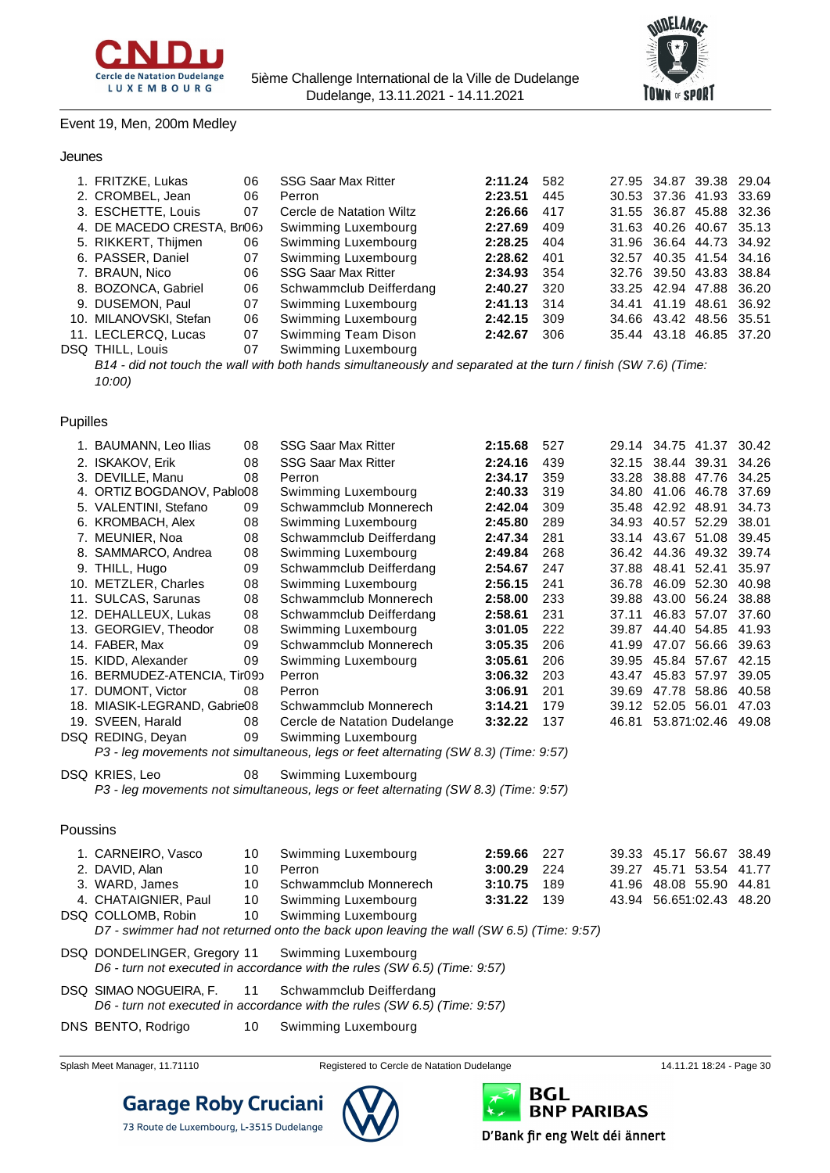



#### Event 19, Men, 200m Medley

#### Jeunes

| 1. FRITZKE, Lukas         | 06 | <b>SSG Saar Max Ritter</b> | 2:11.24 | 582 |  | 27.95 34.87 39.38 29.04 |  |
|---------------------------|----|----------------------------|---------|-----|--|-------------------------|--|
| 2. CROMBEL, Jean          | 06 | Perron                     | 2:23.51 | 445 |  | 30.53 37.36 41.93 33.69 |  |
| 3. ESCHETTE, Louis        | 07 | Cercle de Natation Wiltz   | 2:26.66 | 417 |  | 31.55 36.87 45.88 32.36 |  |
| 4. DE MACEDO CRESTA, Br06 |    | Swimming Luxembourg        | 2:27.69 | 409 |  | 31.63 40.26 40.67 35.13 |  |
| 5. RIKKERT, Thijmen       | 06 | Swimming Luxembourg        | 2:28.25 | 404 |  | 31.96 36.64 44.73 34.92 |  |
| 6. PASSER, Daniel         | 07 | Swimming Luxembourg        | 2:28.62 | 401 |  | 32.57 40.35 41.54 34.16 |  |
| 7. BRAUN, Nico            | 06 | <b>SSG Saar Max Ritter</b> | 2:34.93 | 354 |  | 32.76 39.50 43.83 38.84 |  |
| 8. BOZONCA, Gabriel       | 06 | Schwammclub Deifferdang    | 2:40.27 | 320 |  | 33.25 42.94 47.88 36.20 |  |
| 9. DUSEMON, Paul          | 07 | Swimming Luxembourg        | 2:41.13 | 314 |  | 34.41 41.19 48.61 36.92 |  |
| 10. MILANOVSKI, Stefan    | 06 | Swimming Luxembourg        | 2:42.15 | 309 |  | 34.66 43.42 48.56 35.51 |  |
| 11. LECLERCQ, Lucas       | 07 | Swimming Team Dison        | 2:42.67 | 306 |  | 35.44 43.18 46.85 37.20 |  |
| <b>DSQ THILL, Louis</b>   | 07 | Swimming Luxembourg        |         |     |  |                         |  |
|                           |    |                            |         |     |  |                         |  |

*B14 - did not touch the wall with both hands simultaneously and separated at the turn / finish (SW 7.6) (Time: 10:00)*

#### Pupilles

|          | 1. BAUMANN, Leo Ilias        | 08 | <b>SSG Saar Max Ritter</b>                                                              | 2:15.68 | 527 |       | 29.14 34.75 41.37       | 30.42 |
|----------|------------------------------|----|-----------------------------------------------------------------------------------------|---------|-----|-------|-------------------------|-------|
|          | 2. ISKAKOV, Erik             | 08 | <b>SSG Saar Max Ritter</b>                                                              | 2:24.16 | 439 |       | 32.15 38.44 39.31       | 34.26 |
|          | 3. DEVILLE, Manu             | 08 | Perron                                                                                  | 2:34.17 | 359 | 33.28 | 38.88 47.76             | 34.25 |
|          | 4. ORTIZ BOGDANOV, Pablo08   |    | Swimming Luxembourg                                                                     | 2:40.33 | 319 | 34.80 | 41.06 46.78             | 37.69 |
|          | 5. VALENTINI, Stefano        | 09 | Schwammclub Monnerech                                                                   | 2:42.04 | 309 | 35.48 | 42.92 48.91             | 34.73 |
|          | 6. KROMBACH, Alex            | 08 | Swimming Luxembourg                                                                     | 2:45.80 | 289 | 34.93 | 40.57 52.29             | 38.01 |
|          | 7. MEUNIER, Noa              | 08 | Schwammclub Deifferdang                                                                 | 2:47.34 | 281 |       | 33.14 43.67 51.08       | 39.45 |
|          | 8. SAMMARCO, Andrea          | 08 | Swimming Luxembourg                                                                     | 2:49.84 | 268 |       | 36.42 44.36 49.32 39.74 |       |
|          | 9. THILL, Hugo               | 09 | Schwammclub Deifferdang                                                                 | 2:54.67 | 247 | 37.88 | 48.41 52.41             | 35.97 |
|          | 10. METZLER, Charles         | 08 | Swimming Luxembourg                                                                     | 2:56.15 | 241 | 36.78 | 46.09 52.30             | 40.98 |
|          | 11. SULCAS, Sarunas          | 08 | Schwammclub Monnerech                                                                   | 2:58.00 | 233 | 39.88 | 43.00 56.24             | 38.88 |
|          | 12. DEHALLEUX, Lukas         | 08 | Schwammclub Deifferdang                                                                 | 2:58.61 | 231 | 37.11 | 46.83 57.07             | 37.60 |
|          | 13. GEORGIEV, Theodor        | 08 | Swimming Luxembourg                                                                     | 3:01.05 | 222 | 39.87 | 44.40 54.85             | 41.93 |
|          | 14. FABER, Max               | 09 | Schwammclub Monnerech                                                                   | 3:05.35 | 206 | 41.99 | 47.07 56.66             | 39.63 |
|          | 15. KIDD, Alexander          | 09 | Swimming Luxembourg                                                                     | 3:05.61 | 206 | 39.95 | 45.84 57.67             | 42.15 |
|          | 16. BERMUDEZ-ATENCIA, Tir09o |    | Perron                                                                                  | 3:06.32 | 203 | 43.47 | 45.83 57.97             | 39.05 |
|          | 17. DUMONT, Victor           | 08 | Perron                                                                                  | 3:06.91 | 201 | 39.69 | 47.78 58.86             | 40.58 |
|          | 18. MIASIK-LEGRAND, Gabrie08 |    | Schwammclub Monnerech                                                                   | 3:14.21 | 179 |       | 39.12 52.05 56.01       | 47.03 |
|          | 19. SVEEN, Harald            | 08 | Cercle de Natation Dudelange                                                            | 3:32.22 | 137 | 46.81 | 53.871:02.46 49.08      |       |
|          | DSQ REDING, Deyan            | 09 | Swimming Luxembourg                                                                     |         |     |       |                         |       |
|          |                              |    | P3 - leg movements not simultaneous, legs or feet alternating (SW 8.3) (Time: 9:57)     |         |     |       |                         |       |
|          | DSQ KRIES, Leo               | 08 | Swimming Luxembourg                                                                     |         |     |       |                         |       |
|          |                              |    | P3 - leg movements not simultaneous, legs or feet alternating (SW 8.3) (Time: 9:57)     |         |     |       |                         |       |
|          |                              |    |                                                                                         |         |     |       |                         |       |
| Poussins |                              |    |                                                                                         |         |     |       |                         |       |
|          | 1. CARNEIRO, Vasco           | 10 | Swimming Luxembourg                                                                     | 2:59.66 | 227 |       | 39.33 45.17 56.67       | 38.49 |
|          | 2. DAVID, Alan               | 10 | Perron                                                                                  | 3:00.29 | 224 | 39.27 | 45.71 53.54             | 41.77 |
|          | 3. WARD, James               | 10 | Schwammclub Monnerech                                                                   | 3:10.75 | 189 | 41.96 | 48.08 55.90             | 44.81 |
|          | 4. CHATAIGNIER, Paul         | 10 | Swimming Luxembourg                                                                     | 3:31.22 | 139 | 43.94 | 56.651:02.43            | 48.20 |
|          | DSQ COLLOMB, Robin           | 10 | Swimming Luxembourg                                                                     |         |     |       |                         |       |
|          |                              |    | D7 - swimmer had not returned onto the back upon leaving the wall (SW 6.5) (Time: 9:57) |         |     |       |                         |       |
|          |                              |    |                                                                                         |         |     |       |                         |       |

- DSQ DONDELINGER, Gregory 11 Swimming Luxembourg *D6 - turn not executed in accordance with the rules (SW 6.5) (Time: 9:57)*
- DSQ SIMAO NOGUEIRA, F. 11 Schwammclub Deifferdang *D6 - turn not executed in accordance with the rules (SW 6.5) (Time: 9:57)*
- DNS BENTO, Rodrigo 10 Swimming Luxembourg
- 



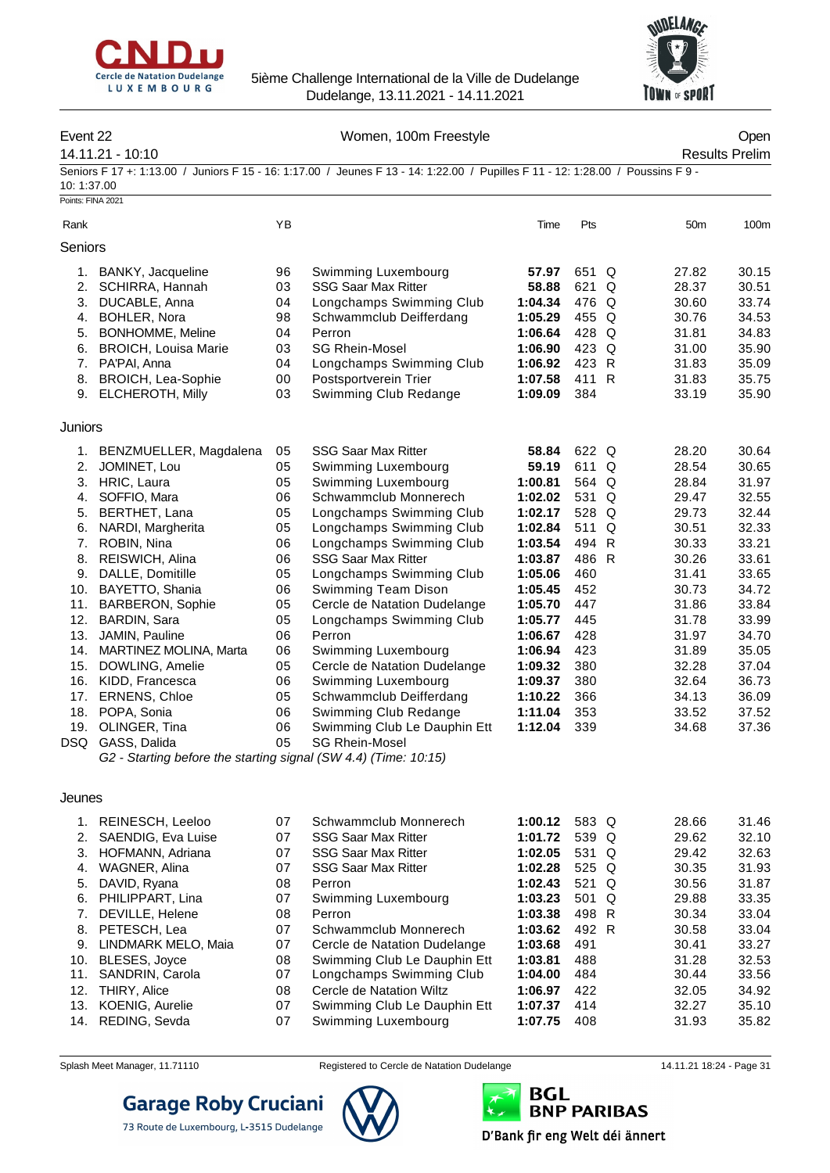



#### Event 22 Channel Communication Communication Communication Communication Communication Communication Communication Communication Communication Communication Communication Communication Communication Communication Communica

14.11.21 - 10:10 Results Prelim

Seniors F 17 +: 1:13.00 / Juniors F 15 - 16: 1:17.00 / Jeunes F 13 - 14: 1:22.00 / Pupilles F 11 - 12: 1:28.00 / Poussins F 9 - 10: 1:37.00

Points: FINA 2021

| Rank    |                                                                 | ΥB |                              | Time    | Pts   | 50 <sub>m</sub> | 100m  |
|---------|-----------------------------------------------------------------|----|------------------------------|---------|-------|-----------------|-------|
| Seniors |                                                                 |    |                              |         |       |                 |       |
| 1.      | BANKY, Jacqueline                                               | 96 | Swimming Luxembourg          | 57.97   | 651 Q | 27.82           | 30.15 |
| 2.      | SCHIRRA, Hannah                                                 | 03 | <b>SSG Saar Max Ritter</b>   | 58.88   | 621 Q | 28.37           | 30.51 |
| 3.      | DUCABLE, Anna                                                   | 04 | Longchamps Swimming Club     | 1:04.34 | 476 Q | 30.60           | 33.74 |
| 4.      | <b>BOHLER, Nora</b>                                             | 98 | Schwammclub Deifferdang      | 1:05.29 | 455 Q | 30.76           | 34.53 |
| 5.      | BONHOMME, Meline                                                | 04 | Perron                       | 1:06.64 | 428 Q | 31.81           | 34.83 |
| 6.      | <b>BROICH, Louisa Marie</b>                                     | 03 | <b>SG Rhein-Mosel</b>        | 1:06.90 | 423 Q | 31.00           | 35.90 |
| 7.      | PA'PAI, Anna                                                    | 04 | Longchamps Swimming Club     | 1:06.92 | 423 R | 31.83           | 35.09 |
| 8.      | <b>BROICH, Lea-Sophie</b>                                       | 00 | Postsportverein Trier        | 1:07.58 | 411 R | 31.83           | 35.75 |
| 9.      | <b>ELCHEROTH, Milly</b>                                         | 03 | Swimming Club Redange        | 1:09.09 | 384   | 33.19           | 35.90 |
| Juniors |                                                                 |    |                              |         |       |                 |       |
| 1.      | BENZMUELLER, Magdalena                                          | 05 | <b>SSG Saar Max Ritter</b>   | 58.84   | 622 Q | 28.20           | 30.64 |
| 2.      | JOMINET, Lou                                                    | 05 | Swimming Luxembourg          | 59.19   | 611 Q | 28.54           | 30.65 |
| 3.      | HRIC, Laura                                                     | 05 | Swimming Luxembourg          | 1:00.81 | 564 Q | 28.84           | 31.97 |
| 4.      | SOFFIO, Mara                                                    | 06 | Schwammclub Monnerech        | 1:02.02 | 531 Q | 29.47           | 32.55 |
| 5.      | BERTHET, Lana                                                   | 05 | Longchamps Swimming Club     | 1:02.17 | 528 Q | 29.73           | 32.44 |
| 6.      | NARDI, Margherita                                               | 05 | Longchamps Swimming Club     | 1:02.84 | 511 Q | 30.51           | 32.33 |
| 7.      | ROBIN, Nina                                                     | 06 | Longchamps Swimming Club     | 1:03.54 | 494 R | 30.33           | 33.21 |
| 8.      | REISWICH, Alina                                                 | 06 | <b>SSG Saar Max Ritter</b>   | 1:03.87 | 486 R | 30.26           | 33.61 |
| 9.      | DALLE, Domitille                                                | 05 | Longchamps Swimming Club     | 1:05.06 | 460   | 31.41           | 33.65 |
| 10.     | BAYETTO, Shania                                                 | 06 | Swimming Team Dison          | 1:05.45 | 452   | 30.73           | 34.72 |
| 11.     | <b>BARBERON, Sophie</b>                                         | 05 | Cercle de Natation Dudelange | 1:05.70 | 447   | 31.86           | 33.84 |
| 12.     | BARDIN, Sara                                                    | 05 | Longchamps Swimming Club     | 1:05.77 | 445   | 31.78           | 33.99 |
| 13.     | JAMIN, Pauline                                                  | 06 | Perron                       | 1:06.67 | 428   | 31.97           | 34.70 |
| 14.     | MARTINEZ MOLINA, Marta                                          | 06 | Swimming Luxembourg          | 1:06.94 | 423   | 31.89           | 35.05 |
| 15.     | DOWLING, Amelie                                                 | 05 | Cercle de Natation Dudelange | 1:09.32 | 380   | 32.28           | 37.04 |
| 16.     | KIDD, Francesca                                                 | 06 | Swimming Luxembourg          | 1:09.37 | 380   | 32.64           | 36.73 |
| 17.     | <b>ERNENS, Chloe</b>                                            | 05 | Schwammclub Deifferdang      | 1:10.22 | 366   | 34.13           | 36.09 |
| 18.     | POPA, Sonia                                                     | 06 | Swimming Club Redange        | 1:11.04 | 353   | 33.52           | 37.52 |
| 19.     | OLINGER, Tina                                                   | 06 | Swimming Club Le Dauphin Ett | 1:12.04 | 339   | 34.68           | 37.36 |
| DSQ     | GASS, Dalida                                                    | 05 | <b>SG Rhein-Mosel</b>        |         |       |                 |       |
|         | G2 - Starting before the starting signal (SW 4.4) (Time: 10:15) |    |                              |         |       |                 |       |
|         |                                                                 |    |                              |         |       |                 |       |

#### Jeunes

| $1_{\cdot}$ | REINESCH, Leeloo    | 07 | Schwammclub Monnerech        | 1:00.12 | 583 Q |    | 28.66 | 31.46 |
|-------------|---------------------|----|------------------------------|---------|-------|----|-------|-------|
| 2.          | SAENDIG, Eva Luise  | 07 | <b>SSG Saar Max Ritter</b>   | 1:01.72 | 539 Q |    | 29.62 | 32.10 |
| 3.          | HOFMANN, Adriana    | 07 | <b>SSG Saar Max Ritter</b>   | 1:02.05 | 531 Q |    | 29.42 | 32.63 |
| 4.          | WAGNER, Alina       | 07 | <b>SSG Saar Max Ritter</b>   | 1:02.28 | 525 Q |    | 30.35 | 31.93 |
| 5.          | DAVID, Ryana        | 08 | Perron                       | 1:02.43 | 521   | Q  | 30.56 | 31.87 |
| 6.          | PHILIPPART, Lina    | 07 | Swimming Luxembourg          | 1:03.23 | 501   | O. | 29.88 | 33.35 |
| 7.          | DEVILLE, Helene     | 08 | Perron                       | 1:03.38 | 498 R |    | 30.34 | 33.04 |
|             | 8. PETESCH, Lea     | 07 | Schwammclub Monnerech        | 1:03.62 | 492 R |    | 30.58 | 33.04 |
| 9.          | LINDMARK MELO, Maia | 07 | Cercle de Natation Dudelange | 1:03.68 | 491   |    | 30.41 | 33.27 |
|             | 10. BLESES, Joyce   | 08 | Swimming Club Le Dauphin Ett | 1:03.81 | 488   |    | 31.28 | 32.53 |
|             | 11. SANDRIN, Carola | 07 | Longchamps Swimming Club     | 1:04.00 | 484   |    | 30.44 | 33.56 |
|             | 12. THIRY, Alice    | 08 | Cercle de Natation Wiltz     | 1:06.97 | 422   |    | 32.05 | 34.92 |
|             | 13. KOENIG, Aurelie | 07 | Swimming Club Le Dauphin Ett | 1:07.37 | 414   |    | 32.27 | 35.10 |
|             | 14. REDING, Sevda   | 07 | Swimming Luxembourg          | 1:07.75 | 408   |    | 31.93 | 35.82 |
|             |                     |    |                              |         |       |    |       |       |



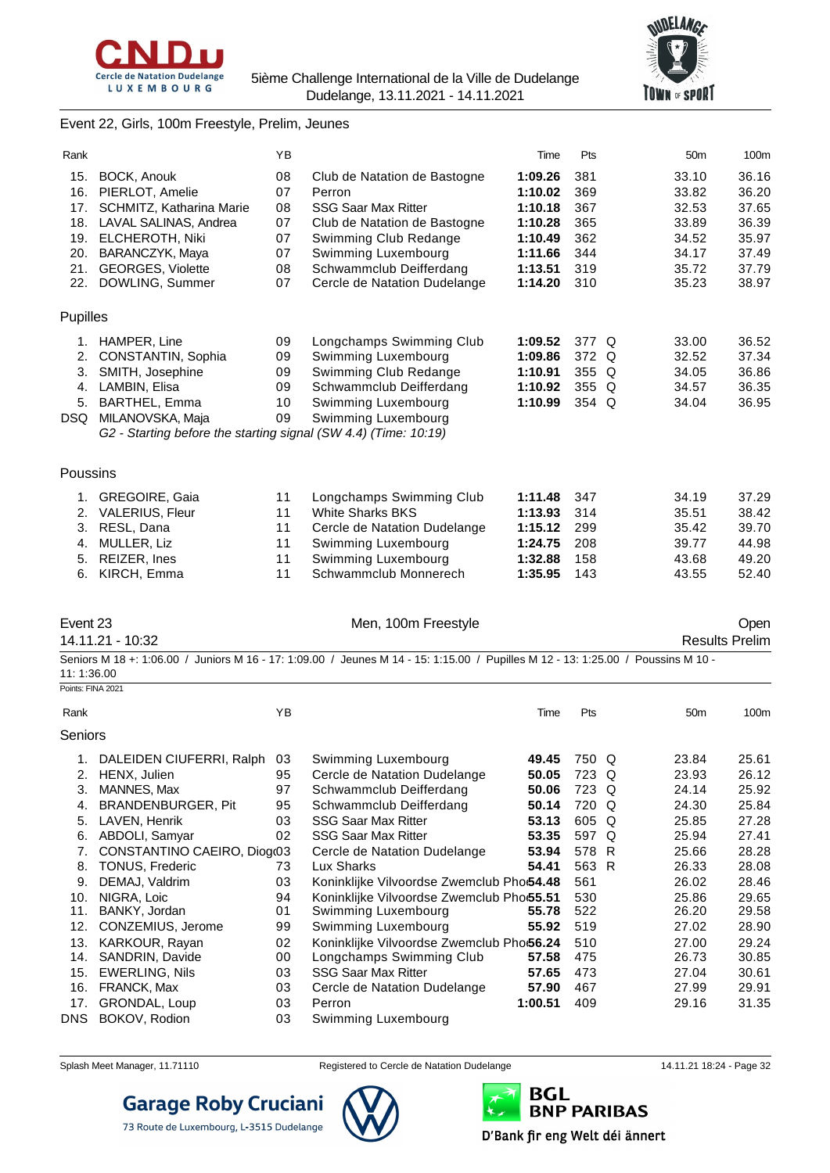



#### Event 22, Girls, 100m Freestyle, Prelim, Jeunes

| Rank              |                                                                 | ΥB       |                                                                                                                                  | Time               | Pts            | 50 <sub>m</sub> | 100m                  |
|-------------------|-----------------------------------------------------------------|----------|----------------------------------------------------------------------------------------------------------------------------------|--------------------|----------------|-----------------|-----------------------|
| 15.               | BOCK, Anouk                                                     | 08       | Club de Natation de Bastogne                                                                                                     | 1:09.26            | 381            | 33.10           | 36.16                 |
| 16.               | PIERLOT, Amelie                                                 | 07       | Perron                                                                                                                           | 1:10.02            | 369            | 33.82           | 36.20                 |
|                   | 17. SCHMITZ, Katharina Marie                                    | 08       | <b>SSG Saar Max Ritter</b>                                                                                                       | 1:10.18            | 367            | 32.53           | 37.65                 |
|                   | 18. LAVAL SALINAS, Andrea                                       | 07       | Club de Natation de Bastogne                                                                                                     | 1:10.28            | 365            | 33.89           | 36.39                 |
| 19.<br>20.        | <b>ELCHEROTH, Niki</b><br>BARANCZYK, Maya                       | 07<br>07 | Swimming Club Redange<br>Swimming Luxembourg                                                                                     | 1:10.49<br>1:11.66 | 362<br>344     | 34.52<br>34.17  | 35.97<br>37.49        |
| 21.               | <b>GEORGES, Violette</b>                                        | 08       | Schwammclub Deifferdang                                                                                                          | 1:13.51            | 319            | 35.72           | 37.79                 |
| 22.               | DOWLING, Summer                                                 | 07       | Cercle de Natation Dudelange                                                                                                     | 1:14.20            | 310            | 35.23           | 38.97                 |
|                   |                                                                 |          |                                                                                                                                  |                    |                |                 |                       |
| Pupilles          |                                                                 |          |                                                                                                                                  |                    |                |                 |                       |
| 1.                | HAMPER, Line                                                    | 09       | Longchamps Swimming Club                                                                                                         | 1:09.52            | 377 Q          | 33.00           | 36.52                 |
| 2.                | CONSTANTIN, Sophia                                              | 09       | Swimming Luxembourg                                                                                                              | 1:09.86            | 372 Q          | 32.52           | 37.34                 |
|                   | 3. SMITH, Josephine                                             | 09       | Swimming Club Redange                                                                                                            | 1:10.91            | 355 Q          | 34.05           | 36.86                 |
|                   | 4. LAMBIN, Elisa<br>5. BARTHEL, Emma                            | 09<br>10 | Schwammclub Deifferdang<br>Swimming Luxembourg                                                                                   | 1:10.92<br>1:10.99 | 355 Q<br>354 Q | 34.57<br>34.04  | 36.35<br>36.95        |
|                   | DSQ MILANOVSKA, Maja                                            | 09       | Swimming Luxembourg                                                                                                              |                    |                |                 |                       |
|                   | G2 - Starting before the starting signal (SW 4.4) (Time: 10:19) |          |                                                                                                                                  |                    |                |                 |                       |
|                   |                                                                 |          |                                                                                                                                  |                    |                |                 |                       |
| Poussins          |                                                                 |          |                                                                                                                                  |                    |                |                 |                       |
|                   | 1. GREGOIRE, Gaia                                               | 11       | Longchamps Swimming Club                                                                                                         | 1:11.48            | 347            | 34.19           | 37.29                 |
|                   | 2. VALERIUS, Fleur                                              | 11       | <b>White Sharks BKS</b>                                                                                                          | 1:13.93            | 314            | 35.51           | 38.42                 |
|                   | 3. RESL, Dana                                                   | 11       | Cercle de Natation Dudelange                                                                                                     | 1:15.12            | 299            | 35.42           | 39.70                 |
| 4.                | MULLER, Liz                                                     | 11       | Swimming Luxembourg                                                                                                              | 1:24.75            | 208            | 39.77           | 44.98                 |
| 5.                | REIZER, Ines                                                    | 11       | Swimming Luxembourg                                                                                                              | 1:32.88            | 158            | 43.68           | 49.20                 |
|                   | 6. KIRCH, Emma                                                  | 11       | Schwammclub Monnerech                                                                                                            | 1:35.95            | 143            | 43.55           | 52.40                 |
|                   |                                                                 |          |                                                                                                                                  |                    |                |                 |                       |
| Event 23          |                                                                 |          | Men, 100m Freestyle                                                                                                              |                    |                |                 | Open                  |
|                   | 14.11.21 - 10:32                                                |          |                                                                                                                                  |                    |                |                 | <b>Results Prelim</b> |
| 11:1:36.00        |                                                                 |          | Seniors M 18 +: 1:06.00 / Juniors M 16 - 17: 1:09.00 / Jeunes M 14 - 15: 1:15.00 / Pupilles M 12 - 13: 1:25.00 / Poussins M 10 - |                    |                |                 |                       |
| Points: FINA 2021 |                                                                 |          |                                                                                                                                  |                    |                |                 |                       |
| Rank              |                                                                 | ΥB       |                                                                                                                                  | Time               | Pts            | 50 <sub>m</sub> | 100m                  |
| Seniors           |                                                                 |          |                                                                                                                                  |                    |                |                 |                       |
|                   | 1. DALEIDEN CIUFERRI, Ralph 03                                  |          | Swimming Luxembourg                                                                                                              | 49.45              | 750 Q          | 23.84           | 25.61                 |
|                   | 2. HENX, Julien                                                 | 95       | Cercle de Natation Dudelange                                                                                                     | 50.05              | 723 Q          | 23.93           | 26.12                 |
| 3.                | MANNES, Max                                                     | 97       | Schwammclub Deifferdang                                                                                                          | 50.06              | 723 Q          | 24.14           | 25.92                 |
| 4.                | BRANDENBURGER, Pit                                              | 95       | Schwammclub Deifferdang                                                                                                          | 50.14              | 720 Q          | 24.30           | 25.84                 |
| 5.                | LAVEN, Henrik                                                   | 03       | <b>SSG Saar Max Ritter</b>                                                                                                       | 53.13              | 605 Q          | 25.85           | 27.28                 |
| 6.<br>7.          | ABDOLI, Samyar<br>CONSTANTINO CAEIRO, Diogr03                   | 02       | <b>SSG Saar Max Ritter</b><br>Cercle de Natation Dudelange                                                                       | 53.35<br>53.94     | 597 Q<br>578 R | 25.94<br>25.66  | 27.41<br>28.28        |
| 8.                | <b>TONUS, Frederic</b>                                          | 73       | Lux Sharks                                                                                                                       | 54.41              | 563 R          | 26.33           | 28.08                 |
| 9.                | DEMAJ, Valdrim                                                  | 03       | Koninklijke Vilvoordse Zwemclub Pho:54.48                                                                                        |                    | 561            | 26.02           | 28.46                 |
| 10.               | NIGRA, Loic                                                     | 94       | Koninklijke Vilvoordse Zwemclub Pho:55.51                                                                                        |                    | 530            | 25.86           | 29.65                 |
| 11.               | BANKY, Jordan                                                   | 01       | Swimming Luxembourg                                                                                                              | 55.78              | 522            | 26.20           | 29.58                 |
|                   | 12. CONZEMIUS, Jerome                                           | 99       | Swimming Luxembourg                                                                                                              | 55.92              | 519            | 27.02           | 28.90                 |
| 13.               | KARKOUR, Rayan                                                  | 02       | Koninklijke Vilvoordse Zwemclub Pho:56.24                                                                                        |                    | 510            | 27.00           | 29.24                 |
|                   | 14. SANDRIN, Davide                                             | 00       | Longchamps Swimming Club                                                                                                         | 57.58              | 475            | 26.73           | 30.85                 |
| 15.               | <b>EWERLING, Nils</b>                                           | 03       | <b>SSG Saar Max Ritter</b>                                                                                                       | 57.65              | 473            | 27.04           | 30.61                 |
| 16.               | FRANCK, Max                                                     | 03       | Cercle de Natation Dudelange                                                                                                     | 57.90              | 467            | 27.99           | 29.91                 |
|                   |                                                                 |          |                                                                                                                                  |                    |                |                 |                       |
| 17.<br>DNS        | GRONDAL, Loup<br>BOKOV, Rodion                                  | 03<br>03 | Perron<br>Swimming Luxembourg                                                                                                    | 1:00.51            | 409            | 29.16           | 31.35                 |



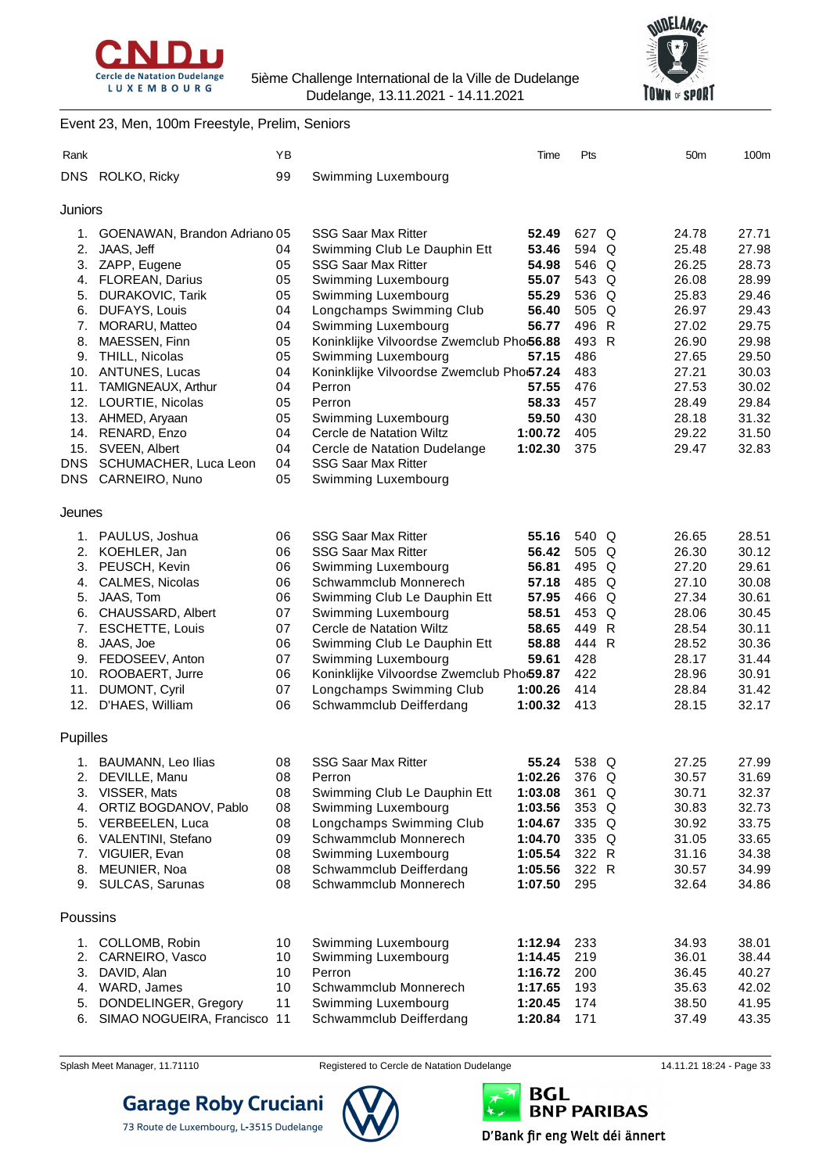



#### Event 23, Men, 100m Freestyle, Prelim, Seniors

| Rank            |                                              | ΥB       |                                                                  | Time               | Pts          | 50 <sub>m</sub> | 100m           |
|-----------------|----------------------------------------------|----------|------------------------------------------------------------------|--------------------|--------------|-----------------|----------------|
| DNS             | ROLKO, Ricky                                 | 99       | Swimming Luxembourg                                              |                    |              |                 |                |
|                 |                                              |          |                                                                  |                    |              |                 |                |
| Juniors         |                                              |          |                                                                  |                    |              |                 |                |
|                 | 1. GOENAWAN, Brandon Adriano 05              |          | <b>SSG Saar Max Ritter</b>                                       | 52.49              | 627 Q        | 24.78           | 27.71          |
|                 | 2. JAAS, Jeff                                | 04       | Swimming Club Le Dauphin Ett                                     | 53.46              | 594 Q        | 25.48           | 27.98          |
|                 | 3. ZAPP, Eugene                              | 05       | <b>SSG Saar Max Ritter</b>                                       | 54.98              | 546 Q        | 26.25           | 28.73          |
|                 | 4. FLOREAN, Darius                           | 05       | Swimming Luxembourg                                              | 55.07              | 543 Q        | 26.08           | 28.99          |
|                 | 5. DURAKOVIC, Tarik                          | 05       | Swimming Luxembourg                                              | 55.29              | 536 Q        | 25.83           | 29.46          |
|                 | 6. DUFAYS, Louis                             | 04       | Longchamps Swimming Club                                         | 56.40              | 505 Q        | 26.97           | 29.43          |
| 7.              | MORARU, Matteo                               | 04       | Swimming Luxembourg                                              | 56.77              | 496 R        | 27.02           | 29.75          |
| 8.              | MAESSEN, Finn                                | 05<br>05 | Koninklijke Vilvoordse Zwemclub Pho:56.88                        | 57.15              | 493 R<br>486 | 26.90<br>27.65  | 29.98<br>29.50 |
| 9.              | THILL, Nicolas                               | 04       | Swimming Luxembourg<br>Koninklijke Vilvoordse Zwemclub Pho:57.24 |                    | 483          | 27.21           |                |
|                 | 10. ANTUNES, Lucas<br>11. TAMIGNEAUX, Arthur | 04       | Perron                                                           | 57.55              | 476          | 27.53           | 30.03<br>30.02 |
|                 | 12. LOURTIE, Nicolas                         | 05       | Perron                                                           | 58.33              | 457          | 28.49           | 29.84          |
|                 | 13. AHMED, Aryaan                            | 05       | Swimming Luxembourg                                              | 59.50              | 430          | 28.18           | 31.32          |
| 14.             | RENARD, Enzo                                 | 04       | Cercle de Natation Wiltz                                         | 1:00.72            | 405          | 29.22           | 31.50          |
| 15.             | SVEEN, Albert                                | 04       | Cercle de Natation Dudelange                                     | 1:02.30            | 375          | 29.47           | 32.83          |
| DNS.            | SCHUMACHER, Luca Leon                        | 04       | <b>SSG Saar Max Ritter</b>                                       |                    |              |                 |                |
|                 | DNS CARNEIRO, Nuno                           | 05       | Swimming Luxembourg                                              |                    |              |                 |                |
|                 |                                              |          |                                                                  |                    |              |                 |                |
| Jeunes          |                                              |          |                                                                  |                    |              |                 |                |
|                 | 1. PAULUS, Joshua                            | 06       | <b>SSG Saar Max Ritter</b>                                       | 55.16              | 540 Q        | 26.65           | 28.51          |
|                 | 2. KOEHLER, Jan                              | 06       | <b>SSG Saar Max Ritter</b>                                       | 56.42              | 505 Q        | 26.30           | 30.12          |
|                 | 3. PEUSCH, Kevin                             | 06       | Swimming Luxembourg                                              | 56.81              | 495 Q        | 27.20           | 29.61          |
|                 | 4. CALMES, Nicolas                           | 06       | Schwammclub Monnerech                                            | 57.18              | 485 Q        | 27.10           | 30.08          |
| 5.              | JAAS, Tom                                    | 06       | Swimming Club Le Dauphin Ett                                     | 57.95              | 466 Q        | 27.34           | 30.61          |
| 6.              | CHAUSSARD, Albert                            | 07       | Swimming Luxembourg                                              | 58.51              | 453 Q        | 28.06           | 30.45          |
|                 | 7. ESCHETTE, Louis                           | 07       | Cercle de Natation Wiltz                                         | 58.65              | 449 R        | 28.54           | 30.11          |
|                 | 8. JAAS, Joe                                 | 06       | Swimming Club Le Dauphin Ett                                     | 58.88              | 444 R        | 28.52           | 30.36          |
|                 | 9. FEDOSEEV, Anton                           | 07       | Swimming Luxembourg                                              | 59.61              | 428          | 28.17           | 31.44          |
| 10.             | ROOBAERT, Jurre                              | 06       | Koninklijke Vilvoordse Zwemclub Pho:59.87                        |                    | 422          | 28.96           | 30.91          |
| 11.             | DUMONT, Cyril                                | 07       | Longchamps Swimming Club                                         | 1:00.26            | 414          | 28.84           | 31.42          |
|                 | 12. D'HAES, William                          | 06       | Schwammclub Deifferdang                                          | 1:00.32            | 413          | 28.15           | 32.17          |
| <b>Pupilles</b> |                                              |          |                                                                  |                    |              |                 |                |
|                 | BAUMANN, Leo Ilias                           | 08       | SSG Saar Max Ritter                                              | 55.24              | 538 Q        | 27.25           | 27.99          |
| 1.<br>2.        | DEVILLE, Manu                                | 08       | Perron                                                           | 1:02.26            | 376 Q        | 30.57           | 31.69          |
|                 | 3. VISSER, Mats                              | 08       | Swimming Club Le Dauphin Ett                                     | 1:03.08            | 361 Q        | 30.71           | 32.37          |
| 4.              | ORTIZ BOGDANOV, Pablo                        | 08       | Swimming Luxembourg                                              | 1:03.56            | 353 Q        | 30.83           | 32.73          |
| 5.              | VERBEELEN, Luca                              | 08       | Longchamps Swimming Club                                         | 1:04.67            | 335 Q        | 30.92           | 33.75          |
| 6.              | VALENTINI, Stefano                           | 09       | Schwammclub Monnerech                                            | 1:04.70            | 335 Q        | 31.05           | 33.65          |
| 7.              | VIGUIER, Evan                                | 08       | Swimming Luxembourg                                              | 1:05.54            | 322 R        | 31.16           | 34.38          |
| 8.              | MEUNIER, Noa                                 | 08       | Schwammclub Deifferdang                                          | 1:05.56            | 322 R        | 30.57           | 34.99          |
|                 | 9. SULCAS, Sarunas                           | 08       | Schwammclub Monnerech                                            | 1:07.50            | 295          | 32.64           | 34.86          |
| Poussins        |                                              |          |                                                                  |                    |              |                 |                |
|                 |                                              |          |                                                                  |                    |              |                 |                |
| 1.              | COLLOMB, Robin                               | 10       | Swimming Luxembourg                                              | 1:12.94            | 233          | 34.93           | 38.01          |
| 2.<br>3.        | CARNEIRO, Vasco                              | 10<br>10 | Swimming Luxembourg<br>Perron                                    | 1:14.45            | 219          | 36.01<br>36.45  | 38.44          |
| 4.              | DAVID, Alan<br>WARD, James                   | 10       | Schwammclub Monnerech                                            | 1:16.72<br>1:17.65 | 200<br>193   | 35.63           | 40.27<br>42.02 |
| 5.              | DONDELINGER, Gregory                         | 11       | Swimming Luxembourg                                              | 1:20.45            | 174          | 38.50           | 41.95          |
| 6.              | SIMAO NOGUEIRA, Francisco                    | 11       | Schwammclub Deifferdang                                          | 1:20.84            | 171          | 37.49           | 43.35          |



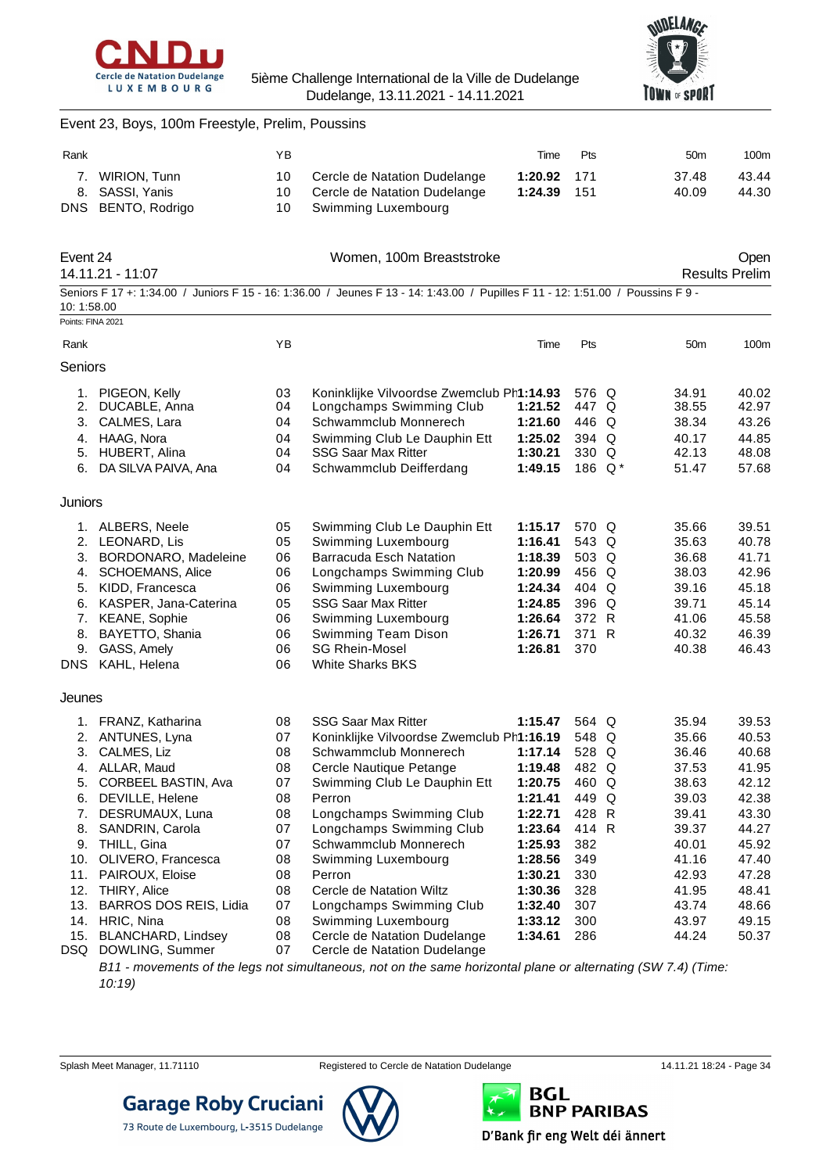



### Event 23, Boys, 100m Freestyle, Prelim, Poussins

| Rank |                                       | ΥB  |                                                           | Time        | <b>Pts</b> | 50 <sub>m</sub> | 100m  |
|------|---------------------------------------|-----|-----------------------------------------------------------|-------------|------------|-----------------|-------|
|      | 7. WIRION, Tunn                       | 10. | Cercle de Natation Dudelange                              | 1:20.92 171 |            | 37.48           | 43.44 |
|      | 8. SASSI, Yanis<br>DNS BENTO, Rodrigo |     | 10 Cercle de Natation Dudelange<br>10 Swimming Luxembourg | 1:24.39     | - 151      | 40.09           | 44.30 |

| Event 24<br>14.11.21 - 11:07     |                                                                                                      |                                  | Women, 100m Breaststroke                                                                                                                                                                |                                                     |                                                        |                                                    | Open<br><b>Results Prelim</b>                      |
|----------------------------------|------------------------------------------------------------------------------------------------------|----------------------------------|-----------------------------------------------------------------------------------------------------------------------------------------------------------------------------------------|-----------------------------------------------------|--------------------------------------------------------|----------------------------------------------------|----------------------------------------------------|
|                                  | 10:1:58.00                                                                                           |                                  | Seniors F 17 +: 1:34.00 / Juniors F 15 - 16: 1:36.00 / Jeunes F 13 - 14: 1:43.00 / Pupilles F 11 - 12: 1:51.00 / Poussins F 9 -                                                         |                                                     |                                                        |                                                    |                                                    |
|                                  | Points: FINA 2021                                                                                    |                                  |                                                                                                                                                                                         |                                                     |                                                        |                                                    |                                                    |
| Rank                             |                                                                                                      | YB                               |                                                                                                                                                                                         | Time                                                | Pts                                                    | 50 <sub>m</sub>                                    | 100 <sub>m</sub>                                   |
| Seniors                          |                                                                                                      |                                  |                                                                                                                                                                                         |                                                     |                                                        |                                                    |                                                    |
| 1.<br>2.<br>3.<br>4.<br>5.<br>6. | PIGEON, Kelly<br>DUCABLE, Anna<br>CALMES, Lara<br>HAAG, Nora<br>HUBERT, Alina<br>DA SILVA PAIVA, Ana | 03<br>04<br>04<br>04<br>04<br>04 | Koninklijke Vilvoordse Zwemclub Ph1:14.93<br>Longchamps Swimming Club<br>Schwammclub Monnerech<br>Swimming Club Le Dauphin Ett<br><b>SSG Saar Max Ritter</b><br>Schwammclub Deifferdang | 1:21.52<br>1:21.60<br>1:25.02<br>1:30.21<br>1:49.15 | 576 Q<br>447 Q<br>446 Q<br>394 Q<br>330 Q<br>186 $Q^*$ | 34.91<br>38.55<br>38.34<br>40.17<br>42.13<br>51.47 | 40.02<br>42.97<br>43.26<br>44.85<br>48.08<br>57.68 |
| <b>Juniors</b><br>-1             | ALBERS Neele                                                                                         | <b>OF</b>                        | Swimming Club Le Douphin Ett                                                                                                                                                            | 1.15.17                                             | 570 O                                                  | 2566                                               | <b>30 51</b>                                       |

| 1. ALBERS, Neele         | 05 | Swimming Club Le Dauphin Ett | 1:15.17 | 570 Q | 35.66 | 39.51 |
|--------------------------|----|------------------------------|---------|-------|-------|-------|
| 2. LEONARD. Lis          | 05 | Swimming Luxembourg          | 1:16.41 | 543 Q | 35.63 | 40.78 |
| 3. BORDONARO, Madeleine  | 06 | Barracuda Esch Natation      | 1:18.39 | 503 Q | 36.68 | 41.71 |
| 4. SCHOEMANS, Alice      | 06 | Longchamps Swimming Club     | 1:20.99 | 456 Q | 38.03 | 42.96 |
| 5. KIDD, Francesca       | 06 | Swimming Luxembourg          | 1:24.34 | 404 Q | 39.16 | 45.18 |
| 6. KASPER, Jana-Caterina | 05 | <b>SSG Saar Max Ritter</b>   | 1:24.85 | 396 Q | 39.71 | 45.14 |
| 7. KEANE, Sophie         | 06 | Swimming Luxembourg          | 1:26.64 | 372 R | 41.06 | 45.58 |
| 8. BAYETTO, Shania       | 06 | Swimming Team Dison          | 1:26.71 | 371 R | 40.32 | 46.39 |
| 9. GASS, Amely           | 06 | <b>SG Rhein-Mosel</b>        | 1:26.81 | 370   | 40.38 | 46.43 |
| DNS KAHL, Helena         | 06 | <b>White Sharks BKS</b>      |         |       |       |       |
|                          |    |                              |         |       |       |       |

#### Jeunes

|      | FRANZ, Katharina              | 08 | <b>SSG Saar Max Ritter</b>                | 1:15.47 | 564 Q | 35.94 | 39.53 |
|------|-------------------------------|----|-------------------------------------------|---------|-------|-------|-------|
| 2.   | ANTUNES, Lyna                 | 07 | Koninklijke Vilvoordse Zwemclub Ph1:16.19 |         | 548 Q | 35.66 | 40.53 |
| 3.   | CALMES, Liz                   | 08 | Schwammclub Monnerech                     | 1:17.14 | 528 Q | 36.46 | 40.68 |
| 4.   | ALLAR, Maud                   | 08 | Cercle Nautique Petange                   | 1:19.48 | 482 Q | 37.53 | 41.95 |
| 5.   | <b>CORBEEL BASTIN, Ava</b>    | 07 | Swimming Club Le Dauphin Ett              | 1:20.75 | 460 Q | 38.63 | 42.12 |
| 6.   | DEVILLE, Helene               | 08 | Perron                                    | 1:21.41 | 449 Q | 39.03 | 42.38 |
| 7.   | DESRUMAUX, Luna               | 08 | Longchamps Swimming Club                  | 1:22.71 | 428 R | 39.41 | 43.30 |
| 8.   | SANDRIN, Carola               | 07 | Longchamps Swimming Club                  | 1:23.64 | 414 R | 39.37 | 44.27 |
| 9.   | THILL, Gina                   | 07 | Schwammclub Monnerech                     | 1:25.93 | 382   | 40.01 | 45.92 |
| 10.  | OLIVERO, Francesca            | 08 | Swimming Luxembourg                       | 1:28.56 | 349   | 41.16 | 47.40 |
| 11.  | PAIROUX, Eloise               | 08 | Perron                                    | 1:30.21 | 330   | 42.93 | 47.28 |
| 12.  | <b>THIRY, Alice</b>           | 08 | Cercle de Natation Wiltz                  | 1:30.36 | 328   | 41.95 | 48.41 |
| 13.  | <b>BARROS DOS REIS, Lidia</b> | 07 | Longchamps Swimming Club                  | 1:32.40 | 307   | 43.74 | 48.66 |
| 14.  | HRIC, Nina                    | 08 | Swimming Luxembourg                       | 1:33.12 | 300   | 43.97 | 49.15 |
| 15.  | BLANCHARD, Lindsey            | 08 | Cercle de Natation Dudelange              | 1:34.61 | 286   | 44.24 | 50.37 |
| DSQ. | DOWLING, Summer               | 07 | Cercle de Natation Dudelange              |         |       |       |       |

*B11 - movements of the legs not simultaneous, not on the same horizontal plane or alternating (SW 7.4) (Time: 10:19)*



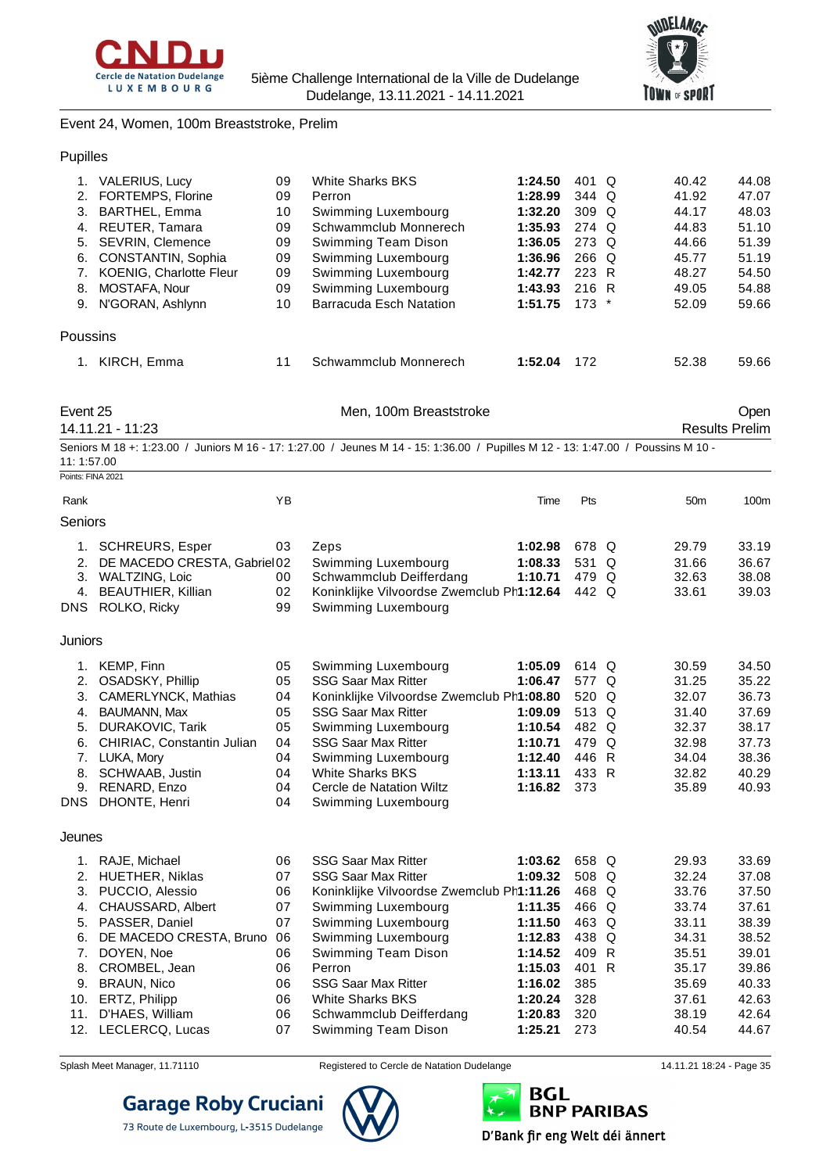



Event 24, Women, 100m Breaststroke, Prelim

|  | Pupilles |
|--|----------|
|  |          |

|          | VALERIUS, Lucy                 | 09 | White Sharks BKS        | 1:24.50 | 401 Q            | 40.42 | 44.08 |
|----------|--------------------------------|----|-------------------------|---------|------------------|-------|-------|
|          | 2. FORTEMPS, Florine           | 09 | Perron                  | 1:28.99 | 344 Q            | 41.92 | 47.07 |
| 3.       | BARTHEL, Emma                  | 10 | Swimming Luxembourg     | 1:32.20 | 309 <sub>o</sub> | 44.17 | 48.03 |
| 4.       | REUTER, Tamara                 | 09 | Schwammclub Monnerech   | 1:35.93 | 274 Q            | 44.83 | 51.10 |
| 5.       | SEVRIN, Clemence               | 09 | Swimming Team Dison     | 1:36.05 | 273 Q            | 44.66 | 51.39 |
| 6.       | CONSTANTIN, Sophia             | 09 | Swimming Luxembourg     | 1:36.96 | $266$ Q          | 45.77 | 51.19 |
|          | <b>KOENIG, Charlotte Fleur</b> | 09 | Swimming Luxembourg     | 1:42.77 | 223 R            | 48.27 | 54.50 |
| 8.       | MOSTAFA, Nour                  | 09 | Swimming Luxembourg     | 1:43.93 | 216 R            | 49.05 | 54.88 |
| 9.       | N'GORAN, Ashlynn               | 10 | Barracuda Esch Natation | 1:51.75 | $173$ *          | 52.09 | 59.66 |
| Poussins |                                |    |                         |         |                  |       |       |
|          | KIRCH, Emma                    | 11 | Schwammclub Monnerech   | 1:52.04 | 172              | 52.38 | 59.66 |
|          |                                |    |                         |         |                  |       |       |

| Event 25         | Men, 100m Breaststroke                                                                                                           | Open                  |
|------------------|----------------------------------------------------------------------------------------------------------------------------------|-----------------------|
| 14.11.21 - 11:23 |                                                                                                                                  | <b>Results Prelim</b> |
|                  | Seniors M 18 +: 1:23.00 / Juniors M 16 - 17: 1:27.00 / Jeunes M 14 - 15: 1:36.00 / Pupilles M 12 - 13: 1:47.00 / Poussins M 10 - |                       |

|  |  | 11: 1:57.00 |  |
|--|--|-------------|--|
|  |  |             |  |
|  |  |             |  |

| Points: FINA 2021 |                              |    |                                           |         |       |   |                 |       |
|-------------------|------------------------------|----|-------------------------------------------|---------|-------|---|-----------------|-------|
| Rank              |                              | ΥB |                                           | Time    | Pts   |   | 50 <sub>m</sub> | 100m  |
| Seniors           |                              |    |                                           |         |       |   |                 |       |
|                   | 1. SCHREURS, Esper           | 03 | Zeps                                      | 1:02.98 | 678 Q |   | 29.79           | 33.19 |
| 2.                | DE MACEDO CRESTA, Gabriel 02 |    | Swimming Luxembourg                       | 1:08.33 | 531 Q |   | 31.66           | 36.67 |
| 3.                | WALTZING, Loic               | 00 | Schwammclub Deifferdang                   | 1:10.71 | 479 Q |   | 32.63           | 38.08 |
| 4.                | <b>BEAUTHIER, Killian</b>    | 02 | Koninklijke Vilvoordse Zwemclub Ph1:12.64 |         | 442 Q |   | 33.61           | 39.03 |
| DNS.              | ROLKO, Ricky                 | 99 | Swimming Luxembourg                       |         |       |   |                 |       |
| Juniors           |                              |    |                                           |         |       |   |                 |       |
| 1.                | KEMP, Finn                   | 05 | Swimming Luxembourg                       | 1:05.09 | 614 Q |   | 30.59           | 34.50 |
| 2.                | OSADSKY, Phillip             | 05 | <b>SSG Saar Max Ritter</b>                | 1:06.47 | 577 Q |   | 31.25           | 35.22 |
| 3.                | CAMERLYNCK, Mathias          | 04 | Koninklijke Vilvoordse Zwemclub Ph1:08.80 |         | 520 Q |   | 32.07           | 36.73 |
| 4.                | <b>BAUMANN, Max</b>          | 05 | <b>SSG Saar Max Ritter</b>                | 1:09.09 | 513 Q |   | 31.40           | 37.69 |
| 5.                | DURAKOVIC, Tarik             | 05 | Swimming Luxembourg                       | 1:10.54 | 482 Q |   | 32.37           | 38.17 |
| 6.                | CHIRIAC, Constantin Julian   | 04 | <b>SSG Saar Max Ritter</b>                | 1:10.71 | 479   | Q | 32.98           | 37.73 |
| 7.                | LUKA, Mory                   | 04 | Swimming Luxembourg                       | 1:12.40 | 446 R |   | 34.04           | 38.36 |
| 8.                | SCHWAAB, Justin              | 04 | <b>White Sharks BKS</b>                   | 1:13.11 | 433 R |   | 32.82           | 40.29 |
| 9.                | RENARD, Enzo                 | 04 | Cercle de Natation Wiltz                  | 1:16.82 | 373   |   | 35.89           | 40.93 |
| DNS.              | DHONTE, Henri                | 04 | Swimming Luxembourg                       |         |       |   |                 |       |
| Jeunes            |                              |    |                                           |         |       |   |                 |       |
|                   | 1. RAJE, Michael             | 06 | <b>SSG Saar Max Ritter</b>                | 1:03.62 | 658 Q |   | 29.93           | 33.69 |
| 2.                | <b>HUETHER, Niklas</b>       | 07 | <b>SSG Saar Max Ritter</b>                | 1:09.32 | 508 Q |   | 32.24           | 37.08 |
| 3.                | PUCCIO, Alessio              | 06 | Koninklijke Vilvoordse Zwemclub Ph1:11.26 |         | 468   | Q | 33.76           | 37.50 |
| 4.                | CHAUSSARD, Albert            | 07 | Swimming Luxembourg                       | 1:11.35 | 466   | Q | 33.74           | 37.61 |
| 5.                | PASSER, Daniel               | 07 | Swimming Luxembourg                       | 1:11.50 | 463   | Q | 33.11           | 38.39 |
| 6.                | DE MACEDO CRESTA, Bruno      | 06 | Swimming Luxembourg                       | 1:12.83 | 438   | Q | 34.31           | 38.52 |
| 7.                | DOYEN, Noe                   | 06 | Swimming Team Dison                       | 1:14.52 | 409 R |   | 35.51           | 39.01 |
| 8.                | CROMBEL, Jean                | 06 | Perron                                    | 1:15.03 | 401 R |   | 35.17           | 39.86 |
| 9.                | <b>BRAUN, Nico</b>           | 06 | <b>SSG Saar Max Ritter</b>                | 1:16.02 | 385   |   | 35.69           | 40.33 |
| 10.               | ERTZ, Philipp                | 06 | <b>White Sharks BKS</b>                   | 1:20.24 | 328   |   | 37.61           | 42.63 |
| 11.               | D'HAES, William              | 06 | Schwammclub Deifferdang                   | 1:20.83 | 320   |   | 38.19           | 42.64 |
| 12.               | LECLERCQ, Lucas              | 07 | Swimming Team Dison                       | 1:25.21 | 273   |   | 40.54           | 44.67 |



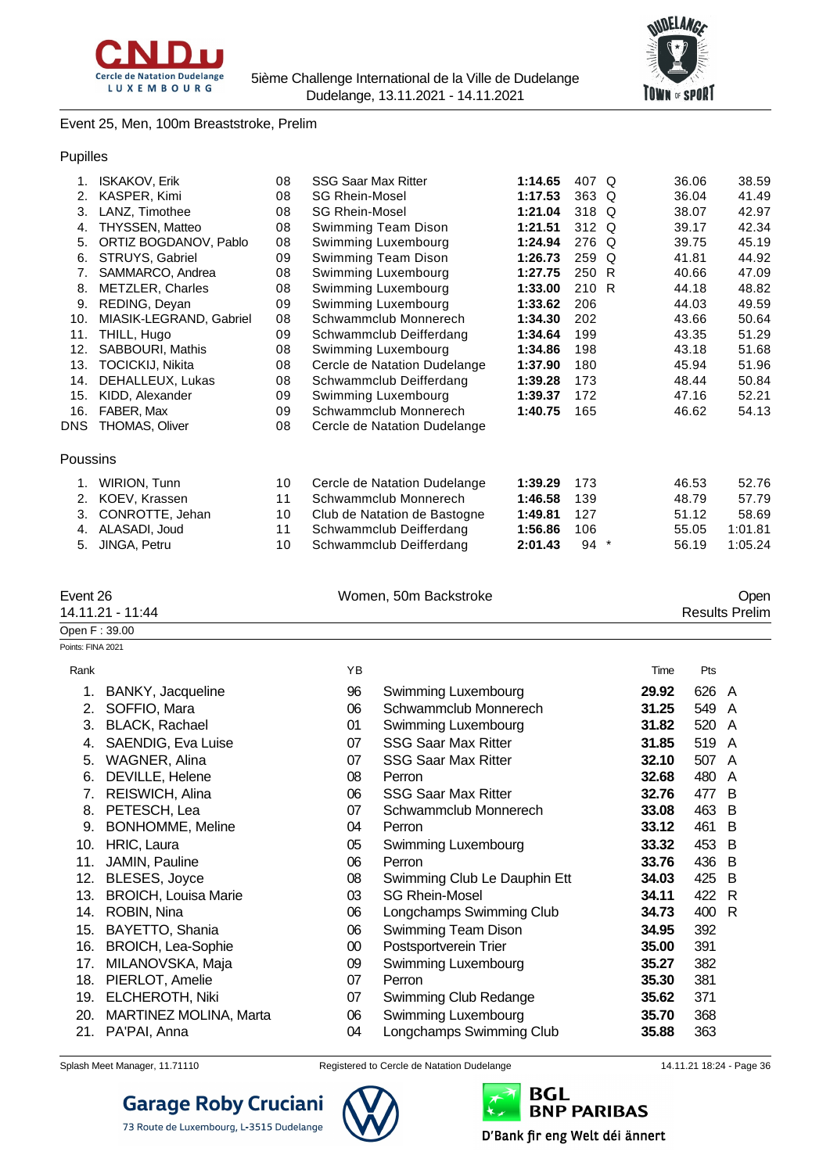



#### Event 25, Men, 100m Breaststroke, Prelim

#### Pupilles

| 1.       | <b>ISKAKOV, Erik</b>    | 08 | <b>SSG Saar Max Ritter</b>   | 1:14.65 | 407   | Q      | 36.06 | 38.59   |
|----------|-------------------------|----|------------------------------|---------|-------|--------|-------|---------|
| 2.       | KASPER, Kimi            | 08 | <b>SG Rhein-Mosel</b>        | 1:17.53 | 363 Q |        | 36.04 | 41.49   |
| 3.       | LANZ, Timothee          | 08 | <b>SG Rhein-Mosel</b>        | 1:21.04 | 318 Q |        | 38.07 | 42.97   |
| 4.       | <b>THYSSEN, Matteo</b>  | 08 | Swimming Team Dison          | 1:21.51 | 312 Q |        | 39.17 | 42.34   |
| 5.       | ORTIZ BOGDANOV, Pablo   | 08 | Swimming Luxembourg          | 1:24.94 | 276 Q |        | 39.75 | 45.19   |
| 6.       | STRUYS, Gabriel         | 09 | Swimming Team Dison          | 1:26.73 | 259 Q |        | 41.81 | 44.92   |
| 7.       | SAMMARCO, Andrea        | 08 | Swimming Luxembourg          | 1:27.75 | 250 R |        | 40.66 | 47.09   |
| 8.       | METZLER, Charles        | 08 | Swimming Luxembourg          | 1:33.00 | 210 R |        | 44.18 | 48.82   |
| 9.       | REDING, Deyan           | 09 | Swimming Luxembourg          | 1:33.62 | 206   |        | 44.03 | 49.59   |
| 10.      | MIASIK-LEGRAND, Gabriel | 08 | Schwammclub Monnerech        | 1:34.30 | 202   |        | 43.66 | 50.64   |
| 11.      | THILL, Hugo             | 09 | Schwammclub Deifferdang      | 1:34.64 | 199   |        | 43.35 | 51.29   |
| 12.      | SABBOURI, Mathis        | 08 | Swimming Luxembourg          | 1:34.86 | 198   |        | 43.18 | 51.68   |
| 13.      | <b>TOCICKIJ, Nikita</b> | 08 | Cercle de Natation Dudelange | 1:37.90 | 180   |        | 45.94 | 51.96   |
| 14.      | DEHALLEUX, Lukas        | 08 | Schwammclub Deifferdang      | 1:39.28 | 173   |        | 48.44 | 50.84   |
| 15.      | KIDD, Alexander         | 09 | Swimming Luxembourg          | 1:39.37 | 172   |        | 47.16 | 52.21   |
| 16.      | FABER, Max              | 09 | Schwammclub Monnerech        | 1:40.75 | 165   |        | 46.62 | 54.13   |
| DNS.     | THOMAS, Oliver          | 08 | Cercle de Natation Dudelange |         |       |        |       |         |
| Poussins |                         |    |                              |         |       |        |       |         |
| 1.       | WIRION, Tunn            | 10 | Cercle de Natation Dudelange | 1:39.29 | 173   |        | 46.53 | 52.76   |
| 2.       | KOEV, Krassen           | 11 | Schwammclub Monnerech        | 1:46.58 | 139   |        | 48.79 | 57.79   |
| 3.       | CONROTTE, Jehan         | 10 | Club de Natation de Bastogne | 1:49.81 | 127   |        | 51.12 | 58.69   |
| 4.       | ALASADI, Joud           | 11 | Schwammclub Deifferdang      | 1:56.86 | 106   |        | 55.05 | 1:01.81 |
| 5.       | JINGA, Petru            | 10 | Schwammclub Deifferdang      | 2:01.43 | 94    | $\ast$ | 56.19 | 1:05.24 |
|          |                         |    |                              |         |       |        |       |         |
|          |                         |    |                              |         |       |        |       |         |

| Oper                  |
|-----------------------|
| Women, 50m Backstroke |

### 14.11.21 - 11:44 Results Prelim Open F : 39.00 Points: FINA 2021 Rank Time Pts 1. BANKY, Jacqueline 96 Swimming Luxembourg **29.92** 626 A 2. SOFFIO, Mara 06 Schwammclub Monnerech **31.25** 549 A 3. BLACK, Rachael 01 Swimming Luxembourg **31.82** 520 A 4. SAENDIG, Eva Luise 07 SSG Saar Max Ritter **31.85** 519 A 5. WAGNER, Alina 07 SSG Saar Max Ritter **32.10** 507 A 6. DEVILLE, Helene 08 Perron **32.68** 480 A 7. REISWICH, Alina 06 SSG Saar Max Ritter **32.76** 477 B 8. PETESCH, Lea 07 Schwammclub Monnerech **33.08** 463 B 9. BONHOMME, Meline 04 Perron **33.12** 461 B 10. HRIC, Laura 05 Swimming Luxembourg **33.32** 453 B 11. JAMIN, Pauline 06 Perron **33.76** 436 B 12. BLESES, Joyce 08 Swimming Club Le Dauphin Ett **34.03** 425 B 13. BROICH, Louisa Marie 03 SG Rhein-Mosel **34.11** 422 R 14. ROBIN, Nina 06 Longchamps Swimming Club **34.73** 400 R 15. BAYETTO, Shania 06 Swimming Team Dison **34.95** 392 16. BROICH, Lea-Sophie 00 Postsportverein Trier **35.00** 391 17. MILANOVSKA, Maja 09 Swimming Luxembourg **35.27** 382 18. PIERLOT, Amelie 07 Perron **35.30** 381 19. ELCHEROTH, Niki 07 Swimming Club Redange **35.62** 371 20. MARTINEZ MOLINA, Marta 06 Swimming Luxembourg **35.70** 368 21. PA'PAI, Anna 04 Longchamps Swimming Club **35.88** 363

73 Route de Luxembourg, L-3515 Dudelange



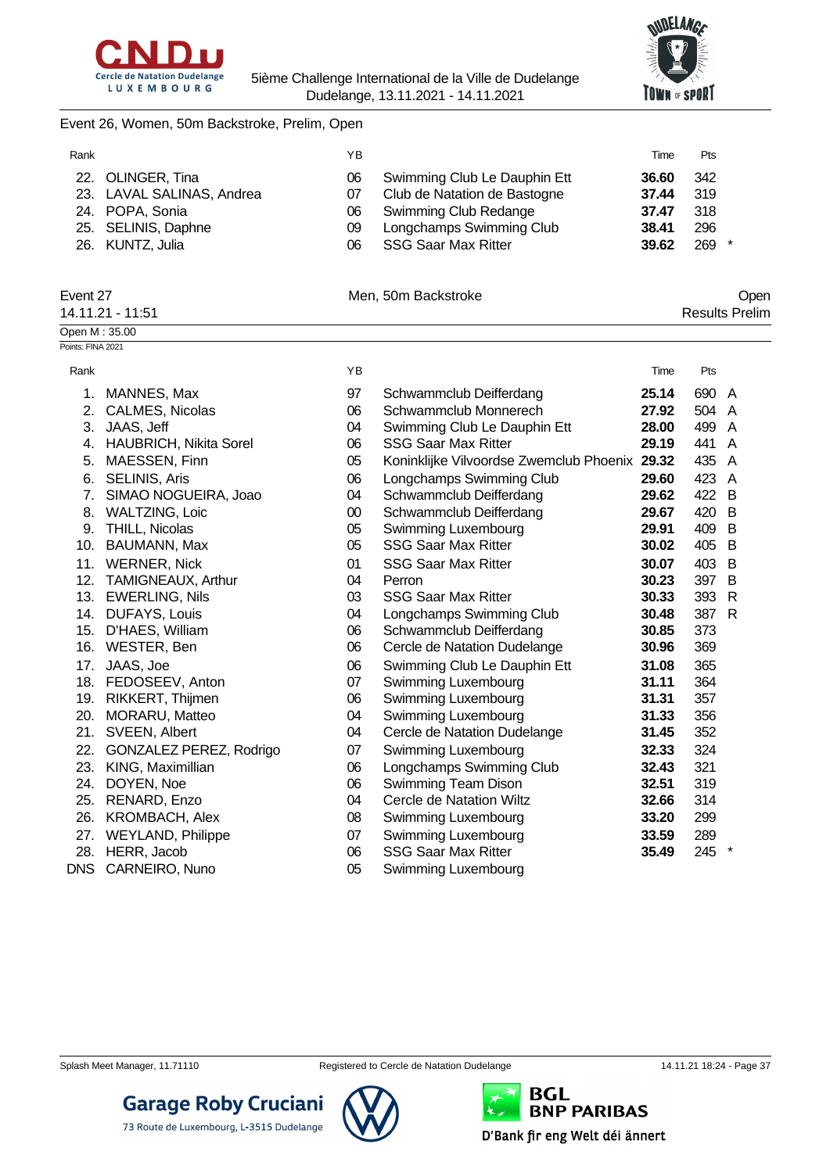



#### Event 26, Women, 50m Backstroke, Prelim, Open

| Rank |                           | ΥB  |                              | Time  | <b>Pts</b> |
|------|---------------------------|-----|------------------------------|-------|------------|
|      | 22. OLINGER, Tina         | 06  | Swimming Club Le Dauphin Ett | 36.60 | - 342      |
|      | 23. LAVAL SALINAS, Andrea | 07  | Club de Natation de Bastogne | 37.44 | -319       |
|      | 24. POPA, Sonia           | 06. | Swimming Club Redange        | 37.47 | 318        |
|      | 25. SELINIS, Daphne       | 09  | Longchamps Swimming Club     | 38.41 | 296        |
|      | 26. KUNTZ, Julia          | 06  | <b>SSG Saar Max Ritter</b>   | 39.62 | 269        |

#### Event 27 Communication of the Men, 50m Backstroke Communication of the Open

| 14.11.21 - 11:51  | <b>Results Prelim</b> |
|-------------------|-----------------------|
| Open M: 35.00     |                       |
| Points: FINA 2021 |                       |

| Rank       |                               | YB     |                                         | Time  | Pts   |    |
|------------|-------------------------------|--------|-----------------------------------------|-------|-------|----|
| 1.         | MANNES, Max                   | 97     | Schwammclub Deifferdang                 | 25.14 | 690 A |    |
| 2.         | CALMES, Nicolas               | 06     | Schwammclub Monnerech                   | 27.92 | 504   | A  |
| 3.         | JAAS, Jeff                    | 04     | Swimming Club Le Dauphin Ett            | 28.00 | 499 A |    |
| 4.         | <b>HAUBRICH, Nikita Sorel</b> | 06     | <b>SSG Saar Max Ritter</b>              | 29.19 | 441   | A  |
| 5.         | MAESSEN, Finn                 | 05     | Koninklijke Vilvoordse Zwemclub Phoenix | 29.32 | 435   | A  |
| 6.         | <b>SELINIS, Aris</b>          | 06     | Longchamps Swimming Club                | 29.60 | 423   | A  |
| 7.         | SIMAO NOGUEIRA, Joao          | 04     | Schwammclub Deifferdang                 | 29.62 | 422   | -B |
| 8.         | <b>WALTZING, Loic</b>         | $00\,$ | Schwammclub Deifferdang                 | 29.67 | 420   | B  |
| 9.         | THILL, Nicolas                | 05     | Swimming Luxembourg                     | 29.91 | 409   | B  |
| 10.        | BAUMANN, Max                  | 05     | <b>SSG Saar Max Ritter</b>              | 30.02 | 405   | B  |
| 11.        | <b>WERNER, Nick</b>           | 01     | <b>SSG Saar Max Ritter</b>              | 30.07 | 403   | B  |
| 12.        | TAMIGNEAUX, Arthur            | 04     | Perron                                  | 30.23 | 397   | B  |
| 13.        | <b>EWERLING, Nils</b>         | 03     | <b>SSG Saar Max Ritter</b>              | 30.33 | 393   | R  |
| 14.        | <b>DUFAYS, Louis</b>          | 04     | Longchamps Swimming Club                | 30.48 | 387   | R  |
| 15.        | D'HAES, William               | 06     | Schwammclub Deifferdang                 | 30.85 | 373   |    |
| 16.        | WESTER, Ben                   | 06     | Cercle de Natation Dudelange            | 30.96 | 369   |    |
| 17.        | JAAS, Joe                     | 06     | Swimming Club Le Dauphin Ett            | 31.08 | 365   |    |
| 18.        | FEDOSEEV, Anton               | 07     | Swimming Luxembourg                     | 31.11 | 364   |    |
| 19.        | RIKKERT, Thijmen              | 06     | Swimming Luxembourg                     | 31.31 | 357   |    |
| 20.        | MORARU, Matteo                | 04     | Swimming Luxembourg                     | 31.33 | 356   |    |
| 21.        | SVEEN, Albert                 | 04     | Cercle de Natation Dudelange            | 31.45 | 352   |    |
| 22.        | GONZALEZ PEREZ, Rodrigo       | 07     | Swimming Luxembourg                     | 32.33 | 324   |    |
| 23.        | KING, Maximillian             | 06     | Longchamps Swimming Club                | 32.43 | 321   |    |
| 24.        | DOYEN, Noe                    | 06     | Swimming Team Dison                     | 32.51 | 319   |    |
| 25.        | RENARD, Enzo                  | 04     | Cercle de Natation Wiltz                | 32.66 | 314   |    |
| 26.        | <b>KROMBACH, Alex</b>         | 08     | Swimming Luxembourg                     | 33.20 | 299   |    |
| 27.        | <b>WEYLAND, Philippe</b>      | 07     | Swimming Luxembourg                     | 33.59 | 289   |    |
| 28.        | HERR, Jacob                   | 06     | <b>SSG Saar Max Ritter</b>              | 35.49 | 245   |    |
| <b>DNS</b> | CARNEIRO, Nuno                | 05     | Swimming Luxembourg                     |       |       |    |



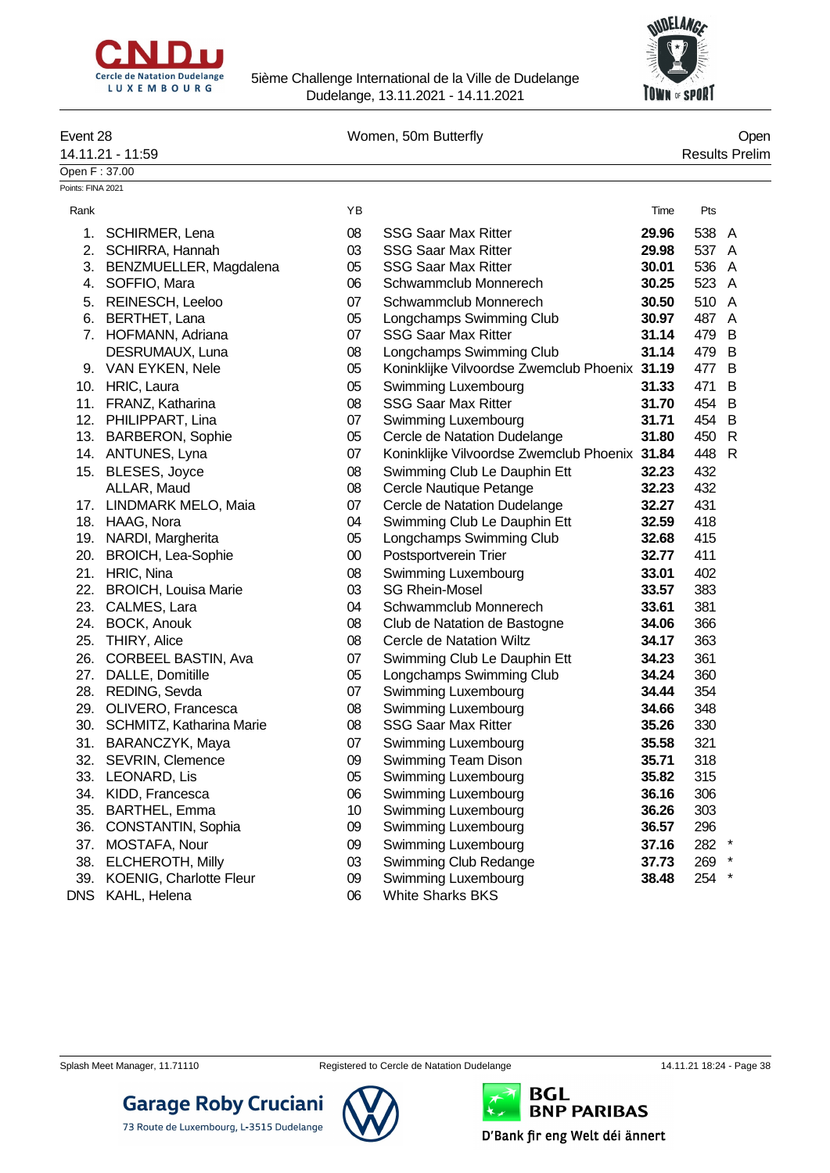



| Event 28                           |                                           |          | Women, 50m Butterfly                                     |                |            | Open                  |
|------------------------------------|-------------------------------------------|----------|----------------------------------------------------------|----------------|------------|-----------------------|
|                                    | 14.11.21 - 11:59                          |          |                                                          |                |            | <b>Results Prelim</b> |
| Open F: 37.00<br>Points: FINA 2021 |                                           |          |                                                          |                |            |                       |
| Rank                               |                                           | YB       |                                                          | Time           | Pts        |                       |
|                                    |                                           |          | <b>SSG Saar Max Ritter</b>                               |                | 538 A      |                       |
| 1.                                 | SCHIRMER, Lena                            | 08       |                                                          | 29.96<br>29.98 | 537 A      |                       |
| 2.                                 | <b>SCHIRRA, Hannah</b>                    | 03       | <b>SSG Saar Max Ritter</b><br><b>SSG Saar Max Ritter</b> | 30.01          |            |                       |
|                                    | 3. BENZMUELLER, Magdalena<br>SOFFIO, Mara | 05<br>06 | Schwammclub Monnerech                                    | 30.25          | 536<br>523 | A                     |
| 4.                                 |                                           |          |                                                          |                |            | A                     |
|                                    | 5. REINESCH, Leeloo                       | 07       | Schwammclub Monnerech                                    | 30.50          | 510        | A                     |
|                                    | 6. BERTHET, Lana                          | 05       | Longchamps Swimming Club                                 | 30.97          | 487        | A                     |
|                                    | 7. HOFMANN, Adriana                       | 07       | <b>SSG Saar Max Ritter</b>                               | 31.14          | 479        | B                     |
|                                    | DESRUMAUX, Luna                           | 08       | Longchamps Swimming Club                                 | 31.14          | 479        | B                     |
|                                    | 9. VAN EYKEN, Nele                        | 05       | Koninklijke Vilvoordse Zwemclub Phoenix 31.19            |                | 477        | B                     |
|                                    | 10. HRIC, Laura                           | 05       | Swimming Luxembourg                                      | 31.33          | 471        | B                     |
|                                    | 11. FRANZ, Katharina                      | 08       | <b>SSG Saar Max Ritter</b>                               | 31.70          | 454        | B                     |
|                                    | 12. PHILIPPART, Lina                      | 07       | Swimming Luxembourg                                      | 31.71          | 454        | B                     |
|                                    | 13. BARBERON, Sophie                      | 05       | Cercle de Natation Dudelange                             | 31.80          | 450        | R                     |
|                                    | 14. ANTUNES, Lyna                         | 07       | Koninklijke Vilvoordse Zwemclub Phoenix 31.84            |                | 448        | $\mathsf{R}$          |
|                                    | 15. BLESES, Joyce                         | 08       | Swimming Club Le Dauphin Ett                             | 32.23          | 432        |                       |
|                                    | ALLAR, Maud                               | 08       | Cercle Nautique Petange                                  | 32.23          | 432        |                       |
|                                    | 17. LINDMARK MELO, Maia                   | 07       | Cercle de Natation Dudelange                             | 32.27          | 431        |                       |
|                                    | 18. HAAG, Nora                            | 04       | Swimming Club Le Dauphin Ett                             | 32.59          | 418        |                       |
|                                    | 19. NARDI, Margherita                     | 05       | Longchamps Swimming Club                                 | 32.68          | 415        |                       |
|                                    | 20. BROICH, Lea-Sophie                    | $00\,$   | Postsportverein Trier                                    | 32.77          | 411        |                       |
|                                    | 21. HRIC, Nina                            | 08       | Swimming Luxembourg                                      | 33.01          | 402        |                       |
| 22.                                | <b>BROICH, Louisa Marie</b>               | 03       | <b>SG Rhein-Mosel</b>                                    | 33.57          | 383        |                       |
| 23.                                | CALMES, Lara                              | 04       | Schwammclub Monnerech                                    | 33.61          | 381        |                       |
| 24.                                | <b>BOCK, Anouk</b>                        | 08       | Club de Natation de Bastogne                             | 34.06          | 366        |                       |
| 25.                                | THIRY, Alice                              | 08       | Cercle de Natation Wiltz                                 | 34.17          | 363        |                       |
| 26.                                | CORBEEL BASTIN, Ava                       | 07       | Swimming Club Le Dauphin Ett                             | 34.23          | 361        |                       |
| 27.                                | DALLE, Domitille                          | 05       | Longchamps Swimming Club                                 | 34.24          | 360        |                       |
| 28.                                | REDING, Sevda                             | 07       | <b>Swimming Luxembourg</b>                               | 34.44          | 354        |                       |
| 29.                                | OLIVERO, Francesca                        | 08       | Swimming Luxembourg                                      | 34.66          | 348        |                       |
|                                    | 30. SCHMITZ, Katharina Marie              | 08       | <b>SSG Saar Max Ritter</b>                               | 35.26          | 330        |                       |
|                                    | 31. BARANCZYK, Maya                       | $07$     | Swimming Luxembourg                                      | 35.58          | 321        |                       |
| 32.                                | SEVRIN, Clemence                          | 09       | Swimming Team Dison                                      | 35.71          | 318        |                       |
|                                    | 33. LEONARD, Lis                          | 05       | Swimming Luxembourg                                      | 35.82          | 315        |                       |
|                                    | 34. KIDD, Francesca                       | 06       | Swimming Luxembourg                                      | 36.16          | 306        |                       |
| 35.                                | <b>BARTHEL, Emma</b>                      | 10       | Swimming Luxembourg                                      | 36.26          | 303        |                       |
| 36.                                | CONSTANTIN, Sophia                        | 09       | Swimming Luxembourg                                      | 36.57          | 296        |                       |
| 37.                                | MOSTAFA, Nour                             | 09       | Swimming Luxembourg                                      | 37.16          | 282        |                       |
|                                    | 38. ELCHEROTH, Milly                      | 03       | Swimming Club Redange                                    | 37.73          | 269        |                       |
|                                    | 39. KOENIG, Charlotte Fleur               | 09       | Swimming Luxembourg                                      | 38.48          | 254        |                       |
|                                    | DNS KAHL, Helena                          | 06       | <b>White Sharks BKS</b>                                  |                |            |                       |



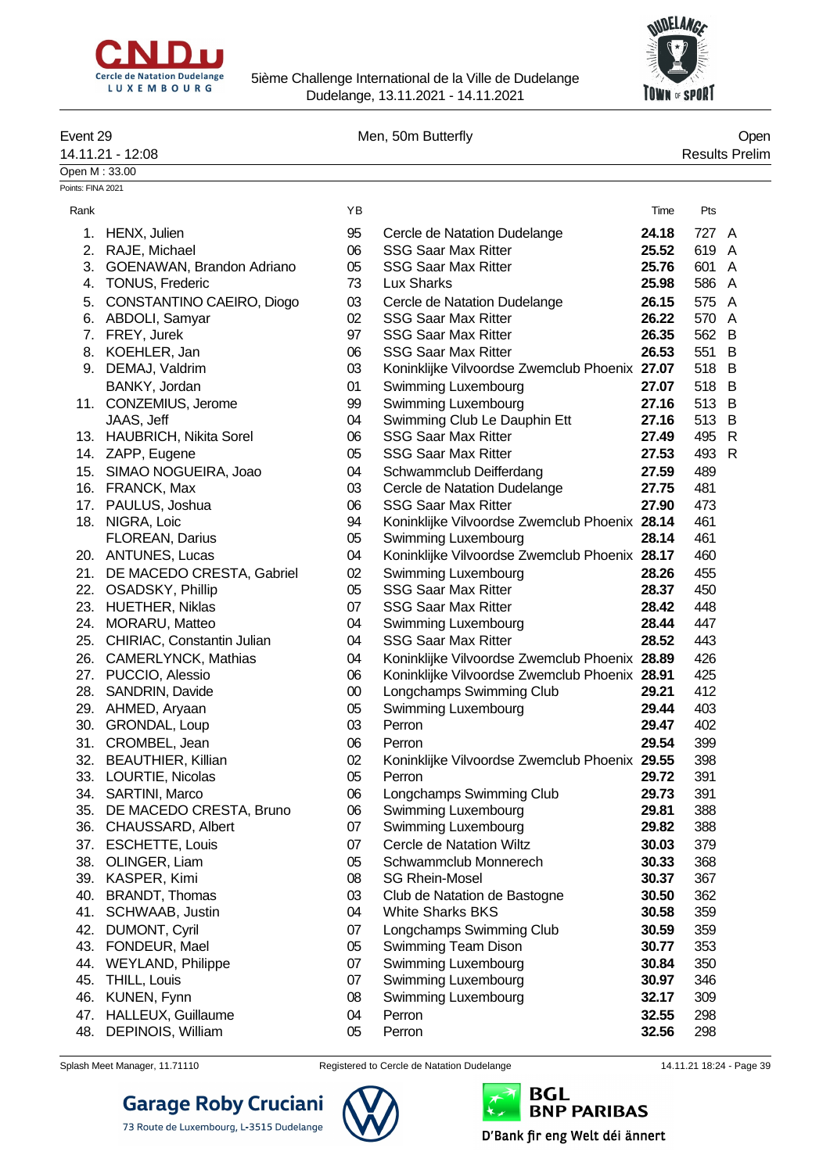



| Event 29          | 14.11.21 - 12:08               |        | Men, 50m Butterfly                                |       |       | Open<br><b>Results Prelim</b> |
|-------------------|--------------------------------|--------|---------------------------------------------------|-------|-------|-------------------------------|
| Open M: 33.00     |                                |        |                                                   |       |       |                               |
| Points: FINA 2021 |                                |        |                                                   |       |       |                               |
| Rank              |                                | YB     |                                                   | Time  | Pts   |                               |
|                   | 1. HENX, Julien                | 95     | Cercle de Natation Dudelange                      | 24.18 | 727 A |                               |
|                   | 2. RAJE, Michael               | 06     | <b>SSG Saar Max Ritter</b>                        | 25.52 | 619   | A                             |
| 3.                | GOENAWAN, Brandon Adriano      | 05     | <b>SSG Saar Max Ritter</b>                        | 25.76 | 601   | A                             |
| 4.                | TONUS, Frederic                | 73     | Lux Sharks                                        | 25.98 | 586   | A                             |
| 5.                | CONSTANTINO CAEIRO, Diogo      | 03     | Cercle de Natation Dudelange                      | 26.15 | 575   | A                             |
|                   | 6. ABDOLI, Samyar              | 02     | <b>SSG Saar Max Ritter</b>                        | 26.22 | 570   | A                             |
|                   | 7. FREY, Jurek                 | 97     | <b>SSG Saar Max Ritter</b>                        | 26.35 | 562 B |                               |
|                   | 8. KOEHLER, Jan                | 06     | <b>SSG Saar Max Ritter</b>                        | 26.53 | 551   | B                             |
| 9.                | DEMAJ, Valdrim                 | 03     | Koninklijke Vilvoordse Zwemclub Phoenix 27.07     |       | 518   | B                             |
|                   | BANKY, Jordan                  | 01     | Swimming Luxembourg                               | 27.07 | 518 B |                               |
|                   | 11. CONZEMIUS, Jerome          | 99     | Swimming Luxembourg                               | 27.16 | 513 B |                               |
|                   | JAAS, Jeff                     | 04     | Swimming Club Le Dauphin Ett                      | 27.16 | 513 B |                               |
|                   | 13. HAUBRICH, Nikita Sorel     | 06     | <b>SSG Saar Max Ritter</b>                        | 27.49 | 495 R |                               |
|                   | 14. ZAPP, Eugene               | 05     | <b>SSG Saar Max Ritter</b>                        | 27.53 | 493   | R                             |
|                   | 15. SIMAO NOGUEIRA, Joao       | 04     | Schwammclub Deifferdang                           | 27.59 | 489   |                               |
|                   | 16. FRANCK, Max                | 03     | Cercle de Natation Dudelange                      | 27.75 | 481   |                               |
|                   | 17. PAULUS, Joshua             | 06     | <b>SSG Saar Max Ritter</b>                        | 27.90 | 473   |                               |
|                   | 18. NIGRA, Loic                | 94     | Koninklijke Vilvoordse Zwemclub Phoenix 28.14     |       | 461   |                               |
|                   | FLOREAN, Darius                | 05     | Swimming Luxembourg                               | 28.14 | 461   |                               |
|                   | 20. ANTUNES, Lucas             | 04     | Koninklijke Vilvoordse Zwemclub Phoenix 28.17     |       | 460   |                               |
|                   |                                |        |                                                   |       |       |                               |
|                   | 21. DE MACEDO CRESTA, Gabriel  | 02     | Swimming Luxembourg<br><b>SSG Saar Max Ritter</b> | 28.26 | 455   |                               |
|                   | 22. OSADSKY, Phillip           | 05     |                                                   | 28.37 | 450   |                               |
|                   | 23. HUETHER, Niklas            | 07     | <b>SSG Saar Max Ritter</b>                        | 28.42 | 448   |                               |
|                   | 24. MORARU, Matteo             | 04     | Swimming Luxembourg<br><b>SSG Saar Max Ritter</b> | 28.44 | 447   |                               |
|                   | 25. CHIRIAC, Constantin Julian | 04     |                                                   | 28.52 | 443   |                               |
|                   | 26. CAMERLYNCK, Mathias        | 04     | Koninklijke Vilvoordse Zwemclub Phoenix 28.89     |       | 426   |                               |
|                   | 27. PUCCIO, Alessio            | 06     | Koninklijke Vilvoordse Zwemclub Phoenix 28.91     |       | 425   |                               |
|                   | 28. SANDRIN, Davide            | $00\,$ | Longchamps Swimming Club                          | 29.21 | 412   |                               |
|                   | 29. AHMED, Aryaan              | 05     | Swimming Luxembourg                               | 29.44 | 403   |                               |
|                   | 30. GRONDAL, Loup              | 03     | Perron                                            | 29.47 | 402   |                               |
|                   | 31. CROMBEL, Jean              | 06     | Perron                                            | 29.54 | 399   |                               |
| 32.               | <b>BEAUTHIER, Killian</b>      | 02     | Koninklijke Vilvoordse Zwemclub Phoenix 29.55     |       | 398   |                               |
|                   | 33. LOURTIE, Nicolas           | 05     | Perron                                            | 29.72 | 391   |                               |
|                   | 34. SARTINI, Marco             | 06     | Longchamps Swimming Club                          | 29.73 | 391   |                               |
|                   | 35. DE MACEDO CRESTA, Bruno    | 06     | Swimming Luxembourg                               | 29.81 | 388   |                               |
|                   | 36. CHAUSSARD, Albert          | 07     | Swimming Luxembourg                               | 29.82 | 388   |                               |
|                   | 37. ESCHETTE, Louis            | 07     | Cercle de Natation Wiltz                          | 30.03 | 379   |                               |
| 38.               | OLINGER, Liam                  | 05     | Schwammclub Monnerech                             | 30.33 | 368   |                               |
|                   | 39. KASPER, Kimi               | 08     | <b>SG Rhein-Mosel</b>                             | 30.37 | 367   |                               |
| 40.               | <b>BRANDT, Thomas</b>          | 03     | Club de Natation de Bastogne                      | 30.50 | 362   |                               |
| 41.               | SCHWAAB, Justin                | 04     | <b>White Sharks BKS</b>                           | 30.58 | 359   |                               |
| 42.               | DUMONT, Cyril                  | 07     | Longchamps Swimming Club                          | 30.59 | 359   |                               |
|                   | 43. FONDEUR, Mael              | 05     | Swimming Team Dison                               | 30.77 | 353   |                               |
| 44.               | WEYLAND, Philippe              | 07     | Swimming Luxembourg                               | 30.84 | 350   |                               |
| 45.               | THILL, Louis                   | 07     | Swimming Luxembourg                               | 30.97 | 346   |                               |
| 46.               | KUNEN, Fynn                    | 08     | Swimming Luxembourg                               | 32.17 | 309   |                               |
|                   | 47. HALLEUX, Guillaume         | 04     | Perron                                            | 32.55 | 298   |                               |
|                   | 48. DEPINOIS, William          | 05     | Perron                                            | 32.56 | 298   |                               |

73 Route de Luxembourg, L-3515 Dudelange

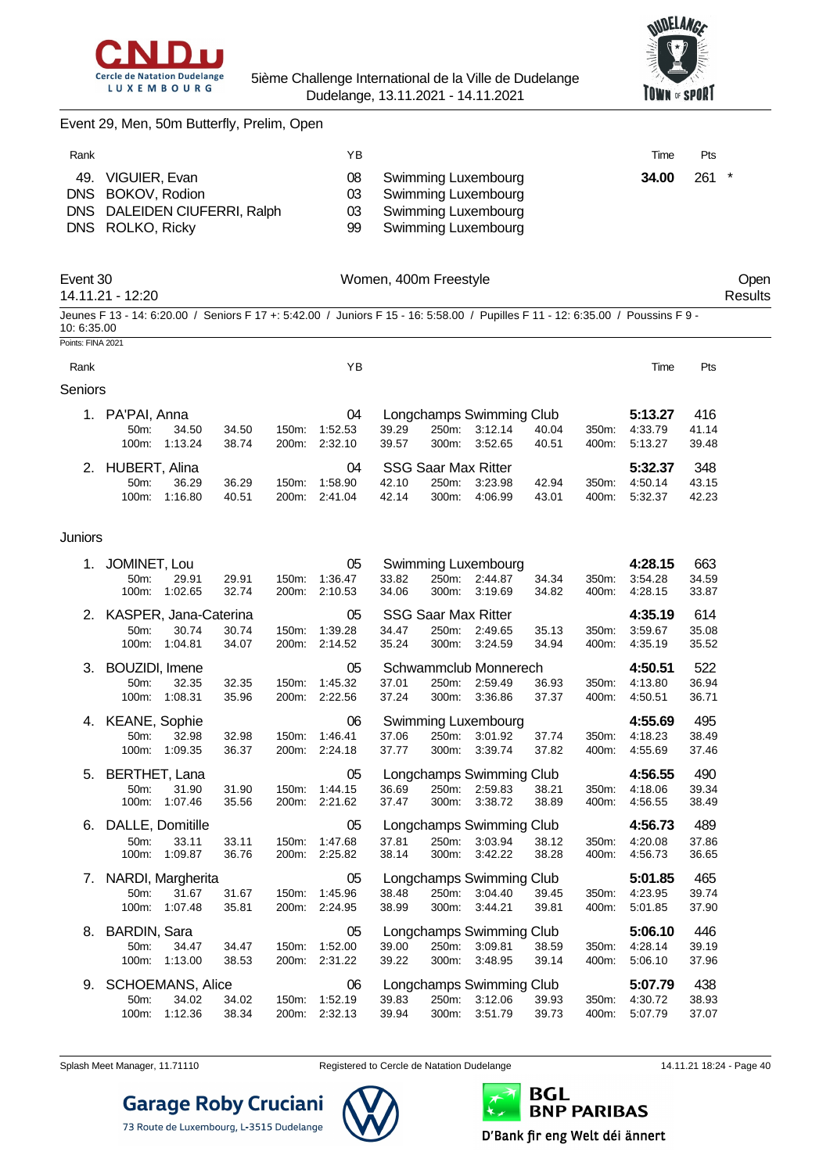



#### Event 29, Men, 50m Butterfly, Prelim, Open

| Rank |                                                                                            | YΒ                   |                                                                                          | Time  | Pts     |
|------|--------------------------------------------------------------------------------------------|----------------------|------------------------------------------------------------------------------------------|-------|---------|
|      | 49. VIGUIER, Evan<br>DNS BOKOV, Rodion<br>DNS DALEIDEN CIUFERRI, Ralph<br>DNS ROLKO, Ricky | 08<br>03<br>03<br>99 | Swimming Luxembourg<br>Swimming Luxembourg<br>Swimming Luxembourg<br>Swimming Luxembourg | 34.00 | $261$ * |

| Event 30<br>14.11.21 - 12:20                                                                                                                   |                |         | Women, 400m Freestyle |       |                          |       |       |         |       | Oper<br>Results |
|------------------------------------------------------------------------------------------------------------------------------------------------|----------------|---------|-----------------------|-------|--------------------------|-------|-------|---------|-------|-----------------|
| Jeunes F 13 - 14: 6:20.00 / Seniors F 17 +: 5:42.00 / Juniors F 15 - 16: 5:58.00 / Pupilles F 11 - 12: 6:35.00 / Poussins F 9 -<br>10: 6:35.00 |                |         |                       |       |                          |       |       |         |       |                 |
| Points: FINA 2021                                                                                                                              |                |         |                       |       |                          |       |       |         |       |                 |
| Rank                                                                                                                                           |                | YΒ      |                       |       |                          |       |       | Time    | Pts   |                 |
| Seniors                                                                                                                                        |                |         |                       |       |                          |       |       |         |       |                 |
| PA'PAI, Anna                                                                                                                                   |                | 04      |                       |       | Longchamps Swimming Club |       |       | 5:13.27 | 416   |                 |
| 34.50<br>$50m$ :                                                                                                                               | 34.50<br>150m: | 1:52.53 | 39.29                 | 250m: | 3:12.14                  | 40.04 | 350m: | 4:33.79 | 41.14 |                 |
| 1:13.24<br>$100m$ :                                                                                                                            | 38.74<br>200m: | 2:32.10 | 39.57                 | 300m: | 3:52.65                  | 40.51 | 400m: | 5:13.27 | 39.48 |                 |

| JUH.             | 07.JU         | 37.JU | 100111. 1.04.00 | ບອ.∠ອ |                        | $20011.$ $3.12.17$ $70.07$ |       | <u> ټ، ټ. ۱، ۱، ۲۰۰</u> | <b>TI.IT</b> |
|------------------|---------------|-------|-----------------|-------|------------------------|----------------------------|-------|-------------------------|--------------|
|                  | 100m: 1:13.24 | 38.74 | 200m: 2:32.10   | 39.57 |                        | 300m: 3.52.65              | 40.51 | 400m: 5:13.27           | 39.48        |
| 2. HUBERT, Alina |               |       |                 |       | 04 SSG Saar Max Ritter |                            |       | 5:32.37                 | - 348        |
| $50m$ :          | 36.29         | 36.29 | 150m: 1:58.90   | 42.10 | 250m: 3:23.98          |                            | 42.94 | 350m: 4:50.14           | 43.15        |
|                  | 100m: 1:16.80 | 40.51 | 200m: 2:41.04   | 42.14 |                        | 300m: 4:06.99              | 43.01 | 400m: 5:32.37           | 42.23        |

#### Juniors

|    | 1. JOMINET, Lou<br>50 <sub>m</sub> :<br>29.91<br>1:02.65<br>100m:         | 29.91<br>32.74 | 150m:<br>200m: | 05<br>1:36.47<br>2:10.53 | 33.82<br>34.06 | 250m:<br>300m:                               | Swimming Luxembourg<br>2:44.87<br>3:19.69      | 34.34<br>34.82 | 350m:<br>400m: | 4:28.15<br>3:54.28<br>4.28.15 | 663<br>34.59<br>33.87 |
|----|---------------------------------------------------------------------------|----------------|----------------|--------------------------|----------------|----------------------------------------------|------------------------------------------------|----------------|----------------|-------------------------------|-----------------------|
|    | 2. KASPER, Jana-Caterina<br>30.74<br>50m:<br>1:04.81<br>100m:             | 30.74<br>34.07 | 150m:<br>200m: | 05<br>1:39.28<br>2:14.52 | 34.47<br>35.24 | <b>SSG Saar Max Ritter</b><br>250m:<br>300m: | 2:49.65<br>3:24.59                             | 35.13<br>34.94 | 350m:<br>400m: | 4:35.19<br>3:59.67<br>4:35.19 | 614<br>35.08<br>35.52 |
|    | 3. BOUZIDI, Imene<br>50m:<br>32.35<br>100m:<br>1:08.31                    | 32.35<br>35.96 | 150m:<br>200m: | 05<br>1:45.32<br>2:22.56 | 37.01<br>37.24 | 250m:<br>300m:                               | Schwammclub Monnerech<br>2:59.49<br>3:36.86    | 36.93<br>37.37 | 350m:<br>400m: | 4:50.51<br>4:13.80<br>4:50.51 | 522<br>36.94<br>36.71 |
|    | 4. KEANE, Sophie<br>32.98<br>50m:<br>1:09.35<br>100m:                     | 32.98<br>36.37 | 150m:<br>200m: | 06<br>1:46.41<br>2:24.18 | 37.06<br>37.77 | 250m:<br>300m:                               | Swimming Luxembourg<br>3:01.92<br>3:39.74      | 37.74<br>37.82 | 350m:<br>400m: | 4:55.69<br>4:18.23<br>4:55.69 | 495<br>38.49<br>37.46 |
|    | 5. BERTHET, Lana<br>50m:<br>31.90<br>100m:<br>1:07.46                     | 31.90<br>35.56 | 150m:<br>200m: | 05<br>1:44.15<br>2:21.62 | 36.69<br>37.47 | 250m:<br>300m:                               | Longchamps Swimming Club<br>2:59.83<br>3:38.72 | 38.21<br>38.89 | 350m:<br>400m: | 4:56.55<br>4:18.06<br>4:56.55 | 490<br>39.34<br>38.49 |
| 6. | DALLE, Domitille<br>33.11<br>50m:<br>100m:<br>1:09.87                     | 33.11<br>36.76 | 150m:<br>200m: | 05<br>1:47.68<br>2:25.82 | 37.81<br>38.14 | 250m:<br>300m:                               | Longchamps Swimming Club<br>3:03.94<br>3:42.22 | 38.12<br>38.28 | 350m:<br>400m: | 4:56.73<br>4:20.08<br>4:56.73 | 489<br>37.86<br>36.65 |
|    | 7. NARDI, Margherita<br>31.67<br>50m:<br>100m:<br>1:07.48                 | 31.67<br>35.81 | 150m:<br>200m: | 05<br>1:45.96<br>2:24.95 | 38.48<br>38.99 | 250m:<br>300m:                               | Longchamps Swimming Club<br>3:04.40<br>3:44.21 | 39.45<br>39.81 | 350m:<br>400m: | 5:01.85<br>4:23.95<br>5:01.85 | 465<br>39.74<br>37.90 |
| 8. | BARDIN, Sara<br>50m:<br>34.47<br>1:13.00<br>100m:                         | 34.47<br>38.53 | 150m:<br>200m: | 05<br>1:52.00<br>2:31.22 | 39.00<br>39.22 | 250m:<br>300m:                               | Longchamps Swimming Club<br>3:09.81<br>3:48.95 | 38.59<br>39.14 | 350m:<br>400m: | 5:06.10<br>4:28.14<br>5:06.10 | 446<br>39.19<br>37.96 |
| 9. | <b>SCHOEMANS, Alice</b><br>34.02<br>50 <sub>m</sub> :<br>1:12.36<br>100m: | 34.02<br>38.34 | 150m:<br>200m: | 06<br>1:52.19<br>2:32.13 | 39.83<br>39.94 | 250m:<br>300m:                               | Longchamps Swimming Club<br>3:12.06<br>3:51.79 | 39.93<br>39.73 | 350m:<br>400m: | 5:07.79<br>4:30.72<br>5:07.79 | 438<br>38.93<br>37.07 |



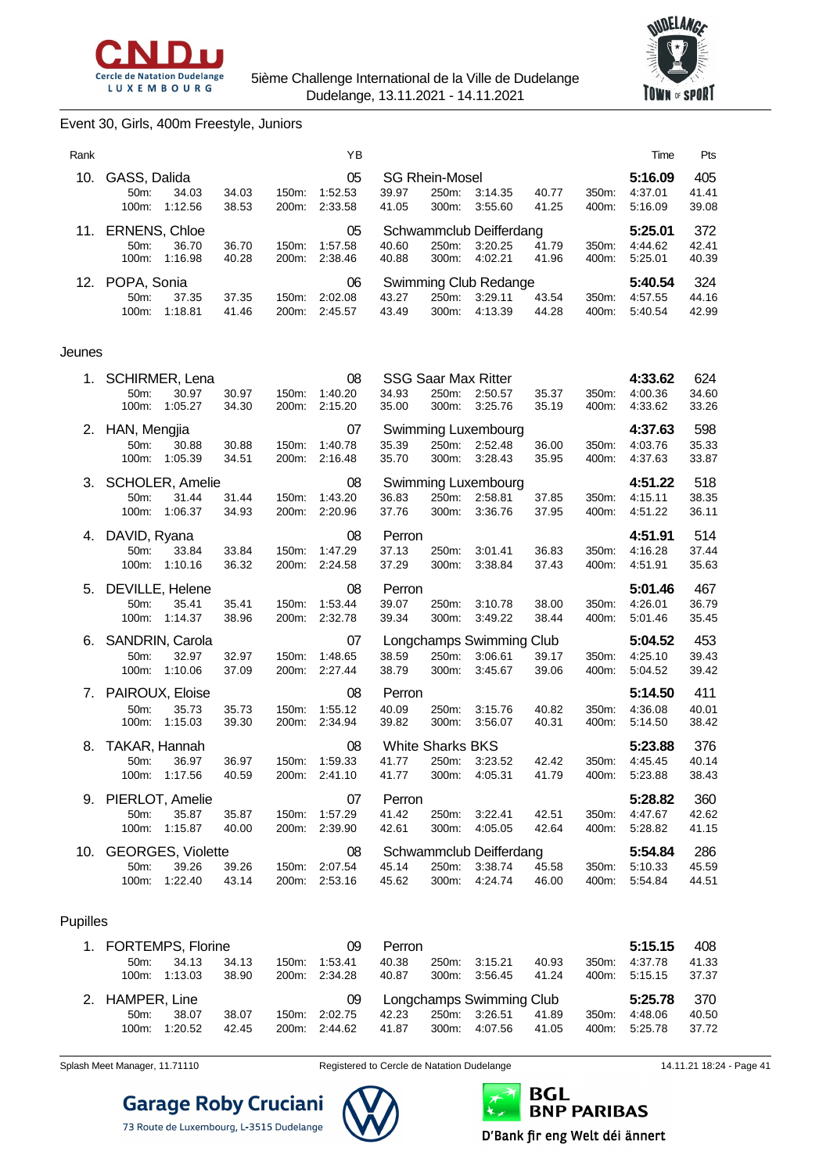



#### Event 30, Girls, 400m Freestyle, Juniors

| Rank |                                         |                                        | ΥB                 |                |                                |                    |                |                   | Time               | <b>Pts</b>     |
|------|-----------------------------------------|----------------------------------------|--------------------|----------------|--------------------------------|--------------------|----------------|-------------------|--------------------|----------------|
| 10.  | GASS, Dalida<br>34.03<br>$50m$ :        | 34.03<br>$150m$ :                      | 05<br>1:52.53      | 39.97          | <b>SG Rhein-Mosel</b><br>250m: | 3:14.35            | 40.77          | $350m$ :          | 5:16.09<br>4:37.01 | 405<br>41.41   |
|      | 1:12.56<br>$100m$ :                     | 38.53<br>200m:                         | 2:33.58            | 41.05          | 300m:                          | 3:55.60            | 41.25          | 400m:             | 5:16.09            | 39.08          |
| 11.  | <b>ERNENS, Chloe</b>                    |                                        | 05                 |                | Schwammclub Deifferdang        |                    |                |                   | 5:25.01            | 372            |
|      | $50m$ :<br>36.70<br>1:16.98<br>$100m$ : | 36.70<br>$150m$ :<br>40.28<br>200m:    | 1:57.58<br>2:38.46 | 40.60<br>40.88 | 250m:<br>300m:                 | 3:20.25<br>4:02.21 | 41.79<br>41.96 | 350m:<br>400m:    | 4:44.62<br>5:25.01 | 42.41<br>40.39 |
|      | 12. POPA, Sonia                         |                                        | 06                 |                | Swimming Club Redange          |                    |                |                   | 5:40.54            | 324            |
|      | 37.35<br>50m<br>$100m$ :<br>1:18.81     | 37.35<br>$150m$ :<br>41.46<br>$200m$ : | 2:02.08<br>2:45.57 | 43.27<br>43.49 | $250m$ :<br>$300m$ :           | 3:29.11<br>4:13.39 | 43.54<br>44.28 | $350m$ :<br>400m: | 4:57.55<br>5:40.54 | 44.16<br>42.99 |

#### Jeunes

|    | 1. SCHIRMER, Lena<br>50m:<br>30.97<br>100m:<br>1:05.27               | 30.97<br>34.30 | 200m:          | 08<br>150m: 1:40.20<br>2:15.20 | 34.93<br>35.00                            | 250m:<br>300m: | <b>SSG Saar Max Ritter</b><br>2:50.57<br>3:25.76 | 35.37<br>35.19 | 350m:<br>400m: | 4:33.62<br>4:00.36<br>4:33.62 | 624<br>34.60<br>33.26 |
|----|----------------------------------------------------------------------|----------------|----------------|--------------------------------|-------------------------------------------|----------------|--------------------------------------------------|----------------|----------------|-------------------------------|-----------------------|
| 2. | HAN, Mengjia<br>50m:<br>30.88<br>1:05.39<br>100m:                    | 30.88<br>34.51 | 150m:<br>200m: | 07<br>1:40.78<br>2:16.48       | 35.39<br>35.70                            | 250m:<br>300m: | Swimming Luxembourg<br>2:52.48<br>3:28.43        | 36.00<br>35.95 | 350m:<br>400m: | 4:37.63<br>4:03.76<br>4:37.63 | 598<br>35.33<br>33.87 |
|    | 3. SCHOLER, Amelie<br>50 <sub>m</sub> :<br>31.44<br>1:06.37<br>100m: | 31.44<br>34.93 | 150m:<br>200m: | 08<br>1:43.20<br>2:20.96       | 36.83<br>37.76                            | 300m:          | Swimming Luxembourg<br>250m: 2:58.81<br>3:36.76  | 37.85<br>37.95 | 350m:<br>400m: | 4:51.22<br>4:15.11<br>4:51.22 | 518<br>38.35<br>36.11 |
| 4. | DAVID, Ryana<br>50m:<br>33.84<br>100m:<br>1:10.16                    | 33.84<br>36.32 | 150m:<br>200m: | 08<br>1:47.29<br>2:24.58       | Perron<br>37.13<br>37.29                  | 250m:<br>300m: | 3:01.41<br>3:38.84                               | 36.83<br>37.43 | 350m:<br>400m: | 4:51.91<br>4:16.28<br>4:51.91 | 514<br>37.44<br>35.63 |
|    | 5. DEVILLE, Helene<br>35.41<br>50m:<br>100m:<br>1:14.37              | 35.41<br>38.96 | 150m:<br>200m: | 08<br>1:53.44<br>2:32.78       | Perron<br>39.07<br>39.34                  | 250m:<br>300m: | 3:10.78<br>3:49.22                               | 38.00<br>38.44 | 350m:<br>400m: | 5:01.46<br>4:26.01<br>5:01.46 | 467<br>36.79<br>35.45 |
|    | 6. SANDRIN, Carola<br>50m:<br>32.97<br>1:10.06<br>100m:              | 32.97<br>37.09 | 150m:<br>200m: | 07<br>1:48.65<br>2:27.44       | 38.59<br>38.79                            | 250m:<br>300m: | Longchamps Swimming Club<br>3:06.61<br>3:45.67   | 39.17<br>39.06 | 350m:<br>400m: | 5:04.52<br>4:25.10<br>5:04.52 | 453<br>39.43<br>39.42 |
|    | 7. PAIROUX, Eloise<br>50m:<br>35.73<br>100m:<br>1:15.03              | 35.73<br>39.30 | 150m:<br>200m: | 08<br>1:55.12<br>2:34.94       | Perron<br>40.09<br>39.82                  | 250m:<br>300m: | 3:15.76<br>3:56.07                               | 40.82<br>40.31 | 350m:<br>400m: | 5:14.50<br>4:36.08<br>5:14.50 | 411<br>40.01<br>38.42 |
| 8. |                                                                      |                |                |                                |                                           |                |                                                  |                |                |                               |                       |
|    | TAKAR, Hannah<br>36.97<br>50 <sub>m</sub> :<br>100m:<br>1:17.56      | 36.97<br>40.59 | 150m:<br>200m: | 08<br>1:59.33<br>2:41.10       | <b>White Sharks BKS</b><br>41.77<br>41.77 | 300m:          | 250m: 3:23.52<br>4:05.31                         | 42.42<br>41.79 | 350m:<br>400m: | 5:23.88<br>4:45.45<br>5:23.88 | 376<br>40.14<br>38.43 |
|    | 9. PIERLOT, Amelie<br>50m:<br>35.87<br>100m:<br>1:15.87              | 35.87<br>40.00 | 150m.<br>200m: | 07<br>1:57.29<br>2:39.90       | Perron<br>41.42<br>42.61                  | 250m:<br>300m: | 3:22.41<br>4:05.05                               | 42.51<br>42.64 | 350m:<br>400m: | 5:28.82<br>4:47.67<br>5:28.82 | 360<br>42.62<br>41.15 |

#### Pupilles

| 1. FORTEMPS, Florine |         |       |       | 09      | Perron |       |                          |       |       | 5:15.15 | 408   |
|----------------------|---------|-------|-------|---------|--------|-------|--------------------------|-------|-------|---------|-------|
| $50m$ :              | 34.13   | 34.13 | 150m: | 1:53.41 | 40.38  | 250m: | 3:15.21                  | 40.93 | 350m: | 4:37.78 | 41.33 |
| $100m$ :             | 1:13.03 | 38.90 | 200m: | 2:34.28 | 40.87  | 300m: | 3:56.45                  | 41.24 | 400m: | 5:15.15 | 37.37 |
|                      |         |       |       |         |        |       |                          |       |       |         |       |
| 2. HAMPER, Line      |         |       |       | 09      |        |       | Longchamps Swimming Club |       |       | 5:25.78 | - 370 |
| $50m$ :              | 38.07   | 38.07 | 150m: | 2:02.75 | 42.23  | 250m: | 3:26.51                  | 41.89 | 350m: | 4.48.06 | 40.50 |





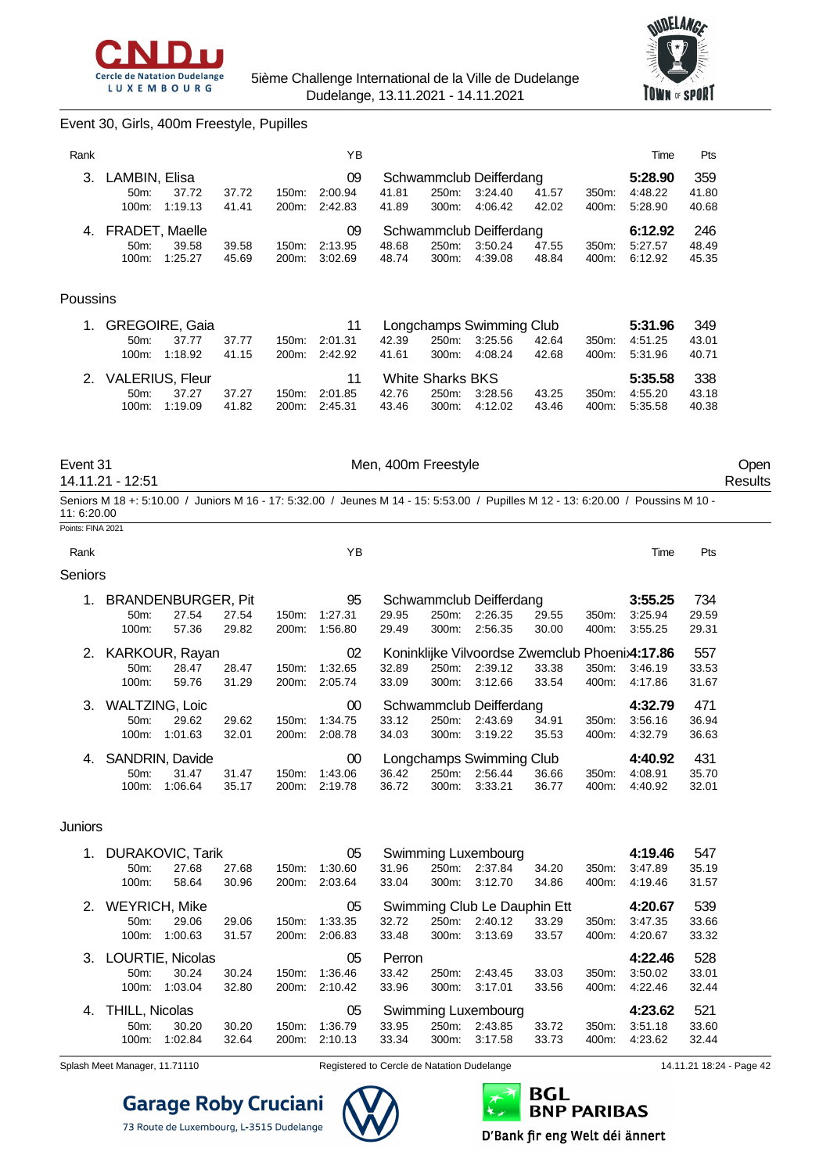



### Event 30, Girls, 400m Freestyle, Pupilles

| Rank     |                                                            |                |                | ΥB                       |                |                                           |                                                |                |                | Time                          | Pts                   |
|----------|------------------------------------------------------------|----------------|----------------|--------------------------|----------------|-------------------------------------------|------------------------------------------------|----------------|----------------|-------------------------------|-----------------------|
| 3.       | LAMBIN, Elisa<br>50m:<br>37.72<br>1:19.13<br>100m:         | 37.72<br>41.41 | 150m:<br>200m: | 09<br>2:00.94<br>2:42.83 | 41.81<br>41.89 | 250m:<br>300m:                            | Schwammclub Deifferdang<br>3:24.40<br>4:06.42  | 41.57<br>42.02 | 350m:<br>400m: | 5:28.90<br>4:48.22<br>5:28.90 | 359<br>41.80<br>40.68 |
| 4.       | <b>FRADET, Maelle</b><br>50m:<br>39.58<br>1:25.27<br>100m: | 39.58<br>45.69 | 150m:<br>200m: | 09<br>2:13.95<br>3:02.69 | 48.68<br>48.74 | 250m:<br>300m:                            | Schwammclub Deifferdang<br>3:50.24<br>4:39.08  | 47.55<br>48.84 | 350m:<br>400m: | 6:12.92<br>5:27.57<br>6:12.92 | 246<br>48.49<br>45.35 |
| Poussins |                                                            |                |                |                          |                |                                           |                                                |                |                |                               |                       |
|          | <b>GREGOIRE, Gaia</b><br>50m:<br>37.77<br>1:18.92<br>100m: | 37.77<br>41.15 | 150m:<br>200m: | 11<br>2:01.31<br>2:42.92 | 42.39<br>41.61 | 250m:<br>300m:                            | Longchamps Swimming Club<br>3:25.56<br>4:08.24 | 42.64<br>42.68 | 350m:<br>400m: | 5:31.96<br>4:51.25<br>5:31.96 | 349<br>43.01<br>40.71 |
|          | 2. VALERIUS, Fleur<br>37.27<br>50m:<br>100m:<br>1:19.09    | 37.27<br>41.82 | 150m:<br>200m: | 11<br>2:01.85<br>2:45.31 | 42.76<br>43.46 | <b>White Sharks BKS</b><br>250m:<br>300m: | 3:28.56<br>4:12.02                             | 43.25<br>43.46 | 350m:<br>400m: | 5:35.58<br>4:55.20<br>5:35.58 | 338<br>43.18<br>40.38 |

14.11.21 - 12:51 Results

Event 31 Communication of the Men, 400m Freestyle Communication of the Open

Seniors M 18 +: 5:10.00 / Juniors M 16 - 17: 5:32.00 / Jeunes M 14 - 15: 5:53.00 / Pupilles M 12 - 13: 6:20.00 / Poussins M 10 - 11: 6:20.00 Points: FINA 2021

| Rank           |                       |                           |       |          | ΥB      |       |       |                          |       |          | Time                                           | Pts   |
|----------------|-----------------------|---------------------------|-------|----------|---------|-------|-------|--------------------------|-------|----------|------------------------------------------------|-------|
| <b>Seniors</b> |                       |                           |       |          |         |       |       |                          |       |          |                                                |       |
| 1.             |                       | <b>BRANDENBURGER, Pit</b> |       |          | 95      |       |       | Schwammclub Deifferdang  |       |          | 3:55.25                                        | 734   |
|                | 50m                   | 27.54                     | 27.54 | 150m:    | 1:27.31 | 29.95 | 250m: | 2:26.35                  | 29.55 | 350m:    | 3:25.94                                        | 29.59 |
|                | 100m:                 | 57.36                     | 29.82 | 200m:    | 1:56.80 | 29.49 | 300m: | 2:56.35                  | 30.00 | 400m:    | 3:55.25                                        | 29.31 |
|                | 2. KARKOUR, Rayan     |                           |       |          | 02      |       |       |                          |       |          | Koninklijke Vilvoordse Zwemclub Phoenix4:17.86 | 557   |
|                | 50 <sub>m</sub>       | 28.47                     | 28.47 | 150m:    | 1:32.65 | 32.89 | 250m: | 2:39.12                  | 33.38 | 350m:    | 3:46.19                                        | 33.53 |
|                | 100m:                 | 59.76                     | 31.29 | 200m:    | 2:05.74 | 33.09 | 300m: | 3:12.66                  | 33.54 | 400m:    | 4:17.86                                        | 31.67 |
| 3.             | <b>WALTZING, Loic</b> |                           |       |          | 00      |       |       | Schwammclub Deifferdang  |       |          | 4:32.79                                        | 471   |
|                | 50m                   | 29.62                     | 29.62 | 150m:    | 1:34.75 | 33.12 | 250m: | 2:43.69                  | 34.91 | 350m:    | 3:56.16                                        | 36.94 |
|                | 100m:                 | 1:01.63                   | 32.01 | 200m:    | 2:08.78 | 34.03 | 300m: | 3:19.22                  | 35.53 | 400m:    | 4:32.79                                        | 36.63 |
| 4.             |                       | SANDRIN, Davide           |       |          | 00      |       |       | Longchamps Swimming Club |       |          | 4:40.92                                        | 431   |
|                | $50m$ :               | 31.47                     | 31.47 | $150m$ : | 1:43.06 | 36.42 | 250m: | 2:56.44                  | 36.66 | $350m$ : | 4:08.91                                        | 35.70 |
|                | $100m$ :              | 1:06.64                   | 35.17 | 200m:    | 2:19.78 | 36.72 | 300m: | 3:33.21                  | 36.77 | 400m:    | 4:40.92                                        | 32.01 |

#### Juniors

| $1_{\cdot}$ | <b>DURAKOVIC, Tarik</b> |         |       |                    | 05      |        |       | Swimming Luxembourg          |       |       | 4:19.46 | 547   |
|-------------|-------------------------|---------|-------|--------------------|---------|--------|-------|------------------------------|-------|-------|---------|-------|
|             | $50m$ :                 | 27.68   | 27.68 | 150m:              | 1:30.60 | 31.96  | 250m: | 2:37.84                      | 34.20 | 350m: | 3:47.89 | 35.19 |
|             | 100m:                   | 58.64   | 30.96 | 200 <sub>m</sub> : | 2:03.64 | 33.04  | 300m: | 3:12.70                      | 34.86 | 400m: | 4:19.46 | 31.57 |
|             | 2. WEYRICH, Mike        |         |       |                    | 05      |        |       | Swimming Club Le Dauphin Ett |       |       | 4:20.67 | 539   |
|             | $50m$ :                 | 29.06   | 29.06 | $150m$ :           | 1:33.35 | 32.72  | 250m: | 2:40.12                      | 33.29 | 350m: | 3:47.35 | 33.66 |
|             | $100m$ :                | 1:00.63 | 31.57 | 200 <sub>m</sub> : | 2:06.83 | 33.48  | 300m: | 3:13.69                      | 33.57 | 400m: | 4:20.67 | 33.32 |
|             | 3. LOURTIE, Nicolas     |         |       |                    | 05      | Perron |       |                              |       |       | 4:22.46 | 528   |
|             |                         |         |       |                    |         |        |       |                              |       |       |         |       |
|             | $50m$ :                 | 30.24   | 30.24 | 150m:              | 1:36.46 | 33.42  | 250m: | 2:43.45                      | 33.03 | 350m: | 3:50.02 | 33.01 |
|             | $100m$ :                | 1:03.04 | 32.80 | 200m:              | 2:10.42 | 33.96  | 300m: | 3:17.01                      | 33.56 | 400m: | 4:22.46 | 32.44 |
| 4.          | THILL, Nicolas          |         |       |                    | 05      |        |       | Swimming Luxembourg          |       |       | 4:23.62 | 521   |
|             | 50m:                    | 30.20   | 30.20 | $150m$ :           | 1:36.79 | 33.95  | 250m: | 2:43.85                      | 33.72 | 350m: | 3:51.18 | 33.60 |

Splash Meet Manager, 11.71110 Registered to Cercle de Natation Dudelange 14.11.21 18:24 - Page 42

## **Garage Roby Cruciani** 73 Route de Luxembourg, L-3515 Dudelange



D'Bank fir eng Welt déi ännert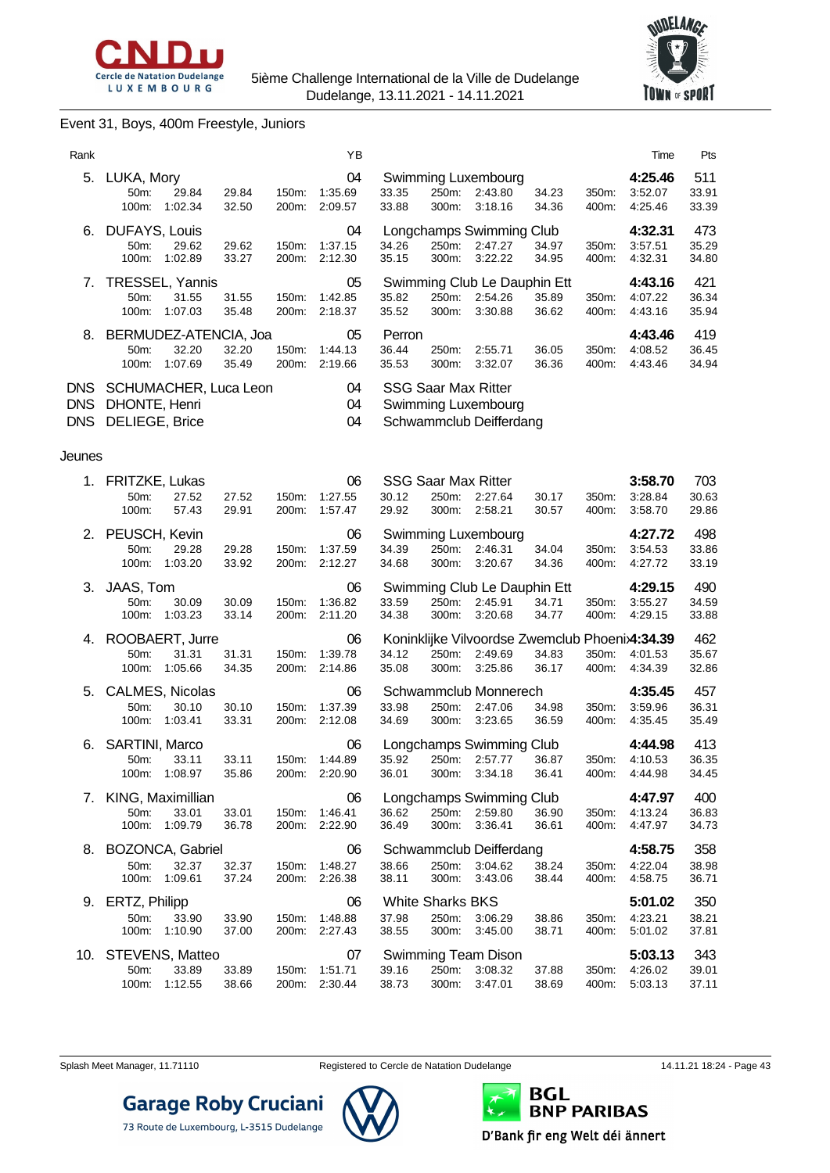



### Event 31, Boys, 400m Freestyle, Juniors

| Rank                     |                                                                     |                |                | ΥB                             |                                           |                |                                                                              |                |                | Time                                | Pts                   |
|--------------------------|---------------------------------------------------------------------|----------------|----------------|--------------------------------|-------------------------------------------|----------------|------------------------------------------------------------------------------|----------------|----------------|-------------------------------------|-----------------------|
|                          | 5. LUKA, Mory<br>50m:<br>29.84<br>100m:<br>1:02.34                  | 29.84<br>32.50 | 150m:<br>200m: | 04<br>1:35.69<br>2:09.57       | 33.35<br>33.88                            | 250m:<br>300m: | Swimming Luxembourg<br>2:43.80<br>3:18.16                                    | 34.23<br>34.36 | 350m:<br>400m: | 4:25.46<br>3:52.07<br>4:25.46       | 511<br>33.91<br>33.39 |
| 6.                       | DUFAYS, Louis<br>29.62<br>50m:<br>1:02.89<br>100m:                  | 29.62<br>33.27 | 150m:<br>200m: | 04<br>1:37.15<br>2:12.30       | 34.26<br>35.15                            | 250m:<br>300m: | Longchamps Swimming Club<br>2:47.27<br>3:22.22                               | 34.97<br>34.95 | 350m:<br>400m: | 4:32.31<br>3:57.51<br>4:32.31       | 473<br>35.29<br>34.80 |
| 7.                       | TRESSEL, Yannis<br>50m:<br>31.55<br>100m:<br>1:07.03                | 31.55<br>35.48 | 150m:<br>200m: | 05<br>1:42.85<br>2:18.37       | 35.82<br>35.52                            | 300m:          | Swimming Club Le Dauphin Ett<br>250m: 2:54.26<br>3:30.88                     | 35.89<br>36.62 | 350m:<br>400m: | 4:43.16<br>4:07.22<br>4:43.16       | 421<br>36.34<br>35.94 |
|                          | 8. BERMUDEZ-ATENCIA, Joa<br>32.20<br>50m:<br>100m: 1:07.69          | 32.20<br>35.49 | 150m:<br>200m: | 05<br>1:44.13<br>2:19.66       | Perron<br>36.44<br>35.53                  | 250m:<br>300m: | 2:55.71<br>3:32.07                                                           | 36.05<br>36.36 | 350m:<br>400m: | 4:43.46<br>4:08.52<br>4:43.46       | 419<br>36.45<br>34.94 |
| <b>DNS</b><br><b>DNS</b> | DNS SCHUMACHER, Luca Leon<br>DHONTE, Henri<br><b>DELIEGE, Brice</b> |                |                | 04<br>04<br>04                 |                                           |                | <b>SSG Saar Max Ritter</b><br>Swimming Luxembourg<br>Schwammclub Deifferdang |                |                |                                     |                       |
| Jeunes                   |                                                                     |                |                |                                |                                           |                |                                                                              |                |                |                                     |                       |
|                          | 1. FRITZKE, Lukas<br>27.52<br>50m:<br>100m:<br>57.43                | 27.52<br>29.91 | 150m:<br>200m: | 06<br>1:27.55<br>1:57.47       | 30.12<br>29.92                            | 250m:<br>300m: | <b>SSG Saar Max Ritter</b><br>2.27.64<br>2:58.21                             | 30.17<br>30.57 | 350m:<br>400m: | 3:58.70<br>3:28.84<br>3:58.70       | 703<br>30.63<br>29.86 |
| 2.                       | PEUSCH, Kevin<br>29.28<br>50m:<br>100m: 1:03.20                     | 29.28<br>33.92 | 150m:<br>200m: | 06<br>1:37.59<br>2:12.27       | 34.39<br>34.68                            | 250m:          | Swimming Luxembourg<br>2:46.31<br>300m: 3:20.67                              | 34.04<br>34.36 | 350m:<br>400m: | 4:27.72<br>3:54.53<br>4:27.72       | 498<br>33.86<br>33.19 |
| 3.                       | JAAS, Tom<br>50m:<br>30.09<br>100m: 1:03.23                         | 30.09<br>33.14 | 150m:<br>200m: | 06<br>1:36.82<br>2:11.20       | 33.59<br>34.38                            | 250m:          | Swimming Club Le Dauphin Ett<br>2:45.91<br>300m: 3:20.68                     | 34.71<br>34.77 | 350m:<br>400m: | 4:29.15<br>3:55.27<br>4:29.15       | 490<br>34.59<br>33.88 |
| 4.                       | ROOBAERT, Jurre<br>50m:<br>31.31<br>100m:<br>1:05.66                | 31.31<br>34.35 | 150m:          | 06<br>1:39.78<br>200m: 2:14.86 | 34.12<br>35.08                            | 250m:<br>300m: | Koninklijke Vilvoordse Zwemclub Phoeni>4:34.39<br>2:49.69<br>3:25.86         | 34.83<br>36.17 | 350m:<br>400m: | 4:01.53<br>4:34.39                  | 462<br>35.67<br>32.86 |
| 5.                       | CALMES, Nicolas<br>30.10<br>50m:<br>100m:<br>1:03.41                | 30.10<br>33.31 | 150m:<br>200m: | 06<br>1:37.39<br>2:12.08       | 33.98<br>34.69                            | 250m:<br>300m: | Schwammclub Monnerech<br>2:47.06<br>3:23.65                                  | 34.98<br>36.59 | 350m:<br>400m: | 4:35.45<br>3:59.96<br>4:35.45       | 457<br>36.31<br>35.49 |
| 6.                       | SARTINI, Marco<br>50m:<br>33.11<br>100m: 1:08.97                    | 33.11<br>35.86 | 150m:<br>200m: | 06<br>1:44.89<br>2:20.90       | 35.92<br>36.01                            | 250m:          | Longchamps Swimming Club<br>2:57.77<br>300m: 3:34.18                         | 36.87<br>36.41 | 350m:          | 4:44.98<br>4:10.53<br>400m: 4:44.98 | 413<br>36.35<br>34.45 |
|                          | 7. KING, Maximillian<br>33.01<br>50m:<br>1:09.79<br>100m:           | 33.01<br>36.78 | 150m:<br>200m: | 06<br>1:46.41<br>2:22.90       | 36.62<br>36.49                            | 250m:<br>300m: | Longchamps Swimming Club<br>2:59.80<br>3:36.41                               | 36.90<br>36.61 | 350m:<br>400m: | 4:47.97<br>4:13.24<br>4:47.97       | 400<br>36.83<br>34.73 |
| 8.                       | <b>BOZONCA, Gabriel</b><br>50m:<br>32.37<br>100m:<br>1:09.61        | 32.37<br>37.24 | 150m:<br>200m: | 06<br>1:48.27<br>2:26.38       | 38.66<br>38.11                            | 250m:<br>300m: | Schwammclub Deifferdang<br>3:04.62<br>3:43.06                                | 38.24<br>38.44 | 350m:<br>400m: | 4:58.75<br>4:22.04<br>4:58.75       | 358<br>38.98<br>36.71 |
| 9.                       | ERTZ, Philipp<br>50m:<br>33.90<br>100m:<br>1:10.90                  | 33.90<br>37.00 | 150m:<br>200m: | 06<br>1:48.88<br>2:27.43       | <b>White Sharks BKS</b><br>37.98<br>38.55 | 250m:<br>300m: | 3:06.29<br>3:45.00                                                           | 38.86<br>38.71 | 350m:<br>400m: | 5:01.02<br>4:23.21<br>5:01.02       | 350<br>38.21<br>37.81 |
| 10.                      | STEVENS, Matteo<br>50m:<br>33.89<br>1:12.55<br>100m:                | 33.89<br>38.66 | 150m:<br>200m: | 07<br>1:51.71<br>2:30.44       | 39.16<br>38.73                            | 250m:<br>300m: | Swimming Team Dison<br>3:08.32<br>3:47.01                                    | 37.88<br>38.69 | 350m:<br>400m: | 5:03.13<br>4:26.02<br>5:03.13       | 343<br>39.01<br>37.11 |



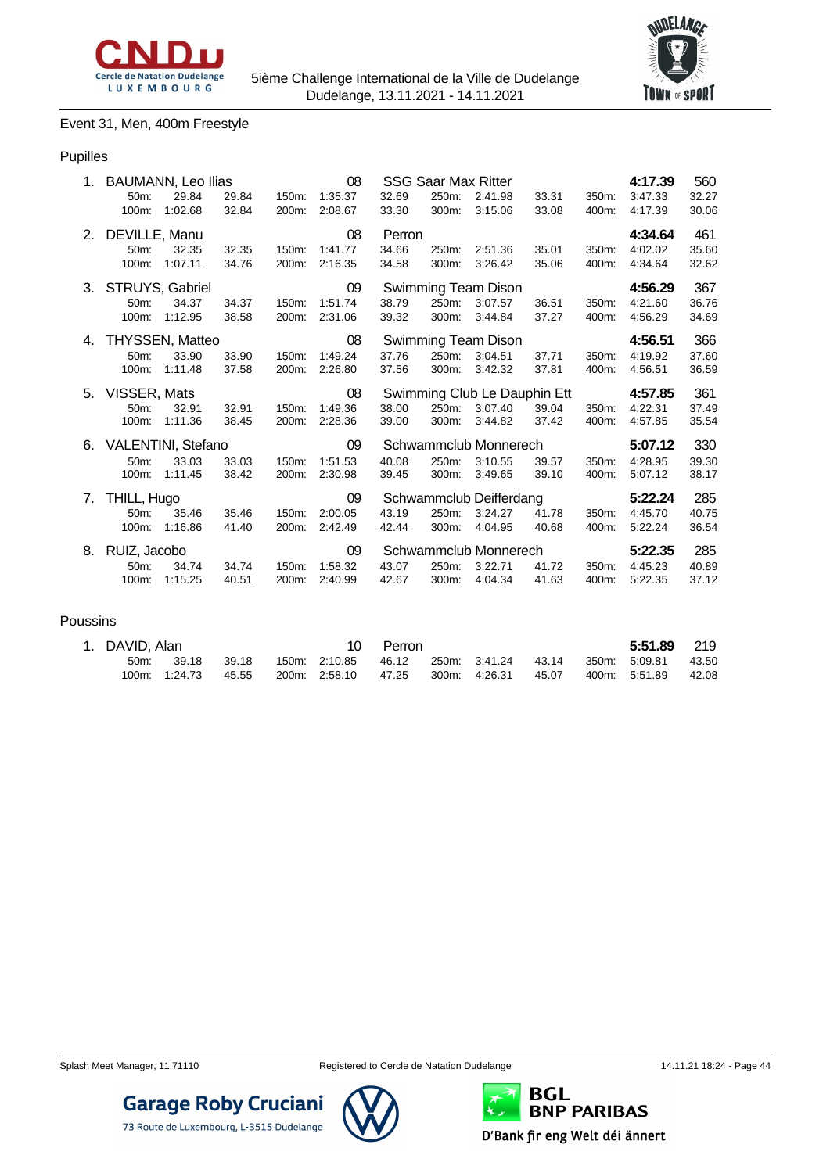



### Event 31, Men, 400m Freestyle

#### Pupilles

|    | 1. BAUMANN, Leo Ilias<br>50 <sub>m</sub> :<br>29.84<br>1:02.68<br>100m:  | 29.84<br>32.84 | 150m:<br>200m: | 08<br>1:35.37<br>2:08.67 | 32.69<br>33.30           | 250m:<br>300m: | <b>SSG Saar Max Ritter</b><br>2:41.98<br>3:15.06   | 33.31<br>33.08 | 350m:<br>400m: | 4:17.39<br>3:47.33<br>4:17.39 | 560<br>32.27<br>30.06 |
|----|--------------------------------------------------------------------------|----------------|----------------|--------------------------|--------------------------|----------------|----------------------------------------------------|----------------|----------------|-------------------------------|-----------------------|
|    | 2. DEVILLE, Manu<br>50m:<br>32.35<br>1:07.11<br>100m:                    | 32.35<br>34.76 | 150m:<br>200m: | 08<br>1:41.77<br>2:16.35 | Perron<br>34.66<br>34.58 | 250m:<br>300m: | 2:51.36<br>3:26.42                                 | 35.01<br>35.06 | 350m:<br>400m: | 4:34.64<br>4:02.02<br>4:34.64 | 461<br>35.60<br>32.62 |
| 3. | STRUYS, Gabriel<br>$50m$ :<br>34.37<br>100m:<br>1:12.95                  | 34.37<br>38.58 | 150m:<br>200m: | 09<br>1:51.74<br>2:31.06 | 38.79<br>39.32           | 250m:<br>300m: | Swimming Team Dison<br>3:07.57<br>3:44.84          | 36.51<br>37.27 | 350m:<br>400m: | 4:56.29<br>4:21.60<br>4:56.29 | 367<br>36.76<br>34.69 |
| 4. | <b>THYSSEN, Matteo</b><br>50 <sub>m</sub> :<br>33.90<br>100m:<br>1:11.48 | 33.90<br>37.58 | 150m:<br>200m: | 08<br>1:49.24<br>2:26.80 | 37.76<br>37.56           | 250m:<br>300m: | Swimming Team Dison<br>3:04.51<br>3:42.32          | 37.71<br>37.81 | 350m:<br>400m: | 4:56.51<br>4:19.92<br>4:56.51 | 366<br>37.60<br>36.59 |
|    |                                                                          |                |                |                          |                          |                |                                                    |                |                |                               |                       |
|    | 5. VISSER, Mats<br>32.91<br>50m:<br>1:11.36<br>100m:                     | 32.91<br>38.45 | 150m:<br>200m: | 08<br>1:49.36<br>2:28.36 | 38.00<br>39.00           | 250m:<br>300m: | Swimming Club Le Dauphin Ett<br>3:07.40<br>3:44.82 | 39.04<br>37.42 | 350m:<br>400m: | 4:57.85<br>4:22.31<br>4:57.85 | 361<br>37.49<br>35.54 |
| 6. | VALENTINI, Stefano<br>33.03<br>50 <sub>m</sub> :<br>100m:<br>1:11.45     | 33.03<br>38.42 | 150m:<br>200m: | 09<br>1:51.53<br>2:30.98 | 40.08<br>39.45           | 250m:<br>300m: | Schwammclub Monnerech<br>3:10.55<br>3:49.65        | 39.57<br>39.10 | 350m:<br>400m: | 5:07.12<br>4:28.95<br>5:07.12 | 330<br>39.30<br>38.17 |
| 7. | THILL, Hugo<br>35.46<br>50 <sub>m</sub><br>1:16.86<br>100m:              | 35.46<br>41.40 | 150m:<br>200m: | 09<br>2:00.05<br>2:42.49 | 43.19<br>42.44           | 250m:<br>300m: | Schwammclub Deifferdang<br>3:24.27<br>4:04.95      | 41.78<br>40.68 | 350m:<br>400m: | 5:22.24<br>4:45.70<br>5:22.24 | 285<br>40.75<br>36.54 |

#### Poussins

| 1. DAVID, Alan |               |       |                                     | Perron |  |       | 5:51.89       | 219   |
|----------------|---------------|-------|-------------------------------------|--------|--|-------|---------------|-------|
| 50m            | 39.18         | 39.18 | 150m. 2:10.85  46.12  250m. 3:41.24 |        |  | 43.14 | 350m: 5:09.81 | 43.50 |
|                | 100m: 1:24.73 | 45.55 | 200m: 2:58.10 47.25 300m: 4:26.31   |        |  | 45.07 | 400m: 5:51.89 | 42.08 |



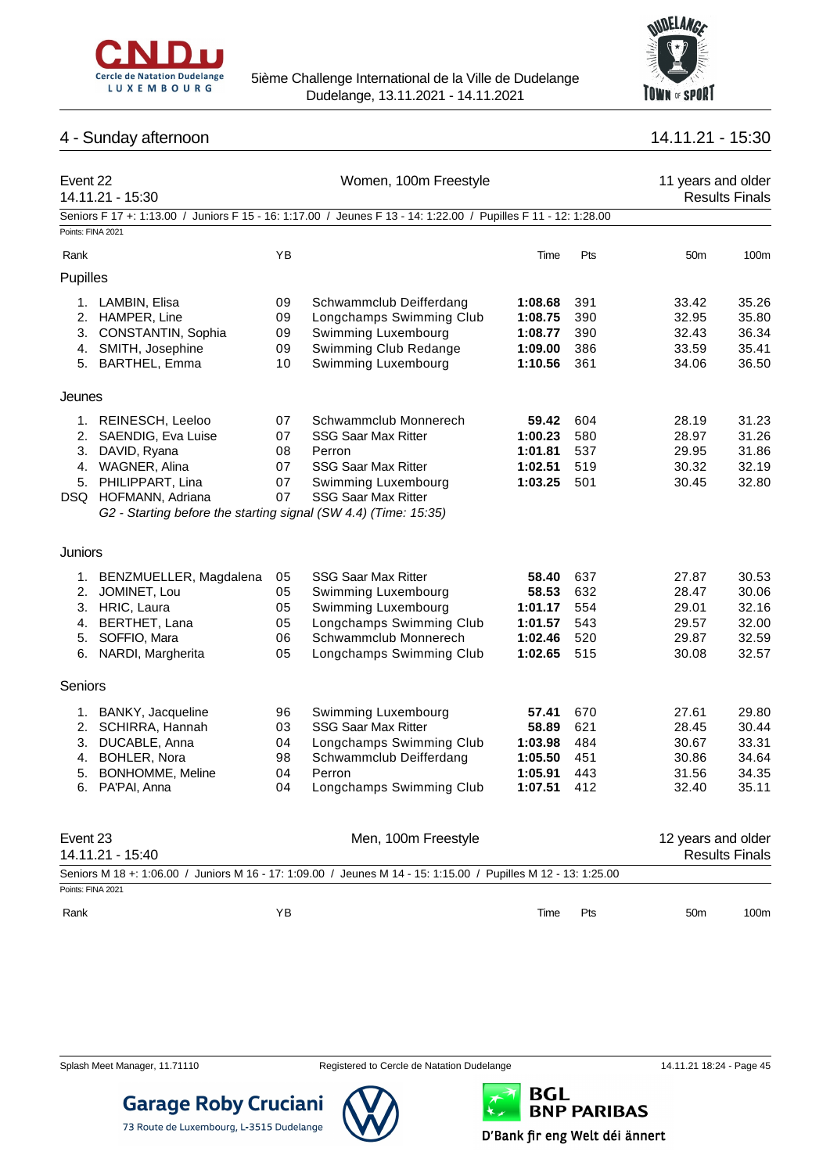



## 4 - Sunday afternoon 14.11.21 - 15:30

| Event 22          | 14.11.21 - 15:30                                                |    | Women, 100m Freestyle                                                                                          | 11 years and older<br><b>Results Finals</b> |       |                    |                       |
|-------------------|-----------------------------------------------------------------|----|----------------------------------------------------------------------------------------------------------------|---------------------------------------------|-------|--------------------|-----------------------|
| Points: FINA 2021 |                                                                 |    | Seniors F 17 +: 1:13.00 / Juniors F 15 - 16: 1:17.00 / Jeunes F 13 - 14: 1:22.00 / Pupilles F 11 - 12: 1:28.00 |                                             |       |                    |                       |
| Rank              |                                                                 | YB |                                                                                                                | Time                                        | Pts   | 50 <sub>m</sub>    | 100m                  |
| Pupilles          |                                                                 |    |                                                                                                                |                                             |       |                    |                       |
|                   | 1. LAMBIN, Elisa                                                | 09 | Schwammclub Deifferdang                                                                                        | 1:08.68                                     | 391   | 33.42              | 35.26                 |
|                   | 2. HAMPER, Line                                                 | 09 | Longchamps Swimming Club                                                                                       | 1:08.75                                     | 390   | 32.95              | 35.80                 |
| 3.                | CONSTANTIN, Sophia                                              | 09 | Swimming Luxembourg                                                                                            | 1:08.77                                     | 390   | 32.43              | 36.34                 |
|                   | 4. SMITH, Josephine                                             | 09 | Swimming Club Redange                                                                                          | 1:09.00                                     | 386   | 33.59              | 35.41                 |
|                   | 5. BARTHEL, Emma                                                | 10 | Swimming Luxembourg                                                                                            | 1:10.56                                     | 361   | 34.06              | 36.50                 |
| Jeunes            |                                                                 |    |                                                                                                                |                                             |       |                    |                       |
|                   | 1. REINESCH, Leeloo                                             | 07 | Schwammclub Monnerech                                                                                          | 59.42                                       | 604   | 28.19              | 31.23                 |
|                   | 2. SAENDIG, Eva Luise                                           | 07 | <b>SSG Saar Max Ritter</b>                                                                                     | 1:00.23                                     | 580   | 28.97              | 31.26                 |
|                   | 3. DAVID, Ryana                                                 | 08 | Perron                                                                                                         | 1:01.81                                     | 537   | 29.95              | 31.86                 |
|                   | 4. WAGNER, Alina                                                | 07 | <b>SSG Saar Max Ritter</b>                                                                                     | 1:02.51                                     | 519   | 30.32              | 32.19                 |
|                   | 5. PHILIPPART, Lina                                             | 07 | Swimming Luxembourg                                                                                            | 1:03.25                                     | 501   | 30.45              | 32.80                 |
|                   | DSQ HOFMANN, Adriana                                            | 07 | <b>SSG Saar Max Ritter</b>                                                                                     |                                             |       |                    |                       |
|                   | G2 - Starting before the starting signal (SW 4.4) (Time: 15:35) |    |                                                                                                                |                                             |       |                    |                       |
| <b>Juniors</b>    |                                                                 |    |                                                                                                                |                                             |       |                    |                       |
|                   | 1. BENZMUELLER, Magdalena                                       | 05 | <b>SSG Saar Max Ritter</b>                                                                                     | 58.40                                       | 637   | 27.87              | 30.53                 |
| 2.                | JOMINET, Lou                                                    | 05 | Swimming Luxembourg                                                                                            | 58.53                                       | 632   | 28.47              | 30.06                 |
|                   | 3. HRIC, Laura                                                  | 05 | Swimming Luxembourg                                                                                            | 1:01.17                                     | 554   | 29.01              | 32.16                 |
| 4.                | BERTHET, Lana                                                   | 05 | Longchamps Swimming Club                                                                                       | 1:01.57                                     | 543   | 29.57              | 32.00                 |
| 5.                | SOFFIO, Mara                                                    | 06 | Schwammclub Monnerech                                                                                          | 1:02.46                                     | 520   | 29.87              | 32.59                 |
|                   | 6. NARDI, Margherita                                            | 05 | Longchamps Swimming Club                                                                                       | 1:02.65                                     | 515   | 30.08              | 32.57                 |
| Seniors           |                                                                 |    |                                                                                                                |                                             |       |                    |                       |
|                   | 1. BANKY, Jacqueline                                            | 96 | Swimming Luxembourg                                                                                            | 57.41                                       | 670   | 27.61              | 29.80                 |
|                   | 2. SCHIRRA, Hannah                                              | 03 | <b>SSG Saar Max Ritter</b>                                                                                     | 58.89                                       | 621   | 28.45              | 30.44                 |
|                   | 3. DUCABLE, Anna                                                | 04 | Longchamps Swimming Club                                                                                       | 1:03.98                                     | 484   | 30.67              | 33.31                 |
|                   | 4. BOHLER, Nora                                                 | 98 | Schwammclub Deifferdang                                                                                        | 1:05.50                                     | 451   | 30.86              | 34.64                 |
| 5.                | <b>BONHOMME, Meline</b>                                         | 04 | Perron                                                                                                         | 1:05.91                                     | 443   | 31.56              | 34.35                 |
|                   | 6. PA'PAI, Anna                                                 | 04 | Longchamps Swimming Club                                                                                       | 1:07.51                                     | - 412 | 32.40              | 35.11                 |
|                   |                                                                 |    |                                                                                                                |                                             |       |                    |                       |
| Event 23          | 14.11.21 - 15:40                                                |    | Men, 100m Freestyle                                                                                            |                                             |       | 12 years and older | <b>Results Finals</b> |
|                   |                                                                 |    | Seniors M 18 +: 1:06.00 / Juniors M 16 - 17: 1:09.00 / Jeunes M 14 - 15: 1:15.00 / Pupilles M 12 - 13: 1:25.00 |                                             |       |                    |                       |
| Points: FINA 2021 |                                                                 |    |                                                                                                                |                                             |       |                    |                       |
| Rank              |                                                                 | YB |                                                                                                                | Time                                        | Pts   | 50 <sub>m</sub>    | 100m                  |

**Garage Roby Cruciani** 

73 Route de Luxembourg, L-3515 Dudelange



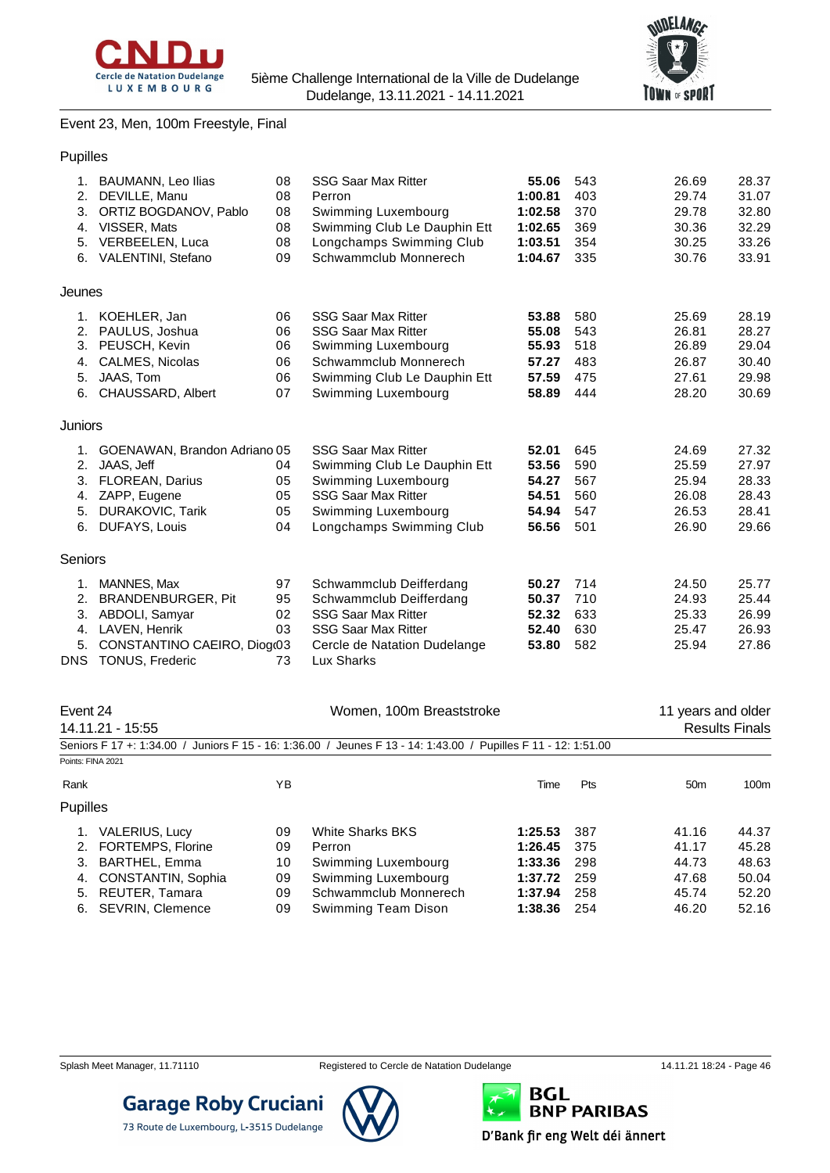



Event 23, Men, 100m Freestyle, Final

| Pupilles |                                 |    |                              |         |     |                    |       |
|----------|---------------------------------|----|------------------------------|---------|-----|--------------------|-------|
|          | 1. BAUMANN, Leo Ilias           | 08 | <b>SSG Saar Max Ritter</b>   | 55.06   | 543 | 26.69              | 28.37 |
| 2.       | DEVILLE, Manu                   | 08 | Perron                       | 1:00.81 | 403 | 29.74              | 31.07 |
| 3.       | ORTIZ BOGDANOV, Pablo           | 08 | Swimming Luxembourg          | 1:02.58 | 370 | 29.78              | 32.80 |
| 4.       | VISSER, Mats                    | 08 | Swimming Club Le Dauphin Ett | 1:02.65 | 369 | 30.36              | 32.29 |
| 5.       | VERBEELEN, Luca                 | 08 | Longchamps Swimming Club     | 1:03.51 | 354 | 30.25              | 33.26 |
|          | 6. VALENTINI, Stefano           | 09 | Schwammclub Monnerech        | 1:04.67 | 335 | 30.76              | 33.91 |
| Jeunes   |                                 |    |                              |         |     |                    |       |
|          | 1. KOEHLER, Jan                 | 06 | <b>SSG Saar Max Ritter</b>   | 53.88   | 580 | 25.69              | 28.19 |
|          | 2. PAULUS, Joshua               | 06 | <b>SSG Saar Max Ritter</b>   | 55.08   | 543 | 26.81              | 28.27 |
| 3.       | PEUSCH, Kevin                   | 06 | Swimming Luxembourg          | 55.93   | 518 | 26.89              | 29.04 |
| 4.       | <b>CALMES, Nicolas</b>          | 06 | Schwammclub Monnerech        | 57.27   | 483 | 26.87              | 30.40 |
| 5.       | JAAS, Tom                       | 06 | Swimming Club Le Dauphin Ett | 57.59   | 475 | 27.61              | 29.98 |
| 6.       | CHAUSSARD, Albert               | 07 | Swimming Luxembourg          | 58.89   | 444 | 28.20              | 30.69 |
| Juniors  |                                 |    |                              |         |     |                    |       |
|          | 1. GOENAWAN, Brandon Adriano 05 |    | <b>SSG Saar Max Ritter</b>   | 52.01   | 645 | 24.69              | 27.32 |
| 2.       | JAAS, Jeff                      | 04 | Swimming Club Le Dauphin Ett | 53.56   | 590 | 25.59              | 27.97 |
| 3.       | <b>FLOREAN, Darius</b>          | 05 | Swimming Luxembourg          | 54.27   | 567 | 25.94              | 28.33 |
| 4.       | ZAPP, Eugene                    | 05 | <b>SSG Saar Max Ritter</b>   | 54.51   | 560 | 26.08              | 28.43 |
| 5.       | <b>DURAKOVIC, Tarik</b>         | 05 | Swimming Luxembourg          | 54.94   | 547 | 26.53              | 28.41 |
| 6.       | DUFAYS, Louis                   | 04 | Longchamps Swimming Club     | 56.56   | 501 | 26.90              | 29.66 |
| Seniors  |                                 |    |                              |         |     |                    |       |
| 1.       | MANNES, Max                     | 97 | Schwammclub Deifferdang      | 50.27   | 714 | 24.50              | 25.77 |
| 2.       | <b>BRANDENBURGER, Pit</b>       | 95 | Schwammclub Deifferdang      | 50.37   | 710 | 24.93              | 25.44 |
| 3.       | ABDOLI, Samyar                  | 02 | <b>SSG Saar Max Ritter</b>   | 52.32   | 633 | 25.33              | 26.99 |
|          | 4. LAVEN, Henrik                | 03 | <b>SSG Saar Max Ritter</b>   | 52.40   | 630 | 25.47              | 26.93 |
| 5.       | CONSTANTINO CAEIRO, Diog(03     |    | Cercle de Natation Dudelange | 53.80   | 582 | 25.94              | 27.86 |
|          | DNS TONUS, Frederic             | 73 | Lux Sharks                   |         |     |                    |       |
| Event 24 |                                 |    | Women, 100m Breaststroke     |         |     | 11 years and older |       |
|          |                                 |    |                              |         |     |                    |       |

| ᄂ៴ငபட்ட<br>14.11.21 - 15:55    |    | WUTTELL, TUUTT DI GASISII UNG                                                                                  |         |            | <b>II</b> yeard and Ulder | <b>Results Finals</b> |
|--------------------------------|----|----------------------------------------------------------------------------------------------------------------|---------|------------|---------------------------|-----------------------|
|                                |    | Seniors F 17 +: 1:34.00 / Juniors F 15 - 16: 1:36.00 / Jeunes F 13 - 14: 1:43.00 / Pupilles F 11 - 12: 1:51.00 |         |            |                           |                       |
| Points: FINA 2021              |    |                                                                                                                |         |            |                           |                       |
| Rank                           | ΥB |                                                                                                                | Time    | <b>Pts</b> | 50 <sub>m</sub>           | 100m                  |
| <b>Pupilles</b>                |    |                                                                                                                |         |            |                           |                       |
| <b>VALERIUS, Lucy</b>          | 09 | <b>White Sharks BKS</b>                                                                                        | 1:25.53 | 387        | 41.16                     | 44.37                 |
| <b>FORTEMPS, Florine</b><br>2. | 09 | Perron                                                                                                         | 1:26.45 | 375        | 41.17                     | 45.28                 |
| <b>BARTHEL, Emma</b><br>3.     | 10 | Swimming Luxembourg                                                                                            | 1:33.36 | 298        | 44.73                     | 48.63                 |
| CONSTANTIN, Sophia<br>4.       | 09 | Swimming Luxembourg                                                                                            | 1:37.72 | 259        | 47.68                     | 50.04                 |
| REUTER, Tamara<br>5.           | 09 | Schwammclub Monnerech                                                                                          | 1:37.94 | 258        | 45.74                     | 52.20                 |
| <b>SEVRIN, Clemence</b><br>6.  | 09 | Swimming Team Dison                                                                                            | 1:38.36 | 254        | 46.20                     | 52.16                 |
|                                |    |                                                                                                                |         |            |                           |                       |

**Garage Roby Cruciani** 

73 Route de Luxembourg, L-3515 Dudelange

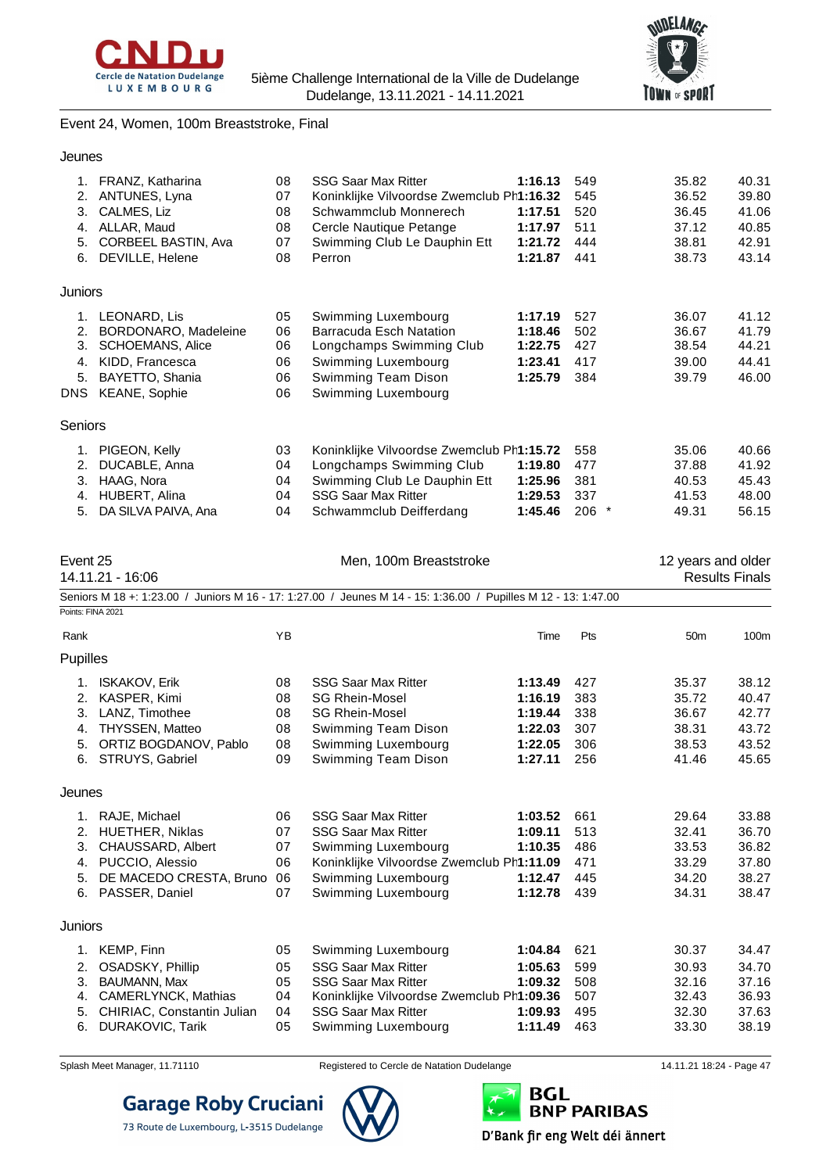



## Event 24, Women, 100m Breaststroke, Final

| Jeunes                           |                                                                                                                                |                                  |                                                                                                                                                                                   |                                                                |                                        |                                                    |                                                    |
|----------------------------------|--------------------------------------------------------------------------------------------------------------------------------|----------------------------------|-----------------------------------------------------------------------------------------------------------------------------------------------------------------------------------|----------------------------------------------------------------|----------------------------------------|----------------------------------------------------|----------------------------------------------------|
| 2.<br>3.<br>4.<br>5.             | 1. FRANZ, Katharina<br>ANTUNES, Lyna<br>CALMES, Liz<br>ALLAR, Maud<br>CORBEEL BASTIN, Ava<br>6. DEVILLE, Helene                | 08<br>07<br>08<br>08<br>07<br>08 | <b>SSG Saar Max Ritter</b><br>Koninklijke Vilvoordse Zwemclub Ph1:16.32<br>Schwammclub Monnerech<br>Cercle Nautique Petange<br>Swimming Club Le Dauphin Ett<br>Perron             | 1:16.13<br>1:17.51<br>1:17.97<br>1:21.72<br>1:21.87            | 549<br>545<br>520<br>511<br>444<br>441 | 35.82<br>36.52<br>36.45<br>37.12<br>38.81<br>38.73 | 40.31<br>39.80<br>41.06<br>40.85<br>42.91<br>43.14 |
| Juniors                          |                                                                                                                                |                                  |                                                                                                                                                                                   |                                                                |                                        |                                                    |                                                    |
| 2.<br>3.<br>4.<br>5.             | 1. LEONARD, Lis<br>BORDONARO, Madeleine<br>SCHOEMANS, Alice<br>KIDD, Francesca<br>BAYETTO, Shania<br>DNS KEANE, Sophie         | 05<br>06<br>06<br>06<br>06<br>06 | Swimming Luxembourg<br>Barracuda Esch Natation<br>Longchamps Swimming Club<br>Swimming Luxembourg<br>Swimming Team Dison<br>Swimming Luxembourg                                   | 1:17.19<br>1:18.46<br>1:22.75<br>1:23.41<br>1:25.79            | 527<br>502<br>427<br>417<br>384        | 36.07<br>36.67<br>38.54<br>39.00<br>39.79          | 41.12<br>41.79<br>44.21<br>44.41<br>46.00          |
| Seniors                          |                                                                                                                                |                                  |                                                                                                                                                                                   |                                                                |                                        |                                                    |                                                    |
| 2.<br>3.<br>4.<br>5.             | 1. PIGEON, Kelly<br>DUCABLE, Anna<br>HAAG, Nora<br>HUBERT, Alina<br>DA SILVA PAIVA, Ana                                        | 03<br>04<br>04<br>04<br>04       | Koninklijke Vilvoordse Zwemclub Ph1:15.72<br>Longchamps Swimming Club<br>Swimming Club Le Dauphin Ett<br><b>SSG Saar Max Ritter</b><br>Schwammclub Deifferdang                    | 1:19.80<br>1:25.96<br>1:29.53<br>1:45.46                       | 558<br>477<br>381<br>337<br>$206$ *    | 35.06<br>37.88<br>40.53<br>41.53<br>49.31          | 40.66<br>41.92<br>45.43<br>48.00<br>56.15          |
| Event 25                         | 14.11.21 - 16:06                                                                                                               |                                  | Men, 100m Breaststroke                                                                                                                                                            |                                                                |                                        | 12 years and older                                 | <b>Results Finals</b>                              |
| Points: FINA 2021                |                                                                                                                                |                                  | Seniors M 18 +: 1:23.00 / Juniors M 16 - 17: 1:27.00 / Jeunes M 14 - 15: 1:36.00 / Pupilles M 12 - 13: 1:47.00                                                                    |                                                                |                                        |                                                    |                                                    |
| Rank                             |                                                                                                                                | YB                               |                                                                                                                                                                                   | Time                                                           | Pts                                    | 50 <sub>m</sub>                                    | 100m                                               |
| Pupilles                         |                                                                                                                                |                                  |                                                                                                                                                                                   |                                                                |                                        |                                                    |                                                    |
| 2.<br>3.<br>4.<br>5.<br>6.       | 1. ISKAKOV, Erik<br>KASPER, Kimi<br>LANZ, Timothee<br><b>THYSSEN, Matteo</b><br>ORTIZ BOGDANOV, Pablo<br>STRUYS, Gabriel       | 08<br>08<br>08<br>08<br>08<br>09 | <b>SSG Saar Max Ritter</b><br><b>SG Rhein-Mosel</b><br><b>SG Rhein-Mosel</b><br>Swimming Team Dison<br>Swimming Luxembourg<br>Swimming Team Dison                                 | 1:13.49<br>1:16.19<br>1:19.44<br>1:22.03<br>1:22.05<br>1:27.11 | 427<br>383<br>338<br>307<br>306<br>256 | 35.37<br>35.72<br>36.67<br>38.31<br>38.53<br>41.46 | 38.12<br>40.47<br>42.77<br>43.72<br>43.52<br>45.65 |
| Jeunes                           |                                                                                                                                |                                  |                                                                                                                                                                                   |                                                                |                                        |                                                    |                                                    |
| 1.<br>2.<br>3.<br>4.<br>5.<br>6. | RAJE, Michael<br>HUETHER, Niklas<br>CHAUSSARD, Albert<br>PUCCIO, Alessio<br>DE MACEDO CRESTA, Bruno<br>PASSER, Daniel          | 06<br>07<br>07<br>06<br>06<br>07 | <b>SSG Saar Max Ritter</b><br><b>SSG Saar Max Ritter</b><br>Swimming Luxembourg<br>Koninklijke Vilvoordse Zwemclub Ph1:11.09<br>Swimming Luxembourg<br>Swimming Luxembourg        | 1:03.52<br>1:09.11<br>1:10.35<br>1:12.47<br>1:12.78            | 661<br>513<br>486<br>471<br>445<br>439 | 29.64<br>32.41<br>33.53<br>33.29<br>34.20<br>34.31 | 33.88<br>36.70<br>36.82<br>37.80<br>38.27<br>38.47 |
| Juniors                          |                                                                                                                                |                                  |                                                                                                                                                                                   |                                                                |                                        |                                                    |                                                    |
| 1.<br>2.<br>3.<br>4.<br>5.<br>6. | KEMP, Finn<br>OSADSKY, Phillip<br><b>BAUMANN, Max</b><br>CAMERLYNCK, Mathias<br>CHIRIAC, Constantin Julian<br>DURAKOVIC, Tarik | 05<br>05<br>05<br>04<br>04<br>05 | Swimming Luxembourg<br><b>SSG Saar Max Ritter</b><br><b>SSG Saar Max Ritter</b><br>Koninklijke Vilvoordse Zwemclub Ph1:09.36<br><b>SSG Saar Max Ritter</b><br>Swimming Luxembourg | 1:04.84<br>1:05.63<br>1:09.32<br>1:09.93<br>1:11.49            | 621<br>599<br>508<br>507<br>495<br>463 | 30.37<br>30.93<br>32.16<br>32.43<br>32.30<br>33.30 | 34.47<br>34.70<br>37.16<br>36.93<br>37.63<br>38.19 |



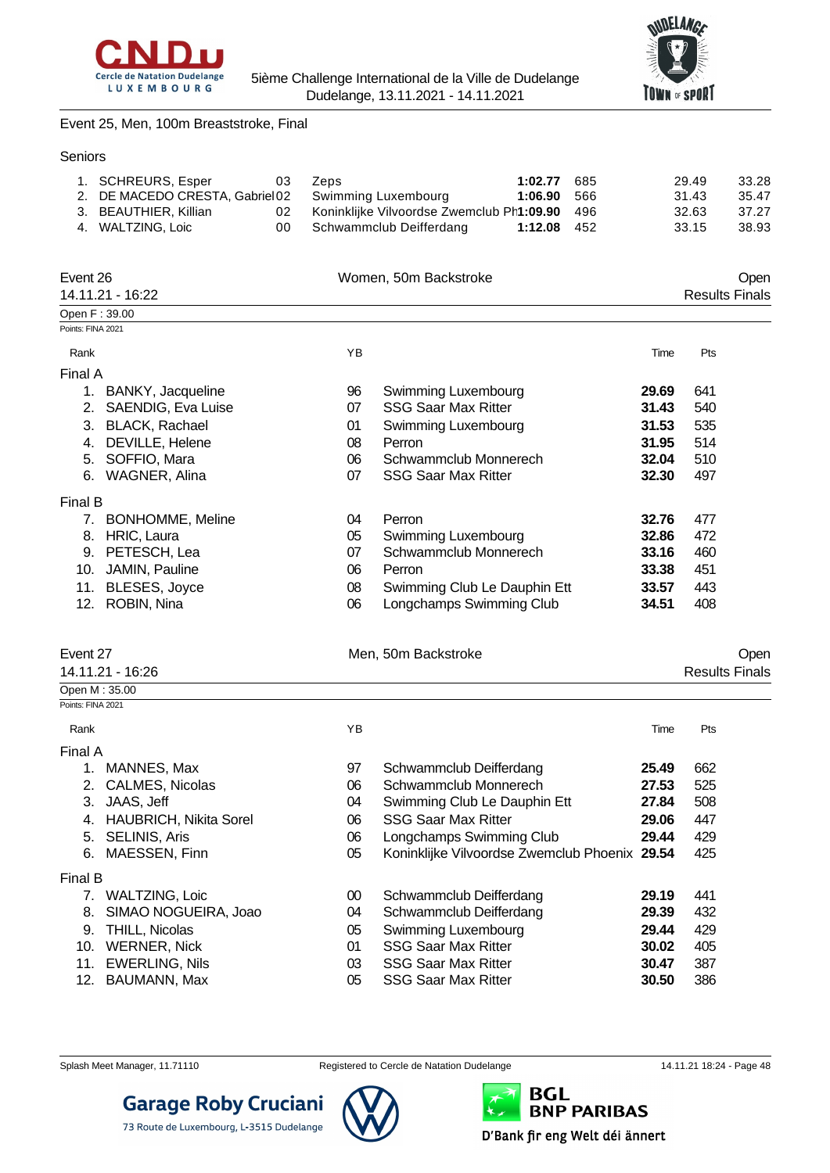



Event 25, Men, 100m Breaststroke, Final

Seniors

|       | 29.49          | 1:02.77 685 | Zeps                                                                                                    | - 03 | 1. SCHREURS, Esper    |  |
|-------|----------------|-------------|---------------------------------------------------------------------------------------------------------|------|-----------------------|--|
| 33.28 |                |             |                                                                                                         |      |                       |  |
| 35.47 |                |             |                                                                                                         |      |                       |  |
| 37.27 |                |             |                                                                                                         |      |                       |  |
| 38.93 | 33.15          | 1:12.08 452 | 00 Schwammclub Deifferdang                                                                              |      | 4. WALTZING, Loic     |  |
|       |                |             |                                                                                                         |      |                       |  |
|       | 31.43<br>32.63 | 1:06.90 566 | 2. DE MACEDO CRESTA, Gabriel 02 Swimming Luxembourg<br>02 Koninklijke Vilvoordse Zwemclub Ph1:09.90 496 |      | 3. BEAUTHIER, Killian |  |

| Event 26          |                           |    | Women, 50m Backstroke        |       | Open                  |
|-------------------|---------------------------|----|------------------------------|-------|-----------------------|
|                   | 14.11.21 - 16:22          |    |                              |       | <b>Results Finals</b> |
| Open F: 39.00     |                           |    |                              |       |                       |
| Points: FINA 2021 |                           |    |                              |       |                       |
| Rank              |                           | YB |                              | Time  | Pts                   |
| Final A           |                           |    |                              |       |                       |
|                   | BANKY, Jacqueline         | 96 | Swimming Luxembourg          | 29.69 | 641                   |
| 2.                | <b>SAENDIG, Eva Luise</b> | 07 | <b>SSG Saar Max Ritter</b>   | 31.43 | 540                   |
| 3.                | <b>BLACK, Rachael</b>     | 01 | Swimming Luxembourg          | 31.53 | 535                   |
| 4.                | DEVILLE, Helene           | 08 | Perron                       | 31.95 | 514                   |
| 5.                | SOFFIO, Mara              | 06 | Schwammclub Monnerech        | 32.04 | 510                   |
| 6.                | <b>WAGNER, Alina</b>      | 07 | <b>SSG Saar Max Ritter</b>   | 32.30 | 497                   |
| Final B           |                           |    |                              |       |                       |
| 7.                | <b>BONHOMME, Meline</b>   | 04 | Perron                       | 32.76 | 477                   |
| 8.                | HRIC, Laura               | 05 | Swimming Luxembourg          | 32.86 | 472                   |
| 9.                | PETESCH, Lea              | 07 | Schwammclub Monnerech        | 33.16 | 460                   |
| 10.               | JAMIN, Pauline            | 06 | Perron                       | 33.38 | 451                   |
| 11.               | BLESES, Joyce             | 08 | Swimming Club Le Dauphin Ett | 33.57 | 443                   |
| 12.               | ROBIN, Nina               | 06 | Longchamps Swimming Club     | 34.51 | 408                   |

| vent |  |
|------|--|
|------|--|

| $\sim$ $\sim$ $\sim$ $\sim$ $\sim$ |                       |
|------------------------------------|-----------------------|
| 14.11.21 - 16:26                   | <b>Results Finals</b> |
| Event 27<br>Men, 50m Backstroke    | )pen                  |

| :35.00<br>Open M  |  |  |
|-------------------|--|--|
| Points: FINA 2021 |  |  |

Rank Time Pts

Final A

Final B

| 101 A   |                           |    |                                               |       |     |
|---------|---------------------------|----|-----------------------------------------------|-------|-----|
| $1_{-}$ | MANNES, Max               | 97 | Schwammclub Deifferdang                       | 25.49 | 662 |
|         | 2. CALMES, Nicolas        | 06 | Schwammclub Monnerech                         | 27.53 | 525 |
| 3.      | JAAS, Jeff                | 04 | Swimming Club Le Dauphin Ett                  | 27.84 | 508 |
|         | 4. HAUBRICH, Nikita Sorel | 06 | <b>SSG Saar Max Ritter</b>                    | 29.06 | 447 |
|         | 5. SELINIS, Aris          | 06 | Longchamps Swimming Club                      | 29.44 | 429 |
|         | 6. MAESSEN, Finn          | 05 | Koninklijke Vilvoordse Zwemclub Phoenix 29.54 |       | 425 |
| າal B   |                           |    |                                               |       |     |
|         | 7. WALTZING, Loic         | 00 | Schwammclub Deifferdang                       | 29.19 | 441 |
|         | 8. SIMAO NOGUEIRA, Joao   | 04 | Schwammclub Deifferdang                       | 29.39 | 432 |
|         | 9. THILL, Nicolas         | 05 | Swimming Luxembourg                           | 29.44 | 429 |
|         | 10. WERNER, Nick          | 01 | <b>SSG Saar Max Ritter</b>                    | 30.02 | 405 |
|         | 11. EWERLING, Nils        | 03 | <b>SSG Saar Max Ritter</b>                    | 30.47 | 387 |
|         | 12. BAUMANN, Max          | 05 | <b>SSG Saar Max Ritter</b>                    | 30.50 | 386 |
|         |                           |    |                                               |       |     |

**Garage Roby Cruciani** 

73 Route de Luxembourg, L-3515 Dudelange

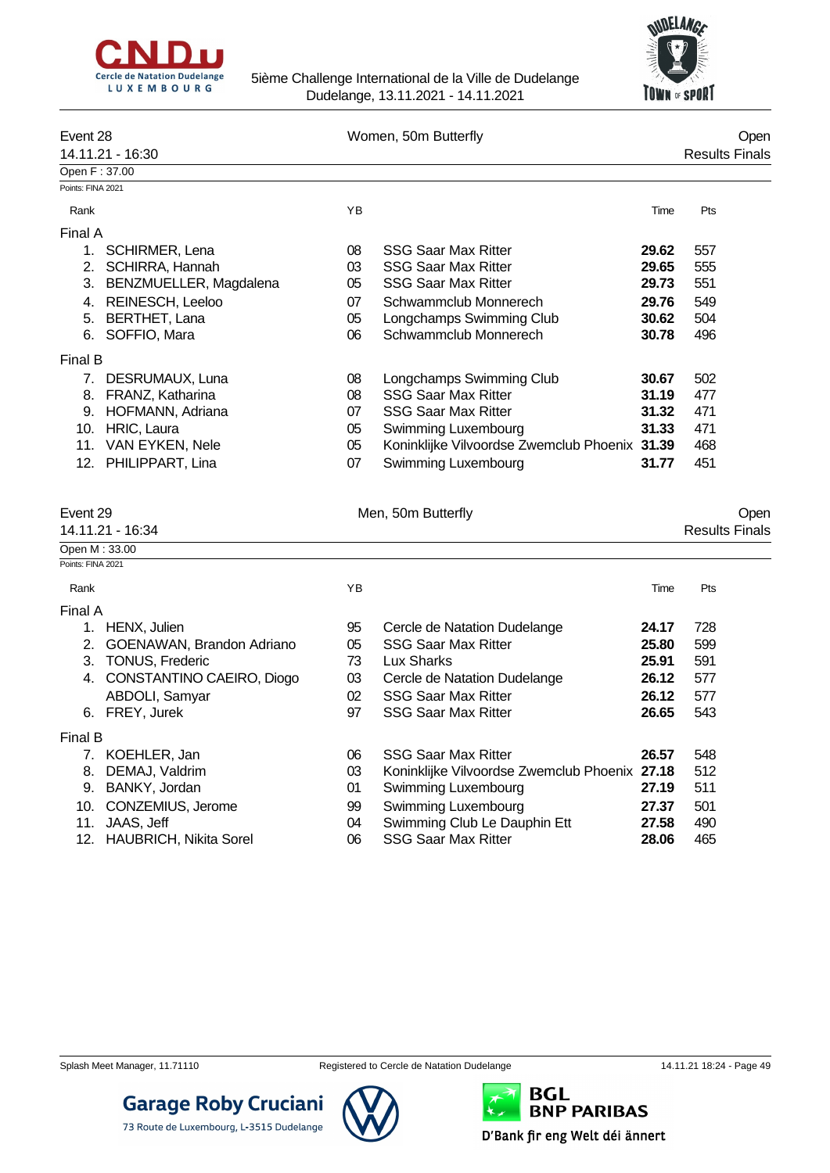



| Event 28          |                         |    | Women, 50m Butterfly                          |       |     |                       |
|-------------------|-------------------------|----|-----------------------------------------------|-------|-----|-----------------------|
|                   | 14.11.21 - 16:30        |    |                                               |       |     | <b>Results Finals</b> |
| Open F: 37.00     |                         |    |                                               |       |     |                       |
| Points: FINA 2021 |                         |    |                                               |       |     |                       |
| Rank              |                         | YB |                                               | Time  | Pts |                       |
| Final A           |                         |    |                                               |       |     |                       |
| 1.                | <b>SCHIRMER, Lena</b>   | 08 | <b>SSG Saar Max Ritter</b>                    | 29.62 | 557 |                       |
| 2.                | SCHIRRA, Hannah         | 03 | <b>SSG Saar Max Ritter</b>                    | 29.65 | 555 |                       |
| 3.                | BENZMUELLER, Magdalena  | 05 | <b>SSG Saar Max Ritter</b>                    | 29.73 | 551 |                       |
| 4.                | <b>REINESCH, Leeloo</b> | 07 | Schwammclub Monnerech                         | 29.76 | 549 |                       |
| 5.                | BERTHET, Lana           | 05 | Longchamps Swimming Club                      | 30.62 | 504 |                       |
| 6.                | SOFFIO, Mara            | 06 | Schwammclub Monnerech                         | 30.78 | 496 |                       |
| Final B           |                         |    |                                               |       |     |                       |
| 7.                | DESRUMAUX, Luna         | 08 | Longchamps Swimming Club                      | 30.67 | 502 |                       |
| 8.                | FRANZ, Katharina        | 08 | <b>SSG Saar Max Ritter</b>                    | 31.19 | 477 |                       |
| 9.                | HOFMANN, Adriana        | 07 | <b>SSG Saar Max Ritter</b>                    | 31.32 | 471 |                       |
| 10.               | HRIC, Laura             | 05 | Swimming Luxembourg                           | 31.33 | 471 |                       |
| 11.               | VAN EYKEN, Nele         | 05 | Koninklijke Vilvoordse Zwemclub Phoenix 31.39 |       | 468 |                       |
| 12.               | PHILIPPART, Lina        | 07 | Swimming Luxembourg                           | 31.77 | 451 |                       |

|  |  | 14.11.21 - 16:3 |  |  |
|--|--|-----------------|--|--|
|  |  |                 |  |  |

| Event 29 | Men, 50m Butterfly |      |
|----------|--------------------|------|
|          |                    | Oper |

# Results Finals

| 14.11.21 - 16:34 |  |
|------------------|--|
| Open M : 33.00   |  |

| OPEILIVI . JJ.UU  |  |
|-------------------|--|
| Points: FINA 2021 |  |

| Rank    | ΥB | Time | Pts<br>___ |
|---------|----|------|------------|
| Final A |    |      |            |

| Final A |                              |    |                                               |       |     |
|---------|------------------------------|----|-----------------------------------------------|-------|-----|
| 1.      | HENX, Julien                 | 95 | Cercle de Natation Dudelange                  | 24.17 | 728 |
|         | 2. GOENAWAN, Brandon Adriano | 05 | <b>SSG Saar Max Ritter</b>                    | 25.80 | 599 |
|         | 3. TONUS, Frederic           | 73 | Lux Sharks                                    | 25.91 | 591 |
|         | 4. CONSTANTINO CAEIRO, Diogo | 03 | Cercle de Natation Dudelange                  | 26.12 | 577 |
|         | ABDOLI, Samyar               | 02 | <b>SSG Saar Max Ritter</b>                    | 26.12 | 577 |
|         | 6. FREY, Jurek               | 97 | <b>SSG Saar Max Ritter</b>                    | 26.65 | 543 |
| Final B |                              |    |                                               |       |     |
|         | 7. KOEHLER, Jan              | 06 | <b>SSG Saar Max Ritter</b>                    | 26.57 | 548 |
| 8.      | DEMAJ, Valdrim               | 03 | Koninklijke Vilvoordse Zwemclub Phoenix 27.18 |       | 512 |
| 9.      | BANKY, Jordan                | 01 | Swimming Luxembourg                           | 27.19 | 511 |
|         | 10. CONZEMIUS, Jerome        | 99 | Swimming Luxembourg                           | 27.37 | 501 |
|         | 11. JAAS, Jeff               | 04 | Swimming Club Le Dauphin Ett                  | 27.58 | 490 |
|         | 12. HAUBRICH, Nikita Sorel   | 06 | <b>SSG Saar Max Ritter</b>                    | 28.06 | 465 |





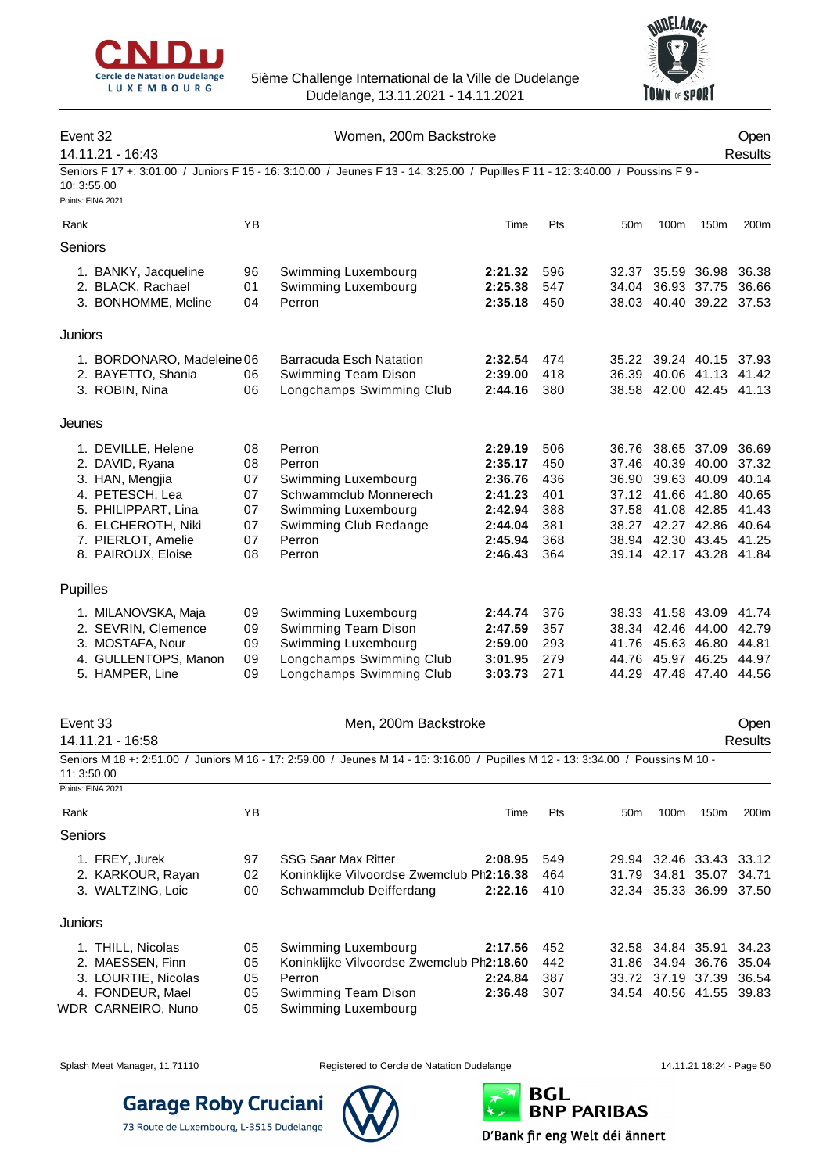



## Event 32 Communication of the United States of Women, 200m Backstroke Communication of the Open 14.11.21 - 16:43 Results Seniors F 17 +: 3:01.00 / Juniors F 15 - 16: 3:10.00 / Jeunes F 13 - 14: 3:25.00 / Pupilles F 11 - 12: 3:40.00 / Poussins F 9 - 10: 3:55.00 Points: FINA 2021 Rank YB Time Pts 50m 100m 150m 200m Seniors 1. BANKY, Jacqueline 96 Swimming Luxembourg **2:21.32** 596 32.37 35.59 36.98 36.38 2. BLACK, Rachael 01 Swimming Luxembourg **2:25.38** 547 34.04 36.93 37.75 36.66 3. BONHOMME, Meline 04 Perron **2:35.18** 450 38.03 40.40 39.22 37.53 **Juniors** 1. BORDONARO, Madeleine06 Barracuda Esch Natation **2:32.54** 474 35.22 39.24 40.15 37.93 2. BAYETTO, Shania 06 Swimming Team Dison **2:39.00** 418 36.39 40.06 41.13 41.42 3. ROBIN, Nina 06 Longchamps Swimming Club **2:44.16** 380 38.58 42.00 42.45 41.13 Jeunes 1. DEVILLE, Helene 08 Perron **2:29.19** 506 36.76 38.65 37.09 36.69 2. DAVID, Ryana 08 Perron **2:35.17** 450 37.46 40.39 40.00 37.32 3. HAN, Mengjia 07 Swimming Luxembourg **2:36.76** 436 36.90 39.63 40.09 40.14 4. PETESCH, Lea 07 Schwammclub Monnerech **2:41.23** 401 37.12 41.66 41.80 40.65 5. PHILIPPART, Lina 07 Swimming Luxembourg **2:42.94** 6. ELCHEROTH, Niki 07 Swimming Club Redange **2:44.04** 381 38.27 42.27 42.86 40.64 7. PIERLOT, Amelie 07 Perron **2:45.94** 368 38.94 42.30 43.45 41.25 8. PAIROUX, Eloise 08 Perron **2:46.43** 364 39.14 42.17 43.28 41.84 **Pupilles** 1. MILANOVSKA, Maja 09 Swimming Luxembourg **2:44.74** 376 38.33 41.58 43.09 41.74 2. SEVRIN, Clemence 09 Swimming Team Dison **2:47.59** 357 38.34 42.46 44.00 42.79 3. MOSTAFA, Nour 09 Swimming Luxembourg **2:59.00** 293 41.76 45.63 46.80 44.81 4. GULLENTOPS, Manon 09 Longchamps Swimming Club **3:01.95** 279 44.76 45.97 46.25 44.97 5. HAMPER, Line 09 Longchamps Swimming Club **3:03.73** 271 44.29 47.48 47.40 44.56 Event 33 Communication of the Men, 200m Backstroke Communication of the Open 14.11.21 - 16:58 Results Seniors M 18 +: 2:51.00 / Juniors M 16 - 17: 2:59.00 / Jeunes M 14 - 15: 3:16.00 / Pupilles M 12 - 13: 3:34.00 / Poussins M 10 - 11: 3:50.00 Points: FINA 2021 Rank YB Time Pts 50m 100m 150m 200m Seniors 1. FREY, Jurek 97 SSG Saar Max Ritter **2:08.95** 549 29.94 32.46 33.43 33.12 2. KARKOUR, Rayan 02 Koninklijke Vilvoordse Zwemclub Ph2:16.38 464 31.79 34.81 35.07 34.71 3. WALTZING, Loic 00 Schwammclub Deifferdang **2:22.16** 410 32.34 35.33 36.99 37.50 **Juniors** 1. THILL, Nicolas 05 Swimming Luxembourg **2:17.56** 452 32.58 34.84 35.91 34.23 2. MAESSEN, Finn 05 Koninklijke Vilvoordse Zwemclub Phoenix **2:18.60** 442 31.86 34.94 36.76 35.04 3. LOURTIE, Nicolas 05 Perron **2:24.84** 387 33.72 37.19 37.39 36.54 4. FONDEUR, Mael 05 Swimming Team Dison **2:36.48** 307 34.54 40.56 41.55 39.83 WDR CARNEIRO, Nuno 05 Swimming Luxembourg



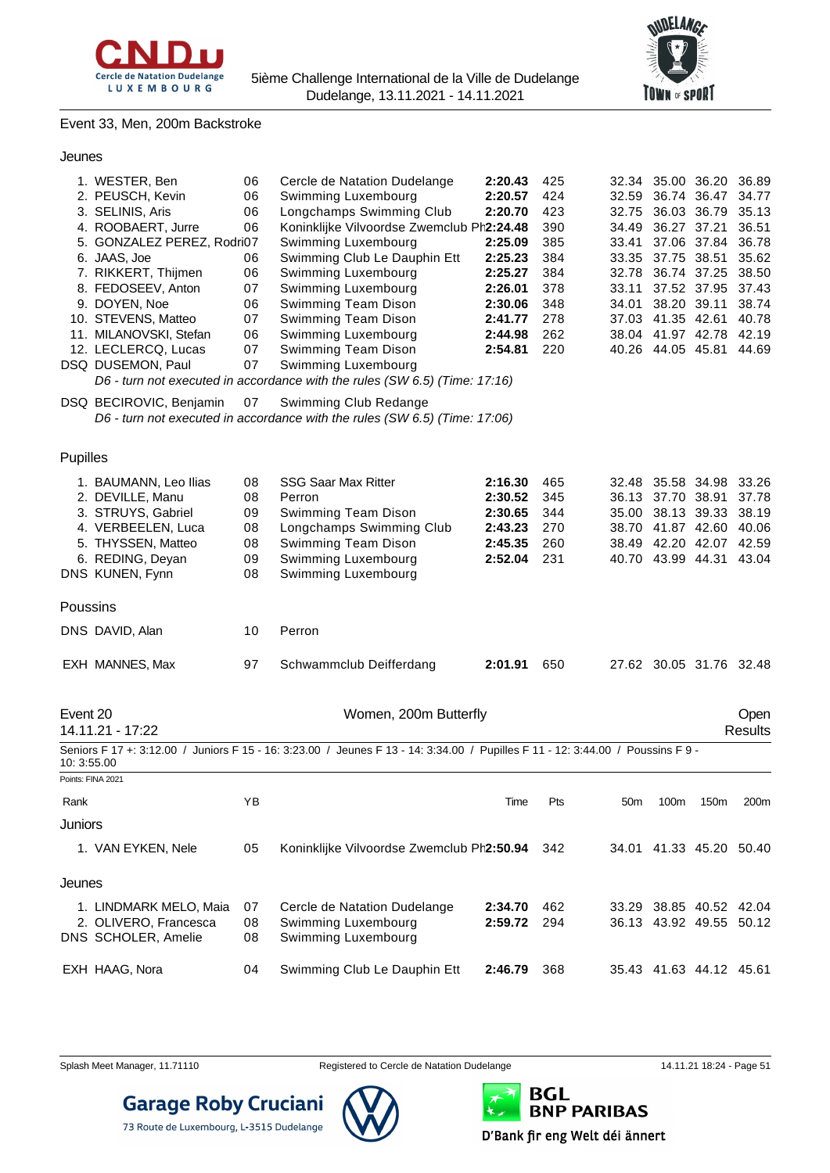



#### Event 33, Men, 200m Backstroke

#### Jeunes

|                                                                                                                              | 1. WESTER, Ben             | 06 | Cercle de Natation Dudelange                                                                                                    | 2:20.43 | 425 |                 |                   | 32.34 35.00 36.20 36.89 |                |
|------------------------------------------------------------------------------------------------------------------------------|----------------------------|----|---------------------------------------------------------------------------------------------------------------------------------|---------|-----|-----------------|-------------------|-------------------------|----------------|
|                                                                                                                              | 2. PEUSCH, Kevin           | 06 | Swimming Luxembourg                                                                                                             | 2:20.57 | 424 | 32.59           | 36.74 36.47       |                         | 34.77          |
|                                                                                                                              | 3. SELINIS, Aris           | 06 | Longchamps Swimming Club                                                                                                        | 2:20.70 | 423 | 32.75           |                   | 36.03 36.79             | 35.13          |
|                                                                                                                              | 4. ROOBAERT, Jurre<br>06   |    | Koninklijke Vilvoordse Zwemclub Ph2:24.48                                                                                       |         | 390 |                 | 34.49 36.27 37.21 |                         | 36.51          |
|                                                                                                                              | 5. GONZALEZ PEREZ, Rodri07 |    | Swimming Luxembourg                                                                                                             | 2:25.09 | 385 |                 | 33.41 37.06 37.84 |                         | 36.78          |
|                                                                                                                              | 6. JAAS, Joe               | 06 | Swimming Club Le Dauphin Ett                                                                                                    | 2:25.23 | 384 |                 | 33.35 37.75 38.51 |                         | 35.62          |
|                                                                                                                              | 7. RIKKERT, Thijmen        | 06 | Swimming Luxembourg                                                                                                             | 2:25.27 | 384 |                 |                   | 32.78 36.74 37.25       | 38.50          |
|                                                                                                                              | 8. FEDOSEEV, Anton         | 07 | Swimming Luxembourg                                                                                                             | 2:26.01 | 378 |                 | 33.11 37.52 37.95 |                         | 37.43          |
|                                                                                                                              | 9. DOYEN, Noe              | 06 | Swimming Team Dison                                                                                                             | 2:30.06 | 348 |                 | 34.01 38.20 39.11 |                         | 38.74          |
|                                                                                                                              | 10. STEVENS, Matteo        | 07 | Swimming Team Dison                                                                                                             | 2:41.77 | 278 |                 | 37.03 41.35 42.61 |                         | 40.78          |
|                                                                                                                              | 11. MILANOVSKI, Stefan     | 06 | Swimming Luxembourg                                                                                                             | 2:44.98 | 262 |                 | 38.04 41.97 42.78 |                         | 42.19          |
|                                                                                                                              | 12. LECLERCQ, Lucas        | 07 | Swimming Team Dison                                                                                                             | 2:54.81 | 220 |                 | 40.26 44.05 45.81 |                         | 44.69          |
| DSQ DUSEMON, Paul<br>07<br>Swimming Luxembourg<br>D6 - turn not executed in accordance with the rules (SW 6.5) (Time: 17:16) |                            |    |                                                                                                                                 |         |     |                 |                   |                         |                |
|                                                                                                                              |                            |    |                                                                                                                                 |         |     |                 |                   |                         |                |
|                                                                                                                              | DSQ BECIROVIC, Benjamin    | 07 | Swimming Club Redange                                                                                                           |         |     |                 |                   |                         |                |
|                                                                                                                              |                            |    | D6 - turn not executed in accordance with the rules (SW 6.5) (Time: 17:06)                                                      |         |     |                 |                   |                         |                |
| Pupilles                                                                                                                     |                            |    |                                                                                                                                 |         |     |                 |                   |                         |                |
|                                                                                                                              | 1. BAUMANN, Leo Ilias      | 08 | <b>SSG Saar Max Ritter</b>                                                                                                      | 2:16.30 | 465 | 32.48           | 35.58 34.98       |                         | 33.26          |
|                                                                                                                              | 2. DEVILLE, Manu           | 08 | Perron                                                                                                                          | 2:30.52 | 345 |                 | 36.13 37.70 38.91 |                         | 37.78          |
|                                                                                                                              | 3. STRUYS, Gabriel         | 09 | Swimming Team Dison                                                                                                             | 2:30.65 | 344 |                 | 35.00 38.13 39.33 |                         | 38.19          |
|                                                                                                                              | 4. VERBEELEN, Luca         | 08 | Longchamps Swimming Club                                                                                                        | 2:43.23 | 270 |                 |                   | 38.70 41.87 42.60 40.06 |                |
|                                                                                                                              | 5. THYSSEN, Matteo         | 08 | Swimming Team Dison                                                                                                             | 2:45.35 | 260 |                 |                   | 38.49 42.20 42.07 42.59 |                |
|                                                                                                                              | 6. REDING, Deyan           | 09 | Swimming Luxembourg                                                                                                             | 2:52.04 | 231 |                 |                   | 40.70 43.99 44.31 43.04 |                |
|                                                                                                                              | DNS KUNEN, Fynn            | 08 | Swimming Luxembourg                                                                                                             |         |     |                 |                   |                         |                |
|                                                                                                                              |                            |    |                                                                                                                                 |         |     |                 |                   |                         |                |
| Poussins                                                                                                                     |                            |    |                                                                                                                                 |         |     |                 |                   |                         |                |
|                                                                                                                              | DNS DAVID, Alan            | 10 | Perron                                                                                                                          |         |     |                 |                   |                         |                |
|                                                                                                                              | EXH MANNES, Max            | 97 | Schwammclub Deifferdang                                                                                                         | 2:01.91 | 650 |                 |                   | 27.62 30.05 31.76 32.48 |                |
| Event 20                                                                                                                     |                            |    | Women, 200m Butterfly                                                                                                           |         |     |                 |                   |                         | Open           |
|                                                                                                                              | 14.11.21 - 17:22           |    |                                                                                                                                 |         |     |                 |                   |                         | <b>Results</b> |
| 10: 3:55.00                                                                                                                  |                            |    | Seniors F 17 +: 3:12.00 / Juniors F 15 - 16: 3:23.00 / Jeunes F 13 - 14: 3:34.00 / Pupilles F 11 - 12: 3:44.00 / Poussins F 9 - |         |     |                 |                   |                         |                |
|                                                                                                                              | Points: FINA 2021          |    |                                                                                                                                 |         |     |                 |                   |                         |                |
| Rank                                                                                                                         |                            | YB |                                                                                                                                 | Time    | Pts | 50 <sub>m</sub> | 100m              | 150m                    | 200m           |
| Juniors                                                                                                                      |                            |    |                                                                                                                                 |         |     |                 |                   |                         |                |
|                                                                                                                              | 1. VAN EYKEN, Nele         | 05 | Koninklijke Vilvoordse Zwemclub Ph2:50.94                                                                                       |         | 342 |                 |                   | 34.01 41.33 45.20 50.40 |                |
| Jeunes                                                                                                                       |                            |    |                                                                                                                                 |         |     |                 |                   |                         |                |

| 1. LINDMARK MELO, Maia<br>2. OLIVERO, Francesca<br>DNS SCHOLER, Amelie | - 07<br>08 | Cercle de Natation Dudelange<br>Swimming Luxembourg<br>08 Swimming Luxembourg | 2:34.70 462<br>2:59.72 294 | 33.29 38.85 40.52 42.04<br>36.13 43.92 49.55 50.12 |  |  |
|------------------------------------------------------------------------|------------|-------------------------------------------------------------------------------|----------------------------|----------------------------------------------------|--|--|
| EXH HAAG, Nora                                                         | 04         | Swimming Club Le Dauphin Ett                                                  | 2:46.79 368                | 35.43 41.63 44.12 45.61                            |  |  |



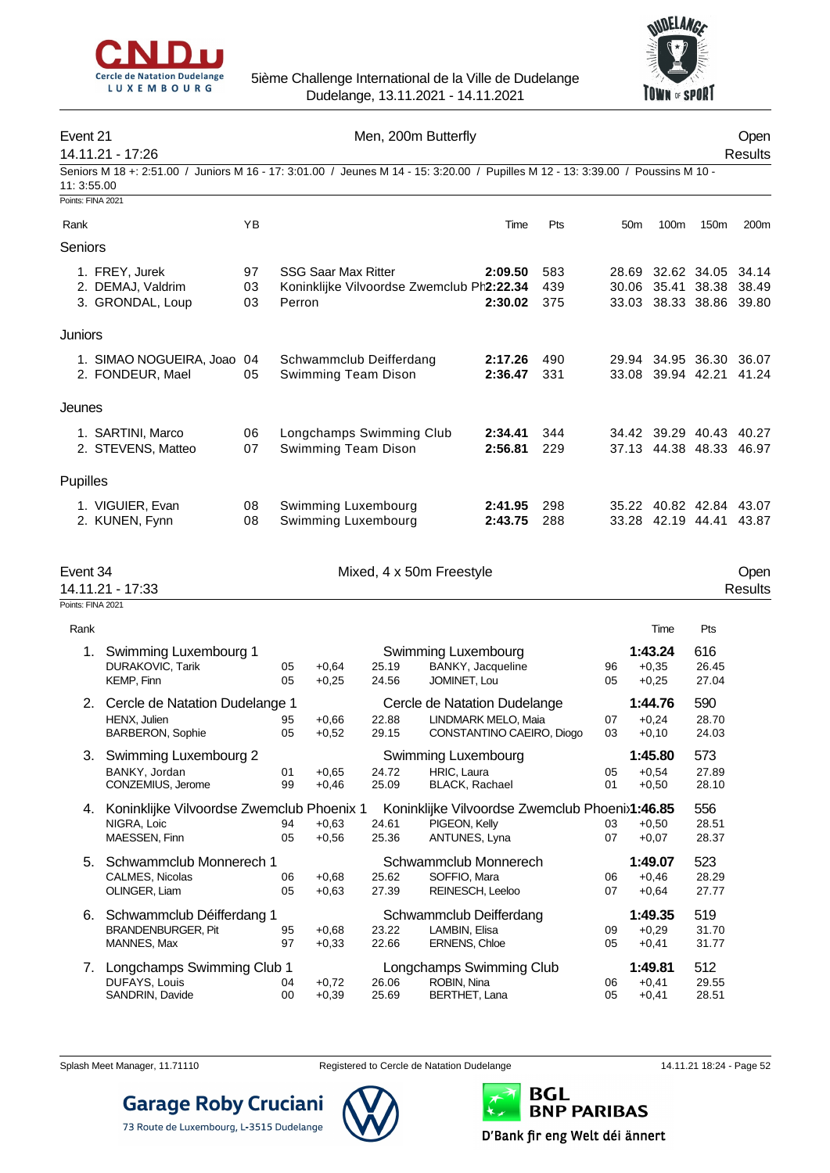



## Event 21 Communication of the Men, 200m Butterfly Communication of the Open 14.11.21 - 17:26 Results Seniors M 18 +: 2:51.00 / Juniors M 16 - 17: 3:01.00 / Jeunes M 14 - 15: 3:20.00 / Pupilles M 12 - 13: 3:39.00 / Poussins M 10 - 11: 3:55.00 Points: FINA 2021 Rank YB Time Pts 50m 100m 150m 200m Seniors 1. FREY, Jurek 97 SSG Saar Max Ritter **2:09.50** 583 28.69 32.62 34.05 34.14 2. DEMAJ, Valdrim **03** Koninklijke Vilvoordse Zwemclub Ph2:22.34 439 30.06 35.41 38.38 38.49 3. GRONDAL, Loup 03 Perron **2:30.02** 375 33.03 38.33 38.86 39.80 **Juniors** 1. SIMAO NOGUEIRA, Joao 04 Schwammclub Deifferdang **2:17.26** 490 29.94 34.95 36.30 36.07 2. FONDEUR, Mael 05 Swimming Team Dison **2:36.47** 331 33.08 39.94 42.21 41.24 Jeunes 1. SARTINI, Marco 06 Longchamps Swimming Club **2:34.41** 344 34.42 39.29 40.43 40.27 2. STEVENS, Matteo 07 Swimming Team Dison **2:56.81** 229 37.13 44.38 48.33 46.97 Pupilles 1. VIGUIER, Evan 08 Swimming Luxembourg **2:41.95** 298 35.22 40.82 42.84 43.07 2. KUNEN, Fynn 08 Swimming Luxembourg **2:43.75** 288 33.28 42.19 44.41 43.87 Event 34 Mixed, 4 x 50m Freestyle Open 14.11.21 - 17:33 Results Points: FINA 2021 Rank **Time Pts** 1. Swimming Luxembourg 1 Swimming Luxembourg **1:43.24** 616 DURAKOVIC, Tarik 05 +0,64 25.19 BANKY, Jacqueline 96 +0,35 26.45 05 +0.25 24.56 JOMINET, Lou 05 +0.25 2. Cercle de Natation Dudelange 1 Cercle de Natation Dudelange **1:44.76** 590 HENX, Julien 95 +0,66 22.88 LINDMARK MELO, Maia 07 +0,24 28.70 BARBERON, Sophie  $105 +0.52$  29.15 CONSTANTINO CAEIRO, Diogo 03 +0,10 24.03 3. Swimming Luxembourg 2 Swimming Luxembourg **1:45.80** 573 BANKY, Jordan 01 +0,65 24.72 HRIC, Laura 05 +0,54 27.89 CONZEMIUS, Jerome 99 +0,46 25.09 BLACK, Rachael 01 +0,50 28.10 4. Koninklijke Vilvoordse Zwemclub Phoenix 1 Koninklijke Vilvoordse Zwemclub Phoenix**1:46.85** 556 NIGRA, Loic 94 +0,63 24.61 PIGEON, Kelly 03 +0,50 28.51 MAESSEN, Finn 05 +0,56 25.36 ANTUNES, Lyna 07 +0,07 28.37 5. Schwammclub Monnerech 1 Schwammclub Monnerech **1:49.07** 523<br>CALMES. Nicolas 06 +0.68 25.62 SOFFIO. Mara 06 +0.46 28.29 CALMES, Nicolas 06 +0,68 25.62 SOFFIO, Mara 06 +0,46 28.29 OLINGER, Liam 05 +0,63 27.39 REINESCH, Leeloo 07 +0,64 27.77 6. Schwammclub Déifferdang 1 Schwammclub Deifferdang **1:49.35** 519 BRANDENBURGER, Pit 95 +0,68 23.22 LAMBIN, Elisa 09 +0,29 31.70 MANNES, Max 97 +0,33 22.66 ERNENS, Chloe 05 +0,41 31.77 7. Longchamps Swimming Club 1 Longchamps Swimming Club **1:49.81** 512

**Garage Roby Cruciani** 

73 Route de Luxembourg, L-3515 Dudelange

Splash Meet Manager, 11.71110 Registered to Cercle de Natation Dudelange 14.11.21 18:24 - Page 52

DUFAYS, Louis 04 +0,72 26.06 ROBIN, Nina 06 +0,41 29.55 SANDRIN, Davide 00 +0,39 25.69 BERTHET, Lana 05 +0,41 28.51